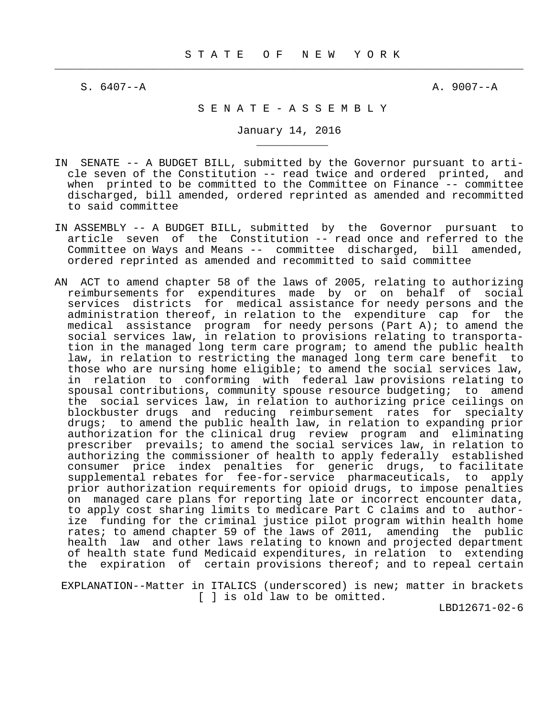$\frac{1}{2}$  , and the contribution of the contribution of the contribution of the contribution of the contribution of the contribution of the contribution of the contribution of the contribution of the contribution of the c

\_\_\_\_\_\_\_\_\_\_\_

 $S. 6407 - A$   $A. 9007 - A$ 

# S E N A T E - A S S E M B L Y

January 14, 2016

- IN SENATE -- A BUDGET BILL, submitted by the Governor pursuant to arti cle seven of the Constitution -- read twice and ordered printed, and when printed to be committed to the Committee on Finance -- committee discharged, bill amended, ordered reprinted as amended and recommitted to said committee
- IN ASSEMBLY -- A BUDGET BILL, submitted by the Governor pursuant to article seven of the Constitution -- read once and referred to the Committee on Ways and Means -- committee discharged, bill amended, ordered reprinted as amended and recommitted to said committee
- AN ACT to amend chapter 58 of the laws of 2005, relating to authorizing reimbursements for expenditures made by or on behalf of social services districts for medical assistance for needy persons and the administration thereof, in relation to the expenditure cap for the medical assistance program for needy persons (Part A); to amend the social services law, in relation to provisions relating to transporta tion in the managed long term care program; to amend the public health law, in relation to restricting the managed long term care benefit to those who are nursing home eligible; to amend the social services law, in relation to conforming with federal law provisions relating to spousal contributions, community spouse resource budgeting; to amend the social services law, in relation to authorizing price ceilings on blockbuster drugs and reducing reimbursement rates for specialty drugs; to amend the public health law, in relation to expanding prior authorization for the clinical drug review program and eliminating prescriber prevails; to amend the social services law, in relation to authorizing the commissioner of health to apply federally established consumer price index penalties for generic drugs, to facilitate supplemental rebates for fee-for-service pharmaceuticals, to apply prior authorization requirements for opioid drugs, to impose penalties on managed care plans for reporting late or incorrect encounter data, to apply cost sharing limits to medicare Part C claims and to author ize funding for the criminal justice pilot program within health home rates; to amend chapter 59 of the laws of 2011, amending the public health law and other laws relating to known and projected department of health state fund Medicaid expenditures, in relation to extending the expiration of certain provisions thereof; and to repeal certain

 EXPLANATION--Matter in ITALICS (underscored) is new; matter in brackets [ ] is old law to be omitted.

LBD12671-02-6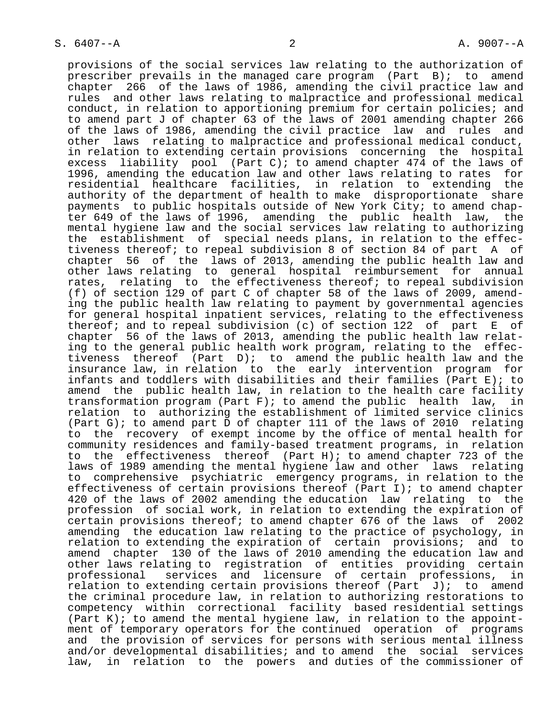provisions of the social services law relating to the authorization of prescriber prevails in the managed care program (Part B); to amend chapter 266 of the laws of 1986, amending the civil practice law and rules and other laws relating to malpractice and professional medical conduct, in relation to apportioning premium for certain policies; and to amend part J of chapter 63 of the laws of 2001 amending chapter 266 of the laws of 1986, amending the civil practice law and rules and other laws relating to malpractice and professional medical conduct, in relation to extending certain provisions concerning the hospital excess liability pool (Part C); to amend chapter 474 of the laws of 1996, amending the education law and other laws relating to rates for residential healthcare facilities, in relation to extending the authority of the department of health to make disproportionate share payments to public hospitals outside of New York City; to amend chap ter 649 of the laws of 1996, amending the public health law, the mental hygiene law and the social services law relating to authorizing the establishment of special needs plans, in relation to the effec tiveness thereof; to repeal subdivision 8 of section 84 of part A of chapter 56 of the laws of 2013, amending the public health law and other laws relating to general hospital reimbursement for annual rates, relating to the effectiveness thereof; to repeal subdivision (f) of section 129 of part C of chapter 58 of the laws of 2009, amend ing the public health law relating to payment by governmental agencies for general hospital inpatient services, relating to the effectiveness thereof; and to repeal subdivision (c) of section 122 of part E of chapter 56 of the laws of 2013, amending the public health law relat ing to the general public health work program, relating to the effec tiveness thereof (Part D); to amend the public health law and the insurance law, in relation to the early intervention program for infants and toddlers with disabilities and their families (Part E); to amend the public health law, in relation to the health care facility transformation program (Part F); to amend the public health law, in relation to authorizing the establishment of limited service clinics (Part G); to amend part D of chapter 111 of the laws of 2010 relating to the recovery of exempt income by the office of mental health for community residences and family-based treatment programs, in relation to the effectiveness thereof (Part H); to amend chapter 723 of the laws of 1989 amending the mental hygiene law and other laws relating to comprehensive psychiatric emergency programs, in relation to the effectiveness of certain provisions thereof (Part I); to amend chapter 420 of the laws of 2002 amending the education law relating to the profession of social work, in relation to extending the expiration of certain provisions thereof; to amend chapter 676 of the laws of 2002 amending the education law relating to the practice of psychology, in relation to extending the expiration of certain provisions; and to amend chapter 130 of the laws of 2010 amending the education law and other laws relating to registration of entities providing certain professional services and licensure of certain professions, in relation to extending certain provisions thereof (Part  $J$ ); to amend the criminal procedure law, in relation to authorizing restorations to competency within correctional facility based residential settings (Part K); to amend the mental hygiene law, in relation to the appoint ment of temporary operators for the continued operation of programs and the provision of services for persons with serious mental illness and/or developmental disabilities; and to amend the social services law, in relation to the powers and duties of the commissioner of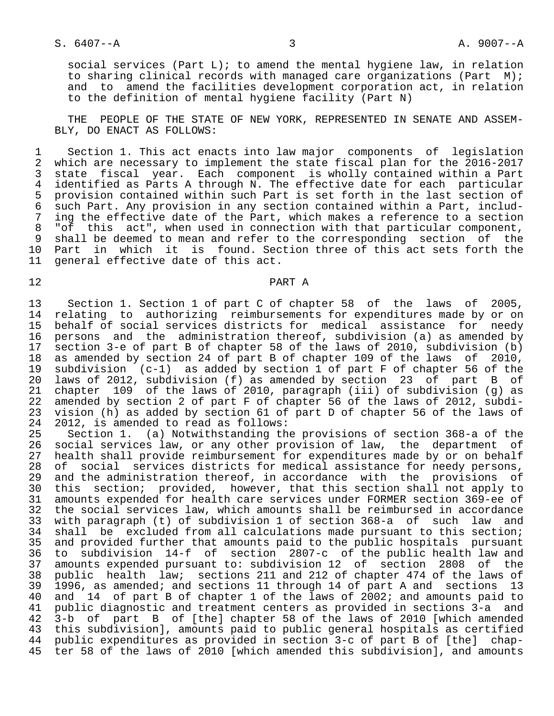social services (Part L); to amend the mental hygiene law, in relation to sharing clinical records with managed care organizations (Part M); and to amend the facilities development corporation act, in relation to the definition of mental hygiene facility (Part N)

 THE PEOPLE OF THE STATE OF NEW YORK, REPRESENTED IN SENATE AND ASSEM- BLY, DO ENACT AS FOLLOWS:

1 Section 1. This act enacts into law major components of legislation<br>2 which are necessary to implement the state fiscal plan for the 2016-2017 2 which are necessary to implement the state fiscal plan for the 2016-2017<br>3 state fiscal year. Each component is wholly contained within a Part 3 state fiscal year. Each component is wholly contained within a Part<br>4 identified as Parts A through N. The effective date for each particular 4 identified as Parts A through N. The effective date for each particular<br>5 provision contained within such Part is set forth in the last section of 5 provision contained within such Part is set forth in the last section of<br>6 such Part. Any provision in any section contained within a Part, includ- 6 such Part. Any provision in any section contained within a Part, includ- 7 ing the effective date of the Part, which makes a reference to a section<br>8 "of this act", when used in connection with that particular component, 8 "of this act", when used in connection with that particular component,<br>8 shall be deemed to mean and refer to the corresponding section of the 9 shall be deemed to mean and refer to the corresponding section of the<br>10 Part in which it is found. Section three of this act sets forth the 10 Part in which it is found. Section three of this act sets forth the<br>11 general effective date of this act. general effective date of this act.

# 12 PART A

13 Section 1. Section 1 of part C of chapter 58 of the laws of 2005,<br>14 relating to authorizing reimbursements for expenditures made by or on 14 relating to authorizing reimbursements for expenditures made by or on<br>15 behalf of social services districts for medical assistance for needy behalf of social services districts for medical assistance for needy 16 persons and the administration thereof, subdivision (a) as amended by<br>17 section 3-e of part B of chapter 58 of the laws of 2010, subdivision (b) 17 section 3-e of part B of chapter 58 of the laws of 2010, subdivision (b)<br>18 as amended by section 24 of part B of chapter 109 of the laws of 2010, 18 as amended by section 24 of part B of chapter 109 of the laws of 2010,<br>19 subdivision (c-1) as added by section 1 of part F of chapter 56 of the 19 subdivision (c-1) as added by section 1 of part F of chapter 56 of the<br>20 laws of 2012, subdivision (f) as amended by section 23 of part B of 20 laws of 2012, subdivision (f) as amended by section 23 of part B of<br>21 chapter 109 of the laws of 2010, paragraph (iii) of subdivision (g) as 21 chapter 109 of the laws of 2010, paragraph (iii) of subdivision (g) as<br>22 amended by section 2 of part F of chapter 56 of the laws of 2012, subdi-22 amended by section 2 of part F of chapter 56 of the laws of 2012, subdi-<br>23 vision (h) as added by section 61 of part D of chapter 56 of the laws of 23 vision (h) as added by section 61 of part D of chapter 56 of the laws of 24 2012, is amended to read as follows: 24 2012, is amended to read as follows:<br>25 Section 1. (a) Notwithstanding th

25 Section 1. (a) Notwithstanding the provisions of section 368-a of the<br>26 social services law, or any other provision of law, the department of 26 social services law, or any other provision of law, the department of<br>27 health shall provide reimbursement for expenditures made by or on behalf 27 health shall provide reimbursement for expenditures made by or on behalf<br>28 of social services districts for medical assistance for needy persons, 28 of social services districts for medical assistance for needy persons,<br>29 and the administration thereof, in accordance with the provisions of 29 and the administration thereof, in accordance with the provisions of<br>30 this section; provided, however, that this section shall not apply to 30 this section; provided, however, that this section shall not apply to<br>31 amounts expended for health care services under FORMER section 369-ee of 31 amounts expended for health care services under FORMER section 369-ee of 32 the social services law, which amounts shall be reimbursed in accordance<br>33 with paragraph (t) of subdivision 1 of section 368-a of such law and 33 with paragraph (t) of subdivision 1 of section 368-a of such law and 34 shall be excluded from all calculations made pursuant to this section;<br>35 and provided further that amounts paid to the public hospitals pursuant 35 and provided further that amounts paid to the public hospitals pursuant<br>36 to subdivision 14-f of section 2807-c of the public health law and 36 to subdivision 14-f of section 2807-c of the public health law and<br>37 amounts expended pursuant to: subdivision 12 of section 2808 of the amounts expended pursuant to: subdivision 12 of section 2808 of the 38 public health law; sections 211 and 212 of chapter 474 of the laws of  $\frac{1}{39}$  1996, as amended; and sections 11 through 14 of part A and sections 13<br>40 and 14 of part B of chapter 1 of the laws of 2002; and amounts paid to 40 and  $14$  of part B of chapter 1 of the laws of  $2002$ ; and amounts paid to 41 public diagnostic and treatment centers as provided in sections 3-a and 41 public diagnostic and treatment centers as provided in sections 3-a and 42 3-b of part B of [the] chapter 58 of the laws of 2010 [which amended 43 this subdivision], amounts paid to public general hospitals as certified 44 public expenditures as provided in section 3-c of part B of [the] chap- 45 ter 58 of the laws of 2010 [which amended this subdivision], and amounts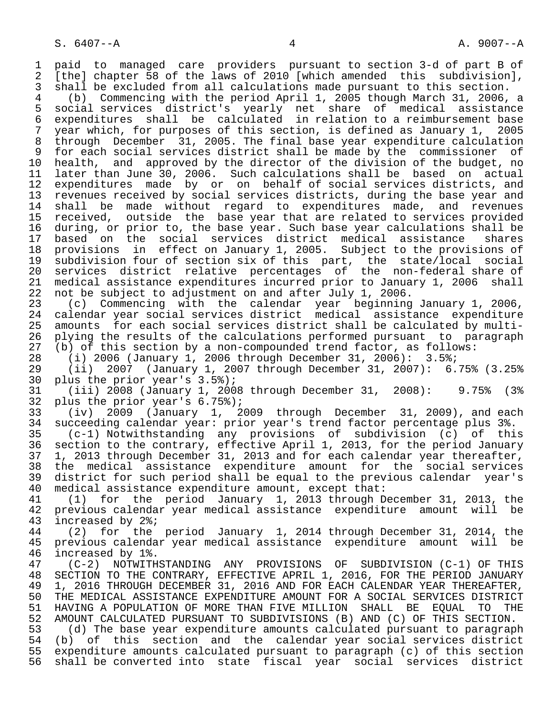1 paid to managed care providers pursuant to section 3-d of part B of<br>2 [the] chapter 58 of the laws of 2010 [which amended this subdivision]. 2 [the] chapter 58 of the laws of 2010 [which amended this subdivision],<br>3 shall be excluded from all calculations made pursuant to this section. 3 shall be excluded from all calculations made pursuant to this section.<br>4 (b) Commencing with the period April 1, 2005 though March 31, 2006,

 4 (b) Commencing with the period April 1, 2005 though March 31, 2006, a 5 social services district's yearly net share of medical assistance 6 expenditures shall be calculated in relation to a reimbursement base 7 year which, for purposes of this section, is defined as January 1, 2005 8 through December 31, 2005. The final base year expenditure calculation 9 for each social services district shall be made by the commissioner of<br>10 health, and approved by the director of the division of the budget, no 10 health, and approved by the director of the division of the budget, no<br>11 later than June 30, 2006. Such calculations shall be based on actual 11 later than June 30, 2006. Such calculations shall be based on actual<br>12 expenditures made by or on behalf of social services districts, and 12 expenditures made by or on behalf of social services districts, and<br>13 revenues received by social services districts, during the base vear and 13 revenues received by social services districts, during the base year and<br>14 shall be made without regard to expenditures made, and revenues shall be made without regard to expenditures made, and revenues 15 received, outside the base year that are related to services provided<br>16 during, or prior to, the base year. Such base year calculations shall be 16 during, or prior to, the base year. Such base year calculations shall be<br>17 based on the social services district medical assistance shares 17 based on the social services district medical assistance shares<br>18 provisions in effect on January 1, 2005. Subject to the provisions of 18 provisions in effect on January 1, 2005. Subject to the provisions of<br>19 subdivision four of section six of this part, the state/local social 19 subdivision four of section six of this part, the state/local social<br>20 services district relative percentages of the non-federal share of 20 services district relative percentages of the non-federal share of<br>21 medical assistance expenditures incurred prior to January 1, 2006 shall 21 medical assistance expenditures incurred prior to January 1, 2006 shall<br>22 not be subject to adjustment on and after July 1, 2006. 22 not be subject to adjustment on and after July 1, 2006.<br>23 (c) Commencing with the calendar year beginning

 23 (c) Commencing with the calendar year beginning January 1, 2006, 24 calendar year social services district medical assistance expenditure<br>25 amounts for each social services district shall be calculated by multiamounts for each social services district shall be calculated by multi-26 plying the results of the calculations performed pursuant to paragraph<br>27 (b) of this section by a non-compounded trend factor, as follows: 27 (b) of this section by a non-compounded trend factor, as follows:<br>28 (i) 2006 (January 1, 2006 through December 31, 2006):  $3.5\%$ ;

28 (i) 2006 (January 1, 2006 through December 31, 2006): 3.5%;

29 (ii) 2007 (January 1, 2007 through December 31, 2007):  $6.75\%$  (3.25%)<br>30 plus the prior year's 3.5%); plus the prior year's  $3.5%$ );

 31 (iii) 2008 (January 1, 2008 through December 31, 2008): 9.75% (3% 32 plus the prior year's  $6.75\$ ;<br>33 (iv) 2009 (January 1, 2

 33 (iv) 2009 (January 1, 2009 through December 31, 2009), and each 34 succeeding calendar year: prior year's trend factor percentage plus 3%.

 35 (c-1) Notwithstanding any provisions of subdivision (c) of this section to the contrary, effective April 1, 2013, for the period January 37 1, 2013 through December 31, 2013 and for each calendar year thereafter,<br>38 the medical assistance expenditure amount for the social services 38 the medical assistance expenditure amount for the social-services<br>39 district-for-such-period-shall-be-equal-to-the-previous-calendar vear's 39 district for such period shall be equal to the previous calendar year's<br>40 medical assistance expenditure amount, except that: 40 medical assistance expenditure amount, except that:<br>41 (1) for the period January 1, 2013 through D

41 (1) for the period January 1, 2013 through December 31, 2013, the<br>42 previous calendar year medical assistance expenditure amount will be 42 previous calendar year medical assistance expenditure amount will be  $43$  increased by  $2\frac{2}{3}i$ 43 increased by 2%;<br>44 (2) for the

44 (2) for the period January 1, 2014 through December 31, 2014, the<br>45 previous calendar year medical assistance expenditure amount will be 45 previous calendar year medical assistance expenditure amount will be

46 increased by 1%.<br>47 (C-2) NOTWITH 47 (C-2) NOTWITHSTANDING ANY PROVISIONS OF SUBDIVISION (C-1) OF THIS 48 SECTION TO THE CONTRARY, EFFECTIVE APRIL 1, 2016, FOR THE PERIOD JANUARY<br>49 1, 2016 THROUGH DECEMBER 31, 2016 AND FOR EACH CALENDAR YEAR THEREAFTER, 49 1, 2016 THROUGH DECEMBER 31, 2016 AND FOR EACH CALENDAR YEAR THEREAFTER,<br>50 THE MEDICAL ASSISTANCE EXPENDITURE AMOUNT FOR A SOCIAL SERVICES DISTRICT 50 THE MEDICAL ASSISTANCE EXPENDITURE AMOUNT FOR A SOCIAL SERVICES DISTRICT<br>51 HAVING A POPULATION OF MORE THAN FIVE MILLION SHALL BE EOUAL TO THE 51 HAVING A POPULATION OF MORE THAN FIVE MILLION SHALL BE EQUAL TO THE<br>52 AMOUNT CALCULATED PURSUANT TO SUBDIVISIONS (B) AND (C) OF THIS SECTION. 52 AMOUNT CALCULATED PURSUANT TO SUBDIVISIONS (B) AND (C) OF THIS SECTION.<br>53 (d) The base year expenditure amounts calculated pursuant to paragrap

 53 (d) The base year expenditure amounts calculated pursuant to paragraph 54 (b) of this section and the calendar year social services district<br>55 expenditure amounts calculated pursuant to paragraph (c) of this section 55 expenditure amounts calculated pursuant to paragraph (c) of this section shall be converted into state fiscal year social services district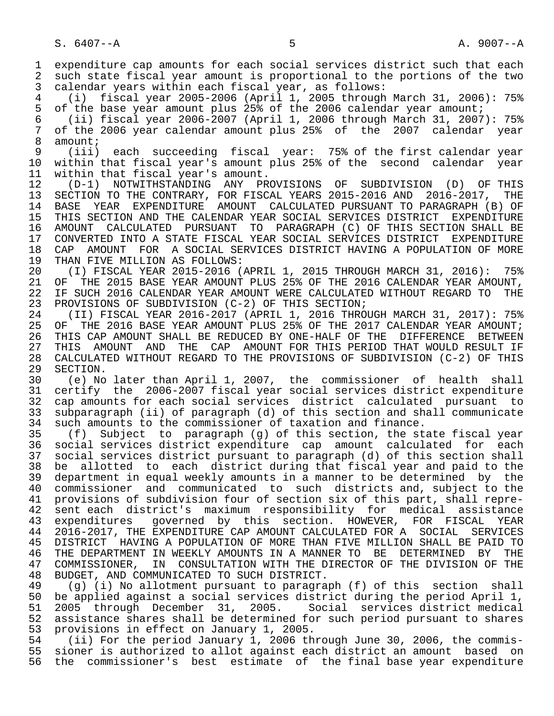1 expenditure cap amounts for each social services district such that each<br>2 such state fiscal year amount is proportional to the portions of the two 2 such state fiscal year amount is proportional to the portions of the two<br>3 calendar years within each fiscal year, as follows: calendar years within each fiscal year, as follows: 4 (i) fiscal year 2005-2006 (April 1, 2005 through March 31, 2006): 75% 5 of the base year amount plus 25% of the 2006 calendar year amount; 6 (ii) fiscal year 2006-2007 (April 1, 2006 through March 31, 2007): 75% 7 of the 2006 year calendar amount plus 25% of the 2007 calendar year 8 amount;<br>9 (iii) 9 (iii) each succeeding fiscal year: 75% of the first calendar year 10 within that fiscal year's amount plus 25% of the second calendar year<br>11 within that fiscal year's amount. 11 within that fiscal year's amount.<br>12 (D-1) NOTWITHSTANDING ANY PR 12 (D-1) NOTWITHSTANDING ANY PROVISIONS OF SUBDIVISION (D) OF THIS 13 SECTION TO THE CONTRARY, FOR FISCAL YEARS 2015-2016 AND 2016-2017, THE<br>14 BASE YEAR EXPENDITURE AMOUNT CALCULATED PURSUANT TO PARAGRAPH (B) OF 14 BASE YEAR EXPENDITURE AMOUNT CALCULATED PURSUANT TO PARAGRAPH (B) OF 15 THIS SECTION AND THE CALENDAR YEAR SOCIAL SERVICES DISTRICT EXPENDITURE 16 AMOUNT CALCULATED PURSUANT TO PARAGRAPH (C) OF THIS SECTION SHALL BE 17 CONVERTED INTO A STATE FISCAL YEAR SOCIAL SERVICES DISTRICT EXPENDITURE 18 CAP AMOUNT FOR A SOCIAL SERVICES DISTRICT HAVING A POPULATION OF MORE 19 THAN FIVE MILLION AS FOLLOWS: 19 THAN FIVE MILLION AS FOLLOWS:<br>20 (I) FISCAL YEAR 2015-2016 ( 20 (I) FISCAL YEAR 2015-2016 (APRIL 1, 2015 THROUGH MARCH 31, 2016): 75%<br>21 OF THE 2015 BASE YEAR AMOUNT PLUS 25% OF THE 2016 CALENDAR YEAR AMOUNT. 21 OF THE 2015 BASE YEAR AMOUNT PLUS 25% OF THE 2016 CALENDAR YEAR AMOUNT, 22 IF SUCH 2016 CALENDAR YEAR AMOUNT WERE CALCULATED WITHOUT REGARD TO THE 23 PROVISIONS OF SUBDIVISION (C-2) OF THIS SECTION; PROVISIONS OF SUBDIVISION (C-2) OF THIS SECTION; 24 (II) FISCAL YEAR 2016-2017 (APRIL 1, 2016 THROUGH MARCH 31, 2017): 75%<br>25 OF THE 2016 BASE YEAR AMOUNT PLUS 25% OF THE 2017 CALENDAR YEAR AMOUNT; OF THE 2016 BASE YEAR AMOUNT PLUS 25% OF THE 2017 CALENDAR YEAR AMOUNT; 26 THIS CAP AMOUNT SHALL BE REDUCED BY ONE-HALF OF THE DIFFERENCE BETWEEN<br>27 THIS AMOUNT AND THE CAP AMOUNT FOR THIS PERIOD THAT WOULD RESULT IF 27 THIS AMOUNT AND THE CAP AMOUNT FOR THIS PERIOD THAT WOULD RESULT IF<br>28 CALCULATED WITHOUT REGARD TO THE PROVISIONS OF SUBDIVISION (C-2) OF THIS 28 CALCULATED WITHOUT REGARD TO THE PROVISIONS OF SUBDIVISION (C-2) OF THIS 29 SECTION.<br>30 (e) No 30 (e) No later than April 1, 2007, the commissioner of health shall 31 certify the 2006-2007 fiscal year social services district expenditure<br>32 cap amounts for each social services district calculated pursuant to 32 cap amounts for each social services district calculated pursuant to<br>33 subparagraph (ii) of paragraph (d) of this section and shall communicate 33 subparagraph (ii) of paragraph (d) of this section and shall communicate<br>34 such amounts to the commissioner of taxation and finance. 34 such amounts to the commissioner of taxation and finance.<br>35 (f) Subject to paragraph (g) of this section, the st 35 (f) Subject to paragraph (g) of this section, the state fiscal year social services district expenditure cap amount calculated for each 37 social services district pursuant to paragraph (d) of this section shall<br>38 be allotted to each district during that fiscal year and paid to the 38 be allotted to each district during that fiscal year and paid to the<br>39 department in equal weekly amounts in a manner to be determined by the 39 department in equal weekly amounts in a manner to be determined by the<br>40 commissioner and communicated to such districts and, subject to the 40 commissioner and communicated to such districts and, subject to the<br>41 provisions of subdivision four of section six of this part, shall repre-41 provisions of subdivision four of section six of this part, shall repre-<br>42 sent each district's maximum responsibility for medical assistance 42 sent each district's maximum responsibility for medical assistance<br>43 expenditures governed by this section. HOWEVER, FOR FISCAL YEAR 43 expenditures governed by this section. HOWEVER, FOR FISCAL YEAR<br>44 2016-2017, THE EXPENDITURE CAP AMOUNT CALCULATED FOR A SOCIAL SERVICES 44 2016-2017, THE EXPENDITURE CAP AMOUNT CALCULATED FOR A SOCIAL SERVICES 45 DISTRICT HAVING A POPULATION OF MORE THAN FIVE MILLION SHALL BE PAID TO 46 THE DEPARTMENT IN WEEKLY AMOUNTS IN A MANNER TO BE DETERMINED BY THE<br>47 COMMISSIONER, IN CONSULTATION WITH THE DIRECTOR OF THE DIVISION OF THE 47 COMMISSIONER, IN CONSULTATION WITH THE DIRECTOR OF THE DIVISION OF THE 48 BUDGET. AND COMMUNICATED TO SUCH DISTRICT. 48 BUDGET, AND COMMUNICATED TO SUCH DISTRICT. 49 (g) (i) No allotment pursuant to paragraph (f) of this section shall<br>50 be applied against a social services district during the period April 1, 50 be applied against a social services district during the period April 1, 51 2005 through December 31, 2005. Social services district medical assistance shares shall be determined for such period pursuant to shares 53 provisions in effect on January 1, 2005.<br>54 (ii) For the period January 1, 2006 th 54 (ii) For the period January 1, 2006 through June 30, 2006, the commis-<br>55 sioner is authorized to allot against each district an amount based on 55 sioner is authorized to allot against each district an amount based on<br>56 the commissioner's best estimate of the final base year expenditure the commissioner's best estimate of the final base year expenditure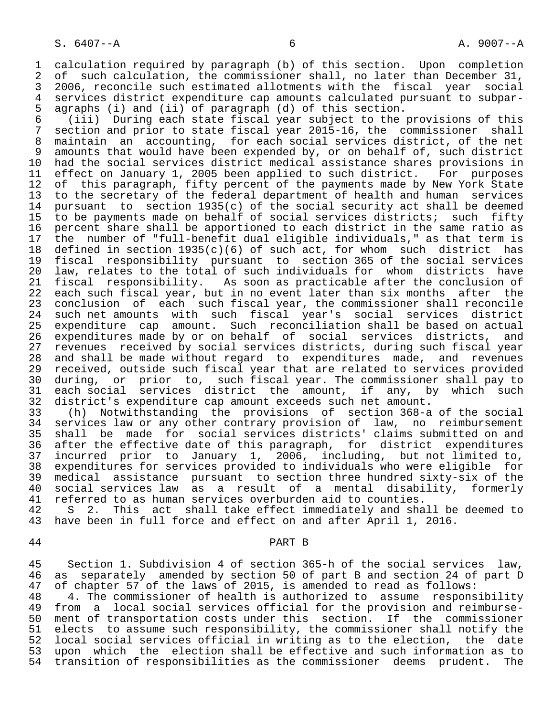1 calculation required by paragraph (b) of this section. Upon completion<br>2 of such calculation, the commissioner shall, no later than December 31, 2 of such calculation, the commissioner shall, no later than December 31,<br>3 2006, reconcile such estimated allotments with the fiscal year social 3 2006, reconcile such estimated allotments with the fiscal year social<br>4 services district expenditure cap amounts calculated pursuant to subpar-4 services district expenditure cap amounts calculated pursuant to subpar-<br>5 agraphs (i) and (ii) of paragraph (d) of this section. 5 agraphs (i) and (ii) of paragraph (d) of this section.

 6 (iii) During each state fiscal year subject to the provisions of this 7 section and prior to state fiscal year 2015-16, the commissioner shall<br>8 maintain an accounting, for each social services district, of the net 8 maintain an accounting, for each social services district, of the net 9 amounts that would have been expended by, or on behalf of, such district<br>10 had the social services district medical assistance shares provisions in 10 had the social services district medical assistance shares provisions in<br>11 effect on January 1, 2005 been applied to such district. For purposes 11 effect on January 1, 2005 been applied to such district. For purposes<br>12 of this paragraph, fifty percent of the payments made by New York State 12 of this paragraph, fifty percent of the payments made by New York State<br>13 to the secretary of the federal department of health and human services 13 to the secretary of the federal department of health and human services<br>14 pursuant to section 1935(c) of the social security act shall be deemed pursuant to section 1935(c) of the social security act shall be deemed 15 to be payments made on behalf of social services districts; such fifty<br>16 percent share shall be apportioned to each district in the same ratio as 16 percent share shall be apportioned to each district in the same ratio as<br>17 the number of "full-benefit dual eligible individuals," as that term is 17 the number of "full-benefit dual eligible individuals," as that term is<br>18 defined in section 1935(c)(6) of such act, for whom such district has 18 defined in section 1935(c)(6) of such act, for whom such district has<br>19 fiscal responsibility pursuant to section 365 of the social services 19 fiscal responsibility pursuant to section 365 of the social services<br>20 law, relates to the total of such individuals for whom districts have 20 law, relates to the total of such individuals for whom districts have<br>21 fiscal responsibility. As soon as practicable after the conclusion of 21 fiscal responsibility. As soon as practicable after the conclusion of<br>22 each such fiscal year, but in no event later than six months after the 22 each such fiscal year, but in no event later than six months after the<br>23 conclusion of each such fiscal year, the commissioner shall reconcile 23 conclusion of each such fiscal year, the commissioner shall reconcile<br>24 such net amounts with such fiscal year's social services district 24 such net amounts with such fiscal year's social services district<br>25 expenditure cap amount. Such reconciliation shall be based on actual expenditure cap amount. Such reconciliation shall be based on actual 26 expenditures made by or on behalf of social services districts, and<br>27 revenues received by social services districts, during such fiscal year 27 revenues received by social services districts, during such fiscal year<br>28 and shall be made without regard to expenditures made, and revenues 28 and shall be made without regard to expenditures made, and revenues<br>29 received, outside such fiscal year that are related to services provided 29 received, outside such fiscal year that are related to services provided<br>20 during, or prior to, such fiscal year. The commissioner shall pay to 30 during, or prior to, such fiscal year. The commissioner shall pay to<br>31 each social services district the amount, if any, by which such 31 each social services district the amount, if any, by which such<br>32 district's expenditure cap amount exceeds such net amount. 32 district's expenditure cap amount exceeds such net amount.

 33 (h) Notwithstanding the provisions of section 368-a of the social 34 services law or any other contrary provision of law, no reimbursement<br>35 shall be made for social services districts' claims submitted on and 35 shall be made for social services districts' claims submitted on and<br>36 after the effective date of this paragraph, for district expenditures after the effective date of this paragraph, for district expenditures 37 incurred prior to January 1, 2006, including, but not limited to,<br>38 expenditures for services provided to individuals who were eligible for 38 expenditures for services provided to individuals who were eligible for<br>39 medical assistance pursuant to section three hundred sixty-six of the 39 medical assistance pursuant to section three hundred sixty-six of the<br>40 social services law as a result of a mental disability, formerly 40 social services law as a result of a mental disability, formerly<br>41 referred to as human services overburden aid to counties. 41 referred to as human services overburden aid to counties.<br>42 S 2. This act shall take effect immediately and sha

42 S 2. This act shall take effect immediately and shall be deemed to<br>43 have been in full force and effect on and after April 1, 2016. have been in full force and effect on and after April 1, 2016.

# 44 PART B

 45 Section 1. Subdivision 4 of section 365-h of the social services law, 46 as separately amended by section 50 of part B and section 24 of part D<br>47 of chapter 57 of the laws of 2015, is amended to read as follows:

47 of chapter 57 of the laws of 2015, is amended to read as follows:<br>48 14. The commissioner of health is authorized to assume respons 48 4. The commissioner of health is authorized to assume responsibility<br>49 from a local social services official for the provision and reimbursefrom a local social services official for the provision and reimburse-50 ment of transportation costs under this section. If the commissioner<br>51 elects to assume such responsibility, the commissioner shall notify the 51 elects to assume such responsibility, the commissioner shall notify the<br>52 local social services official in writing as to the election, the date 52 local social services official in writing as to the election, the date<br>53 upon which the election shall be effective and such information as to 53 upon which the election shall be effective and such information as to<br>54 transition of responsibilities as the commissioner deems prudent. The transition of responsibilities as the commissioner deems prudent. The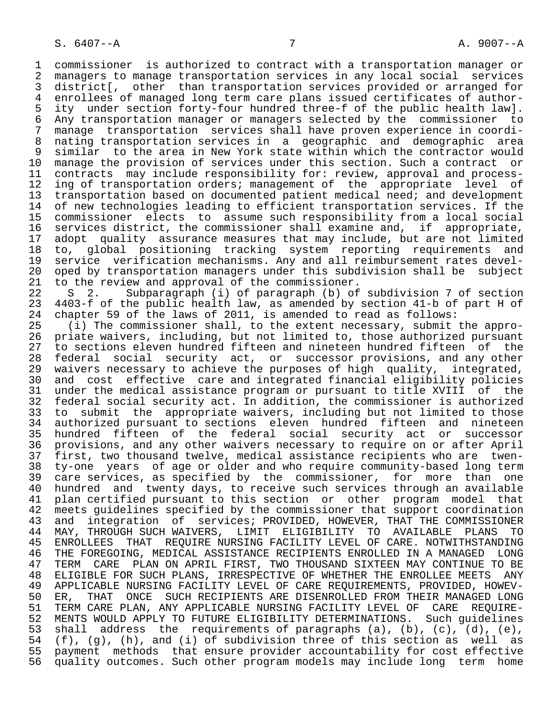1 commissioner is authorized to contract with a transportation manager or 2 managers to manage transportation services in any local social services 3 district[, other than transportation services provided or arranged for<br>4 enrollees of managed long term care plans issued certificates of author-4 enrollees of managed long term care plans issued certificates of author-<br>5 ity under section forty-four hundred three-f of the public health law]. 5 ity under section forty-four hundred three-f of the public health law]. 6 Any transportation manager or managers selected by the commissioner to 7 manage transportation services shall have proven experience in coordi- 8 nating transportation services in a geographic and demographic area 9 similar to the area in New York state within which the contractor would<br>10 manage the provision of services under this section. Such a contract or 10 manage the provision of services under this section. Such a contract or<br>11 contracts may include responsibility for: review, approval and process-11 contracts may include responsibility for: review, approval and process-<br>12 ing of transportation orders; management of the appropriate level of 12 ing of transportation orders; management of the appropriate level of<br>13 transportation based on documented patient medical need; and development 13 transportation based on documented patient medical need; and development<br>14 of new technologies leading to efficient transportation services. If the of new technologies leading to efficient transportation services. If the 15 commissioner elects to assume such responsibility from a local social<br>16 services district, the commissioner shall examine and, if appropriate, 16 services district, the commissioner shall examine and, if appropriate,<br>17 adopt quality assurance measures that may include, but are not limited 17 adopt quality assurance measures that may include, but are not limited<br>18 to, global positioning tracking system reporting requirements and 18 to, global positioning tracking system reporting requirements and<br>19 service verification mechanisms. Any and all reimbursement rates devel-19 service verification mechanisms. Any and all reimbursement rates devel-<br>20 oped by transportation managers under this subdivision shall be subject 20 oped by transportation managers under this subdivision shall be subject<br>21 to the review and approval of the commissioner. 21 to the review and approval of the commissioner.<br>22 S 2. Subparagraph (i) of paragraph (b) of

22 S 2. Subparagraph (i) of paragraph (b) of subdivision 7 of section<br>23 4403-f of the public health law, as amended by section 41-b of part H of 23 4403-f of the public health law, as amended by section 41-b of part H of 24 chapter 59 of the laws of 2011, is amended to read as follows: 24 chapter 59 of the laws of 2011, is amended to read as follows:<br>25 (i) The commissioner shall, to the extent necessary, submit

(i) The commissioner shall, to the extent necessary, submit the appro- 26 priate waivers, including, but not limited to, those authorized pursuant 27 to sections eleven hundred fifteen and nineteen hundred fifteen of the<br>28 federal social security act, or successor provisions, and any other 28 federal social security act, or successor provisions, and any other<br>29 waivers necessary to achieve the purposes of high quality, integrated, 29 waivers necessary to achieve the purposes of high quality, integrated,<br>20 and cost effective care and integrated financial eligibility policies 30 and cost effective care and integrated financial eligibility policies 31 under the medical assistance program or pursuant to title XVIII of the<br>32 federal social security act. In addition, the commissioner is authorized 32 federal social security act. In addition, the commissioner is authorized<br>33 to submit the appropriate waivers, including but not limited to those 33 to submit the appropriate waivers, including but not limited to those<br>34 authorized pursuant to sections eleven hundred fifteen and nineteen 34 authorized pursuant to sections eleven hundred fifteen and nineteen<br>35 hundred fifteen of the federal social security act or successor 35 hundred fifteen of the federal social security act or successor<br>36 provisions, and any other waivers necessary to require on or after April provisions, and any other waivers necessary to require on or after April 37 first, two thousand twelve, medical assistance recipients who are twen-<br>38 ty-one years of age or older and who require community-based long term 38 ty-one years of age or older and who require community-based long term 39 care services, as specified by the commissioner, for more than one<br>40 hundred and twenty days, to receive such services through an available 40 hundred and twenty days, to receive such services through an available<br>41 plan certified pursuant to this section or other program model that 41 plan certified pursuant to this section or other program model that 42 meets guidelines specified by the commissioner that support coordination 43 and integration of services; PROVIDED, HOWEVER, THAT THE COMMISSIONER<br>44 MAY, THROUGH SUCH WAIVERS, LIMIT ELIGIBILITY TO AVAILABLE PLANS TO 44 MAY, THROUGH SUCH WAIVERS, LIMIT ELIGIBILITY TO AVAILABLE PLANS TO<br>45 ENROLLEES THAT REOUIRE NURSING FACILITY LEVEL OF CARE. NOTWITHSTANDING 45 ENROLLEES THAT REQUIRE NURSING FACILITY LEVEL OF CARE. NOTWITHSTANDING 46 THE FOREGOING, MEDICAL ASSISTANCE RECIPIENTS ENROLLED IN A MANAGED LONG 47 TERM CARE PLAN ON APRIL FIRST, TWO THOUSAND SIXTEEN MAY CONTINUE TO BE 48 ELIGIBLE FOR SUCH PLANS, IRRESPECTIVE OF WHETHER THE ENROLLEE MEETS ANY<br>49 APPLICABLE NURSING FACILITY LEVEL OF CARE REOUIREMENTS, PROVIDED, HOWEV-49 APPLICABLE NURSING FACILITY LEVEL OF CARE REQUIREMENTS, PROVIDED, HOWEV-<br>50 ER, THAT ONCE SUCH RECIPIENTS ARE DISENROLLED FROM THEIR MANAGED LONG 50 ER, THAT ONCE SUCH RECIPIENTS ARE DISENROLLED FROM THEIR MANAGED LONG<br>51 TERM CARE PLAN, ANY APPLICABLE NURSING FACILITY LEVEL OF CARE REOUIRE-51 TERM CARE PLAN, ANY APPLICABLE NURSING FACILITY LEVEL OF CARE REQUIRE-<br>52 MENTS WOULD APPLY TO FUTURE ELIGIBILITY DETERMINATIONS. Such quidelines 52 MENTS WOULD APPLY TO FUTURE ELIGIBILITY DETERMINATIONS. Such guidelines<br>53 shall address the requirements of paragraphs (a), (b), (c), (d), (e), 53 shall address the requirements of paragraphs (a), (b), (c), (d), (e),  $54$  (f), (q), (h), and (i) of subdivision three of this section as well as 54 (f), (g), (h), and (i) of subdivision three of this section as well as<br>55 payment methods that ensure provider accountability for cost effective payment methods that ensure provider accountability for cost effective 56 quality outcomes. Such other program models may include long term home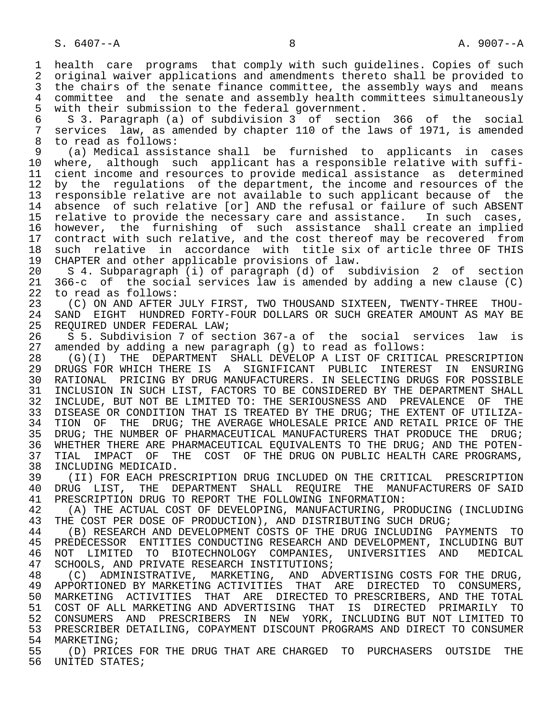1 health care programs that comply with such guidelines. Copies of such<br>2 original waiver applications and amendments thereto shall be provided to 2 original waiver applications and amendments thereto shall be provided to<br>3 the chairs of the senate finance committee, the assembly ways and means the chairs of the senate finance committee, the assembly ways and means 4 committee and the senate and assembly health committees simultaneously<br>5 with their submission to the federal government. 5 with their submission to the federal government.<br>6 S 3. Paragraph (a) of subdivision 3 of secti

 6 S 3. Paragraph (a) of subdivision 3 of section 366 of the social 7 services law, as amended by chapter 110 of the laws of 1971, is amended<br>8 to read as follows: 8 to read as follows:<br>9 (a) Medical assis

 9 (a) Medical assistance shall be furnished to applicants in cases 10 where, although such applicant has a responsible relative with suffi-<br>11 cient income and resources to provide medical assistance as determined 11 cient income and resources to provide medical assistance as determined<br>12 by the regulations of the department, the income and resources of the 12 by the regulations of the department, the income and resources of the<br>13 responsible relative are not available to such applicant because of the 13 responsible relative are not available to such applicant because of the<br>14 absence of such relative [or] AND the refusal or failure of such ABSENT absence of such relative [or] AND the refusal or failure of such ABSENT 15 relative to provide the necessary care and assistance. In such cases,<br>16 however, the furnishing of such assistance shall create an implied 16 however, the furnishing of such assistance shall create an implied<br>17 contract with such relative, and the cost thereof may be recovered from 17 contract with such relative, and the cost thereof may be recovered from<br>18 such relative in accordance with title six of article three OF THIS 18 such relative in accordance with title six of article three OF THIS<br>19 CHAPTER and other applicable provisions of law. 19 CHAPTER and other applicable provisions of law.<br>20 S 4. Subparagraph (i) of paragraph (d) of sul

20 S 4. Subparagraph (i) of paragraph (d) of subdivision 2 of section<br>21 366-c of the social services law is amended by adding a new clause (C) 21 366-c of the social services law is amended by adding a new clause (C) 22 to read as follows:<br>23 (C) ON AND AFTER

23 (C) ON AND AFTER JULY FIRST, TWO THOUSAND SIXTEEN, TWENTY-THREE THOU-<br>24 SAND EIGHT HUNDRED FORTY-FOUR DOLLARS OR SUCH GREATER AMOUNT AS MAY BE 24 SAND EIGHT HUNDRED FORTY-FOUR DOLLARS OR SUCH GREATER AMOUNT AS MAY BE 25 REOUIRED UNDER FEDERAL LAW; REQUIRED UNDER FEDERAL LAW;

 26 S 5. Subdivision 7 of section 367-a of the social services law is 27 amended by adding a new paragraph (g) to read as follows:

28 (G)(I) THE DEPARTMENT SHALL DEVELOP A LIST OF CRITICAL PRESCRIPTION<br>29 DRUGS FOR WHICH THERE IS A SIGNIFICANT PUBLIC INTEREST IN ENSURING 29 DRUGS FOR WHICH THERE IS A SIGNIFICANT PUBLIC INTEREST IN ENSURING<br>30 RATIONAL PRICING BY DRUG-MANUFACTURERS, IN SELECTING DRUGS FOR POSSIBLE 30 RATIONAL PRICING BY DRUG MANUFACTURERS. IN SELECTING DRUGS FOR POSSIBLE<br>31 INCLUSION IN SUCH LIST, FACTORS TO BE CONSIDERED BY THE DEPARTMENT SHALL 31 INCLUSION IN SUCH LIST, FACTORS TO BE CONSIDERED BY THE DEPARTMENT SHALL<br>32 INCLUDE, BUT NOT BE LIMITED TO: THE SERIOUSNESS AND PREVALENCE OF THE 32 INCLUDE, BUT NOT BE LIMITED TO: THE SERIOUSNESS AND PREVALENCE OF THE 33 DISEASE OR CONDITION THAT IS TREATED BY THE DRUG; THE EXTENT OF UTILIZA-33 DISEASE OR CONDITION THAT IS TREATED BY THE DRUG; THE EXTENT OF UTILIZA-<br>34 TION OF THE DRUG; THE AVERAGE WHOLESALE PRICE AND RETAIL PRICE OF THE 34 TION OF THE DRUG; THE AVERAGE WHOLESALE PRICE AND RETAIL PRICE OF THE 1995.<br>35 DRUG; THE NUMBER OF PHARMACEUTICAL MANUFACTURERS THAT PRODUCE THE DRUG; 35 DRUG; THE NUMBER OF PHARMACEUTICAL MANUFACTURERS THAT PRODUCE THE DRUG;<br>36 WHETHER THERE ARE PHARMACEUTICAL EOUIVALENTS TO THE DRUG; AND THE POTEN-WHETHER THERE ARE PHARMACEUTICAL EQUIVALENTS TO THE DRUG; AND THE POTEN-37 TIAL IMPACT OF THE COST OF THE DRUG ON PUBLIC HEALTH CARE PROGRAMS,<br>38 INCLUDING MEDICAID.

38 INCLUDING MEDICAID.<br>39 (II) FOR EACH PRE 39 (II) FOR EACH PRESCRIPTION DRUG INCLUDED ON THE CRITICAL PRESCRIPTION<br>40 DRUG LIST, THE DEPARTMENT SHALL REOUIRE THE MANUFACTURERS OF SAID 40 DRUG LIST, THE DEPARTMENT SHALL REQUIRE THE MANUFACTURERS OF SAID<br>41 PRESCRIPTION DRUG TO REPORT THE FOLLOWING INFORMATION: 41 PRESCRIPTION DRUG TO REPORT THE FOLLOWING INFORMATION:<br>42 (A) THE ACTUAL COST OF DEVELOPING, MANUFACTURING, PR

42 (A) THE ACTUAL COST OF DEVELOPING, MANUFACTURING, PRODUCING (INCLUDING 43 THE COST PER DOSE OF PRODUCTION), AND DISTRIBUTING SUCH DRUG; 43 THE COST PER DOSE OF PRODUCTION), AND DISTRIBUTING SUCH DRUG;<br>44 (B) RESEARCH AND DEVELOPMENT COSTS OF THE DRUG INCLUDING P

44 (B) RESEARCH AND DEVELOPMENT COSTS OF THE DRUG INCLUDING PAYMENTS TO<br>45 PREDECESSOR ENTITIES CONDUCTING RESEARCH AND DEVELOPMENT, INCLUDING BUT 45 PREDECESSOR ENTITIES CONDUCTING RESEARCH AND DEVELOPMENT, INCLUDING BUT 46 NOT LIMITED TO BIOTECHNOLOGY COMPANIES, UNIVERSITIES AND MEDICAL 47 SCHOOLS, AND PRIVATE RESEARCH INSTITUTIONS;<br>48 (C) ADMINISTRATIVE, MARKETING, AND AD

48 (C) ADMINISTRATIVE, MARKETING, AND ADVERTISING COSTS FOR THE DRUG,<br>49 APPORTIONED BY MARKETING ACTIVITIES THAT ARE DIRECTED TO CONSUMERS, 49 APPORTIONED BY MARKETING ACTIVITIES THAT ARE DIRECTED TO CONSUMERS,<br>50 MARKETING ACTIVITIES THAT ARE DIRECTED TO PRESCRIBERS, AND THE TOTAI 50 MARKETING ACTIVITIES THAT ARE DIRECTED TO PRESCRIBERS, AND THE TOTAL<br>51 COST OF ALL MARKETING AND ADVERTISING THAT IS DIRECTED PRIMARILY TO 51 COST OF ALL MARKETING AND ADVERTISING THAT IS DIRECTED PRIMARILY TO<br>52 CONSUMERS AND PRESCRIBERS IN NEW YORK, INCLUDING BUT NOT LIMITED TO 52 CONSUMERS AND PRESCRIBERS IN NEW YORK, INCLUDING BUT NOT LIMITED TO<br>53 PRESCRIBER DETAILING, COPAYMENT DISCOUNT PROGRAMS AND DIRECT TO CONSUMER 53 PRESCRIBER DETAILING, COPAYMENT DISCOUNT PROGRAMS AND DIRECT TO CONSUMER<br>54 MARKETING; 54 MARKETING;<br>55 (D) PRIC

 55 (D) PRICES FOR THE DRUG THAT ARE CHARGED TO PURCHASERS OUTSIDE THE UNITED STATES;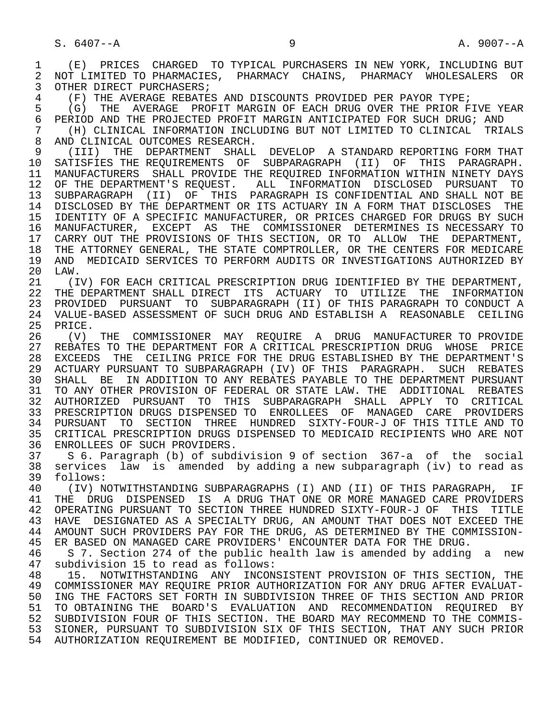1 (E) PRICES CHARGED TO TYPICAL PURCHASERS IN NEW YORK, INCLUDING BUT 2 NOT LIMITED TO PHARMACIES, PHARMACY CHAINS, PHARMACY WHOLESALERS OR<br>3 OTHER DIRECT PURCHASERS; OTHER DIRECT PURCHASERS;

4 (F) THE AVERAGE REBATES AND DISCOUNTS PROVIDED PER PAYOR TYPE;<br>5 (G) THE AVERAGE PROFIT MARGIN OF EACH DRUG OVER THE PRIOR F

5 (G) THE AVERAGE PROFIT MARGIN OF EACH DRUG OVER THE PRIOR FIVE YEAR<br>6 PERIOD AND THE PROJECTED PROFIT MARGIN ANTICIPATED FOR SUCH DRUG; AND 6 PERIOD AND THE PROJECTED PROFIT MARGIN ANTICIPATED FOR SUCH DRUG; AND<br>7 (H) CLINICAL INFORMATION INCLUDING BUT NOT LIMITED TO CLINICAL TRI

7 (H) CLINICAL INFORMATION INCLUDING BUT NOT LIMITED TO CLINICAL TRIALS<br>8 AND CLINICAL OUTCOMES RESEARCH 8 AND CLINICAL OUTCOMES RESEARCH.<br>9 (III) THE DEPARTMENT SHALL

9 (III) THE DEPARTMENT SHALL DEVELOP A STANDARD REPORTING FORM THAT<br>10 SATISFIES THE REOUIREMENTS OF SUBPARAGRAPH (II) OF THIS PARAGRAPH. 10 SATISFIES THE REQUIREMENTS OF SUBPARAGRAPH (II) OF THIS PARAGRAPH.<br>11 MANUFACTURERS SHALL PROVIDE THE REOUIRED INFORMATION WITHIN NINETY DAYS 11 MANUFACTURERS SHALL PROVIDE THE REQUIRED INFORMATION WITHIN NINETY DAYS 12 OF THE DEPARTMENT'S REQUEST. ALL INFORMATION DISCLOSED PURSUANT TO<br>13 SUBPARAGRAPH (II) OF THIS PARAGRAPH IS CONFIDENTIAL AND SHALL NOT BE 13 SUBPARAGRAPH (II) OF THIS PARAGRAPH IS CONFIDENTIAL AND SHALL NOT BE 14 DISCLOSED BY THE DEPARTMENT OR ITS ACTUARY IN A FORM THAT DISCLOSES THE 15 IDENTITY OF A SPECIFIC MANUFACTURER, OR PRICES CHARGED FOR DRUGS BY SUCH 16 MANUFACTURER, EXCEPT AS THE COMMISSIONER DETERMINES IS NECESSARY TO 17 CARRY OUT THE PROVISIONS OF THIS SECTION, OR TO ALLOW THE DEPARTMENT, 18 THE ATTORNEY GENERAL, THE STATE COMPTROLLER, OR THE CENTERS FOR MEDICARE 19 AND MEDICAID SERVICES TO PERFORM AUDITS OR INVESTIGATIONS AUTHORIZED BY<br>20 LAW. 20 LAW.<br>21 (I)

21 (IV) FOR EACH CRITICAL PRESCRIPTION DRUG IDENTIFIED BY THE DEPARTMENT,<br>22 THE DEPARTMENT SHALL DIRECT ITS ACTUARY TO UTILIZE THE INFORMATION 22 THE DEPARTMENT SHALL DIRECT ITS ACTUARY TO UTILIZE THE INFORMATION 23 PROVIDED PURSUANT TO SUBPARAGRAPH (II) OF THIS PARAGRAPH TO CONDUCT A<br>24 VALUE-BASED ASSESSMENT OF SUCH DRUG AND ESTABLISH A REASONABLE CEILING 24 VALUE-BASED ASSESSMENT OF SUCH DRUG AND ESTABLISH A REASONABLE CEILING 25 PRICE.

 26 (V) THE COMMISSIONER MAY REQUIRE A DRUG MANUFACTURER TO PROVIDE 27 REBATES TO THE DEPARTMENT FOR A CRITICAL PRESCRIPTION DRUG WHOSE PRICE<br>28 EXCEEDS THE CEILING PRICE FOR THE DRUG ESTABLISHED BY THE DEPARTMENT'S 28 EXCEEDS THE CEILING PRICE FOR THE DRUG ESTABLISHED BY THE DEPARTMENT'S 29 ACTUARY PURSUANT TO SUBPARAGRAPH (IV) OF THIS PARAGRAPH. SUCH REBATES 30 SHALL BE IN ADDITION TO ANY REBATES PAYABLE TO THE DEPARTMENT PURSUANT 31 TO ANY OTHER PROVISION OF FEDERAL OR STATE LAW. THE ADDITIONAL REBATES<br>32 AUTHORIZED PURSUANT TO THIS SUBPARAGRAPH SHALL APPLY TO CRITICAL 32 AUTHORIZED PURSUANT TO THIS SUBPARAGRAPH SHALL APPLY TO CRITICAL 33 PRESCRIPTION DRUGS DISPENSED TO ENROLLEES OF MANAGED CARE PROVIDERS 34 PURSUANT TO SECTION THREE HUNDRED SIXTY-FOUR-J OF THIS TITLE AND TO 35 CRITICAL PRESCRIPTION DRUGS DISPENSED TO MEDICAID RECIPIENTS WHO ARE NOT<br>36 ENROLLEES OF SUCH PROVIDERS. ENROLLEES OF SUCH PROVIDERS.

 37 S 6. Paragraph (b) of subdivision 9 of section 367-a of the social 38 services law is amended by adding a new subparagraph (iv) to read as 39 follows:<br>40 (IV) N

40 (IV) NOTWITHSTANDING SUBPARAGRAPHS (I) AND (II) OF THIS PARAGRAPH, IF<br>41 THE DRUG DISPENSED IS A DRUG THAT ONE OR MORE MANAGED CARE PROVIDERS THE DRUG DISPENSED IS A DRUG THAT ONE OR MORE MANAGED CARE PROVIDERS 42 OPERATING PURSUANT TO SECTION THREE HUNDRED SIXTY-FOUR-J OF THIS TITLE<br>43 HAVE DESIGNATED AS A SPECIALTY DRUG, AN AMOUNT THAT DOES NOT EXCEED THE 43 HAVE DESIGNATED AS A SPECIALTY DRUG, AN AMOUNT THAT DOES NOT EXCEED THE 44 AMOUNT SUCH PROVIDERS PAY FOR THE DRUG. AS DETERMINED BY THE COMMISSION-44 AMOUNT SUCH PROVIDERS PAY FOR THE DRUG, AS DETERMINED BY THE COMMISSION-<br>45 ER BASED ON MANAGED CARE PROVIDERS' ENCOUNTER DATA FOR THE DRUG. 45 ER BASED ON MANAGED CARE PROVIDERS' ENCOUNTER DATA FOR THE DRUG.

46 S 7. Section 274 of the public health law is amended by adding a new<br>47 subdivision 15 to read as follows: 47 subdivision 15 to read as follows:<br>48 15. NOTWITHSTANDING ANY INCON:

48 15. NOTWITHSTANDING ANY INCONSISTENT PROVISION OF THIS SECTION, THE 49 COMMISSIONER MAY REOUIRE PRIOR AUTHORIZATION FOR ANY DRUG AFTER EVALUAT-49 COMMISSIONER MAY REQUIRE PRIOR AUTHORIZATION FOR ANY DRUG AFTER EVALUAT-<br>50 ING THE FACTORS SET FORTH IN SUBDIVISION THREE OF THIS SECTION AND PRIOR ING THE FACTORS SET FORTH IN SUBDIVISION THREE OF THIS SECTION AND PRIOR 51 TO OBTAINING THE BOARD'S EVALUATION AND RECOMMENDATION REQUIRED BY 52 SUBDIVISION FOUR OF THIS SECTION. THE BOARD MAY RECOMMEND TO THE COMMIS- 53 SIONER, PURSUANT TO SUBDIVISION SIX OF THIS SECTION, THAT ANY SUCH PRIOR 54 AUTHORIZATION REQUIREMENT BE MODIFIED, CONTINUED OR REMOVED.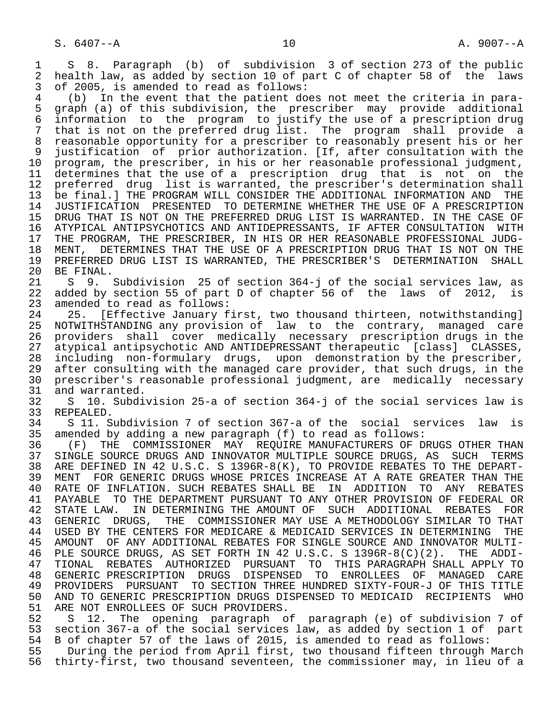1 S 8. Paragraph (b) of subdivision 3 of section 273 of the public<br>2 health law, as added by section 10 of part C of chapter 58 of the laws 2 health law, as added by section 10 of part C of chapter 58 of the laws<br>3 of 2005, is amended to read as follows: of 2005, is amended to read as follows:

4 (b) In the event that the patient does not meet the criteria in para-<br>5 graph (a) of this subdivision, the prescriber may provide additional 5 graph (a) of this subdivision, the prescriber may provide additional 6 information to the program to justify the use of a prescription drug 7 that is not on the preferred drug list. The program shall provide a 8 reasonable opportunity for a prescriber to reasonably present his or her 9 justification of prior authorization. [If, after consultation with the<br>10 program, the prescriber, in his or her reasonable professional judgment, 10 program, the prescriber, in his or her reasonable professional judgment,<br>11 determines that the use of a prescription drug that is not on the 11 determines that the use of a prescription drug that is not on the<br>12 preferred drug list is warranted, the prescriber's determination shall 12 preferred drug list is warranted, the prescriber's determination shall<br>13 be final. THE PROGRAM WILL CONSIDER THE ADDITIONAL INFORMATION AND THE 13 be final.] THE PROGRAM WILL CONSIDER THE ADDITIONAL INFORMATION AND THE 14 JUSTIFICATION PRESENTED TO DETERMINE WHETHER THE USE OF A PRESCRIPTION 14 JUSTIFICATION PRESENTED TO DETERMINE WHETHER THE USE OF A PRESCRIPTION 15 DRUG THAT IS NOT ON THE PREFERRED DRUG LIST IS WARRANTED. IN THE CASE OF<br>16 ATYPICAL ANTIPSYCHOTICS AND ANTIDEPRESSANTS, IF AFTER CONSULTATION WITH 16 ATYPICAL ANTIPSYCHOTICS AND ANTIDEPRESSANTS, IF AFTER CONSULTATION WITH<br>17 THE PROGRAM, THE PRESCRIBER, IN HIS OR HER REASONABLE PROFESSIONAL JUDG-17 THE PROGRAM, THE PRESCRIBER, IN HIS OR HER REASONABLE PROFESSIONAL JUDG-<br>18 MENT, DETERMINES THAT THE USE OF A PRESCRIPTION DRUG THAT IS NOT ON THE 18 MENT, DETERMINES THAT THE USE OF A PRESCRIPTION DRUG THAT IS NOT ON THE<br>19 PREFERRED DRUG LIST IS WARRANTED, THE PRESCRIBER'S DETERMINATION SHALL 19 PREFERRED DRUG LIST IS WARRANTED, THE PRESCRIBER'S DETERMINATION SHALL 20 BE FINAL.

20 BE FINAL.<br>21 S 9. 21 S 9. Subdivision 25 of section 364-j of the social services law, as<br>22 added by section 55 of part D of chapter 56 of the laws of 2012, is 22 added by section 55 of part D of chapter 56 of the laws of 2012, is<br>23 amended to read as follows: 23 amended to read as follows:<br>24 25. [Effective January f

24 25. [Effective January first, two thousand thirteen, notwithstanding]<br>25 NOTWITHSTANDING any provision of law to the contrary, managed care 25 NOTWITHSTANDING any provision of law to the contrary, managed care 26 providers shall cover medically necessary prescription drugs in the<br>27 atypical antipsychotic AND ANTIDEPRESSANT therapeutic [class] CLASSES, 27 atypical antipsychotic AND ANTIDEPRESSANT therapeutic [class] CLASSES,<br>28 including non-formulary drugs, upon demonstration by the prescriber, 28 including non-formulary drugs, upon demonstration by the prescriber,<br>29 after consulting with the managed care provider, that such drugs, in the 29 after consulting with the managed care provider, that such drugs, in the<br>30 prescriber's reasonable professional judgment, are medically necessary 30 prescriber's reasonable professional judgment, are medically necessary<br>31 and warranted. 31 and warranted.<br>32 S 10. Subdi

 32 S 10. Subdivision 25-a of section 364-j of the social services law is 33 REPEALED.<br>34 S 11. S

34 S 11. Subdivision 7 of section 367-a of the social services law is<br>35 amended by adding a new paragraph (f) to read as follows: 35 amended by adding a new paragraph (f) to read as follows:<br>36 (F) THE COMMISSIONER MAY REOUIRE MANUFACTURERS OF D

36 (F) THE COMMISSIONER MAY REQUIRE MANUFACTURERS OF DRUGS OTHER THAN<br>37 SINGLE SOURCE DRUGS AND INNOVATOR MULTIPLE SOURCE DRUGS, AS SUCH TERMS 37 SINGLE SOURCE DRUGS AND INNOVATOR MULTIPLE SOURCE DRUGS, AS SUCH TERMS<br>38 ARE DEFINED IN 42 U.S.C. S 1396R-8(K), TO PROVIDE REBATES TO THE DEPART- 38 ARE DEFINED IN 42 U.S.C. S 1396R-8(K), TO PROVIDE REBATES TO THE DEPART- 39 MENT FOR GENERIC DRUGS WHOSE PRICES INCREASE AT A RATE GREATER THAN THE 40 RATE OF INFLATION. SUCH REBATES 40 RATE OF INFLATION. SUCH REBATES SHALL BE IN ADDITION TO ANY REBATES<br>41 PAYABLE TO THE DEPARTMENT PURSUANT TO ANY OTHER PROVISION OF FEDERAL OR 41 PAYABLE TO THE DEPARTMENT PURSUANT TO ANY OTHER PROVISION OF FEDERAL OR<br>42 STATE LAW. IN DETERMINING THE AMOUNT OF SUCH ADDITIONAL REBATES FOR 42 STATE LAW. IN DETERMINING THE AMOUNT OF SUCH ADDITIONAL REBATES FOR<br>43 GENERIC DRUGS, THE COMMISSIONER MAY USE A METHODOLOGY SIMILAR TO THAT 43 GENERIC DRUGS, THE COMMISSIONER MAY USE A METHODOLOGY SIMILAR TO THAT<br>44 USED BY THE CENTERS FOR MEDICARE & MEDICAID SERVICES IN DETERMINING THE 44 USED BY THE CENTERS FOR MEDICARE & MEDICAID SERVICES IN DETERMINING THE 45 AMOUNT OF ANY ADDITIONAL REBATES FOR SINGLE SOURCE AND INNOVATOR MULTI- 45 AMOUNT OF ANY ADDITIONAL REBATES FOR SINGLE SOURCE AND INNOVATOR MULTI- 46 PLE SOURCE DRUGS, AS SET FORTH IN 42 U.S.C. S 1396R-8(C)(2). THE ADDI-<br>47 TIONAL REBATES AUTHORIZED PURSUANT TO THIS PARAGRAPH SHALL APPLY TO 47 TIONAL REBATES AUTHORIZED PURSUANT TO THIS PARAGRAPH SHALL APPLY TO 48 GENERIC PRESCRIPTION DRUGS DISPENSED TO ENROLLEES OF MANAGED CARE 49 PROVIDERS PURSUANT TO SECTION THREE HUNDRED SIXTY-FOUR-J OF THIS TITLE 50 AND TO GENERIC PRESCRIPTION DRUGS DISPENSED TO MEDICAID RECIPIENTS WHO<br>51 ARE NOT ENROLLEES OF SUCH PROVIDERS. 51 ARE NOT ENROLLEES OF SUCH PROVIDERS.<br>52 S 12. The opening paragraph o

52 S 12. The opening paragraph of paragraph (e) of subdivision 7 of<br>53 section 367-a of the social services law, as added by section 1 of part 53 section 367-a of the social services law, as added by section 1 of part<br>54 B of chapter 57 of the laws of 2015, is amended to read as follows:

54 B of chapter 57 of the laws of 2015, is amended to read as follows:<br>55 During the period from April first, two thousand fifteen through I 55 During the period from April first, two thousand fifteen through March<br>56 thirty-first, two thousand seventeen, the commissioner may, in lieu of a thirty-first, two thousand seventeen, the commissioner may, in lieu of a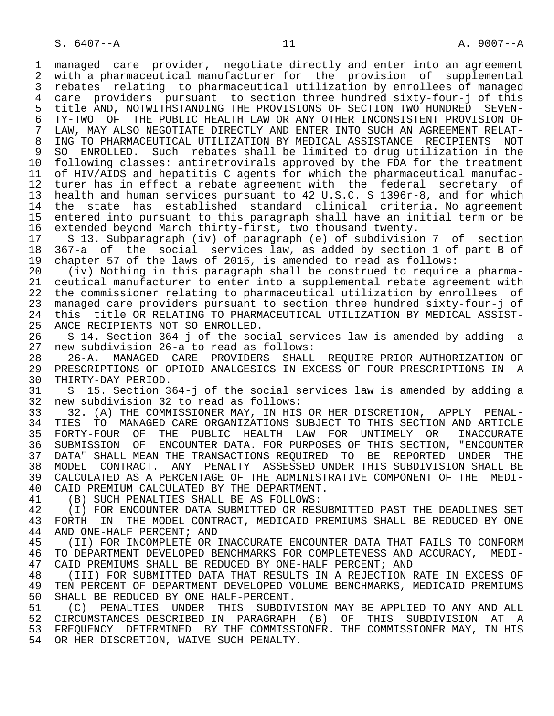1 managed care provider, negotiate directly and enter into an agreement<br>2 with a pharmaceutical manufacturer for the provision of supplemental 2 with a pharmaceutical manufacturer for the provision of supplemental<br>3 rebates relating to pharmaceutical utilization by enrollees of managed 3 rebates relating to pharmaceutical utilization by enrollees of managed 4 care providers pursuant to section three hundred sixty-four-j of this 5 title AND, NOTWITHSTANDING THE PROVISIONS OF SECTION TWO HUNDRED SEVEN-<br>6 TY-TWO OF THE PUBLIC HEALTH LAW OR ANY OTHER INCONSISTENT PROVISION OF 6 TY-TWO OF THE PUBLIC HEALTH LAW OR ANY OTHER INCONSISTENT PROVISION OF<br>7 LAW, MAY ALSO NEGOTIATE DIRECTLY AND ENTER INTO SUCH AN AGREEMENT RELAT-LAW, MAY ALSO NEGOTIATE DIRECTLY AND ENTER INTO SUCH AN AGREEMENT RELAT- 8 ING TO PHARMACEUTICAL UTILIZATION BY MEDICAL ASSISTANCE RECIPIENTS NOT 9 SO ENROLLED. Such rebates shall be limited to drug utilization in the<br>10 following classes: antiretrovirals approved by the FDA for the treatment 10 following classes: antiretrovirals approved by the FDA for the treatment<br>11 of HIV/AIDS and hepatitis C agents for which the pharmaceutical manufac-11 of HIV/AIDS and hepatitis C agents for which the pharmaceutical manufac-<br>12 turer has in effect a rebate agreement with the federal secretary of turer has in effect a rebate agreement with the federal secretary of 12 dater has in criced a resuce agreement wrong criteria.<br>13 health and human services pursuant to 42 U.S.C. S 1396r-8, and for which<br>14 the state has established standard clinical criteria. No agreement the state has established standard clinical criteria. No agreement 15 entered into pursuant to this paragraph shall have an initial term or be<br>16 extended beyond March thirty-first, two thousand twenty. 16 extended beyond March thirty-first, two thousand twenty. 17 S 13. Subparagraph (iv) of paragraph (e) of subdivision 7 of section<br>18 367-a of the social services law, as added by section 1 of part B of 18 367-a of the social services law, as added by section 1 of part B of<br>19 chapter 57 of the laws of 2015, is amended to read as follows:

 19 chapter 57 of the laws of 2015, is amended to read as follows: 20 (iv) Nothing in this paragraph shall be construed to require a pharma- 21 ceutical manufacturer to enter into a supplemental rebate agreement with<br>22 the commissioner relating to pharmaceutical utilization by enrollees of 22 the commissioner relating to pharmaceutical utilization by enrollees of<br>23 managed care providers pursuant to section three hundred sixty-four-j of 23 managed care providers pursuant to section three hundred sixty-four-j of 24 this title OR RELATING TO PHARMACEUTICAL UTILIZATION BY MEDICAL ASSIST-<br>25 ANCE RECIPIENTS NOT SO ENROLLED.

ANCE RECIPIENTS NOT SO ENROLLED.

 26 S 14. Section 364-j of the social services law is amended by adding a 27 new subdivision 26-a to read as follows:

28 26-A. MANAGED CARE PROVIDERS SHALL REQUIRE PRIOR AUTHORIZATION OF<br>29 PRESCRIPTIONS OF OPIOID ANALGESICS IN EXCESS OF FOUR PRESCRIPTIONS IN A 29 PRESCRIPTIONS OF OPIOID ANALGESICS IN EXCESS OF FOUR PRESCRIPTIONS IN A 20 THIRTY-DAY PERIOD. 30 THIRTY-DAY PERIOD.<br>31 S 15. Section 3

 31 S 15. Section 364-j of the social services law is amended by adding a 32 new subdivision 32 to read as follows:

33 32. (A) THE COMMISSIONER MAY, IN HIS OR HER DISCRETION, APPLY PENAL-<br>34 TIES TO MANAGED CARE ORGANIZATIONS SUBJECT TO THIS SECTION AND ARTICLE 34 TIES TO MANAGED CARE ORGANIZATIONS SUBJECT TO THIS SECTION AND ARTICLE<br>35 FORTY-FOUR OF THE PUBLIC HEALTH LAW FOR UNTIMELY OR INACCURATE 35 FORTY-FOUR OF THE PUBLIC HEALTH LAW FOR UNTIMELY OR INACCURATE<br>36 SUBMISSION OF ENCOUNTER-DATA, FOR-PURPOSES-OF-THIS-SECTION, "ENCOUNTER SUBMISSION OF ENCOUNTER DATA. FOR PURPOSES OF THIS SECTION, "ENCOUNTER 37 DATA" SHALL MEAN THE TRANSACTIONS REQUIRED TO BE REPORTED UNDER THE 38 MODEL CONTRACT. ANY PENALTY ASSESSED UNDER THIS SUBDIVISION SHALL BE<br>39 CALCULATED AS A PERCENTAGE OF THE ADMINISTRATIVE COMPONENT OF THE MEDI-39 CALCULATED AS A PERCENTAGE OF THE ADMINISTRATIVE COMPONENT OF THE MEDI-<br>40 CAID PREMIUM CALCULATED BY THE DEPARTMENT. 40 CAID PREMIUM CALCULATED BY THE DEPARTMENT.<br>41 (B) SUCH PENALTIES SHALL BE AS FOLLOWS:

41 (B) SUCH PENALTIES SHALL BE AS FOLLOWS:<br>42 (I) FOR ENCOUNTER DATA SUBMITTED OR RES 42 (I) FOR ENCOUNTER DATA SUBMITTED OR RESUBMITTED PAST THE DEADLINES SET<br>43 FORTH IN THE MODEL CONTRACT, MEDICAID PREMIUMS SHALL BE REDUCED BY ONE 43 FORTH IN THE MODEL CONTRACT, MEDICAID PREMIUMS SHALL BE REDUCED BY ONE 44 AND ONE-HALF PERCENT; AND 44 AND ONE-HALF PERCENT; AND<br>45 (II) FOR INCOMPLETE OR

(II) FOR INCOMPLETE OR INACCURATE ENCOUNTER DATA THAT FAILS TO CONFORM 46 TO DEPARTMENT DEVELOPED BENCHMARKS FOR COMPLETENESS AND ACCURACY, MEDI-<br>47 CAID PREMIUMS SHALL BE REDUCED BY ONE-HALF PERCENT; AND 47 CAID PREMIUMS SHALL BE REDUCED BY ONE-HALF PERCENT; AND 48 (III) FOR SUBMITTED DATA THAT RESULTS IN A REJECTION

48 THI (III) FOR SUBMITTED DATA THAT RESULTS IN A REJECTION RATE IN EXCESS OF 49 TEN PERCENT OF DEPARTMENT DEVELOPED VOLUME BENCHMARKS, MEDICAID PREMIUMS 49 TEN PERCENT OF DEPARTMENT DEVELOPED VOLUME BENCHMARKS, MEDICAID PREMIUMS<br>50 SHALL BE REDUCED BY ONE HALF-PERCENT. 50 SHALL BE REDUCED BY ONE HALF-PERCENT.<br>51 (C) PENALTIES UNDER THIS SUBDIV

 51 (C) PENALTIES UNDER THIS SUBDIVISION MAY BE APPLIED TO ANY AND ALL 52 CIRCUMSTANCES DESCRIBED IN PARAGRAPH (B) OF THIS SUBDIVISION AT A<br>53 FREOUENCY DETERMINED BY THE COMMISSIONER. THE COMMISSIONER MAY, IN HIS 53 FREQUENCY DETERMINED BY THE COMMISSIONER. THE COMMISSIONER MAY, IN HIS<br>54 OR HER DISCRETION, WAIVE SUCH PENALTY. OR HER DISCRETION, WAIVE SUCH PENALTY.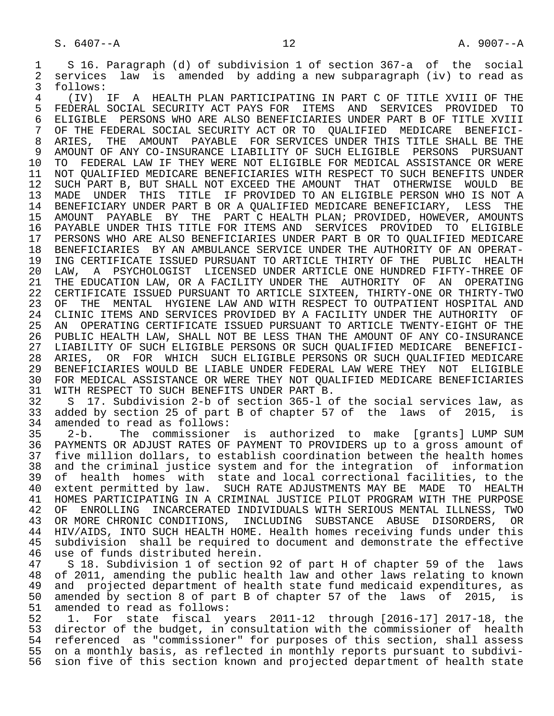1 S 16. Paragraph (d) of subdivision 1 of section 367-a of the social<br>2 services law is amended by adding a new subparagraph (iv) to read as 2 services law is amended by adding a new subparagraph (iv) to read as 3 follows:<br>4 (TV)

 4 (IV) IF A HEALTH PLAN PARTICIPATING IN PART C OF TITLE XVIII OF THE 5 FEDERAL SOCIAL SECURITY ACT PAYS FOR ITEMS AND SERVICES PROVIDED TO<br>6 ELIGIBLE PERSONS WHO ARE ALSO BENEFICIARIES UNDER PART B OF TITLE XVIII 6 ELIGIBLE PERSONS WHO ARE ALSO BENEFICIARIES UNDER PART B OF TITLE XVIII<br>7 OF THE FEDERAL SOCIAL SECURITY ACT OR TO OUALIFIED MEDICARE BENEFICI-7 OF THE FEDERAL SOCIAL SECURITY ACT OR TO QUALIFIED MEDICARE BENEFICI-<br>8 ARIES, THE AMOUNT PAYABLE FOR SERVICES UNDER THIS TITLE SHALL BE THE 8 ARIES, THE AMOUNT PAYABLE FOR SERVICES UNDER THIS TITLE SHALL BE THE<br>9 AMOUNT OF ANY CO-INSURANCE LIABILITY OF SUCH ELIGIBLE PERSONS PURSUANT 9 AMOUNT OF ANY CO-INSURANCE LIABILITY OF SUCH ELIGIBLE<br>10 TO FEDERAL LAW IF THEY WERE NOT ELIGIBLE FOR MEDICAL 10 TO FEDERAL LAW IF THEY WERE NOT ELIGIBLE FOR MEDICAL ASSISTANCE OR WERE<br>11 NOT OUALIFIED MEDICARE BENEFICIARIES WITH RESPECT TO SUCH BENEFITS UNDER 11 NOT QUALIFIED MEDICARE BENEFICIARIES WITH RESPECT TO SUCH BENEFITS UNDER<br>12 SUCH PART B, BUT SHALL NOT EXCEED THE AMOUNT THAT OTHERWISE WOULD BE 12 SUCH PART B, BUT SHALL NOT EXCEED THE AMOUNT THAT OTHERWISE<br>13 MADE UNDER THIS TITLE IF PROVIDED TO AN ELIGIBLE PERSON WI 13 MADE UNDER THIS TITLE IF PROVIDED TO AN ELIGIBLE PERSON WHO IS NOT A<br>14 BENEFICIARY UNDER PART B OR A OUALIFIED MEDICARE BENEFICIARY, LESS THE BENEFICIARY UNDER PART B OR A QUALIFIED MEDICARE BENEFICIARY, LESS THE 15 AMOUNT PAYABLE BY THE PART C HEALTH PLAN; PROVIDED, HOWEVER, AMOUNTS<br>16 PAYABLE UNDER THIS TITLE FOR ITEMS AND SERVICES PROVIDED TO ELIGIBLE 16 PAYABLE UNDER THIS TITLE FOR ITEMS AND SERVICES PROVIDED TO ELIGIBLE 17 PERSONS WHO ARE ALSO BENEFICIARIES UNDER PART B OR TO QUALIFIED MEDICARE<br>18 BENEFICIARIES BY AN AMBULANCE SERVICE UNDER THE AUTHORITY OF AN OPERAT-18 BENEFICIARIES BY AN AMBULANCE SERVICE UNDER THE AUTHORITY OF AN OPERAT-<br>19 ING CERTIFICATE ISSUED PURSUANT TO ARTICLE THIRTY OF THE PUBLIC HEALTH 19 ING CERTIFICATE ISSUED PURSUANT TO ARTICLE THIRTY OF THE PUBLIC HEALTH<br>20 LAW, A PSYCHOLOGIST LICENSED UNDER ARTICLE ONE HUNDRED FIFTY-THREE OF 20 LAW, A PSYCHOLOGIST LICENSED UNDER ARTICLE ONE HUNDRED FIFTY-THREE OF<br>21 THE EDUCATION LAW, OR A FACILITY UNDER THE AUTHORITY OF AN OPERATING 21 THE EDUCATION LAW, OR A FACILITY UNDER THE AUTHORITY OF AN<br>22 CERTIFICATE ISSUED PURSUANT TO ARTICLE SIXTEEN, THIRTY-ONE OR 22 CERTIFICATE ISSUED PURSUANT TO ARTICLE SIXTEEN, THIRTY-ONE OR THIRTY-TWO<br>23 OF THE MENTAL HYGIENE LAW AND WITH RESPECT TO OUTPATIENT HOSPITAL AND 23 OF THE MENTAL HYGIENE LAW AND WITH RESPECT TO OUTPATIENT HOSPITAL AND<br>24 CLINIC ITEMS AND SERVICES PROVIDED BY A FACILITY UNDER THE AUTHORITY OF 24 CLINIC ITEMS AND SERVICES PROVIDED BY A FACILITY UNDER THE AUTHORITY OF<br>25 AN OPERATING CERTIFICATE ISSUED PURSUANT TO ARTICLE TWENTY-EIGHT OF THE 25 AN OPERATING CERTIFICATE ISSUED PURSUANT TO ARTICLE TWENTY-EIGHT OF THE 26 PUBLIC HEALTH LAW, SHALL NOT BE LESS THAN THE AMOUNT OF ANY CO-INSURANCE<br>27 LIABILITY OF SUCH ELIGIBLE PERSONS OR SUCH OUALIFIED MEDICARE BENEFICI-27 LIABILITY OF SUCH ELIGIBLE PERSONS OR SUCH QUALIFIED MEDICARE<br>28 ARIES, OR FOR WHICH SUCH ELIGIBLE PERSONS OR SUCH OUALIFII 28 ARIES, OR FOR WHICH SUCH ELIGIBLE PERSONS OR SUCH QUALIFIED MEDICARE 29 BENEFICIARIES WOULD BE LIABLE UNDER FEDERAL LAW WERE THEY NOT ELIGIBLE<br>30 FOR MEDICAL ASSISTANCE OR WERE THEY NOT OUALIFIED MEDICARE BENEFICIARIES 30 FOR MEDICAL ASSISTANCE OR WERE THEY NOT QUALIFIED MEDICARE BENEFICIARIES<br>31 WITH RESPECT TO SUCH BENEFITS UNDER PART B.

31 WITH RESPECT TO SUCH BENEFITS UNDER PART B.<br>32 S 17. Subdivision 2-b of section 365-1 o 32 S 17. Subdivision 2-b of section 365-l of the social services law, as 33 added by section 25 of part B of chapter 57 of the laws of 2015,<br>34 amended to read as follows: 34 amended to read as follows:<br>35 2-b. The commissioner

 35 2-b. The commissioner is authorized to make [grants] LUMP SUM PAYMENTS OR ADJUST RATES OF PAYMENT TO PROVIDERS up to a gross amount of 37 five million dollars, to establish coordination between the health homes<br>38 and the criminal justice system and for the integration of information 38 and the criminal justice system and for the integration of information<br>39 of health homes with state and local correctional facilities, to the 39 of health homes with state and local correctional facilities, to the<br>40 extent permitted by law. SUCH RATE ADJUSTMENTS MAY BE MADE TO HEALTH 40 extent permitted by law. SUCH RATE ADJUSTMENTS MAY BE MADE TO HEALTH<br>41 HOMES PARTICIPATING IN A CRIMINAL JUSTICE PILOT PROGRAM WITH THE PURPOSE 41 HOMES PARTICIPATING IN A CRIMINAL JUSTICE PILOT PROGRAM WITH THE PURPOSE<br>42 OF ENROLLING INCARCERATED INDIVIDUALS WITH SERIOUS MENTAL ILLNESS, TWO 42 OF ENROLLING INCARCERATED INDIVIDUALS WITH SERIOUS MENTAL ILLNESS, TWO<br>43 OR MORE CHRONIC CONDITIONS, INCLUDING SUBSTANCE ABUSE DISORDERS, OR 43 OR MORE CHRONIC CONDITIONS, INCLUDING SUBSTANCE ABUSE DISORDERS, OR<br>44 HIV/AIDS, INTO SUCH HEALTH HOME, Health homes receiving funds under this 44 HIV/AIDS, INTO SUCH HEALTH HOME. Health homes receiving funds under this<br>45 subdivision shall be required to document and demonstrate the effective 45 subdivision shall be required to document and demonstrate the effective<br>46 use of funds distributed herein. 46 use of funds distributed herein.<br>47 S 18. Subdivision 1 of section

47 S 18. Subdivision 1 of section 92 of part H of chapter 59 of the laws<br>48 of 2011, amending the public health law and other laws relating to known 48 of 2011, amending the public health law and other laws relating to known<br>49 and projected department of health state fund medicaid expenditures, as 49 and projected department of health state fund medicaid expenditures, as<br>50 amended by section 8 of part B of chapter 57 of the laws of 2015, is 50 amended by section 8 of part B of chapter 57 of the laws of 2015, is 51 amended to read as follows: 51 amended to read as follows:<br>52 1. For state fiscal v

 52 1. For state fiscal years 2011-12 through [2016-17] 2017-18, the 53 director of the budget, in consultation with the commissioner of health<br>54 referenced as "commissioner" for purposes of this section, shall assess 54 referenced as "commissioner" for purposes of this section, shall assess<br>55 on a monthly basis, as reflected in monthly reports pursuant to subdivi-55 on a monthly basis, as reflected in monthly reports pursuant to subdivi-<br>56 sion five of this section known and projected department of health state sion five of this section known and projected department of health state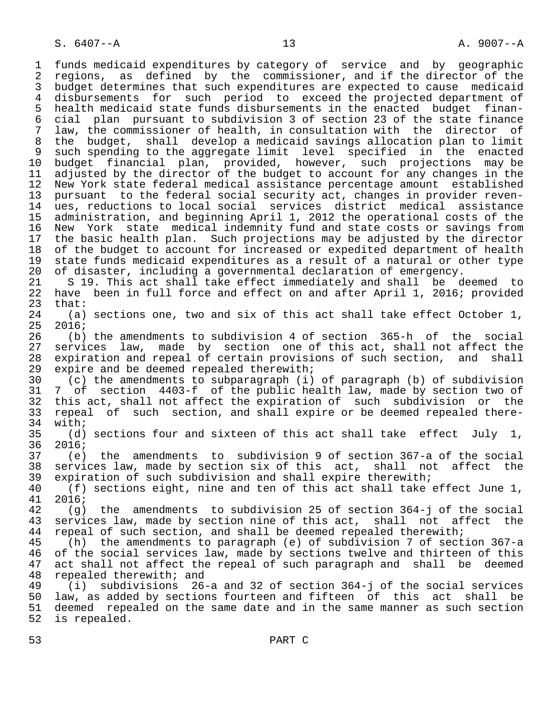1 funds medicaid expenditures by category of service and by geographic 2 regions, as defined by the commissioner, and if the director of the<br>3 budget determines that such expenditures are expected to cause medicaid budget determines that such expenditures are expected to cause medicaid 4 disbursements for such period to exceed the projected department of<br>5 health medicaid state funds disbursements in the enacted budget finan- 5 health medicaid state funds disbursements in the enacted budget finan- 6 cial plan pursuant to subdivision 3 of section 23 of the state finance law, the commissioner of health, in consultation with the director of 8 the budget, shall develop a medicaid savings allocation plan to limit 9 such spending to the aggregate limit level specified in the enacted<br>10 budget financial plan, provided, however, such projections may be 10 budget financial plan, provided, however, such projections may be<br>11 adjusted by the director of the budget to account for any changes in the 11 adjusted by the director of the budget to account for any changes in the<br>12 New York state federal medical assistance percentage amount established New York state federal medical assistance percentage amount established 13 pursuant to the federal social security act, changes in provider reven- 14 ues, reductions to local social services district medical assistance 15 administration, and beginning April 1, 2012 the operational costs of the 16 New York state medical indemnity fund and state costs or savings from<br>17 the basic health plan. Such projections may be adjusted by the director 17 the basic health plan. Such projections may be adjusted by the director<br>18 of the budget to account for increased or expedited department of health 18 of the budget to account for increased or expedited department of health<br>19 state funds medicaid expenditures as a result of a natural or other type 19 state funds medicaid expenditures as a result of a natural or other type<br>20 of disaster, including a governmental declaration of emergency. 20 of disaster, including a governmental declaration of emergency.<br>21 S 19. This act shall take effect immediately and shall be d 21 S 19. This act shall take effect immediately and shall be deemed to<br>22 have been in full force and effect on and after April 1, 2016; provided 22 have been in full force and effect on and after April 1, 2016; provided 23  $that: 24$  (a) 24 (a) sections one, two and six of this act shall take effect October 1,<br>25 2016;  $2016;$  26 (b) the amendments to subdivision 4 of section 365-h of the social 27 services law, made by section one of this act, shall not affect the 28 expiration and repeal of certain provisions of such section, and shall 29 expire and be deemed repealed therewith;<br>30 (c) the amendments to subparagraph (i)  $(c)$  the amendments to subparagraph (i) of paragraph (b) of subdivision 31 7 of section 4403-f of the public health law, made by section two of 32 this act, shall not affect the expiration of such subdivision or the<br>33 repeal of such section, and shall expire or be deemed repealed there-33 repeal of such section, and shall expire or be deemed repealed there-<br>34 with;  $34$  with;<br> $35$  (d) 35 (d) sections four and sixteen of this act shall take effect July 1,<br>36 2016;  $2016;$  37 (e) the amendments to subdivision 9 of section 367-a of the social 38 services law, made by section six of this act, shall not affect the<br>39 expiration of such subdivision and shall expire therewith; 39 expiration of such subdivision and shall expire therewith;<br>40 (f) sections eight, nine and ten of this act shall take 40 (f) sections eight, nine and ten of this act shall take effect June 1,<br>41 2016;  $\begin{array}{cc} 41 & 2016; \\ 42 & (9) \end{array}$ 42 (g) the amendments to subdivision 25 of section 364-j of the social<br>43 services law, made by section nine of this act, shall not affect the 43 services law, made by section nine of this act, shall not affect the 44 repeal of such section, and shall be deemed repealed therewith; 44 repeal of such section, and shall be deemed repealed therewith;<br>45 (h) the amendments to paragraph (e) of subdivision 7 of sect (h) the amendments to paragraph (e) of subdivision  $7$  of section 367-a 46 of the social services law, made by sections twelve and thirteen of this<br>47 act shall not affect the repeal of such paragraph and shall be deemed act shall not affect the repeal of such paragraph and shall be deemed 48 repealed therewith; and<br>49 (i) subdivisions 26 49 (i) subdivisions 26-a and 32 of section 364-j of the social services 50 law, as added by sections fourteen and fifteen of this act shall be<br>51 deemed repealed on the same date and in the same manner as such section deemed repealed on the same date and in the same manner as such section 52 is repealed.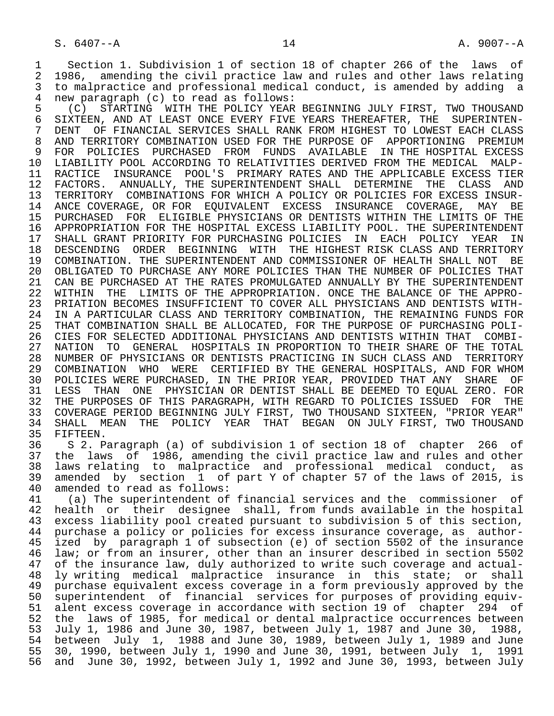1 Section 1. Subdivision 1 of section 18 of chapter 266 of the laws of<br>2 1986, amending the civil practice law and rules and other laws relating 2 1986, amending the civil practice law and rules and other laws relating<br>3 to malpractice and professional medical conduct, is amended by adding a 3 to malpractice and professional medical conduct, is amended by adding a<br>4 new paragraph (c) to read as follows: 4 new paragraph (c) to read as follows:

5 (C) STARTING WITH THE POLICY YEAR BEGINNING JULY FIRST, TWO THOUSAND<br>6 SIXTEEN, AND AT LEAST ONCE EVERY FIVE YEARS THEREAFTER, THE SUPERINTEN-6 SIXTEEN, AND AT LEAST ONCE EVERY FIVE YEARS THEREAFTER, THE SUPERINTEN-<br>7 DENT OF FINANCIAL SERVICES SHALL RANK FROM HIGHEST TO LOWEST EACH CLASS 7 DENT OF FINANCIAL SERVICES SHALL RANK FROM HIGHEST TO LOWEST EACH CLASS<br>8 AND TERRITORY COMBINATION USED FOR THE PURPOSE OF APPORTIONING PREMIUM 8 AND TERRITORY COMBINATION USED FOR THE PURPOSE OF APPORTIONING PREMIUM<br>9 FOR POLICIES PURCHASED FROM FUNDS AVAILABLE IN THE HOSPITAL EXCESS 9 FOR POLICIES PURCHASED FROM FUNDS AVAILABLE IN THE HOSPITAL EXCESS<br>10 LIABILITY POOL ACCORDING TO RELATIVITIES DERIVED FROM THE MEDICAL MALP-10 LIABILITY POOL ACCORDING TO RELATIVITIES DERIVED FROM THE MEDICAL MALP-<br>11 RACTICE INSURANCE POOL'S PRIMARY RATES AND THE APPLICABLE EXCESS TIER 11 RACTICE INSURANCE POOL'S PRIMARY RATES AND THE APPLICABLE EXCESS TIER<br>12 FACTORS. ANNUALLY, THE SUPERINTENDENT SHALL DETERMINE THE CLASS AND 12 FACTORS. ANNUALLY, THE SUPERINTENDENT SHALL DETERMINE THE CLASS AND<br>13 TERRITORY COMBINATIONS FOR WHICH A POLICY OR POLICIES FOR EXCESS INSUR-13 TERRITORY COMBINATIONS FOR WHICH A POLICY OR POLICIES FOR EXCESS INSUR-<br>14 ANCE COVERAGE, OR FOR EOUIVALENT EXCESS INSURANCE COVERAGE, MAY BE ANCE COVERAGE, OR FOR EOUIVALENT EXCESS INSURANCE COVERAGE, MAY BE 15 PURCHASED FOR ELIGIBLE PHYSICIANS OR DENTISTS WITHIN THE LIMITS OF THE<br>16 APPROPRIATION FOR THE HOSPITAL EXCESS LIABILITY POOL. THE SUPERINTENDENT 16 APPROPRIATION FOR THE HOSPITAL EXCESS LIABILITY POOL. THE SUPERINTENDENT<br>17 SHALL GRANT PRIORITY FOR PURCHASING POLICIES IN EACH POLICY YEAR IN 17 SHALL GRANT PRIORITY FOR PURCHASING POLICIES IN EACH POLICY YEAR<br>18 DESCENDING ORDER BEGINNING WITH THE HIGHEST RISK CLASS AND TERRIT 18 DESCENDING ORDER BEGINNING WITH THE HIGHEST RISK CLASS AND TERRITORY<br>19 COMBINATION. THE SUPERINTENDENT AND COMMISSIONER OF HEALTH SHALL NOT BE 19 COMBINATION. THE SUPERINTENDENT AND COMMISSIONER OF HEALTH SHALL NOT BE 20 OBLIGATED TO PURCHASE ANY MORE POLICIES THAN THE NUMBER OF POLICIES THAT<br>21 CAN BE PURCHASED AT THE RATES PROMULGATED ANNUALLY BY THE SUPERINTENDENT 21 CAN BE PURCHASED AT THE RATES PROMULGATED ANNUALLY BY THE SUPERINTENDENT<br>22 WITHIN THE LIMITS OF THE APPROPRIATION. ONCE THE BALANCE OF THE APPRO-22 WITHIN THE LIMITS OF THE APPROPRIATION. ONCE THE BALANCE OF THE APPRO-<br>23 PRIATION BECOMES INSUFFICIENT TO COVER ALL PHYSICIANS AND DENTISTS WITH-23 PRIATION BECOMES INSUFFICIENT TO COVER ALL PHYSICIANS AND DENTISTS WITH-<br>24 IN A PARTICULAR CLASS AND TERRITORY COMBINATION, THE REMAINING FUNDS FOR 24 IN A PARTICULAR CLASS AND TERRITORY COMBINATION, THE REMAINING FUNDS FOR<br>25 THAT COMBINATION SHALL BE ALLOCATED, FOR THE PURPOSE OF PURCHASING POLI-THAT COMBINATION SHALL BE ALLOCATED, FOR THE PURPOSE OF PURCHASING POLI-26 CIES FOR SELECTED ADDITIONAL PHYSICIANS AND DENTISTS WITHIN THAT COMBI-<br>27 NATION TO GENERAL HOSPITALS IN PROPORTION TO THEIR SHARE OF THE TOTAL 27 NATION TO GENERAL HOSPITALS IN PROPORTION TO THEIR SHARE OF THE TOTAL<br>28 NUMBER OF PHYSICIANS OR DENTISTS PRACTICING IN SUCH CLASS AND TERRITORY 28 NUMBER OF PHYSICIANS OR DENTISTS PRACTICING IN SUCH CLASS AND<br>29 COMBINATION WHO WERE CERTIFIED BY THE GENERAL HOSPITALS, AN 29 COMBINATION WHO WERE CERTIFIED BY THE GENERAL HOSPITALS, AND FOR WHOM<br>30 POLICIES WERE PURCHASED, IN THE PRIOR YEAR, PROVIDED THAT ANY SHARE OF 30 POLICIES WERE PURCHASED, IN THE PRIOR YEAR, PROVIDED THAT ANY SHARE OF<br>31 LESS THAN ONE PHYSICIAN OR DENTIST SHALL BE DEEMED TO EOUAL ZERO. FOR 31 LESS THAN ONE PHYSICIAN OR DENTIST SHALL BE DEEMED TO EQUAL ZERO. FOR<br>32 THE PURPOSES OF THIS PARAGRAPH, WITH REGARD TO POLICIES ISSUED FOR THE 32 THE PURPOSES OF THIS PARAGRAPH, WITH REGARD TO POLICIES ISSUED FOR THE 33 COVERAGE PERIOD BEGINNING JULY FIRST, TWO THOUSAND SIXTEEN, "PRIOR YEAR" 33 COVERAGE PERIOD BEGINNING JULY FIRST, TWO THOUSAND SIXTEEN, "PRIOR YEAR"<br>34 SHALL MEAN THE POLICY YEAR THAT BEGAN ON JULY FIRST, TWO THOUSAND 34 SHALL MEAN THE POLICY YEAR THAT BEGAN ON JULY FIRST, TWO THOUSAND<br>35 FIFTEEN. 35 FIFTEEN.<br>36 S 2. P

 36 S 2. Paragraph (a) of subdivision 1 of section 18 of chapter 266 of 37 the laws of 1986, amending the civil practice law and rules and other<br>38 laws relating to malpractice and professional medical conduct, as 38 laws relating to malpractice and professional medical conduct, as<br>39 amended by section 1 of part Y of chapter 57 of the laws of 2015, is 39 amended by section 1 of part Y of chapter 57 of the laws of 2015, is 40 amended to read as follows:<br>41 (a) The superintendent of

41 (a) The superintendent of financial services and the commissioner of<br>42 health or their designee shall, from funds available in the hospital 42 health or their designee shall, from funds available in the hospital<br>43 excess liability pool created pursuant to subdivision 5 of this section. 43 excess liability pool created pursuant to subdivision 5 of this section,<br>44 purchase a policy or policies for excess insurance coverage, as author-44 purchase a policy or policies for excess insurance coverage, as author-<br>45 ized by paragraph 1 of subsection (e) of section 5502 of the insurance ized by paragraph 1 of subsection (e) of section 5502 of the insurance 46 law; or from an insurer, other than an insurer described in section 5502<br>47 of the insurance law, duly authorized to write such coverage and actual-47 of the insurance law, duly authorized to write such coverage and actual-<br>48 ly writing medical malpractice insurance in this state; or shall 48 ly writing medical malpractice insurance in this state; or shall 49 purchase equivalent excess coverage in a form previously approved by the<br>50 superintendent of financial services for purposes of providing equiv-50 superintendent of financial services for purposes of providing equiv-<br>51 alent excess coverage in accordance with section 19 of chapter 294 of 51 alent excess coverage in accordance with section 19 of chapter 294 of<br>52 the laws of 1985, for medical or dental malpractice occurrences between 52 the laws of 1985, for medical or dental malpractice occurrences between<br>53 July 1, 1986 and June 30, 1987, between July 1, 1987 and June 30, 1988, 53 July 1, 1986 and June 30, 1987, between July 1, 1987 and June 30, 1988, 54 between July 1, 1988 and June 30, 1989, between July 1, 1989 and June<br>55 30, 1990, between July 1, 1990 and June 30, 1991, between July 1, 1991 55 30, 1990, between July 1, 1990 and June 30, 1991, between July 1, 1991 and June 30, 1992, between July 1, 1992 and June 30, 1993, between July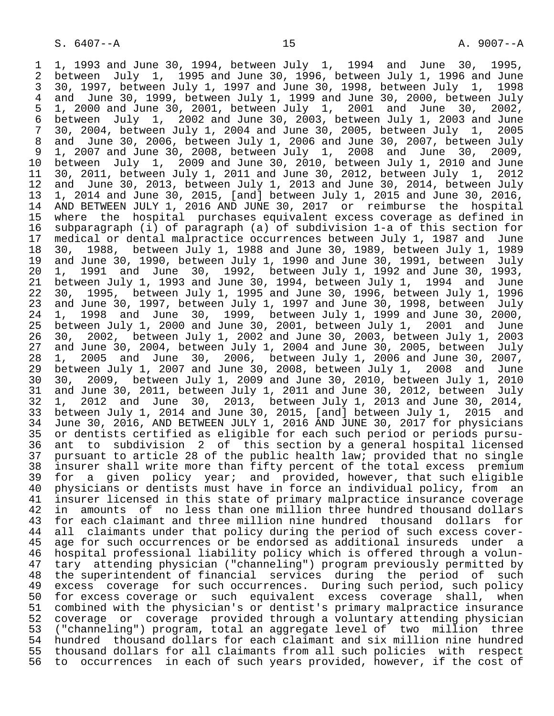1 1, 1993 and June 30, 1994, between July 1, 1994 and June 30, 1995,<br>2 between July 1, 1995 and June 30, 1996, between July 1, 1996 and June 2 between July 1, 1995 and June 30, 1996, between July 1, 1996 and June 3 30, 1997, between July 1, 1997 and June 30, 1998, between July 1,<br>4 and June 30, 1999, between July 1, 1999 and June 30, 2000, between 4 and June 30, 1999, between July 1, 1999 and June 30, 2000, between July<br>5 1, 2000 and June 30, 2001, between July 1, 2001 and June 30, 2002, 5 1, 2000 and June 30, 2001, between July 1, 2001 and June 30, 2002, 6 between July 1, 2002 and June 30, 2003, between July 1, 2003 and June  $7$  30, 2004, between July 1, 2005 7 30, 2004, between July 1, 2004 and June 30, 2005, between July 1,<br>8 and June 30, 2006, between July 1, 2006 and June 30, 2007, between 8 and June 30, 2006, between July 1, 2006 and June 30, 2007, between July 9 1, 2007 and June 30, 2008, between July 1, 2008 and June 30, 2009,<br>10 between July 1, 2009 and June 30, 2010, between July 1, 2010 and June 10 between July 1, 2009 and June 30, 2010, between July 1, 2010 and June 11 30, 2011, between July 1, 2011 and June 30, 2012, between July 1,<br>12 and June 30, 2013, between July 1, 2013 and June 30, 2014, between 12 and June 30, 2013, between July 1, 2013 and June 30, 2014, between July 1, 2016,  $1.2014$  and June 30, 2016. 13 1, 2014 and June 30, 2015, [and] between July 1, 2015 and June 30, 2016,<br>14 AND BETWEEN JULY 1, 2016 AND JUNE 30, 2017 or reimburse the hospital 14 AND BETWEEN JULY 1, 2016 AND JUNE 30, 2017 or reimburse the hospital 15 where the hospital purchases equivalent excess coverage as defined in<br>16 subparagraph (i) of paragraph (a) of subdivision 1-a of this section for 16 subparagraph (i) of paragraph (a) of subdivision 1-a of this section for 17 medical or dental malpractice occurrences between July 1, 1987 and June<br>18 30, 1988, between July 1, 1988 and June 30, 1989, between July 1, 1989 18 30, 1988, between July 1, 1988 and June 30, 1989, between July 1, 1989 19 and June 30, 1990, between July 1, 1990 and June 30, 1991, between July<br>20 1, 1991 and June 30, 1992, between July 1, 1992 and June 30, 1993, 20 1, 1991 and June 30, 1992, between July 1, 1992 and June 30, 1993, 21 between July 1, 1993 and June 30, 1994, between July 1, 1994 and June 22 30, 1995, between July 1, 1995 and June 30, 1996, between July 1, 1996 23 and June 30, 1997, between July 1, 1997 and June 30, 1998, between July<br>24 1. 1998 and June 30. 1999. between July 1. 1999 and June 30. 2000. 24 1, 1998 and June 30, 1999, between July 1, 1999 and June 30, 2000, between July 1, 2000 and June 30, 2001, between July 1, 2001 26 30, 2002, between July 1, 2002 and June 30, 2003, between July 1, 2003 27 and June 30, 2004, between July 1, 2004 and June 30, 2005, between July 28 1, 2005 and June 30, 2006, between July 1, 2006 and June 30, 2007, 29 between July 1, 2007 and June 30, 2008, between July 1, 2008 and June 30 30, 2009, between July 1, 2009 and June 30, 2010, between July 1, 2010 31 and June 30, 2011, between July 1, 2011 and June 30, 2012, between July 32 1, 2012 and June 30, 2013, between July 1, 2013 and June 30, 2014, 33 between July 1, 2014 and June 30, 2015, [and] between July 1, 2015 and<br>34 June 30, 2016, AND BETWEEN JULY 1, 2016 AND JUNE 30, 2017 for physicians 34 June 30, 2016, AND BETWEEN JULY 1, 2016 AND JUNE 30, 2017 for physicians 35 or dentists certified as eligible for each such period or periods pursu-<br>36 ant to subdivision 2 of this section by a general hospital licensed ant to subdivision 2 of this section by a general hospital licensed 37 pursuant to article 28 of the public health law; provided that no single<br>38 insurer shall write more than fifty percent of the total excess premium 38 insurer shall write more than fifty percent of the total excess premium<br>39 for a given policy year; and provided, however, that such eligible 39 for a given policy year; and provided, however, that such eligible<br>40 physicians or dentists must have in force an individual policy, from an 40 physicians or dentists must have in force an individual policy, from an<br>41 insurer licensed in this state of primary malpractice insurance coverage 41 insurer licensed in this state of primary malpractice insurance coverage<br>42 in amounts of no less than one million three hundred thousand dollars 42 in amounts of no less than one million three hundred thousand dollars<br>43 for each claimant and three million nine hundred thousand dollars for 43 for each claimant and three million nine hundred thousand dollars for<br>44 all claimants under that policy during the period of such excess cover-44 all claimants under that policy during the period of such excess cover-<br>45 age for such occurrences or be endorsed as additional insureds under a 45 age for such occurrences or be endorsed as additional insureds under a<br>46 hospital professional liability policy which is offered through a volun-46 hospital professional liability policy which is offered through a volun-<br>47 tary attending physician ("channeling") program previously permitted by 47 tary attending physician ("channeling") program previously permitted by<br>48 the superintendent of financial services during the period of such 48 the superintendent of financial services during the period of such 49 excess coverage for such occurrences. During such period, such policy 50 for excess coverage or such equivalent excess coverage shall, when 51 combined with the physician's or dentist's primary malpractice insurance<br>52 coverage or coverage provided through a voluntary attending physician 52 coverage or coverage provided through a voluntary attending physician<br>53 ("channeling") program, total an aggregate level of two million three 53 ("channeling") program, total an aggregate level of two million three<br>54 hundred thousand dollars for each claimant and six million nine hundred 54 hundred thousand dollars for each claimant and six million nine hundred<br>55 thousand dollars for all claimants from all such policies with respect 55 thousand dollars for all claimants from all such policies with respect<br>56 to occurrences in each of such years provided, however, if the cost of 56 to occurrences in each of such years provided, however, if the cost of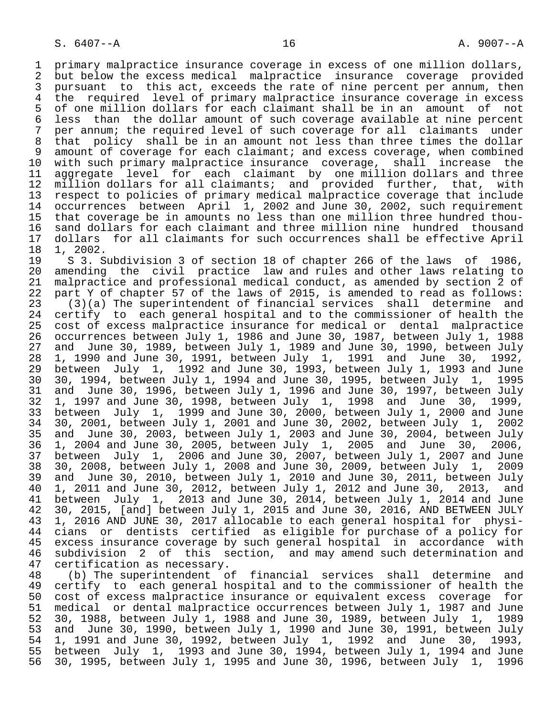1 primary malpractice insurance coverage in excess of one million dollars,<br>2 but below the excess medical malpractice insurance coverage provided 2 but below the excess medical malpractice insurance coverage provided<br>3 pursuant to this act, exceeds the rate of nine percent per annum, then 3 pursuant to this act, exceeds the rate of nine percent per annum, then<br>4 the required level of primary malpractice insurance coverage in excess 4 the required level of primary malpractice insurance coverage in excess<br>5 of one million dollars for each claimant shall be in an amount of not 5 of one million dollars for each claimant shall be in an amount of not<br>6 less than the dollar amount of such coverage available at nine percent 6 less than the dollar amount of such coverage available at nine percent<br>7 per annum; the required level of such coverage for all claimants under 7 per annum; the required level of such coverage for all claimants under<br>8 that policy shall be in an amount not less than three times the dollar 8 that policy shall be in an amount not less than three times the dollar<br>9 amount of coverage for each claimant; and excess coverage, when combined 9 amount of coverage for each claimant; and excess coverage, when combined<br>10 with such primary malpractice insurance coverage, shall increase the 10 with such primary malpractice insurance coverage, shall increase the<br>11 aggregate level for each claimant by one million dollars and three 11 aggregate level for each claimant by one million dollars and three<br>12 million dollars for all claimants; and provided further, that, with 12 million dollars for all claimants; and provided further, that,<br>13 respect to policies of primary medical malpractice coverage that inc 13 respect to policies of primary medical malpractice coverage that include<br>14 occurrences between April 1, 2002 and June 30, 2002, such requirement occurrences between April 1, 2002 and June 30, 2002, such requirement 15 that coverage be in amounts no less than one million three hundred thou-<br>16 sand dollars for each claimant and three million nine hundred thousand 16 sand dollars for each claimant and three million nine hundred thousand<br>17 dollars for all claimants for such occurrences shall be effective April 17 dollars for all claimants for such occurrences shall be effective April 18 1, 2002.

18 1, 2002.<br>19 S 3. S 19 S 3. Subdivision 3 of section 18 of chapter 266 of the laws of 1986,<br>20 amending the civil practice law and rules and other laws relating to 20 amending the civil practice law and rules and other laws relating to<br>21 malpractice and professional medical conduct, as amended by section 2 of 21 malpractice and professional medical conduct, as amended by section 2 of<br>22 part Y of chapter 57 of the laws of 2015, is amended to read as follows: 22 part Y of chapter 57 of the laws of 2015, is amended to read as follows:<br>23 (3)(a) The superintendent of financial services shall determine and 23 (3)(a) The superintendent of financial services shall determine and<br>24 certify to each general hospital and to the commissioner of health the 24 certify to each general hospital and to the commissioner of health the<br>25 cost of excess malpractice insurance for medical or dental malpractice cost of excess malpractice insurance for medical or dental malpractice 26 occurrences between July 1, 1986 and June 30, 1987, between July 1, 1988 27 and June 30, 1989, between July 1, 1989 and June 30, 1990, between July  $18-1$ , 1990 and June 30, 1992, 28 1, 1990 and June 30, 1991, between July 1, 1991 and June 30, 1992,<br>29 between July 1, 1992 and June 30, 1993, between July 1, 1993 and June 29 between July 1, 1992 and June 30, 1993, between July 1, 1993 and June 30 30, 1994, between July 1, 1994 and June 30, 1995, between July 1, 1995 31 and June 30, 1996, between July 1, 1996 and June 30, 1997, between July<br>32 1, 1997 and June 30, 1998, between July 1, 1998 and June 30, 1999, 32 1, 1997 and June 30, 1998, between July 1, 1998 and June 30, 1999, 33 between July 1, 1999 and June 30, 2000, between July 1, 2000 and June 34 30, 2001, between July 1, 2001 and June 30, 2002, between July 1,<br>35 and June 30, 2003, between July 1, 2003 and June 30, 2004, between 35 and June 30, 2003, between July 1, 2003 and June 30, 2004, between July 36 1, 2004 and June 30, 2005, between July 1, 2005 and June 30, 2006, 37 between July 1, 2006 and June 30, 2007, between July 1, 2007 and June 38 30, 2008, between July 1, 2008 and June 30, 2009, between July 1,<br>39 and June 30, 2010, between July 1, 2010 and June 30, 2011, between 39 and June 30, 2010, between July 1, 2010 and June 30, 2011, between July  $10 - 1$ , 2011 and June 30, 2012, between July 1, 2012 and June 30, 2013, and 40 1, 2011 and June 30, 2012, between July 1, 2012 and June 30, 2013, and<br>41 between July 1, 2013 and June 30, 2014, between July 1, 2014 and June 41 between July 1, 2013 and June 30, 2014, between July 1, 2014 and June<br>42 30, 2015, [and] between July 1, 2015 and June 30, 2016, AND BETWEEN JULY 42 30, 2015, [and] between July 1, 2015 and June 30, 2016, AND BETWEEN JULY<br>43 1, 2016 AND JUNE 30, 2017 allocable to each general hospital for physi-43 1, 2016 AND JUNE 30, 2017 allocable to each general hospital for physi-<br>44 cians or dentists certified as eligible for purchase of a policy for 44 cians or dentists certified as eligible for purchase of a policy for<br>45 excess insurance coverage by such general hospital in accordance with 45 excess insurance coverage by such general hospital in accordance with<br>46 subdivision 2 of this section, and may amend such determination and 46 subdivision 2 of this section, and may amend such determination and<br>47 certification as necessary. 47 certification as necessary.<br>48 (b) The superintendent o

48 (b) The superintendent of financial services shall determine and<br>49 certify to each general hospital and to the commissioner of health the 49 certify to each general hospital and to the commissioner of health the<br>50 cost of excess malpractice insurance or equivalent excess coverage for 50 cost of excess malpractice insurance or equivalent excess coverage for<br>51 medical or dental malpractice occurrences between July 1, 1987 and June 51 medical or dental malpractice occurrences between July 1, 1987 and June<br>52 30, 1988, between July 1, 1988 and June 30, 1989, between July 1, 1989 52 30, 1988, between July 1, 1988 and June 30, 1989, between July 1, 1989 53 and June 30, 1990, between July 1, 1990 and June 30, 1991, between July<br>54 1. 1991 and June 30, 1992, between July 1, 1992 and June 30, 1993, 54 1, 1991 and June 30, 1992, between July 1, 1992 and June 30, 1993, 55 between July 1, 1993 and June 30, 1994, between July 1, 1994 and June<br>56 30, 1995, between July 1, 1995 and June 30, 1996, between July 1, 1996 56 30, 1995, between July 1, 1995 and June 30, 1996, between July 1, 1996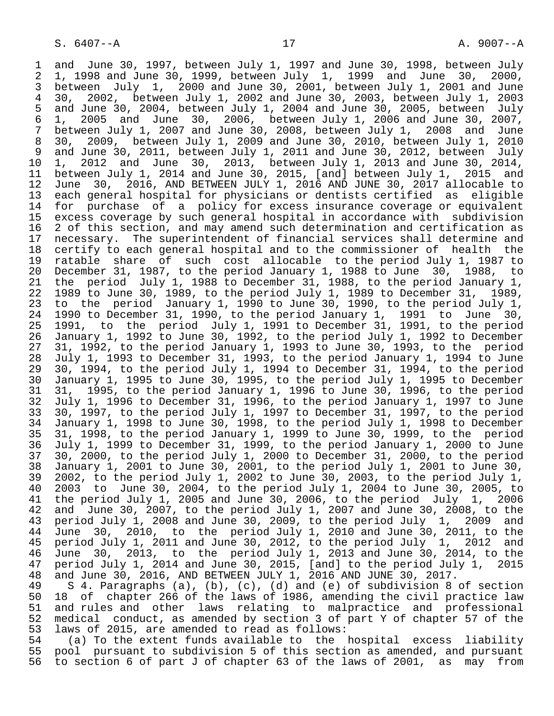1 and June 30, 1997, between July 1, 1997 and June 30, 1998, between July<br>2 1, 1998 and June 30, 1999, between July 1, 1999 and June 30, 2000, 2 1, 1998 and June 30, 1999, between July 1, 1999 and June 30, 2000,<br>3 between July 1, 2000 and June 30, 2001, between July 1, 2001 and June 3 between July 1, 2000 and June 30, 2001, between July 1, 2001 and June 4 30, 2002, between July 1, 2002 and June 30, 2003, between July 1, 2003 5 and June 30, 2004, between July 1, 2004 and June 30, 2005, between July<br>6 1, 2005 and June 30, 2006, between July 1, 2006 and June 30, 2007, 6 1, 2005 and June 30, 2006, between July 1, 2006 and June 30, 2007, 7 between July 1, 2007 and June 30, 2008, between July 1, 2008 and June 8 30, 2009, between July 1, 2009 and June 30, 2010, between July 1, 2010 9 and June 30, 2011, between July 1, 2011 and June 30, 2012, between July 10 1, 2012 and June 30, 2013, between July 1, 2013 and June 30, 2014, 11 between July 1, 2014 and June 30, 2015, [and] between July 1, 2015 and<br>12 June 30, 2016, AND BETWEEN JULY 1, 2016 AND JUNE 30, 2017 allocable to 12 June 30, 2016, AND BETWEEN JULY 1, 2016 AND JUNE 30, 2017 allocable to<br>13 each general hospital for physicians or dentists certified as eligible 13 each general hospital for physicians or dentists certified as eligible<br>14 for purchase of a policy for excess insurance coverage or equivalent for purchase of a policy for excess insurance coverage or equivalent 15 excess coverage by such general hospital in accordance with subdivision<br>16 2 of this section, and may amend such determination and certification as 16 2 of this section, and may amend such determination and certification as<br>17 necessary. The superintendent of financial services shall determine and 17 necessary. The superintendent of financial services shall determine and<br>18 certify to each general hospital and to the commissioner of health the 18 certify to each general hospital and to the commissioner of health the<br>19 ratable share of such cost allocable to the period July 1, 1987 to 19 ratable share of such cost allocable to the period July 1, 1987 to<br>20 December 31, 1987, to the period January 1, 1988 to June 30, 1988, to 20 December 31, 1987, to the period January 1, 1988 to June 30, 1988, to<br>21 the period July 1, 1988 to December 31, 1988, to the period January 1, 21 the period July 1, 1988 to December 31, 1988, to the period January 1,<br>22 1989 to June 30, 1989, to the period July 1, 1989 to December 31, 1989, 22 1989 to June 30, 1989, to the period July 1, 1989 to December 31,<br>23 to the period January 1, 1990 to June 30, 1990, to the period o 23 to the period January 1, 1990 to June 30, 1990, to the period July 1,<br>24 1990 to December 31, 1990, to the period January 1, 1991 to June 30, 23 to the period candary 1, 1990 to the Priod January 1, 1991 to June 30,<br>24 1990 to December 31, 1990, to the period January 1, 1991 to June 30,<br>25 1991, to the period July 1, 1991 to December 31, 1991, to the period 25 1991, to the period July 1, 1991 to December 31, 1991, to the period 26 January 1, 1992 to June 30, 1992, to the period July 1, 1992 to December 27 31, 1992, to the period January 1, 1993 to June 30, 1993, to the period 28 July 1, 1993 to December 31, 1993, to the period January 1, 1994 to June 29 30, 1994, to the period July 1, 1994 to December 31, 1994, to the period<br>30 January 1, 1995 to June 30, 1995, to the period July 1, 1995 to December 30 January 1, 1995 to June 30, 1995, to the period July 1, 1995 to December 31 31, 1995, to the period January 1, 1996 to June 30, 1996, to the period 32 July 1, 1996 to December 31, 1996, to the period January 1, 1997 to June 33 30, 1997, to the period July 1, 1997 to December 31, 1997, to the period 34 January 1, 1998 to June 30, 1998, to the period July 1, 1998 to December 35 31, 1998, to the period January 1, 1999 to June 30, 1999, to the period 36 July 1, 1999 to December 31, 1999, to the period January 1, 2000 to June 37 30, 2000, to the period July 1, 2000 to December 31, 2000, to the period 38 January 1, 2001 to June 30, 2001, to the period July 1, 2001 to June 30, 39 2002, to the period July 1, 2002 to June 30, 2003, to the period July 1, 40 2003 to June 30, 2004, to the period July 1, 2004 to June 30, 2005, to 41 the period July 1, 2005 and June 30, 2006, to the period July 1, 2006<br>42 and June 30, 2007, to the period July 1, 2007 and June 30, 2008, to the 42 and June 30, 2007, to the period July 1, 2007 and June 30, 2008, to the<br>43 period July 1, 2008 and June 30, 2009, to the period July 1, 2009 and 43 period July 1, 2008 and June 30, 2009, to the period July 1,<br>44 June 30, 2010, to the period July 1, 2010 and June 30, 201 44 June 30, 2010, to the period July 1, 2010 and June 30, 2011, to the<br>45 period July 1, 2011 and June 30, 2012, to the period July 1, 2012 and 45 period July 1, 2011 and June 30, 2012, to the period July 1,<br>46 June 30, 2013, to the period July 1, 2013 and June 30, 20 46 June 30, 2013, to the period July 1, 2013 and June 30, 2014, to the period July 1, 2014 and June 30, 2015, [and] to the period July 1, 2015 48 and June 30, 2016, AND BETWEEN JULY 1, 2016 AND JUNE 30, 2017.<br>49 S 4. Paragraphs (a), (b), (c), (d) and (e) of subdivision 8 49 S 4. Paragraphs (a), (b), (c), (d) and (e) of subdivision 8 of section 50 18 of chapter 266 of the laws of 1986, amending the civil practice law 51 and rules and other laws relating to malpractice and professional<br>52 medical conduct, as amended by section 3 of part Y of chapter 57 of the

52 medical conduct, as amended by section 3 of part Y of chapter 57 of the<br>53 laws of 2015, are amended to read as follows: 53 laws of 2015, are amended to read as follows:<br>54 (a) To the extent funds available to the 54 (a) To the extent funds available to the hospital excess liability<br>55 pool pursuant to subdivision 5 of this section as amended, and pursuant 55 pool pursuant to subdivision 5 of this section as amended, and pursuant<br>56 to section 6 of part J of chapter 63 of the laws of 2001, as may from to section 6 of part J of chapter 63 of the laws of 2001, as may from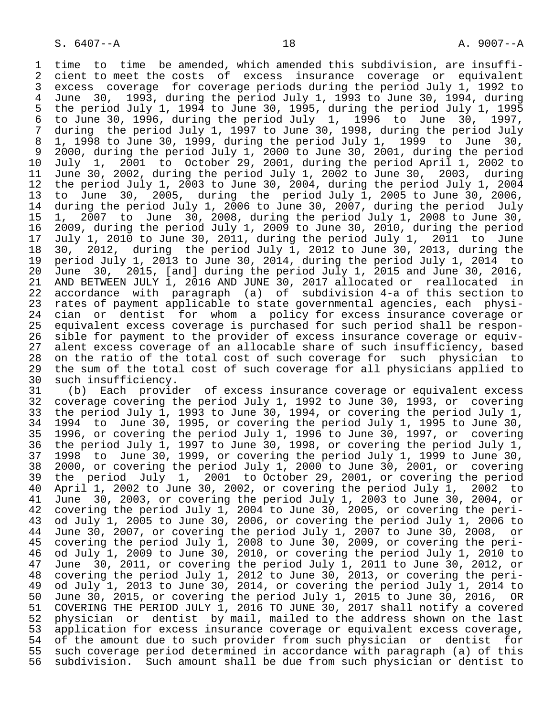1 time to time be amended, which amended this subdivision, are insuffi- 2 cient to meet the costs of excess insurance coverage or equivalent<br>3 excess coverage for coverage periods during the period July 1, 1992 to 3 excess coverage for coverage periods during the period July 1, 1992 to 4 June 30, 1993, during the period July 1, 1993 to June 30, 1994, during 5 the period July 1, 1994 to June 30, 1995, during the period July 1, 1995 6 to June 30, 1996, during the period July 1, 1996 to June 30, 1997, 7 during the period July 1, 1997 to June 30, 1998, during the period July 8 1, 1998 to June 30, 1999, during the period July 1, 1999 to June 30, 9 2000, during the period July 1, 2000 to June 30, 2001, during the period 10 July 1, 2001 to October 29, 2001, during the period April 1, 2002 to 11 June 30, 2002, during the period July 1, 2002 to June 30, 2003, during<br>12 the period July 1, 2003 to June 30, 2004, during the period July 1, 2004 12 the period July 1, 2003 to June 30, 2004, during the period July 1, 2004<br>13 to June 30, 2005, during the period July 1, 2005 to June 30, 2006, 13 to June 30, 2005, during the period July 1, 2005 to June 30, 2006,<br>14 during the period July 1, 2006 to June 30, 2007, during the period July during the period July 1, 2006 to June 30, 2007, during the period July 15 1, 2007 to June 30, 2008, during the period July 1, 2008 to June 30, 16 2009, during the period July 1, 2009 to June 30, 2010, during the period 17 July 1, 2010 to June 30, 2011, during the period July 1, 2011 to June 18 30, 2012, during the period July 1, 2012 to June 30, 2013, during the 19 period July 1, 2013 to June 30, 2014, during the period July 1, 2014 to<br>20 June 30, 2015, [and] during the period July 1, 2015 and June 30, 2016, 20 June 30, 2015, [and] during the period July 1, 2015 and June 30, 2016, 21 AND BETWEEN JULY 1, 2016 AND JUNE 30, 2017 allocated or reallocated in<br>22 accordance with paragraph (a) of subdivision 4-a of this section to 22 accordance with paragraph (a) of subdivision 4-a of this section to<br>23 rates of payment applicable to state governmental agencies, each physi-23 rates of payment applicable to state governmental agencies, each physi-<br>24 cian or dentist for whom a policy for excess insurance coverage or 24 cian or dentist for whom a policy for excess insurance coverage or<br>25 equivalent excess coverage is purchased for such period shall be responequivalent excess coverage is purchased for such period shall be respon-26 sible for payment to the provider of excess insurance coverage or equiv-<br>27 alent excess coverage of an allocable share of such insufficiency, based 27 alent excess coverage of an allocable share of such insufficiency, based<br>28 on the ratio of the total cost of such coverage for such physician to 28 on the ratio of the total cost of such coverage for such physician to<br>29 the sum of the total cost of such coverage for all physicians applied to 29 the sum of the total cost of such coverage for all physicians applied to such insufficiency.

30 such insufficiency.<br>31 (b) Each provid 31 (b) Each provider of excess insurance coverage or equivalent excess<br>32 coverage covering the period July 1, 1992 to June 30, 1993, or covering 32 coverage covering the period July 1, 1992 to June 30, 1993, or covering<br>33 the period July 1, 1993 to June 30, 1994, or covering the period July 1, 33 the period July 1, 1993 to June 30, 1994, or covering the period July 1, 34 1994 to June 30, 30, 34 1994 to June 30, 1995, or covering the period July 1, 1995 to June 30,<br>35 1996, or covering the period July 1, 1996 to June 30, 1997, or covering 35 1996, or covering the period July 1, 1996 to June 30, 1997, or covering<br>36 the period July 1, 1997 to June 30, 1998, or covering the period July 1, the period July 1, 1997 to June 30, 1998, or covering the period July 1, 37 1998 to June 30, 1999, or covering the period July 1, 1999 to June 30, 38 2000, or covering the period July 1, 2000 to June 30, 2001, or covering<br>39 the period July 1, 2001 to October 29, 2001, or covering the period 39 the period July 1, 2001 to October 29, 2001, or covering the period<br>40 April 1, 2002 to June 30, 2002, or covering the period July 1, 2002 to 40 April 1, 2002 to June 30, 2002, or covering the period July 1,<br>41 June 30, 2003, or covering the period July 1, 2003 to June 30, 41 June 30, 2003, or covering the period July 1, 2003 to June 30, 2004, or<br>42 covering the period July 1, 2004 to June 30, 2005, or covering the peri-42 covering the period July 1, 2004 to June 30, 2005, or covering the peri-<br>43 od July 1, 2005 to June 30, 2006, or covering the period July 1, 2006 to 43 od July 1, 2005 to June 30, 2006, or covering the period July 1, 2006 to<br>44 June 30, 2007, or covering the period July 1, 2007 to June 30, 2008, or 44 June 30, 2007, or covering the period July 1, 2007 to June 30, 2008, or<br>45 covering the period July 1, 2008 to June 30, 2009, or covering the peri-45 covering the period July 1, 2008 to June 30, 2009, or covering the peri-<br>46 od July 1, 2009 to June 30, 2010, or covering the period July 1, 2010 to 46 od July 1, 2009 to June 30, 2010, or covering the period July 1, 2010 to 47 June 30, 2011, or covering the period July 1, 2011 to June 30, 2012, or<br>48 covering the period July 1, 2012 to June 30, 2013, or covering the peri- 48 covering the period July 1, 2012 to June 30, 2013, or covering the peri- 49 od July 1, 2013 to June 30, 2014, or covering the period July 1, 2014 to<br>50 June 30, 2015, or covering the period July 1, 2015 to June 30, 2016, OR 50 June 30, 2015, or covering the period July 1, 2015 to June 30, 2016, OR<br>51 COVERING THE PERIOD JULY 1, 2016 TO JUNE 30, 2017 shall notify a covered 51 COVERING THE PERIOD JULY 1, 2016 TO JUNE 30, 2017 shall notify a covered<br>52 physician or dentist by mail, mailed to the address shown on the last 52 physician or dentist by mail, mailed to the address shown on the last<br>53 application for excess insurance coverage or equivalent excess coverage, 53 application for excess insurance coverage or equivalent excess coverage,<br>54 of the amount due to such provider from such physician or dentist for 54 of the amount due to such provider from such physician or dentist for<br>55 such coverage period determined in accordance with paragraph (a) of this 55 such coverage period determined in accordance with paragraph (a) of this<br>56 subdivision. Such amount shall be due from such physician or dentist to subdivision. Such amount shall be due from such physician or dentist to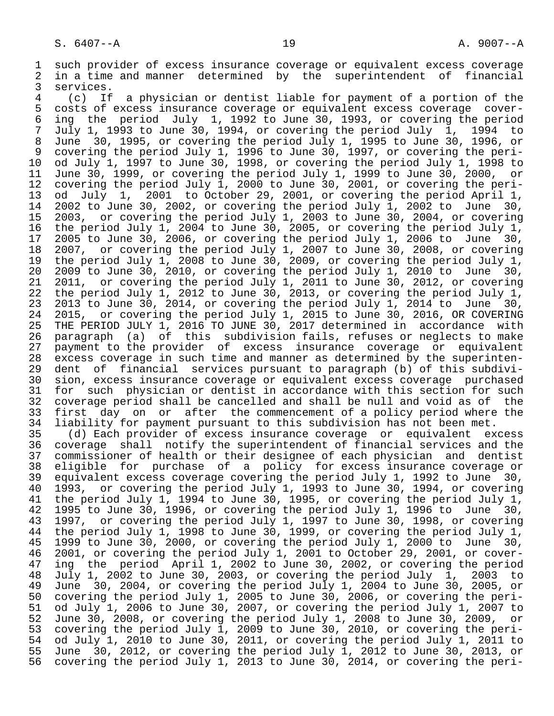1 such provider of excess insurance coverage or equivalent excess coverage<br>2 in a time and manner determined by the superintendent of financial 2 in a time and manner determined by the superintendent of financial<br>3 services. 3 services.<br>4 (c) If

 4 (c) If a physician or dentist liable for payment of a portion of the 5 costs of excess insurance coverage or equivalent excess coverage cover-<br>6 ing the period July 1, 1992 to June 30, 1993, or covering the period 6 ing the period July 1, 1992 to June 30, 1993, or covering the period 7 July 1, 1993 to June 30, 1994, or covering the period July 1,<br>8 June 30, 1995, or covering the period July 1, 1995 to June 30, 8 June 30, 1995, or covering the period July 1, 1995 to June 30, 1996, or 9 covering the period July 1, 1996 to June 30, 1997, or covering the peri-<br>10 od July 1, 1997 to June 30, 1998, or covering the period July 1, 1998 to 10 od July 1, 1997 to June 30, 1998, or covering the period July 1, 1998 to<br>11 June 30, 1999, or covering the period July 1, 1999 to June 30, 2000, or 11 June 30, 1999, or covering the period July 1, 1999 to June 30, 2000, or<br>12 covering the period July 1, 2000 to June 30, 2001, or covering the peri-12 covering the period July 1, 2000 to June 30, 2001, or covering the peri-<br>13 od July 1, 2001 to October 29, 2001, or covering the period April 1, 13 od July 1, 2001 to October 29, 2001, or covering the period April 1,<br>14 2002 to June 30, 2002, or covering the period July 1, 2002 to June 30, 14 2002 to June 30, 2002, or covering the period July 1, 2002 to June 30, 15 2003, or covering the period July 1, 2003 to June 30, 2004, or covering<br>16 the period July 1, 2004 to June 30, 2005, or covering the period July 1, 16 the period July 1, 2004 to June 30, 2005, or covering the period July 1,<br>17 2005 to June 30, 2006, or covering the period July 1, 2006 to June 30, 17 2005 to June 30, 2006, or covering the period July 1, 2006 to June 30,<br>18 2007, or covering the period July 1, 2007 to June 30, 2008, or covering 18 2007, or covering the period July 1, 2007 to June 30, 2008, or covering<br>19 the period July 1, 2008 to June 30, 2009, or covering the period July 1, 19 the period July 1, 2008 to June 30, 2009, or covering the period July 1,<br>20 2009 to June 30, 2010, or covering the period July 1, 2010 to June 30,  $20$   $2009$  to June  $30$ ,  $2010$ , or covering the period July 1,  $2010$  to June 30,<br>21 2011, or covering the period July 1, 2011 to June 30, 2012, or covering 21 2011, or covering the period July 1, 2011 to June 30, 2012, or covering<br>22 the period July 1, 2012 to June 30, 2013, or covering the period July 1, 22 the period July 1, 2012 to June 30, 2013, or covering the period July 1,<br>23 2013 to June 30, 2014, or covering the period July 1, 2014 to June 30, 23 2013 to June 30, 2014, or covering the period July 1, 2014 to June 30,<br>24 2015, or covering the period July 1, 2015 to June 30, 2016, OR COVERING 24 2015, or covering the period July 1, 2015 to June 30, 2016, OR COVERING<br>25 THE PERIOD JULY 1, 2016 TO JUNE 30, 2017 determined in accordance with THE PERIOD JULY 1, 2016 TO JUNE 30, 2017 determined in accordance with 26 paragraph (a) of this subdivision fails, refuses or neglects to make 27 payment to the provider of excess insurance coverage or<br>28 excess coverage in such time and manner as determined by the s 28 excess coverage in such time and manner as determined by the superinten-<br>29 dent of financial services pursuant to paragraph (b) of this subdivi-29 dent of financial services pursuant to paragraph (b) of this subdivi-<br>20 sion, excess insurance coverage or equivalent excess coverage purchased 30 sion, excess insurance coverage or equivalent excess coverage purchased<br>31 for such physician or dentist in accordance with this section for such 31 for such physician or dentist in accordance with this section for such<br>32 coverage period shall be cancelled and shall be null and void as of the 32 coverage period shall be cancelled and shall be null and void as of the<br>33 first day on or after the commencement of a policy period where the 33 first day on or after the commencement of a policy period where the<br>34 liability for payment pursuant to this subdivision has not been met. 34 liability for payment pursuant to this subdivision has not been met.<br>35 (d) Each provider of excess insurance coverage or equivalent ex

 35 (d) Each provider of excess insurance coverage or equivalent excess coverage shall notify the superintendent of financial services and the 37 commissioner of health or their designee of each physician and dentist 38 eligible for purchase of a policy for excess insurance coverage or<br>39 equivalent excess coverage covering the period July 1, 1992 to June 30, 39 equivalent excess coverage covering the period July 1, 1992 to June 30,<br>40 1993, or covering the period July 1, 1993 to June 30, 1994, or covering 40 1993, or covering the period July 1, 1993 to June 30, 1994, or covering<br>41 the period July 1, 1994 to June 30, 1995, or covering the period July 1, 41 the period July 1, 1994 to June 30, 1995, or covering the period July 1,<br>42 1995 to June 30, 1996, or covering the period July 1, 1996 to June 30, 42 1995 to June 30, 1996, or covering the period July 1, 1996 to June 30,<br>43 1997, or covering the period July 1, 1997 to June 30, 1998, or covering 43 1997, or covering the period July 1, 1997 to June 30, 1998, or covering<br>44 the period July 1, 1998 to June 30, 1999, or covering the period July 1, 44 the period July 1, 1998 to June 30, 1999, or covering the period July 1,<br>45 1999 to June 30, 2000, or covering the period July 1, 2000 to June 30, 45 1999 to June 30, 2000, or covering the period July 1, 2000 to June 30, 46 2001, or covering the period July 1, 2001 to October 29, 2001, or cover-<br>47 ing the period April 1, 2002 to June 30, 2002, or covering the period ing the period April 1, 2002 to June 30, 2002, or covering the period 48 July 1, 2002 to June 30, 2003, or covering the period July 1, 2003 to 49 June 30, 2004, or covering the period July 1, 2004 to June 30, 2005, or<br>50 covering the period July 1, 2005 to June 30, 2006, or covering the peri-50 covering the period July 1, 2005 to June 30, 2006, or covering the peri-<br>51 od July 1, 2006 to June 30, 2007, or covering the period July 1, 2007 to 51 od July 1, 2006 to June 30, 2007, or covering the period July 1, 2007 to<br>52 June 30, 2008, or covering the period July 1, 2008 to June 30, 2009, or 52 June 30, 2008, or covering the period July 1, 2008 to June 30, 2009, or<br>53 covering the period July 1, 2009 to June 30, 2010, or covering the peri-53 covering the period July 1, 2009 to June 30, 2010, or covering the peri-<br>54 od July 1, 2010 to June 30, 2011, or covering the period July 1, 2011 to 54 od July 1, 2010 to June 30, 2011, or covering the period July 1, 2011 to<br>55 June 30, 2012, or covering the period July 1, 2012 to June 30, 2013, or 55 June 30, 2012, or covering the period July 1, 2012 to June 30, 2013, or 56 covering the period July 1, 2013 to June 30, 2014, or covering the peri-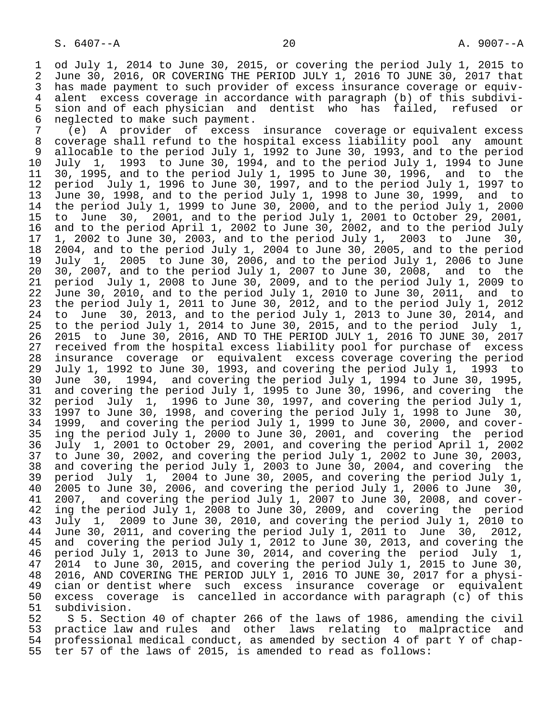1 od July 1, 2014 to June 30, 2015, or covering the period July 1, 2015 to<br>2 June 30, 2016, OR COVERING THE PERIOD JULY 1, 2016 TO JUNE 30, 2017 that 2 June 30, 2016, OR COVERING THE PERIOD JULY 1, 2016 TO JUNE 30, 2017 that<br>3 has made payment to such provider of excess insurance coverage or equiv- 3 has made payment to such provider of excess insurance coverage or equiv- 4 alent excess coverage in accordance with paragraph (b) of this subdivi- 5 sion and of each physician and dentist who has failed, refused or<br>6 neglected to make such payment. 6 neglected to make such payment.

 7 (e) A provider of excess insurance coverage or equivalent excess coverage shall refund to the hospital excess liability pool any amount 9 allocable to the period July 1, 1992 to June 30, 1993, and to the period<br>10 July 1, 1993 to June 30, 1994, and to the period July 1, 1994 to June 10 July 1, 1993 to June 30, 1994, and to the period July 1, 1994 to June 11 30, 1995, and to the period July 1, 1995 to June 30, 1996, and to the<br>12 period July 1, 1996 to June 30, 1997, and to the period July 1, 1997 to 12 period July 1, 1996 to June 30, 1997, and to the period July 1, 1997 to 13 June 30, 1998, and to the period July 1, 1998 to June 30, 1999, and to 14 the period July 1, 1999 to June 30, 2000, and to the period July 1, 2000 15 to June 30, 2001, and to the period July 1, 2001 to October 29, 2001, 16 and to the period April 1, 2002 to June 30, 2002, and to the period July<br>17 1, 2002 to June 30, 2003, and to the period July 1, 2003 to June 30, 17 1, 2002 to June 30, 2003, and to the period July 1, 2003 to June 30,<br>18 2004, and to the period July 1, 2004 to June 30, 2005, and to the period 18 2004, and to the period July 1, 2004 to June 30, 2005, and to the period<br>19 July 1, 2005 to June 30, 2006, and to the period July 1, 2006 to June 19 July 1, 2005 to June 30, 2006, and to the period July 1, 2006 to June 20 30, 2007, and to the period July 1, 2007 to June 30, 2008, and to the<br>21 period July 1, 2008 to June 30, 2009, and to the period July 1, 2009 to 21 period July 1, 2008 to June 30, 2009, and to the period July 1, 2009 to  $22$  June 30, 2010, and to the period July 1, 2010 to June 30, 2011, and to<br>23 the period July 1, 2011 to June 30, 2012, and to the period July 1, 2012 23 the period July 1, 2011 to June 30, 2012, and to the period July 1, 2012<br>24 to June 30, 2013, and to the period July 1, 2013 to June 30, 2014, and 24 to June 30, 2013, and to the period July 1, 2013 to June 30, 2014, and<br>25 to the period July 1, 2014 to June 30, 2015, and to the period July 1, to the period July 1, 2014 to June 30, 2015, and to the period July 1, 26 2015 to June 30, 2016, AND TO THE PERIOD JULY 1, 2016 TO JUNE 30, 2017 27 received from the hospital excess liability pool for purchase of excess<br>28 insurance coverage or equivalent excess coverage covering the period 28 insurance coverage or equivalent excess coverage covering the period<br>29 July 1, 1992 to June 30, 1993, and covering the period July 1, 1993 to 29 July 1, 1992 to June 30, 1993, and covering the period July 1, 1993 to<br>30 June 30, 1994, and covering the period July 1, 1994 to June 30, 1995, 30 June 30, 1994, and covering the period July 1, 1994 to June 30, 1995, 31 and covering the period July 1, 1995 to June 30, 1996, and covering the<br>32 period July 1, 1996 to June 30, 1997, and covering the period July 1, 32 period July 1, 1996 to June 30, 1997, and covering the period July 1,<br>33 1997 to June 30, 1998, and covering the period July 1, 1998 to June 30, 33 1997 to June 30, 1998, and covering the period July 1, 1998 to June 30, 34 1999, and covering the period July 1, 1999 to June 30, 2000, and cover-<br>35 ing the period July 1, 2000 to June 30, 2001, and covering the period <sup>35</sup> ing the period July 1, 2000 to June 30, 2001, and covering the period<br>36 July 1, 2001 to October 29, 2001, and covering the period April 1, 2002 36 July 1, 2001 to October 29, 2001, and covering the period April 1, 2002 37 to June 30, 2002, and covering the period July 1, 2002 to June 30, 2003, 38 and covering the period July 1, 2003 to June 30, 2004, and covering the<br>39 period July 1, 2004 to June 30, 2005, and covering the period July 1, 39 period July 1, 2004 to June 30, 2005, and covering the period July 1,  $40$  2005 to June 30, 40 2005 to June 30, 2006, and covering the period July 1, 2006 to June 30,<br>41 2007, and covering the period July 1, 2007 to June 30, 2008, and cover-41 2007, and covering the period July 1, 2007 to June 30, 2008, and cover-<br>42 ing the period July 1, 2008 to June 30, 2009, and covering the period 42 ing the period July 1, 2008 to June 30, 2009, and covering the period<br>43 July 1, 2009 to June 30, 2010, and covering the period July 1, 2010 to 43 July 1, 2009 to June 30, 2010, and covering the period July 1, 2010 to<br>44 June 30, 2011, and covering the period July 1, 2011 to June 30, 2012, 44 June 30, 2011, and covering the period July 1, 2011 to June 30, 2012,<br>45 and covering the period July 1, 2012 to June 30, 2013, and covering the and covering the period July 1, 2012 to June 30, 2013, and covering the 46 period July 1, 2013 to June 30, 2014, and covering the period July 1, 47 2014 to June 30, 2015, and covering the period July 1, 2015 to June 30, 48 2016, AND COVERING THE PERIOD JULY 1, 2016 TO JUNE 30, 2017 for a physi- 49 cian or dentist where such excess insurance coverage or equivalent<br>50 excess coverage is cancelled in accordance with paragraph (c) of this 50 excess coverage is cancelled in accordance with paragraph (c) of this 51 subdivision.<br>52 S 5. Secti

52 S 5. Section 40 of chapter 266 of the laws of 1986, amending the civil<br>53 practice law and rules and other laws relating to malpractice and 53 practice law and rules and other laws relating to malpractice and<br>54 professional medical conduct, as amended by section 4 of part Y of chap-54 professional medical conduct, as amended by section 4 of part Y of chap-<br>55 ter 57 of the laws of 2015, is amended to read as follows: ter 57 of the laws of 2015, is amended to read as follows: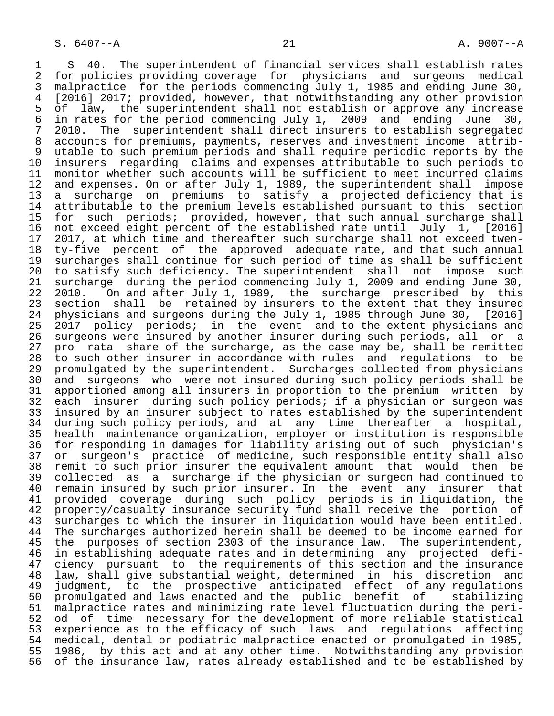1 S 40. The superintendent of financial services shall establish rates<br>2 for policies providing coverage for physicians and surgeons medical 2 for policies providing coverage for physicians and surgeons medical<br>3 malpractice for the periods commencing July 1, 1985 and ending June 30, 3 malpractice for the periods commencing July 1, 1985 and ending June 30,<br>4 [2016] 2017; provided, however, that notwithstanding any other provision 4 [2016] 2017; provided, however, that notwithstanding any other provision<br>5 of law, the superintendent shall not establish or approve any increase 5 of law, the superintendent shall not establish or approve any increase<br>6 in rates for the period commencing July 1, 2009 and ending June 30, 6 in rates for the period commencing July 1, 2009 and ending June 30,<br>7 2010. The superintendent shall direct insurers to establish segregated 7 2010. The superintendent shall direct insurers to establish segregated<br>8 accounts for premiums, payments, reserves and investment income attrib-8 accounts for premiums, payments, reserves and investment income attrib-<br>9 utable to such premium periods and shall require periodic reports by the 9 utable to such premium periods and shall require periodic reports by the<br>10 insurers regarding claims and expenses attributable to such periods to 10 insurers regarding claims and expenses attributable to such periods to<br>11 monitor whether such accounts will be sufficient to meet incurred claims 11 monitor whether such accounts will be sufficient to meet incurred claims<br>12 and expenses. On or after July 1, 1989, the superintendent shall impose 12 and expenses. On or after July 1, 1989, the superintendent shall impose<br>13 a surcharge on premiums to satisfy a projected deficiency that is 13 a surcharge on premiums to satisfy a projected deficiency that is<br>14 attributable to the premium levels established pursuant to this section 14 attributable to the premium levels established pursuant to this section<br>15 for such periods; provided, however, that such annual surcharge shall 15 for such periods; provided, however, that such annual surcharge shall<br>16 not exceed eight percent of the established rate until July 1, [2016] 16 not exceed eight percent of the established rate until July 1, [2016]<br>17 2017, at which time and thereafter such surcharge shall not exceed twen-17 2017, at which time and thereafter such surcharge shall not exceed twen-<br>18 ty-five percent of the approved adequate rate, and that such annual 18 ty-five percent of the approved adequate rate, and that such annual<br>19 surcharges shall continue for such period of time as shall be sufficient 19 surcharges shall continue for such period of time as shall be sufficient<br>20 to satisfy such deficiency. The superintendent shall not impose such 20 to satisfy such deficiency. The superintendent shall not impose such 21 surcharge during the period commencing July 1, 2009 and ending June 30, 22 2010. On and after July 1, 1989, the surcharge prescribed by this<br>23 section shall be retained by insurers to the extent that they insured 23 section shall be retained by insurers to the extent that they insured<br>24 physicians and surgeons during the July 1, 1985 through June 30, [2016] 24 physicians and surgeons during the July 1, 1985 through June 30, [2016]<br>25 2017 policy periods; in the event and to the extent physicians and 2017 policy periods; in the event and to the extent physicians and 26 surgeons were insured by another insurer during such periods, all or a<br>27 pro rata share of the surcharge, as the case may be, shall be remitted 27 pro rata share of the surcharge, as the case may be, shall be remitted<br>28 to such other insurer in accordance with rules and requlations to be 28 to such other insurer in accordance with rules and regulations to be<br>29 promulgated by the superintendent. Surcharges collected from physicians 29 promulgated by the superintendent. Surcharges collected from physicians<br>30 and surgeons who were not insured during such policy periods shall be 30 and surgeons who were not insured during such policy periods shall be<br>31 apportioned among all insurers in proportion to the premium written by 31 apportioned among all insurers in proportion to the premium written by<br>32 each insurer during such policy periods; if a physician or surgeon was 32 each insurer during such policy periods; if a physician or surgeon was<br>33 insured by an insurer subject to rates established by the superintendent 33 insured by an insurer subject to rates established by the superintendent<br>34 during such policy periods, and at any time thereafter a hospital, 34 during such policy periods, and at any time thereafter a hospital,<br>35 health maintenance organization, emplover or institution is responsible 35 health maintenance organization, employer or institution is responsible<br>36 for responding in damages for liability arising out of such physician's for responding in damages for liability arising out of such physician's 37 or surgeon's practice of medicine, such responsible entity shall also<br>38 remit to such prior insurer the equivalent amount that would then be 38 remit to such prior insurer the equivalent amount that would<br>39 collected as a surcharge if the physician or surgeon had con 39 collected as a surcharge if the physician or surgeon had continued to<br>40 remain insured by such prior insurer. In the event any insurer that 40 remain insured by such prior insurer. In the event any insurer that<br>41 provided coverage during such policy periods is in liguidation, the 41 provided coverage during such policy periods is in liquidation, the 42 property/casualty insurance security fund shall receive the portion of 43 surcharges to which the insurer in liquidation would have been entitled.<br>44 The surcharges authorized herein shall be deemed to be income earned for 44 The surcharges authorized herein shall be deemed to be income earned for<br>45 the purposes of section 2303 of the insurance law. The superintendent, 45 the purposes of section 2303 of the insurance law. The superintendent,<br>46 in establishing adequate rates and in determining any projected defi- 46 in establishing adequate rates and in determining any projected defi- 47 ciency pursuant to the requirements of this section and the insurance<br>48 law, shall give substantial weight, determined in his discretion and 48 law, shall give substantial weight, determined in his discretion and 49 judgment, to the prospective anticipated effect of any regulations 50 promulgated and laws enacted and the public benefit of stabilizing 51 malpractice rates and minimizing rate level fluctuation during the peri-<br>52 od of time necessary for the development of more reliable statistical 52 od of time necessary for the development of more reliable statistical<br>53 experience as to the efficacy of such laws and requlations affecting 53 experience as to the efficacy of such laws and regulations affecting<br>54 medical, dental or podiatric malpractice enacted or promulgated in 1985, 54 medical, dental or podiatric malpractice enacted or promulgated in 1985,<br>55 1986, by this act and at any other time. Notwithstanding any provision 55 1986, by this act and at any other time. Notwithstanding any provision<br>56 of the insurance law, rates already established and to be established by of the insurance law, rates already established and to be established by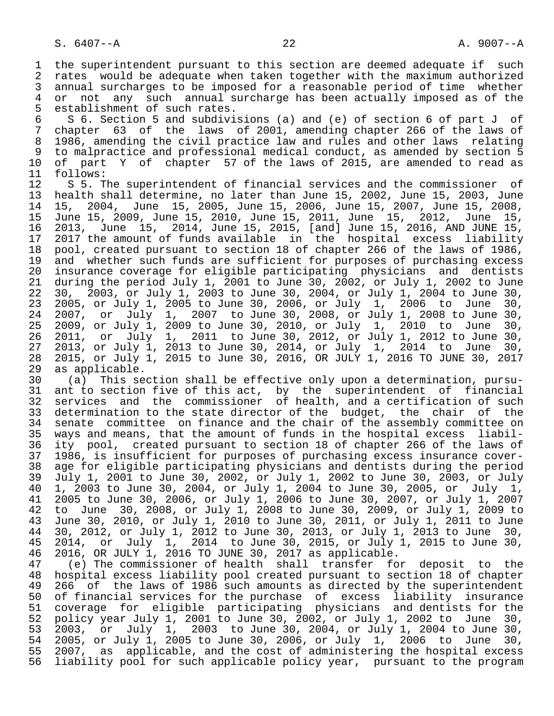1 the superintendent pursuant to this section are deemed adequate if such<br>2 rates would be adequate when taken together with the maximum authorized 2 rates would be adequate when taken together with the maximum authorized<br>3 annual surcharges to be imposed for a reasonable period of time whether 3 annual surcharges to be imposed for a reasonable period of time whether<br>4 or not any such annual surcharge has been actually imposed as of the 4 or not any such annual surcharge has been actually imposed as of the 45 seathers. 5 establishment of such rates.<br>6 S 6. Section 5 and subdivi

 6 S 6. Section 5 and subdivisions (a) and (e) of section 6 of part J of 7 chapter 63 of the laws of 2001, amending chapter 266 of the laws of 8 1986, amending the civil practice law and rules and other laws relating<br>9 to malpractice and professional medical conduct, as amended by section 5 9 to malpractice and professional medical conduct, as amended by section 5<br>10 of part Y of chapter 57 of the laws of 2015, are amended to read as 10 of part Y of chapter 57 of the laws of 2015, are amended to read as 11 follows:

11 follows:<br>12 S 5. T 12 S 5. The superintendent of financial services and the commissioner of<br>13 health shall determine, no later than June 15, 2002, June 15, 2003, June 13 health shall determine, no later than June 15, 2002, June 15, 2003, June 15, 2004, June 15, 2005, June 15, 2006, June 15, 2007, June 15, 2008, 15 June 15, 2009, June 15, 2010, June 15, 2011, June 15, 2012, June 15, 16 2013, June 15, 2014, June 15, 2015, [and] June 15, 2016, AND JUNE 15, 17 2017 the amount of funds available in the hospital excess liability 18 pool, created pursuant to section 18 of chapter 266 of the laws of 1986,<br>19 and whether such funds are sufficient for purposes of purchasing excess 19 and whether such funds are sufficient for purposes of purchasing excess<br>20 insurance coverage for eligible participating physicians and dentists 20 insurance coverage for eligible participating physicians and dentists<br>21 during the period July 1, 2001 to June 30, 2002, or July 1, 2002 to June 21 during the period July 1, 2001 to June 30, 2002, or July 1, 2002 to June 22 30, 2003, or July 1, 2003 to June 30, 2004, or July 1, 2004 to June 30, 23 2005, or July 1, 2005 to June 30, 2006, or July 1, 2006 to June 30, 24 2007, or July 1, 2007 to June 30, 2008, or July 1, 2008 to June 30, 25 2009, or July 1, 2009 to June 30, 2010, or July 1, 2010 to June 30, 26 2011, or July 1, 2011 to June 30, 2012, or July 1, 2012 to June 30, 27 2013, or July 1, 2013 to June 30, 2014, or July 1, 2014 to June 30, 28 2015, or July 1, 2015 to June 30, 2016, OR JULY 1, 2016 TO JUNE 30, 2017 29 as applicable.<br>30 (a) This se

 30 (a) This section shall be effective only upon a determination, pursu- 31 ant to section five of this act, by the superintendent of financial 32 services and the commissioner of health, and a certification of such 33 determination to the state director of the budget, the chair of the<br>34 senate committee on finance and the chair of the assembly committee on 34 senate committee on finance and the chair of the assembly committee on<br>35 ways and means, that the amount of funds in the hospital excess liabil-35 ways and means, that the amount of funds in the hospital excess liabil-<br>36 ity pool, created pursuant to section 18 of chapter 266 of the laws of ity pool, created pursuant to section 18 of chapter 266 of the laws of 37 1986, is insufficient for purposes of purchasing excess insurance cover- 38 age for eligible participating physicians and dentists during the period<br>39 July 1, 2001 to June 30, 2002, or July 1, 2002 to June 30, 2003, or July 39 July 1, 2001 to June 30, 2002, or July 1, 2002 to June 30, 2003, or July 40 1, 2003 to June 30, 2004, or July 1, 2004 to June 30, 2005, or July 1, 41 2005 to June 30, 2006, or July 1, 2006 to June 30, 2007, or July 1, 2007 42 to June 30, 2008, or July 1, 2008 to June 30, 2009, or July 1, 2009 to<br>43 June 30, 2010, or July 1, 2010 to June 30, 2011, or July 1, 2011 to June 43 June 30, 2010, or July 1, 2010 to June 30, 2011, or July 1, 2011 to June 44 30, 2012, or July 1, 2012 to June 30, 2013, or July 1, 2013 to June 30, 45 2014, or July 1, 2014 to June 30, 2015, or July 1, 2015 to June 30, 46 2016, OR JULY 1, 2016 TO JUNE 30, 2017 as applicable.

 47 (e) The commissioner of health shall transfer for deposit to the 48 hospital excess liability pool created pursuant to section 18 of chapter<br>49 266 of the laws of 1986 such amounts as directed by the superintendent 49 266 of the laws of 1986 such amounts as directed by the superintendent<br>50 of financial services for the purchase of excess liability insurance 50 of financial services for the purchase of excess liability insurance<br>51 coverage for eligible participating physicians and dentists for the 51 coverage for eligible participating physicians and dentists for the<br>52 policy year July 1, 2001 to June 30, 2002, or July 1, 2002 to June 30, 52 policy year July 1, 2001 to June 30, 2002, or July 1, 2002 to June 30, 53 2003, or July 1, 2003 to June 30, 2004, or July 1, 2004 to June 30, 54 2005, or July 1, 2005 to June 30, 2006, or July 1, 2006 to June 30, 55 2007, as applicable, and the cost of administering the hospital excess<br>56 liability pool for such applicable policy year, pursuant to the program liability pool for such applicable policy year, pursuant to the program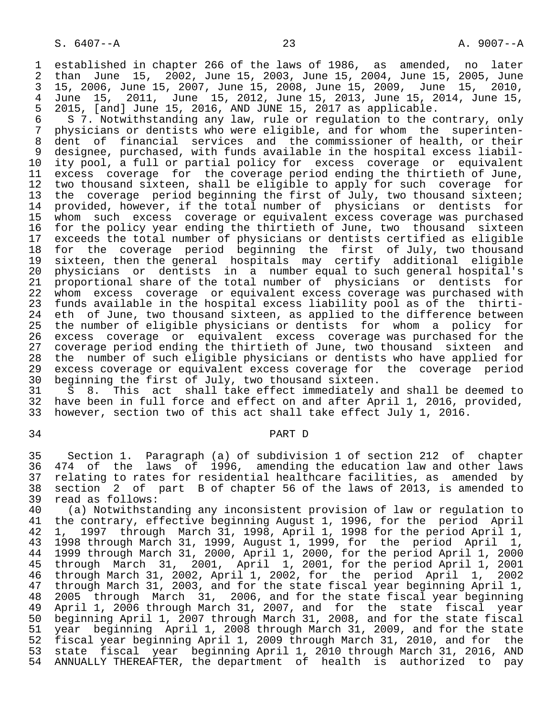1 established in chapter 266 of the laws of 1986, as amended, no later<br>2 than June 15, 2002, June 15, 2003, June 15, 2004, June 15, 2005, June 2 than June 15, 2002, June 15, 2003, June 15, 2004, June 15, 2005, June 3 15, 2006, June 15, 2007, June 15, 2008, June 15, 2009, June 15, 2010, 4 June 15, 2011, June 15, 2012, June 15, 2013, June 15, 2014, June 15, 5 2015, [and] June 15, 2016, AND JUNE 15, 2017 as applicable.<br>6 S 7. Notwithstanding any law, rule or regulation to the c

6 S 7. Notwithstanding any law, rule or regulation to the contrary, only<br>7 physicians or dentists who were eligible, and for whom the superinten-7 physicians or dentists who were eligible, and for whom the superinten-<br>8 dent of financial services and the commissioner of health, or their 8 dent of financial services and the commissioner of health, or their<br>9 designee, purchased, with funds available in the hospital excess liabil- 9 designee, purchased, with funds available in the hospital excess liabil- 10 ity pool, a full or partial policy for excess coverage or equivalent 11 excess coverage for the coverage period ending the thirtieth of June,<br>12 two thousand sixteen, shall be eligible to apply for such coverage for 12 two thousand sixteen, shall be eligible to apply for such coverage for<br>13 the coverage period beginning the first of July, two thousand sixteen; 11 the coverage period beginning the first of July, two thousand sixteen;<br>14 provided, however, if the total number of physicians or dentists for provided, however, if the total number of physicians or dentists for 15 whom such excess coverage or equivalent excess coverage was purchased<br>16 for the policy year ending the thirtieth of June, two thousand sixteen 16 for the policy year ending the thirtieth of June, two thousand sixteen<br>17 exceeds the total number of physicians or dentists certified as eligible 17 exceeds the total number of physicians or dentists certified as eligible<br>18 for the coverage period beginning the first of July, two thousand 18 for the coverage period beginning the first of July, two thousand<br>19 sixteen, then the general hospitals may certify additional eligible 19 sixteen, then the general hospitals may certify additional eligible 20 physicians or dentists in a number equal to such general hospital's<br>21 proportional share of the total number of physicians or dentists for 21 proportional share of the total number of physicians or dentists for<br>22 whom excess coverage or equivalent excess coverage was purchased with 22 whom excess coverage or equivalent excess coverage was purchased with<br>23 funds available in the hospital excess liability pool as of the thirti-23 funds available in the hospital excess liability pool as of the thirti-<br>24 eth of June, two thousand sixteen, as applied to the difference between 24 eth of June, two thousand sixteen, as applied to the difference between<br>25 the number of eligible physicians or dentists for whom a policy for the number of eligible physicians or dentists 26 excess coverage or equivalent excess coverage was purchased for the 27 coverage period ending the thirtieth of June, two thousand sixteen and<br>28 the number of such eligible physicians or dentists who have applied for 28 the number of such eligible physicians or dentists who have applied for<br>29 excess coverage or equivalent excess coverage for the coverage period 29 excess coverage or equivalent excess coverage for the coverage period<br>30 beginning the first of July, two thousand sixteen. 30 beginning the first of July, two thousand sixteen.<br>31 S 8. This act shall take effect immediately

31 S 8. This act shall take effect immediately and shall be deemed to<br>32 have been in full force and effect on and after April 1, 2016, provided, 32 have been in full force and effect on and after April 1, 2016, provided,<br>33 however, section two of this act shall take effect July 1, 2016. however, section two of this act shall take effect July 1, 2016.

#### 34 PART D

 35 Section 1. Paragraph (a) of subdivision 1 of section 212 of chapter 36 474 of the laws of 1996, amending the education law and other laws<br>37 relating to rates for residential healthcare facilities, as amended by 37 relating to rates for residential healthcare facilities, as amended by<br>38 section 2 of part B of chapter 56 of the laws of 2013, is amended to 38 section 2 of part B of chapter 56 of the laws of 2013, is amended to 39 read as follows:<br>40 (a) Notwithsta

40 (a) Notwithstanding any inconsistent provision of law or regulation to<br>41 the contrary, effective beginning August 1, 1996, for the period April 41 the contrary, effective beginning August 1, 1996, for the period April<br>42 1, 1997 through March 31, 1998, April 1, 1998 for the period April 1, 42 1, 1997 through March 31, 1998, April 1, 1998 for the period April 1,<br>43 1998 through March 31, 1999, August 1, 1999, for the period April 1, 43 1998 through March 31, 1999, August 1, 1999, for the period April 1, 1999 through March 31, 2000, April 1, 2000, for the period April 1, 2000<br>45 through March 31, 2001, April 1, 2001, for the period April 1, 2001 through March 31, 2001, April 1, 2001, for the period April 1, 2001<br>through March 31, 2002, April 1, 2002, for the period April 1. 2002 46 through March 31, 2002, April 1, 2002, for the period April 1,<br>47 through March 31, 2003, and for the state fiscal year beginning Apr: 47 through March 31, 2003, and for the state fiscal year beginning April 1,<br>48 2005 through March 31, 2006, and for the state fiscal year beginning 48 2005 through March 31, 2006, and for the state fiscal year beginning<br>49 April 1, 2006 through March 31, 2007, and for the state fiscal year 49 April 1, 2006 through March 31, 2007, and for the state fiscal year<br>50 beginning April 1, 2007 through March 31, 2008, and for the state fiscal 50 beginning April 1, 2007 through March 31, 2008, and for the state fiscal 51 year beginning April 1, 2008 through March 31, 2009, and for the state<br>52 fiscal year beginning April 1, 2009 through March 31, 2010, and for the 52 fiscal year beginning April 1, 2009 through March 31, 2010, and for the<br>53 state fiscal year beginning April 1, 2010 through March 31, 2016, AND 53 state fiscal year beginning April 1, 2010 through March 31, 2016, AND<br>54 ANNUALLY THEREAFTER, the department of health is authorized to pay ANNUALLY THEREAFTER, the department of health is authorized to pay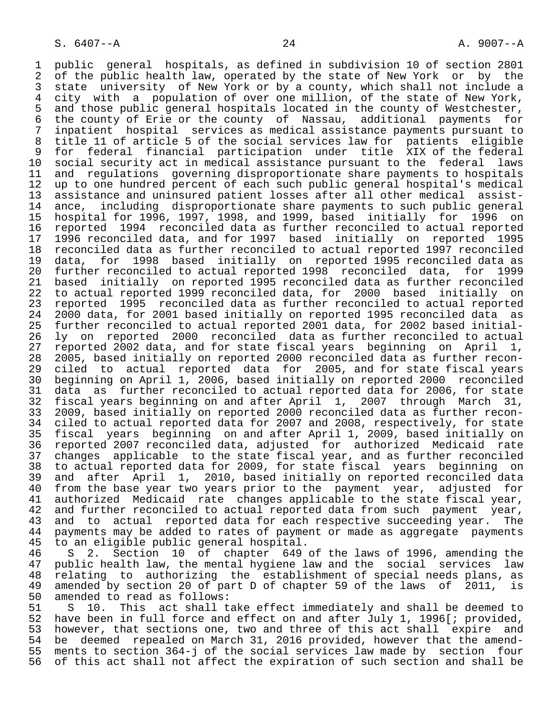1 public general hospitals, as defined in subdivision 10 of section 2801<br>2 of the public health law, operated by the state of New York or by the 2 of the public health law, operated by the state of New York or by the<br>3 state university of New York or by a county, which shall not include a 3 state university of New York or by a county, which shall not include a<br>4 city with a population of over one million, of the state of New York, 4 city with a population of over one million, of the state of New York,<br>5 and those public general hospitals located in the county of Westchester, 5 and those public general hospitals located in the county of Westchester,<br>6 the county of Erie or the county of Nassau, additional payments for 6 the county of Erie or the county of Nassau, additional payments for<br>7 inpatient hospital services as medical assistance payments pursuant to 7 inpatient hospital services as medical assistance payments pursuant to 8 title 11 of article 5 of the social services law for patients eligible 9 for federal financial participation under title XIX of the federal<br>10 social security act in medical assistance pursuant to the federal laws 10 social security act in medical assistance pursuant to the federal<br>11 and regulations governing disproportionate share payments to hosp 11 and regulations governing disproportionate share payments to hospitals<br>12 up to one hundred percent of each such public general hospital's medical 12 up to one hundred percent of each such public general hospital's medical<br>13 assistance and uninsured patient losses after all other medical assist-13 assistance and uninsured patient losses after all other medical assist-<br>14 ance, including disproportionate share payments to such public general ance, including disproportionate share payments to such public general 15 hospital for 1996, 1997, 1998, and 1999, based initially for 1996 on 16 reported 1994 reconciled data as further reconciled to actual reported 17 1996 reconciled data, and for 1997 based initially on reported 1995 18 reconciled data as further reconciled to actual reported 1997 reconciled<br>19 data, for 1998 based initially on reported 1995 reconciled data as 19 data, for 1998 based initially on reported 1995 reconciled data as 20 further reconciled to actual reported 1998 reconciled data, for 1999<br>21 based initially on reported 1995 reconciled data as further reconciled 21 based initially on reported 1995 reconciled data as further reconciled<br>22 to actual reported 1999 reconciled data, for 2000 based initially on 22 to actual reported 1999 reconciled data, for 2000 based initially on<br>23 reported 1995 reconciled data as further reconciled to actual reported 23 reported 1995 reconciled data as further reconciled to actual reported<br>24 2000 data, for 2001 based initially on reported 1995 reconciled data as 24 2000 data, for 2001 based initially on reported 1995 reconciled data as<br>25 further reconciled to actual reported 2001 data, for 2002 based initialfurther reconciled to actual reported 2001 data, for 2002 based initial-26 ly on reported 2000 reconciled data as further reconciled to actual<br>27 reported 2002 data, and for state fiscal years beginning on April 1, 27 reported 2002 data, and for state fiscal years beginning on April 1, 28 2005, based initially on reported 2000 reconciled data as further recon-<br>29 ciled to actual reported data for 2005, and for state fiscal years 29 ciled to actual reported data for 2005, and for state fiscal years 30 beginning on April 1, 2006, based initially on reported 2000 reconciled 31 data as further reconciled to actual reported data for 2006, for state<br>32 fiscal years beginning on and after April 1, 2007 through March 31, 32 fiscal years beginning on and after April 1, 2007 through March<br>33 2009, based initially on reported 2000 reconciled data as further rec 33 2009, based initially on reported 2000 reconciled data as further recon- 34 ciled to actual reported data for 2007 and 2008, respectively, for state<br>35 fiscal vears beginning on and after April 1, 2009, based initially on 35 fiscal years beginning on and after April 1, 2009, based initially on 36 reported 2007 reconciled data, adjusted for authorized Medicaid rate 37 changes applicable to the state fiscal year, and as further reconciled 38 to actual reported data for 2009, for state fiscal years beginning on 39 and after April 1, 2010, based initially on reported reconciled data<br>40 from the base year two years prior to the payment year, adjusted for 40 from the base year two years prior to the payment year, adjusted for<br>41 authorized Medicaid rate changes applicable to the state fiscal year, 41 authorized Medicaid rate changes applicable to the state fiscal year,<br>42 and further reconciled to actual reported data from such payment year, 42 and further reconciled to actual reported data from such payment year,<br>43 and to actual reported data for each respective succeeding year. The 43 and to actual reported data for each respective succeeding year. The<br>44 payments may be added to rates of payment or made as aggregate payments 44 payments may be added to rates of payment or made as aggregate payments<br>45 to an eligible public general hospital. 45 to an eligible public general hospital.<br>46 S 2. Section 10 of chapter 649

46 S 2. Section 10 of chapter 649 of the laws of 1996, amending the<br>47 public health law, the mental hygiene law and the social services law 47 public health law, the mental hygiene law and the social services law<br>48 relating to authorizing the establishment of special needs plans, as 48 relating to authorizing the establishment of special needs plans, as<br>49 amended by section 20 of part D of chapter 59 of the laws of 2011, is 49 amended by section 20 of part D of chapter 59 of the laws of 2011, is 50 amended to read as follows: 50 amended to read as follows:<br>51 S 10. This act shall t.

51 S 10. This act shall take effect immediately and shall be deemed to<br>52 have been in full force and effect on and after July 1, 1996[; provided, 52 have been in full force and effect on and after July 1, 1996[; provided,<br>53 however, that sections one, two and three of this act shall expire and 53 however, that sections one, two and three of this act shall expire and<br>54 be deemed repealed on March 31, 2016 provided, however that the amend-54 be deemed repealed on March 31, 2016 provided, however that the amend-<br>55 ments to section 364-j of the social services law made by section four 55 ments to section 364-j of the social services law made by section four of this act shall not affect the expiration of such section and shall be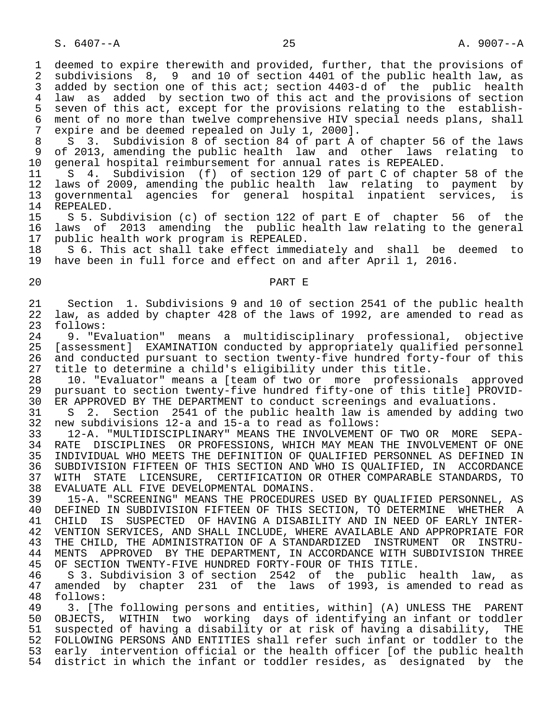S. 6407--A 25 A. 9007--A

1 deemed to expire therewith and provided, further, that the provisions of<br>2 subdivisions 8, 9 and 10 of section 4401 of the public health law, as 2 subdivisions 8, 9 and 10 of section 4401 of the public health law, as<br>3 added by section one of this act; section 4403-d of the public health 3 added by section one of this act; section 4403-d of the public health<br>4 law as added by section two of this act and the provisions of section 4 law as added by section two of this act and the provisions of section<br>5 seven of this act, except for the provisions relating to the establish-5 seven of this act, except for the provisions relating to the establish-<br>6 ment of no more than twelve comprehensive HIV special needs plans, shall 6 ment of no more than twelve comprehensive HIV special needs plans, shall<br>7 expire and be deemed repealed on July 1, 2000l. 7 expire and be deemed repealed on July 1, 2000].<br>8 S. 3. Subdivision 8 of section 84 of part A.

8 S 3. Subdivision 8 of section 84 of part A of chapter 56 of the laws<br>9 of 2013, amending the public health law and other laws relating to 9 of 2013, amending the public health law and other laws relating to<br>10 general hospital reimbursement for annual rates is REPEALED. 10 general hospital reimbursement for annual rates is REPEALED.<br>11 S 4. Subdivision (f) of section 129 of part C of chapt

11 S 4. Subdivision (f) of section 129 of part C of chapter 58 of the<br>12 laws of 2009, amending the public health law relating to payment by 12 laws of 2009, amending the public health law relating to payment by<br>13 governmental agencies for general hospital inpatient services, is 13 governmental agencies for general hospital inpatient services, is 14 REPEALED.<br>15 S 5. Su

 15 S 5. Subdivision (c) of section 122 of part E of chapter 56 of the 16 laws of 2013 amending the public health law relating to the general<br>17 public health work program is REPEALED. 17 public health work program is REPEALED.<br>18 S 6. This act shall take effect immed

18 S 6. This act shall take effect immediately and shall be deemed to<br>19 have been in full force and effect on and after April 1, 2016. have been in full force and effect on and after April 1, 2016.

# 20 PART E

21 Section 1. Subdivisions 9 and 10 of section 2541 of the public health<br>22 law, as added by chapter 428 of the laws of 1992, are amended to read as 22 law, as added by chapter 428 of the laws of 1992, are amended to read as 23 follows: 23 follows:<br>24 9. "Ev

 24 9. "Evaluation" means a multidisciplinary professional, objective 25 [assessment] EXAMINATION conducted by appropriately qualified personnel 26 and conducted pursuant to section twenty-five hundred forty-four of this<br>27 title to determine a child's eligibility under this title. 27 title to determine a child's eligibility under this title.<br>28 10. "Evaluator" means a Iteam of two or more professio

28 10. "Evaluator" means a [team of two or more professionals approved<br>29 pursuant to section twenty-five hundred fifty-one of this titlel PROVID-29 pursuant to section twenty-five hundred fifty-one of this title] PROVID-<br>30 ER APPROVED BY THE DEPARTMENT to conduct screenings and evaluations. 30 ER APPROVED BY THE DEPARTMENT to conduct screenings and evaluations.<br>31 S 2. Section 2541 of the public health law is amended by adding

31 S 2. Section 2541 of the public health law is amended by adding two<br>32 new subdivisions 12-a and 15-a to read as follows: 32 new subdivisions 12-a and 15-a to read as follows:

 33 12-A. "MULTIDISCIPLINARY" MEANS THE INVOLVEMENT OF TWO OR MORE SEPA- RATE DISCIPLINES OR PROFESSIONS, WHICH MAY MEAN THE INVOLVEMENT OF ONE 35 INDIVIDUAL WHO MEETS THE DEFINITION OF QUALIFIED PERSONNEL AS DEFINED IN<br>36 SUBDIVISION FIFTEEN OF THIS SECTION AND WHO IS OUALIFIED, IN ACCORDANCE 36 SUBDIVISION FIFTEEN OF THIS SECTION AND WHO IS QUALIFIED, IN ACCORDANCE<br>37 WITH STATE LICENSURE, CERTIFICATION OR OTHER COMPARABLE STANDARDS, TO 37 WITH STATE LICENSURE, CERTIFICATION OR OTHER COMPARABLE STANDARDS, TO<br>38 EVALUATE ALL FIVE DEVELOPMENTAL DOMAINS. 38 EVALUATE ALL FIVE DEVELOPMENTAL DOMAINS.<br>39 15-A. "SCREENING" MEANS THE PROCEDURES

 39 15-A. "SCREENING" MEANS THE PROCEDURES USED BY QUALIFIED PERSONNEL, AS 40 DEFINED IN SUBDIVISION FIFTEEN OF THIS SECTION, TO DETERMINE WHETHER A<br>41 CHILD IS SUSPECTED OF HAVING A DISABILITY AND IN NEED OF EARLY INTER-41 CHILD IS SUSPECTED OF HAVING A DISABILITY AND IN NEED OF EARLY INTER-<br>42 VENTION SERVICES, AND SHALL INCLUDE, WHERE AVAILABLE AND APPROPRIATE FOR 42 VENTION SERVICES, AND SHALL INCLUDE, WHERE AVAILABLE AND APPROPRIATE FOR<br>43 THE CHILD, THE ADMINISTRATION OF A STANDARDIZED INSTRUMENT OR INSTRU-THE CHILD, THE ADMINISTRATION OF A STANDARDIZED INSTRUMENT OR INSTRU-44 MENTS APPROVED BY THE DEPARTMENT, IN ACCORDANCE WITH SUBDIVISION THREE<br>45 OF SECTION TWENTY-FIVE HUNDRED FORTY-FOUR OF THIS TITLE. OF SECTION TWENTY-FIVE HUNDRED FORTY-FOUR OF THIS TITLE.

 46 S 3. Subdivision 3 of section 2542 of the public health law, as 47 amended by chapter 231 of the laws of 1993, is amended to read as 48 follows: 48 follows:<br>49 3. [Th

 49 3. [The following persons and entities, within] (A) UNLESS THE PARENT OBJECTS, WITHIN two working days of identifying an infant or toddler 51 suspected of having a disability or at risk of having a disability, THE<br>52 FOLLOWING PERSONS AND ENTITIES shall refer such infant or toddler to the 52 FOLLOWING PERSONS AND ENTITIES shall refer such infant or toddler to the<br>53 early intervention official or the health officer [of the public health early intervention official or the health officer [of the public health 54 district in which the infant or toddler resides, as designated by the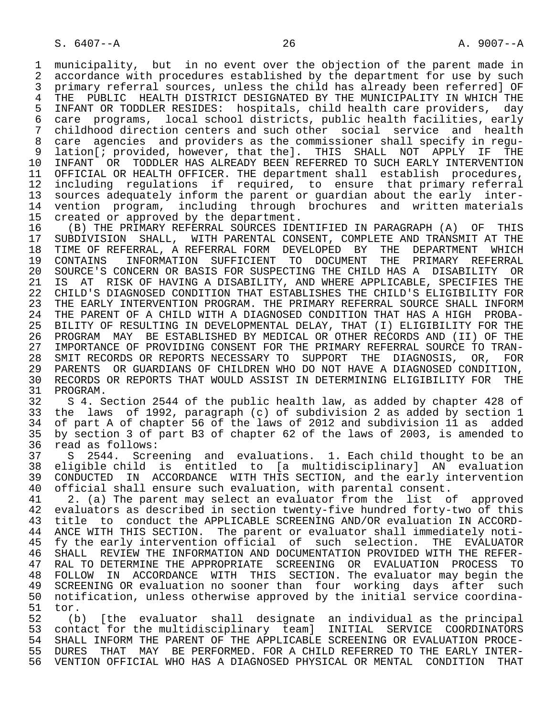1 municipality, but in no event over the objection of the parent made in<br>2 accordance with procedures established by the department for use by such 2 accordance with procedures established by the department for use by such<br>3 primary referral sources, unless the child has already been referredl OF 3 primary referral sources, unless the child has already been referred] OF<br>4 THE PUBLIC HEALTH DISTRICT DESIGNATED BY THE MUNICIPALITY IN WHICH THE 4 THE PUBLIC HEALTH DISTRICT DESIGNATED BY THE MUNICIPALITY IN WHICH THE<br>5 INFANT OR TODDLER RESIDES: hospitals, child health care providers, day 5 INFANT OR TODDLER RESIDES: hospitals, child health care providers, day 6 care programs, local school districts, public health facilities, early 7 childhood direction centers and such other social service and health 8 care agencies and providers as the commissioner shall specify in regu- 9 lation[; provided, however, that the]. THIS SHALL NOT APPLY IF THE<br>10 INFANT OR TODDLER HAS ALREADY BEEN REFERRED TO SUCH EARLY INTERVENTION 10 INFANT OR TODDLER HAS ALREADY BEEN REFERRED TO SUCH EARLY INTERVENTION<br>11 OFFICIAL OR HEALTH OFFICER. THE department shall establish procedures. 11 OFFICIAL OR HEALTH OFFICER. THE department shall establish procedures,<br>12 including regulations if reguired, to ensure that primary referral 12 including regulations if required, to ensure that primary referral<br>13 sources adequately inform the parent or quardian about the early inter- 13 sources adequately inform the parent or guardian about the early inter- 14 vention program, including through brochures and written materials<br>15 created or approved by the department.

15 created or approved by the department.<br>16 (B) THE PRIMARY REFERRAL SOURCES IDE 16 (B) THE PRIMARY REFERRAL SOURCES IDENTIFIED IN PARAGRAPH (A) OF THIS<br>17 SUBDIVISION SHALL, WITH PARENTAL CONSENT, COMPLETE AND TRANSMIT AT THE 17 SUBDIVISION SHALL, WITH PARENTAL CONSENT, COMPLETE AND TRANSMIT AT THE 18 TIME OF REFERRAL, A REFERRAL FORM DEVELOPED BY THE DEPARTMENT WHICH 18 TIME OF REFERRAL, A REFERRAL FORM DEVELOPED BY THE DEPARTMENT WHICH<br>19 CONTAINS INFORMATION SUFFICIENT TO DOCUMENT THE PRIMARY REFERRAL 19 CONTAINS INFORMATION SUFFICIENT TO DOCUMENT THE PRIMARY REFERRAL<br>20 SOURCE'S CONCERN OR BASIS FOR SUSPECTING THE CHILD HAS A DISABILITY OR 20 SOURCE'S CONCERN OR BASIS FOR SUSPECTING THE CHILD HAS A DISABILITY OR<br>21 IS AT RISK OF HAVING A DISABILITY, AND WHERE APPLICABLE, SPECIFIES THE 21 IS AT RISK OF HAVING A DISABILITY, AND WHERE APPLICABLE, SPECIFIES THE 22 CHILD'S DIAGNOSED CONDITION THAT ESTABLISHES THE CHILD'S ELIGIBILITY FOR 22 CHILD'S DIAGNOSED CONDITION THAT ESTABLISHES THE CHILD'S ELIGIBILITY FOR<br>23 THE EARLY INTERVENTION PROGRAM. THE PRIMARY REFERRAL SOURCE SHALL INFORM 23 THE EARLY INTERVENTION PROGRAM. THE PRIMARY REFERRAL SOURCE SHALL INFORM<br>24 THE PARENT OF A CHILD WITH A DIAGNOSED CONDITION THAT HAS A HIGH PROBA-24 THE PARENT OF A CHILD WITH A DIAGNOSED CONDITION THAT HAS A HIGH PROBA-<br>25 BILITY OF RESULTING IN DEVELOPMENTAL DELAY, THAT (I) ELIGIBILITY FOR THE 25 BILITY OF RESULTING IN DEVELOPMENTAL DELAY, THAT (I) ELIGIBILITY FOR THE 26 PROGRAM MAY BE ESTABLISHED BY MEDICAL OR OTHER RECORDS AND (II) OF THE 27 IMPORTANCE OF PROVIDING CONSENT FOR THE PRIMARY REFERRAL SOURCE TO TRAN-<br>28 SMIT RECORDS OR REPORTS NECESSARY TO SUPPORT THE DIAGNOSIS, OR, FOR 28 SMIT RECORDS OR REPORTS NECESSARY TO SUPPORT THE DIAGNOSIS, OR, FOR<br>29 PARENTS OR GUARDIANS OF CHILDREN WHO DO NOT HAVE A DIAGNOSED CONDITION, 29 PARENTS OR GUARDIANS OF CHILDREN WHO DO NOT HAVE A DIAGNOSED CONDITION,<br>30 RECORDS OR REPORTS THAT WOULD ASSIST IN DETERMINING ELIGIBILITY FOR THE 30 RECORDS OR REPORTS THAT WOULD ASSIST IN DETERMINING ELIGIBILITY FOR THE 31 PROGRAM. 31 PROGRAM.<br>32 S 4. S

 32 S 4. Section 2544 of the public health law, as added by chapter 428 of 33 the laws of 1992, paragraph (c) of subdivision 2 as added by section 1 34 of part A of chapter 56 of the laws of 2012 and subdivision 11 as added<br>35 by section 3 of part B3 of chapter 62 of the laws of 2003, is amended to 35 by section 3 of part B3 of chapter 62 of the laws of 2003, is amended to 36 read as follows:<br>37 S 2544. Scre

 37 S 2544. Screening and evaluations. 1. Each child thought to be an 38 eligible child is entitled to [a multidisciplinary] AN evaluation 39 CONDUCTED IN ACCORDANCE WITH THIS SECTION, and the early intervention<br>40 official shall ensure such evaluation, with parental consent. 40 official shall ensure such evaluation, with parental consent.<br>41 2. (a) The parent may select an evaluator from the list o

41 2. (a) The parent may select an evaluator from the list of approved<br>42 evaluators as described in section twenty-five hundred forty-two of this 42 evaluators as described in section twenty-five hundred forty-two of this<br>43 title to conduct the APPLICABLE SCREENING AND/OR evaluation IN ACCORD-43 title to conduct the APPLICABLE SCREENING AND/OR evaluation IN ACCORD-<br>44 ANCE WITH THIS SECTION. The parent or evaluator shall immediately noti-44 ANCE WITH THIS SECTION. The parent or evaluator shall immediately noti-<br>45 fy the early intervention official of such selection. THE EVALUATOR 45 fy the early intervention official of such selection. THE EVALUATOR 46 SHALL REVIEW THE INFORMATION AND DOCUMENTATION PROVIDED WITH THE REFER- 47 RAL TO DETERMINE THE APPROPRIATE SCREENING OR EVALUATION PROCESS TO<br>48 FOLLOW IN ACCORDANCE WITH THIS SECTION. The evaluator may begin the 48 FOLLOW IN ACCORDANCE WITH THIS SECTION. The evaluator may begin the 49 SCREENING OR evaluation no sooner than four working days after such<br>50 notification, unless otherwise approved by the initial service coordina-50 notification, unless otherwise approved by the initial service coordina-<br>51 tor.

51 tor.<br>52 (b 52 (b) [the evaluator shall designate an individual as the principal 53 contact for the multidisciplinary team] INITIAL SERVICE COORDINATORS<br>54 SHALL INFORM THE PARENT OF THE APPLICABLE SCREENING OR EVALUATION PROCE-54 SHALL INFORM THE PARENT OF THE APPLICABLE SCREENING OR EVALUATION PROCE-<br>55 DURES THAT MAY BE PERFORMED. FOR A CHILD REFERRED TO THE EARLY INTER-55 DURES THAT MAY BE PERFORMED. FOR A CHILD REFERRED TO THE EARLY INTER-<br>56 VENTION OFFICIAL WHO HAS A DIAGNOSED PHYSICAL OR MENTAL CONDITION THAT 56 VENTION OFFICIAL WHO HAS A DIAGNOSED PHYSICAL OR MENTAL CONDITION THAT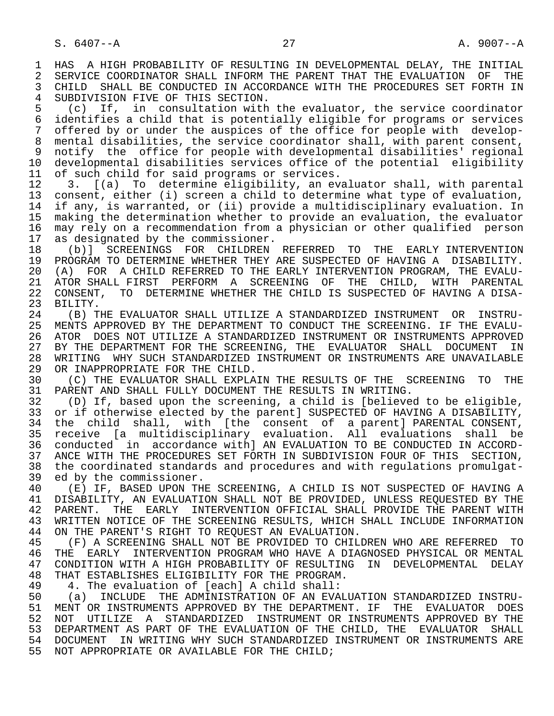1 HAS A HIGH PROBABILITY OF RESULTING IN DEVELOPMENTAL DELAY, THE INITIAL<br>2 SERVICE COORDINATOR SHALL INFORM THE PARENT THAT THE EVALUATION OF THE 2 SERVICE COORDINATOR SHALL INFORM THE PARENT THAT THE EVALUATION OF THE 3 CHILD SHALL BE CONDUCTED IN ACCORDANCE WITH THE PROCEDURES SET FORTH IN CHILD SHALL BE CONDUCTED IN ACCORDANCE WITH THE PROCEDURES SET FORTH IN 4 SUBDIVISION FIVE OF THIS SECTION.<br>5 (c) If, in consultation with

 5 (c) If, in consultation with the evaluator, the service coordinator 6 identifies a child that is potentially eligible for programs or services<br>7 offered by or under the auspices of the office for people with developoffered by or under the auspices of the office for people with develop- 8 mental disabilities, the service coordinator shall, with parent consent, 9 notify the office for people with developmental disabilities' regional 10 developmental disabilities services office of the potential eligibility<br>11 of such child for said programs or services. 11 of such child for said programs or services.<br>12 3. [(a) To determine eligibility, an ev

12 3. [(a) To determine eligibility, an evaluator shall, with parental<br>13 consent, either (i) screen a child to determine what type of evaluation, 13 consent, either (i) screen a child to determine what type of evaluation,<br>14 if any, is warranted, or (ii) provide a multidisciplinary evaluation. In if any, is warranted, or (ii) provide a multidisciplinary evaluation. In 15 making the determination whether to provide an evaluation, the evaluator<br>16 may rely on a recommendation from a physician or other qualified person 16 may rely on a recommendation from a physician or other qualified person<br>17 as designated by the commissioner. 17 as designated by the commissioner.<br>18 (b)] SCREENINGS FOR CHILDREN

18 (b)] SCREENINGS FOR CHILDREN REFERRED TO THE EARLY INTERVENTION<br>19 PROGRAM TO DETERMINE WHETHER THEY ARE SUSPECTED OF HAVING A DISABILITY. 19 PROGRAM TO DETERMINE WHETHER THEY ARE SUSPECTED OF HAVING A DISABILITY.<br>20 (A) FOR A CHILD REFERRED TO THE EARLY INTERVENTION PROGRAM, THE EVALU-20 (A) FOR A CHILD REFERRED TO THE EARLY INTERVENTION PROGRAM, THE EVALU-<br>21 ATOR SHALL FIRST PERFORM A SCREENING OF THE CHILD, WITH PARENTAL 21 ATOR SHALL FIRST PERFORM A SCREENING OF THE CHILD, WITH PARENTAL<br>22 CONSENT, TO DETERMINE WHETHER THE CHILD IS SUSPECTED OF HAVING A DISA-22 CONSENT, TO DETERMINE WHETHER THE CHILD IS SUSPECTED OF HAVING A DISA-<br>23 BILITY. BILITY.

24 (B) THE EVALUATOR SHALL UTILIZE A STANDARDIZED INSTRUMENT OR INSTRU-<br>25 MENTS APPROVED BY THE DEPARTMENT TO CONDUCT THE SCREENING. IF THE EVALU- 25 MENTS APPROVED BY THE DEPARTMENT TO CONDUCT THE SCREENING. IF THE EVALU- 26 ATOR DOES NOT UTILIZE A STANDARDIZED INSTRUMENT OR INSTRUMENTS APPROVED<br>27 BY THE DEPARTMENT FOR THE SCREENING, THE EVALUATOR SHALL DOCUMENT IN 27 BY THE DEPARTMENT FOR THE SCREENING, THE EVALUATOR SHALL DOCUMENT IN<br>28 WRITING WHY SUCH STANDARDIZED INSTRUMENT OR INSTRUMENTS ARE UNAVAILABLE 28 WRITING WHY SUCH STANDARDIZED INSTRUMENT OR INSTRUMENTS ARE UNAVAILABLE<br>29 OR INAPPROPRIATE FOR THE CHILD. 29 OR INAPPROPRIATE FOR THE CHILD.<br>30 (C) THE EVALUATOR SHALL EXPLA

30 (C) THE EVALUATOR SHALL EXPLAIN THE RESULTS OF THE SCREENING TO THE 31 PARENT AND SHALL FULLY DOCUMENT THE RESULTS IN WRITING. 31 PARENT AND SHALL FULLY DOCUMENT THE RESULTS IN WRITING.<br>32 (D) If, based upon the screening, a child is [believe

32 (D) If, based upon the screening, a child is [believed to be eligible,<br>33 or if otherwise elected by the parentl SUSPECTED OF HAVING A DISABILITY. 33 or if otherwise elected by the parent] SUSPECTED OF HAVING A DISABILITY,<br>34 the child shall, with [the consent of a parent] PARENTAL CONSENT, 34 the child shall, with [the consent of a parent] PARENTAL CONSENT,<br>35 receive [a multidisciplinary evaluation. All evaluations shall be 35 receive [a multidisciplinary evaluation. All evaluations shall be 36 conducted in accordance with] AN EVALUATION TO BE CONDUCTED IN ACCORD- 37 ANCE WITH THE PROCEDURES SET FORTH IN SUBDIVISION FOUR OF THIS SECTION,<br>38 the coordinated standards and procedures and with requlations promulgat-38 the coordinated standards and procedures and with regulations promulgat-<br>39 ed by the commissioner. 39 ed by the commissioner.<br>40 (E) IF, BASED UPON TH

40 (E) IF, BASED UPON THE SCREENING, A CHILD IS NOT SUSPECTED OF HAVING A 41 DISABILITY, AN EVALUATION SHALL NOT BE PROVIDED, UNLESS REQUESTED BY THE 41 DISABILITY, AN EVALUATION SHALL NOT BE PROVIDED, UNLESS REQUESTED BY THE 42 PARENT. THE EARLY INTERVENTION OFFICIAL SHALL PROVIDE THE PARENT WITH 42 PARENT. THE EARLY INTERVENTION OFFICIAL SHALL PROVIDE THE PARENT WITH<br>43 WRITTEN NOTICE OF THE SCREENING RESULTS, WHICH SHALL INCLUDE INFORMATION 43 WRITTEN NOTICE OF THE SCREENING RESULTS, WHICH SHALL INCLUDE INFORMATION<br>44 ON THE PARENT'S RIGHT TO REOUEST AN EVALUATION. 44 ON THE PARENT'S RIGHT TO REQUEST AN EVALUATION.<br>45 (F) A SCREENING SHALL NOT BE PROVIDED TO CHIL

(F) A SCREENING SHALL NOT BE PROVIDED TO CHILDREN WHO ARE REFERRED TO<br>THE EARLY INTERVENTION PROGRAM WHO HAVE A DIAGNOSED PHYSICAL OR MENTAL 46 THE EARLY INTERVENTION PROGRAM WHO HAVE A DIAGNOSED PHYSICAL OR MENTAL<br>47 CONDITION WITH A HIGH PROBABILITY OF RESULTING IN DEVELOPMENTAL DELAY 47 CONDITION WITH A HIGH PROBABILITY OF RESULTING IN DEVELOPMENTAL DELAY<br>48 THAT ESTABLISHES ELIGIBILITY FOR THE PROGRAM. 48 THAT ESTABLISHES ELIGIBILITY FOR THE PROGRAM.<br>49 14. The evaluation of [each] A child shall:

49 4. The evaluation of [each] A child shall:<br>50 (a) INCLUDE THE ADMINISTRATION OF AN EVA

50 (a) INCLUDE THE ADMINISTRATION OF AN EVALUATION STANDARDIZED INSTRU-<br>51 MENT OR INSTRUMENTS APPROVED BY THE DEPARTMENT. IF THE EVALUATOR DOES 51 MENT OR INSTRUMENTS APPROVED BY THE DEPARTMENT. IF THE EVALUATOR DOES 52 NOT UTILIZE A STANDARDIZED INSTRUMENT OR INSTRUMENTS APPROVED BY THE<br>53 DEPARTMENT AS PART OF THE EVALUATION OF THE CHILD, THE EVALUATOR SHALL 53 DEPARTMENT AS PART OF THE EVALUATION OF THE CHILD, THE EVALUATOR SHALL<br>54 DOCUMENT IN WRITING WHY SUCH STANDARDIZED INSTRUMENT OR INSTRUMENTS ARE 54 DOCUMENT IN WRITING WHY SUCH STANDARDIZED INSTRUMENT OR INSTRUMENTS ARE 55 NOT APPROPRIATE OR AVAILABLE FOR THE CHILD;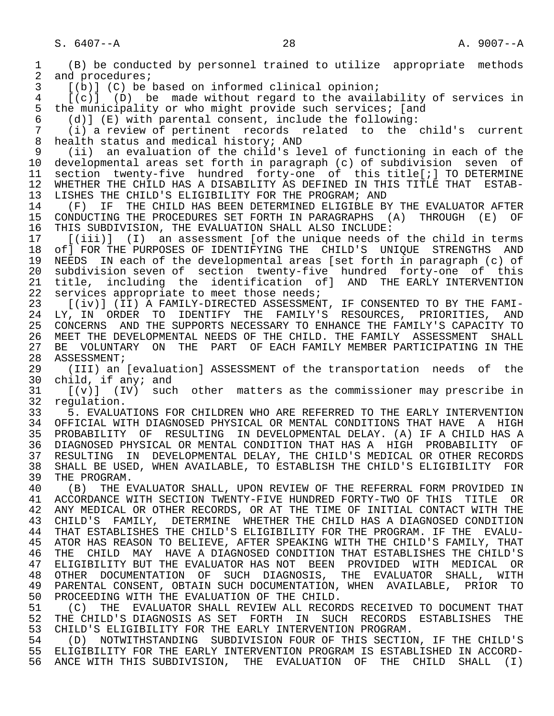1 (B) be conducted by personnel trained to utilize appropriate methods 2 and procedures;<br>3 [(b)] (C) be 3 [(b)] (C) be based on informed clinical opinion; 4 [(c)] (D) be made without regard to the availability of services in<br>5 the municipality or who might provide such services; [and 5 the municipality or who might provide such services; [and 6 (d)] (E) with parental consent, include the following: 6 (d)] (E) with parental consent, include the following: 7 (i) a review of pertinent records related to the child's current 8 health status and medical history; AND<br>9 (ii) an evaluation of the child's le 9 (ii) an evaluation of the child's level of functioning in each of the 10 developmental areas set forth in paragraph (c) of subdivision seven of 11 section twenty-five hundred forty-one of this title[;] TO DETERMINE<br>12 WHETHER THE CHILD HAS A DISABILITY AS DEFINED IN THIS TITLE THAT ESTAB-12 WHETHER THE CHILD HAS A DISABILITY AS DEFINED IN THIS TITLE THAT ESTAB-<br>13 LISHES THE CHILD'S ELIGIBILITY FOR THE PROGRAM; AND 13 LISHES THE CHILD'S ELIGIBILITY FOR THE PROGRAM; AND 14 (F) IF THE CHILD HAS BEEN DETERMINED ELIGIBLE B 14 (F) IF THE CHILD HAS BEEN DETERMINED ELIGIBLE BY THE EVALUATOR AFTER 15 CONDUCTING THE PROCEDURES SET FORTH IN PARAGRAPHS (A) THROUGH (E) OF<br>16 THIS SUBDIVISION, THE EVALUATION SHALL ALSO INCLUDE: 16 THIS SUBDIVISION, THE EVALUATION SHALL ALSO INCLUDE:<br>17 [(iii)] (I) an assessment [of the unique needs o 17 [(iii)] (I) an assessment [of the unique needs of the child in terms<br>18 of] FOR THE PURPOSES OF IDENTIFYING THE CHILD'S UNIOUE STRENGTHS AND 18 of] FOR THE PURPOSES OF IDENTIFYING THE CHILD'S UNIQUE STRENGTHS AND<br>19 NEEDS IN each of the developmental areas [set forth in paragraph (c) of 19 NEEDS IN each of the developmental areas [set forth in paragraph (c) of 20 subdivision seven of section twenty-five hundred forty-one of this<br>21 title, including the identification ofl AND THE-EARLY-INTERVENTION 21 title, including the identification of] AND THE EARLY INTERVENTION<br>22 services appropriate to meet those needs; 22 services appropriate to meet those needs;<br>23 [(iv)] (II) A FAMILY-DIRECTED ASSESSMEN [(iv)] (II) A FAMILY-DIRECTED ASSESSMENT, IF CONSENTED TO BY THE FAMI-24 LY, IN ORDER TO IDENTIFY THE FAMILY'S RESOURCES, PRIORITIES, AND<br>25 CONCERNS AND THE SUPPORTS NECESSARY TO ENHANCE THE FAMILY'S CAPACITY TO 25 CONCERNS AND THE SUPPORTS NECESSARY TO ENHANCE THE FAMILY'S CAPACITY TO 26 MEET THE DEVELOPMENTAL NEEDS OF THE CHILD. THE FAMILY ASSESSMENT SHALL<br>27 BE VOLUNTARY ON THE PART OF EACH FAMILY MEMBER PARTICIPATING IN THE 27 BE VOLUNTARY ON THE PART OF EACH FAMILY MEMBER PARTICIPATING IN THE 28 ASSESSMENT; 28 ASSESSMENT;<br>29 (III) an 29 (III) an [evaluation] ASSESSMENT of the transportation needs of the<br>30 child, if anv; and 30 child, if any; and<br>31  $[(y)]$   $([10]$  such  $31$  [(v)] (IV) such other matters as the commissioner may prescribe in 32 requision. 32 regulation.<br>33 5. EVALUA 33 5. EVALUATIONS FOR CHILDREN WHO ARE REFERRED TO THE EARLY INTERVENTION<br>34 OFFICIAL WITH DIAGNOSED PHYSICAL OR MENTAL CONDITIONS THAT HAVE A HIGH 34 OFFICIAL WITH DIAGNOSED PHYSICAL OR MENTAL CONDITIONS THAT HAVE A HIGH<br>35 PROBABILITY OF RESULTING IN DEVELOPMENTAL DELAY. (A) IF A CHILD HAS A 35 PROBABILITY OF RESULTING IN DEVELOPMENTAL DELAY. (A) IF A CHILD HAS A<br>36 DIAGNOSED PHYSICAL OR MENTAL CONDITION THAT HAS A HIGH PROBABILITY OF 36 DIAGNOSED PHYSICAL OR MENTAL CONDITION THAT HAS A HIGH PROBABILITY OF 37 RESULTING IN DEVELOPMENTAL DELAY, THE CHILD'S MEDICAL OR OTHER RECORDS 38 SHALL BE USED, WHEN AVAILABLE, TO ESTABLISH THE CHILD'S ELIGIBILITY FOR<br>39 THE PROGRAM. 39 THE PROGRAM.<br>40 (B) THE E 40 (B) THE EVALUATOR SHALL, UPON REVIEW OF THE REFERRAL FORM PROVIDED IN<br>41 ACCORDANCE WITH SECTION TWENTY-FIVE HUNDRED FORTY-TWO OF THIS TITLE OR 41 ACCORDANCE WITH SECTION TWENTY-FIVE HUNDRED FORTY-TWO OF THIS TITLE OR<br>42 ANY MEDICAL OR OTHER RECORDS, OR AT THE TIME OF INITIAL CONTACT WITH THE 42 ANY MEDICAL OR OTHER RECORDS, OR AT THE TIME OF INITIAL CONTACT WITH THE 43 CHILD'S FAMILY, DETERMINE WHETHER THE CHILD HAS A DIAGNOSED CONDITION 43 CHILD'S FAMILY, DETERMINE WHETHER THE CHILD HAS A DIAGNOSED CONDITION<br>44 THAT ESTABLISHES THE CHILD'S ELIGIBILITY FOR THE PROGRAM. IF THE EVALU-44 THAT ESTABLISHES THE CHILD'S ELIGIBILITY FOR THE PROGRAM. IF THE EVALU-<br>45 ATOR HAS REASON TO BELIEVE, AFTER SPEAKING WITH THE CHILD'S FAMILY, THAT 45 ATOR HAS REASON TO BELIEVE, AFTER SPEAKING WITH THE CHILD'S FAMILY, THAT 46 THE CHILD MAY HAVE A DIAGNOSED CONDITION THAT ESTABLISHES THE CHILD'S<br>47 ELIGIBILITY BUT THE EVALUATOR HAS NOT BEEN PROVIDED WITH MEDICAL OR 47 ELIGIBILITY BUT THE EVALUATOR HAS NOT BEEN PROVIDED WITH MEDICAL OR 48 OTHER DOCUMENTATION OF SUCH DIAGNOSIS, THE EVALUATOR SHALL, WITH 49 PARENTAL CONSENT, OBTAIN SUCH DOCUMENTATION, WHEN AVAILABLE, PRIOR TO<br>50 PROCEEDING WITH THE EVALUATION OF THE CHILD. 50 PROCEEDING WITH THE EVALUATION OF THE CHILD.<br>51 (C) THE EVALUATOR SHALL REVIEW ALL RECOR 51 (C) THE EVALUATOR SHALL REVIEW ALL RECORDS RECEIVED TO DOCUMENT THAT<br>52 THE CHILD'S DIAGNOSIS AS SET FORTH IN SUCH RECORDS ESTABLISHES THE 52 THE CHILD'S DIAGNOSIS AS SET FORTH IN SUCH RECORDS ESTABLISHES THE 53 CHILD'S ELIGIBILITY FOR THE EARLY INTERVENTION PROGRAM. 53 CHILD'S ELIGIBILITY FOR THE EARLY INTERVENTION PROGRAM.<br>54 (D) NOTWITHSTANDING SURDIVISION FOUR OF THIS SECTIO 54 (D) NOTWITHSTANDING SUBDIVISION FOUR OF THIS SECTION, IF THE CHILD'S<br>55 ELIGIBILITY FOR THE EARLY INTERVENTION PROGRAM IS ESTABLISHED IN ACCORD-55 ELIGIBILITY FOR THE EARLY INTERVENTION PROGRAM IS ESTABLISHED IN ACCORD-<br>56 ANCE WITH THIS SUBDIVISION, THE EVALUATION OF THE CHILD SHALL (I) 56 ANCE WITH THIS SUBDIVISION, THE EVALUATION OF THE CHILD SHALL (I)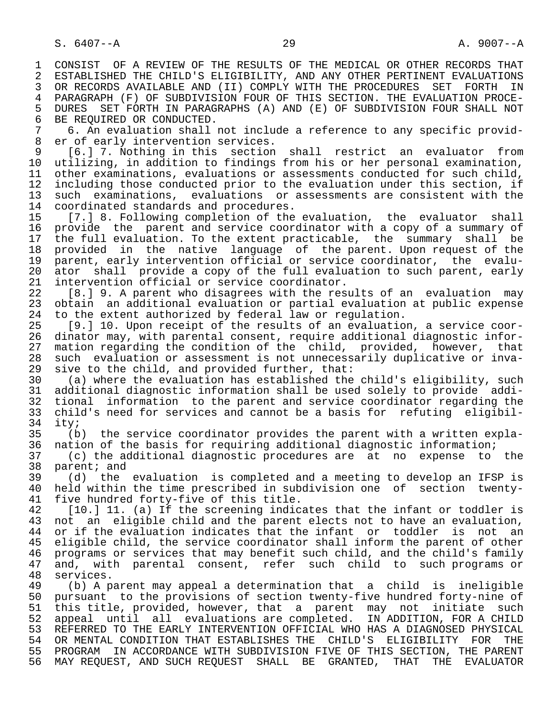1 CONSIST OF A REVIEW OF THE RESULTS OF THE MEDICAL OR OTHER RECORDS THAT<br>2 ESTABLISHED THE CHILD'S ELIGIBILITY, AND ANY OTHER PERTINENT EVALUATIONS 2 ESTABLISHED THE CHILD'S ELIGIBILITY, AND ANY OTHER PERTINENT EVALUATIONS<br>3 OR RECORDS AVAILABLE AND (II) COMPLY WITH THE PROCEDURES SET FORTH IN 3 OR RECORDS AVAILABLE AND (II) COMPLY WITH THE PROCEDURES SET FORTH IN<br>4 PARAGRAPH (F) OF SUBDIVISION FOUR OF THIS SECTION, THE EVALUATION PROCE-4 PARAGRAPH (F) OF SUBDIVISION FOUR OF THIS SECTION. THE EVALUATION PROCE-<br>5 DURES SET FORTH IN PARAGRAPHS (A) AND (E) OF SUBDIVISION FOUR SHALL NOT 5 DURES SET FORTH IN PARAGRAPHS (A) AND (E) OF SUBDIVISION FOUR SHALL NOT<br>6 BE REOUIRED OR CONDUCTED.

6 BE REQUIRED OR CONDUCTED.<br>7 6. An evaluation shall 7 6. An evaluation shall not include a reference to any specific provid- 8 er of early intervention services.<br>9 [6.1 7. Nothing in this section

9 [6.] 7. Nothing in this section shall restrict an evaluator from<br>10 utilizing, in addition to findings from his or her personal examination, 10 utilizing, in addition to findings from his or her personal examination,<br>11 other examinations, evaluations or assessments conducted for such child, 11 other examinations, evaluations or assessments conducted for such child,<br>12 including those conducted prior to the evaluation under this section, if 12 including those conducted prior to the evaluation under this section, if<br>13 such examinations, evaluations or assessments are consistent with the 13 such examinations, evaluations or assessments are consistent with the 14 coordinated standards and procedures. 14 coordinated standards and procedures.<br>15 [7.1 8. Following completion of the

 15 [7.] 8. Following completion of the evaluation, the evaluator shall 16 provide the parent and service coordinator with a copy of a summary of<br>17 the full evaluation. To the extent practicable, the summary shall be 17 the full evaluation. To the extent practicable, the summary shall be<br>18 provided in the native language of the parent. Upon request of the 18 provided in the native language of the parent. Upon request of the<br>19 parent, early intervention official or service coordinator, the evalu-19 parent, early intervention official or service coordinator, the evalu-<br>20 ator shall provide a copy of the full evaluation to such parent, early 20 ator shall provide a copy of the full evaluation to such parent, early<br>21 intervention official or service coordinator. 21 intervention official or service coordinator.<br>22 [8.19. A parent who disagrees with the rest

22 [8.] 9. A parent who disagrees with the results of an evaluation may<br>23 obtain an additional evaluation or partial evaluation at public expense 23 obtain an additional evaluation or partial evaluation at public expense 24 to the extent authorized by federal law or regulation.

 25 [9.] 10. Upon receipt of the results of an evaluation, a service coor- 26 dinator may, with parental consent, require additional diagnostic infor- 27 mation regarding the condition of the child, provided, however, that<br>28 such evaluation or assessment is not unnecessarily duplicative or inva-28 such evaluation or assessment is not unnecessarily duplicative or inva-<br>29 sive to the child, and provided further, that: 29 sive to the child, and provided further, that:<br>30 (a) where the evaluation has established the

 30 (a) where the evaluation has established the child's eligibility, such 31 additional diagnostic information shall be used solely to provide addi- 32 tional information to the parent and service coordinator regarding the<br>33 child's need for services and cannot be a basis for refuting eligibil-33 child's need for services and cannot be a basis for refuting eligibil-<br>34 ity: 34 ity;<br>35 (b

35 (b) the service coordinator provides the parent with a written expla-<br>36 nation of the basis for requiring additional diagnostic information; nation of the basis for requiring additional diagnostic information;

 37 (c) the additional diagnostic procedures are at no expense to the 38 parent; and<br>39 (d) the

 39 (d) the evaluation is completed and a meeting to develop an IFSP is 40 held within the time prescribed in subdivision one of section twenty-<br>41 five hundred forty-five of this title. 41 five hundred forty-five of this title.<br>42 [10.1 11. (a) If the screening indic

42 [10.] 11. (a) If the screening indicates that the infant or toddler is<br>43 not an eligible child and the parent elects not to have an evaluation. 43 not an eligible child and the parent elects not to have an evaluation,<br>44 or if the evaluation indicates that the infant or toddler is not an 44 or if the evaluation indicates that the infant or toddler is not an<br>45 eligible child, the service coordinator shall inform the parent of other eligible child, the service coordinator shall inform the parent of other 46 programs or services that may benefit such child, and the child's family<br>47 and, with parental consent, refer such child to such programs or 47 and, with parental consent, refer such child to such programs or<br>48 services.

48 services.<br>49 (b) A p 49 (b) A parent may appeal a determination that a child is ineligible 50 pursuant to the provisions of section twenty-five hundred forty-nine of<br>51 this title, provided, however, that a parent may not initiate such 51 this title, provided, however, that a parent may not initiate such<br>52 appeal until all evaluations are completed. IN-ADDITION, FOR A-CHILD appeal until all evaluations are completed. IN ADDITION, FOR A CHILD 53 REFERRED TO THE EARLY INTERVENTION OFFICIAL WHO HAS A DIAGNOSED PHYSICAL<br>54 OR MENTAL CONDITION THAT ESTABLISHES THE CHILD'S ELIGIBILITY FOR THE 54 OR MENTAL CONDITION THAT ESTABLISHES THE CHILD'S ELIGIBILITY FOR THE<br>55 PROGRAM IN ACCORDANCE WITH SUBDIVISION FIVE OF THIS SECTION, THE PARENT 55 PROGRAM IN ACCORDANCE WITH SUBDIVISION FIVE OF THIS SECTION, THE PARENT<br>56 MAY REOUEST, AND SUCH REOUEST SHALL BE GRANTED, THAT THE EVALUATOR MAY REQUEST, AND SUCH REQUEST SHALL BE GRANTED, THAT THE EVALUATOR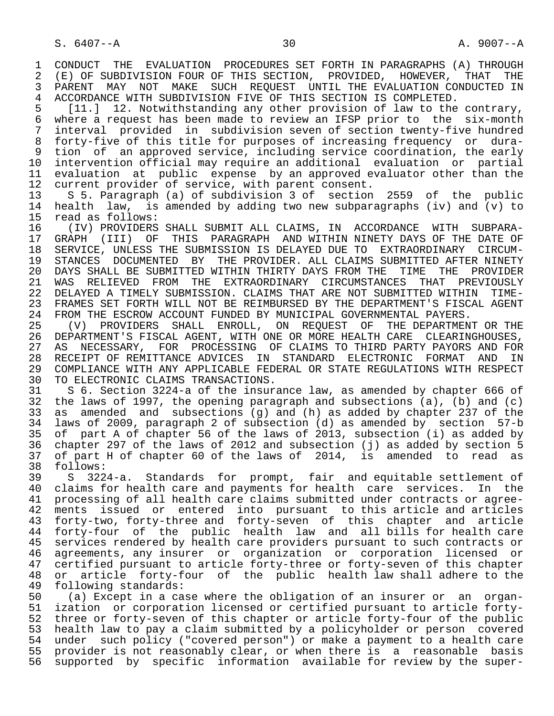1 CONDUCT THE EVALUATION PROCEDURES SET FORTH IN PARAGRAPHS (A) THROUGH 2 (E) OF SUBDIVISION FOUR OF THIS SECTION. PROVIDED. HOWEVER. THAT THE 2 (E) OF SUBDIVISION FOUR OF THIS SECTION, PROVIDED, HOWEVER, THAT THE<br>3 PARENT MAY NOT MAKE SUCH REOUEST UNTIL THE EVALUATION CONDUCTED IN 3 PARENT MAY NOT MAKE SUCH REQUEST UNTIL THE EVALUATION CONDUCTED IN<br>4 ACCORDANCE WITH SUBDIVISION FIVE OF THIS SECTION IS COMPLETED. 4 ACCORDANCE WITH SUBDIVISION FIVE OF THIS SECTION IS COMPLETED.<br>5 [11.] 12. Notwithstanding any other provision of law to the

5 [11.] 12. Notwithstanding any other provision of law to the contrary,<br>6 where a request has been made to review an IFSP prior to the six-month 6 where a request has been made to review an IFSP prior to the six-month<br>7 interval provided in subdivision seven of section twenty-five hundred 7 interval provided in subdivision seven of section twenty-five hundred 8 forty-five of this title for purposes of increasing frequency or dura- 9 tion of an approved service, including service coordination, the early<br>10 intervention official may require an additional evaluation or partial 10 intervention official may require an additional evaluation or partial 11 evaluation at public expense by an approved evaluator other than the<br>12 current provider of service, with parent consent. 12 current provider of service, with parent consent.<br>13 S 5. Paragraph (a) of subdivision 3 of section

13 S 5. Paragraph (a) of subdivision 3 of section 2559 of the public<br>14 health law, is amended by adding two new subparagraphs (iv) and (y) to 14 health law, is amended by adding two new subparagraphs (iv) and (v) to 15 read as follows: 15 read as follows:<br>16 (IV) PROVIDERS

 16 (IV) PROVIDERS SHALL SUBMIT ALL CLAIMS, IN ACCORDANCE WITH SUBPARA- 17 GRAPH (III) OF THIS PARAGRAPH AND WITHIN NINETY DAYS OF THE DATE OF<br>18 SERVICE, UNLESS THE SUBMISSION IS DELAYED DUE TO EXTRAORDINARY CIRCUM-18 SERVICE, UNLESS THE SUBMISSION IS DELAYED DUE TO EXTRAORDINARY CIRCUM-<br>19 STANCES DOCUMENTED BY THE PROVIDER. ALL CLAIMS SUBMITTED AFTER NINETY 19 STANCES DOCUMENTED BY THE PROVIDER. ALL CLAIMS SUBMITTED AFTER NINETY<br>20 DAYS SHALL BE SUBMITTED WITHIN THIRTY DAYS FROM THE TIME THE PROVIDER 20 DAYS SHALL BE SUBMITTED WITHIN THIRTY DAYS FROM THE TIME THE PROVIDER<br>21 WAS RELIEVED FROM THE EXTRAORDINARY CIRCUMSTANCES THAT PREVIOUSLY 21 WAS RELIEVED FROM THE EXTRAORDINARY CIRCUMSTANCES THAT<br>22 DELAYED—A TIMELY SUBMISSION, CLAIMS-THAT ARE-NOT-SUBMITTED W 22 DELAYED A TIMELY SUBMISSION. CLAIMS THAT ARE NOT SUBMITTED WITHIN TIME-<br>23 FRAMES SET FORTH WILL NOT BE REIMBURSED BY THE DEPARTMENT'S FISCAL AGENT 23 FRAMES SET FORTH WILL NOT BE REIMBURSED BY THE DEPARTMENT'S FISCAL AGENT<br>24 FROM THE ESCROW ACCOUNT FUNDED BY MUNICIPAL GOVERNMENTAL PAYERS. 24 FROM THE ESCROW ACCOUNT FUNDED BY MUNICIPAL GOVERNMENTAL PAYERS.<br>25 (V) PROVIDERS SHALL ENROLL, ON REOUEST OF THE DEPARTMEN

 25 (V) PROVIDERS SHALL ENROLL, ON REQUEST OF THE DEPARTMENT OR THE 26 DEPARTMENT'S FISCAL AGENT, WITH ONE OR MORE HEALTH CARE CLEARINGHOUSES,<br>27 AS NECESSARY, FOR PROCESSING OF CLAIMS TO THIRD PARTY PAYORS AND FOR 27 AS NECESSARY, FOR PROCESSING OF CLAIMS TO THIRD PARTY PAYORS AND FOR<br>28 RECEIPT OF REMITTANCE ADVICES IN STANDARD ELECTRONIC FORMAT AND IN 28 RECEIPT OF REMITTANCE ADVICES IN STANDARD ELECTRONIC FORMAT AND IN<br>29 COMPLIANCE WITH ANY APPLICABLE FEDERAL OR STATE REGULATIONS WITH RESPECT 29 COMPLIANCE WITH ANY APPLICABLE FEDERAL OR STATE REGULATIONS WITH RESPECT<br>30 TO ELECTRONIC CLAIMS TRANSACTIONS. 30 TO ELECTRONIC CLAIMS TRANSACTIONS.<br>31 S 6. Section 3224-a of the insur

31 S 6. Section 3224-a of the insurance law, as amended by chapter 666 of<br>32 the laws of 1997, the opening paragraph and subsections (a), (b) and (c) 32 the laws of 1997, the opening paragraph and subsections  $(a)$ ,  $(b)$  and  $(c)$ <br>33 as amended and subsections  $(q)$  and  $(h)$  as added by chapter 237 of the 33 as amended and subsections (g) and (h) as added by chapter 237 of the 34 laws of 2009, paragraph 2 of subsection (d) as amended by section 57-b 35 of part A of chapter 56 of the laws of 2013, subsection (i) as added by 36 chapter 297 of the laws of 2012 and subsection (j) as added by section 5<br>37 of part H of chapter 60 of the laws of 2014, is amended to read as 37 of part H of chapter 60 of the laws of 2014, is amended to read as 38 follows:<br>39 S 322

39 S 3224-a. Standards for prompt, fair and equitable settlement of<br>40 claims for health care and payments for health care services. In the 40 claims for health care and payments for health care services. In the<br>41 processing of all health care claims submitted under contracts or agree-41 processing of all health care claims submitted under contracts or agree-<br>42 ments issued or entered into pursuant to this article and articles 42 ments issued or entered into pursuant to this article and articles 43 forty-two, forty-three and forty-seven of this chapter and article 44 forty-four of the public health law and all bills for health care 45 services rendered by health care providers pursuant to such contracts or<br>46 agreements, any insurer or organization or corporation licensed or 46 agreements, any insurer or organization or corporation licensed or<br>47 certified pursuant to article forty-three or forty-seven of this chapter 47 certified pursuant to article forty-three or forty-seven of this chapter<br>48 or article forty-four of the public health law shall adhere to the 48 or article forty-four of the public health law shall adhere to the 49 following standards: 49 following standards:<br>50 (a) Except in a ca

50 (a) Except in a case where the obligation of an insurer or an organ-<br>51 ization or corporation licensed or certified pursuant to article fortyization or corporation licensed or certified pursuant to article forty- 52 three or forty-seven of this chapter or article forty-four of the public 53 health law to pay a claim submitted by a policyholder or person covered 54 under such policy ("covered person") or make a payment to a health care 55 provider is not reasonably clear, or when there is a reasonable basis 56 supported by specific information available for review by the super-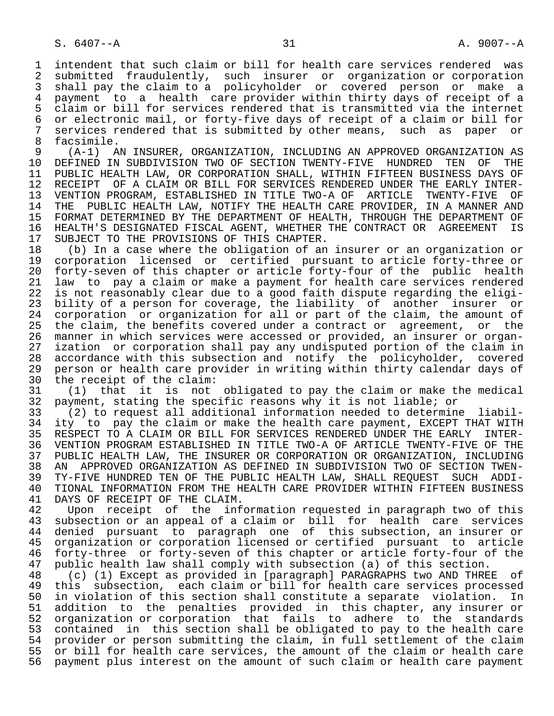1 intendent that such claim or bill for health care services rendered was<br>2 submitted fraudulently, such insurer or organization or corporation 2 submitted fraudulently, such insurer or organization or corporation 3 shall pay the claim to a policyholder or covered person or make a<br>4 payment to a health care provider within thirty days of receipt of a 4 payment to a health care provider within thirty days of receipt of a<br>5 claim or bill for services rendered that is transmitted via the internet 5 claim or bill for services rendered that is transmitted via the internet<br>6 or electronic mail, or forty-five days of receipt of a claim or bill for 6 or electronic mail, or forty-five days of receipt of a claim or bill for<br>7 services rendered that is submitted by other means, such as paper or 7 services rendered that is submitted by other means, such as paper or<br>8 facsimile

8 facsimile.<br>9 (A-1) A 9 (A-1) AN INSURER, ORGANIZATION, INCLUDING AN APPROVED ORGANIZATION AS<br>10 DEFINED IN SUBDIVISION TWO OF SECTION TWENTY-FIVE HUNDRED TEN OF THE 10 DEFINED IN SUBDIVISION TWO OF SECTION TWENTY-FIVE HUNDRED<br>11 PUBLIC HEALTH LAW, OR CORPORATION SHALL, WITHIN FIFTEEN BUS 11 PUBLIC HEALTH LAW, OR CORPORATION SHALL, WITHIN FIFTEEN BUSINESS DAYS OF<br>12 RECEIPT OF A CLAIM OR BILL FOR SERVICES RENDERED UNDER THE EARLY INTER-RECEIPT OF A CLAIM OR BILL FOR SERVICES RENDERED UNDER THE EARLY INTER- 13 VENTION PROGRAM, ESTABLISHED IN TITLE TWO-A OF ARTICLE TWENTY-FIVE OF THE PUBLIC HEALTH LAW, NOTIFY THE HEALTH CARE PROVIDER, IN A MANNER AND 15 FORMAT DETERMINED BY THE DEPARTMENT OF HEALTH, THROUGH THE DEPARTMENT OF<br>16 HEALTH'S DESIGNATED FISCAL AGENT, WHETHER THE CONTRACT OR AGREEMENT IS 16 HEALTH'S DESIGNATED FISCAL AGENT, WHETHER THE CONTRACT OR AGREEMENT IS<br>17 SUBJECT TO THE PROVISIONS OF THIS CHAPTER. 17 SUBJECT TO THE PROVISIONS OF THIS CHAPTER.<br>18 (b) In a case where the obligation of an

 18 (b) In a case where the obligation of an insurer or an organization or 19 corporation licensed or certified pursuant to article forty-three or<br>20 forty-seven of this chapter or article forty-four of the public health 20 forty-seven of this chapter or article forty-four of the public health<br>21 law to pay a claim or make a payment for health care services rendered 21 law to pay a claim or make a payment for health care services rendered<br>22 is not reasonably clear due to a good faith dispute regarding the eligi-22 is not reasonably clear due to a good faith dispute regarding the eligi-<br>23 bility of a person for coverage, the liability of another insurer or bility of a person for coverage, the liability of another insurer or 24 corporation or organization for all or part of the claim, the amount of<br>25 the claim, the benefits covered under a contract or agreement, or the the claim, the benefits covered under a contract or agreement, or the 26 manner in which services were accessed or provided, an insurer or organ- 27 ization or corporation shall pay any undisputed portion of the claim in<br>28 accordance with this subsection and notify the policyholder, covered 28 accordance with this subsection and notify the policyholder, covered<br>29 person or health care provider in writing within thirty calendar days of 29 person or health care provider in writing within thirty calendar days of<br>30 the receipt of the claim: 30 the receipt of the claim:<br>31 (1) that it is not

31 (1) that it is not obligated to pay the claim or make the medical<br>32 payment, stating the specific reasons why it is not liable; or 32 payment, stating the specific reasons why it is not liable; or<br>33 (2) to request all additional information needed to determin

 33 (2) to request all additional information needed to determine liabil- 34 ity to pay the claim or make the health care payment, EXCEPT THAT WITH<br>35 RESPECT TO A CLAIM OR BILL FOR SERVICES RENDERED UNDER THE EARLY INTER-35 RESPECT TO A CLAIM OR BILL FOR SERVICES RENDERED UNDER THE EARLY INTER-<br>36 VENTION PROGRAM ESTABLISHED IN TITLE TWO-A OF ARTICLE TWENTY-FIVE OF THE 36 VENTION PROGRAM ESTABLISHED IN TITLE TWO-A OF ARTICLE TWENTY-FIVE OF THE 37 PUBLIC HEALTH LAW, THE INSURER OR CORPORATION OR ORGANIZATION, INCLUDING<br>38 AN APPROVED ORGANIZATION AS DEFINED IN SUBDIVISION TWO OF SECTION TWEN- 38 AN APPROVED ORGANIZATION AS DEFINED IN SUBDIVISION TWO OF SECTION TWEN- 39 TY-FIVE HUNDRED TEN OF THE PUBLIC HEALTH LAW, SHALL REQUEST SUCH ADDI-<br>40 TIONAL INFORMATION FROM THE HEALTH CARE PROVIDER WITHIN FIFTEEN BUSINESS 40 TIONAL INFORMATION FROM THE HEALTH CARE PROVIDER WITHIN FIFTEEN BUSINESS<br>41 DAYS OF RECEIPT OF THE CLAIM. 41 DAYS OF RECEIPT OF THE CLAIM.<br>42 Upon receipt of the inf

42 Upon receipt of the information requested in paragraph two of this<br>43 subsection or an appeal of a claim or bill for health care services 43 subsection or an appeal of a claim or bill for health care services<br>44 denied pursuant to paragraph one of this subsection, an insurer or 44 denied pursuant to paragraph one of this subsection, an insurer or<br>45 organization or corporation licensed or certified pursuant to article 45 organization or corporation licensed or certified pursuant to article 46 forty-three or forty-seven of this chapter or article forty-four of the<br>47 public health law shall comply with subsection (a) of this section. 47 public health law shall comply with subsection (a) of this section.<br>48 (c) (1) Except as provided in [paragraph] PARAGRAPHS two AND THRE

48 (c) (1) Except as provided in [paragraph] PARAGRAPHS two AND THREE of<br>49 this subsection, each claim or bill for health care services processed 49 this subsection, each claim or bill for health care services processed<br>50 in violation of this section shall constitute a separate violation. In 50 in violation of this section shall constitute a separate violation. In<br>51 addition to the penalties provided in this chapter, any insurer or 51 addition to the penalties provided in this chapter, any insurer or<br>52 organization or corporation that fails to adhere to the standards 52 organization or corporation that fails to adhere to the standards<br>53 contained in this section shall be obligated to pay to the health care contained in this section shall be obligated to pay to the health care 54 provider or person submitting the claim, in full settlement of the claim<br>55 or bill for health care services, the amount of the claim or health care 55 or bill for health care services, the amount of the claim or health care<br>56 payment plus interest on the amount of such claim or health care payment payment plus interest on the amount of such claim or health care payment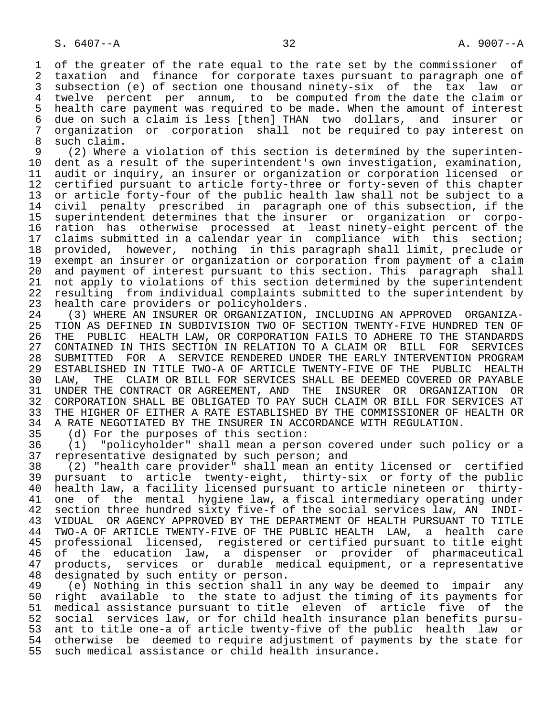1 of the greater of the rate equal to the rate set by the commissioner of<br>2 taxation and finance for corporate taxes pursuant to paragraph one of 2 taxation and finance for corporate taxes pursuant to paragraph one of<br>3 subsection (e) of section one thousand ninety-six of the tax law or subsection (e) of section one thousand ninety-six of the tax law or 4 twelve percent per annum, to be computed from the date the claim or<br>5 health care payment was required to be made. When the amount of interest 5 health care payment was required to be made. When the amount of interest<br>6 due on such a claim is less [then] THAN two dollars, and insurer or 6 due on such a claim is less [then] THAN two dollars, and insurer or 7 organization or corporation shall not be required to pay interest on

8 such claim.<br>9 (2) Where 9 (2) Where a violation of this section is determined by the superinten-<br>10 dent as a result of the superintendent's own investigation, examination, 10 dent as a result of the superintendent's own investigation, examination,<br>11 audit or inguiry, an insurer or organization or corporation licensed or 11 audit or inquiry, an insurer or organization or corporation licensed or<br>12 certified pursuant to article forty-three or forty-seven of this chapter 12 certified pursuant to article forty-three or forty-seven of this chapter<br>13 or article forty-four of the public health law shall not be subject to a 13 or article forty-four of the public health law shall not be subject to a<br>14 civil penalty prescribed in paragraph one of this subsection, if the civil penalty prescribed in paragraph one of this subsection, if the 15 superintendent determines that the insurer or organization or corpo- 16 ration has otherwise processed at least ninety-eight percent of the<br>17 claims submitted in a calendar vear in compliance with this section; 17 claims submitted in a calendar year in compliance with this section;<br>18 provided, however, nothing in this paragraph shall limit, preclude or 18 provided, however, nothing in this paragraph shall limit, preclude or 19 exempt an insurer or organization or corporation from payment of a claim<br>20 and payment of interest pursuant to this section. This paragraph shall 20 and payment of interest pursuant to this section. This paragraph shall<br>21 not apply to violations of this section determined by the superintendent 21 not apply to violations of this section determined by the superintendent<br>22 resulting from individual complaints submitted to the superintendent by 22 resulting from individual complaints submitted to the superintendent by<br>23 health care providers or policyholders. health care providers or policyholders.

 24 (3) WHERE AN INSURER OR ORGANIZATION, INCLUDING AN APPROVED ORGANIZA- TION AS DEFINED IN SUBDIVISION TWO OF SECTION TWENTY-FIVE HUNDRED TEN OF 26 THE PUBLIC HEALTH LAW, OR CORPORATION FAILS TO ADHERE TO THE STANDARDS<br>27 CONTAINED IN THIS SECTION IN RELATION TO A CLAIM OR BILL FOR SERVICES 27 CONTAINED IN THIS SECTION IN RELATION TO A CLAIM OR BILL FOR SERVICES<br>28 SUBMITTED FOR A SERVICE RENDERED UNDER THE EARLY INTERVENTION PROGRAM 28 SUBMITTED FOR A SERVICE RENDERED UNDER THE EARLY INTERVENTION PROGRAM<br>29 ESTABLISHED IN TITLE TWO-A OF ARTICLE TWENTY-FIVE OF THE PUBLIC HEALTH 29 ESTABLISHED IN TITLE TWO-A OF ARTICLE TWENTY-FIVE OF THE PUBLIC HEALTH<br>30 LAW, THE CLAIM OR BILL FOR SERVICES SHALL BE DEEMED COVERED OR PAYABLE 30 LAW, THE CLAIM OR BILL FOR SERVICES SHALL BE DEEMED COVERED OR PAYABLE<br>31 UNDER THE CONTRACT OR AGREEMENT, AND THE INSURER OR ORGANIZATION OR 31 UNDER THE CONTRACT OR AGREEMENT, AND THE INSURER OR ORGANIZATION OR<br>32 CORPORATION SHALL BE OBLIGATED TO PAY SUCH CLAIM OR BILL FOR SERVICES AT 32 CORPORATION SHALL BE OBLIGATED TO PAY SUCH CLAIM OR BILL FOR SERVICES AT 33 THE HIGHER OF EITHER A RATE ESTABLISHED BY THE COMMISSIONER OF HEALTH OR 33 THE HIGHER OF EITHER A RATE ESTABLISHED BY THE COMMISSIONER OF HEALTH OR<br>34 A RATE NEGOTIATED BY THE INSURER IN ACCORDANCE WITH REGULATION. 34 A RATE NEGOTIATED BY THE INSURER IN ACCORDANCE WITH REGULATION.<br>35 (d) For the purposes of this section:

35 (d) For the purposes of this section:<br>36 (1) "policyholder" shall mean a pers

 36 (1) "policyholder" shall mean a person covered under such policy or a 37 representative designated by such person; and<br>38 (2) "health care provider" shall mean an en

 38 (2) "health care provider" shall mean an entity licensed or certified 39 pursuant to article twenty-eight, thirty-six or forty of the public 40 health law, a facility licensed pursuant to article nineteen or thirty-<br>41 one of the mental hygiene law, a fiscal intermediary operating under 41 one of the mental hygiene law, a fiscal intermediary operating under<br>42 section three hundred sixty five-f of the social services law, AN INDI-42 section three hundred sixty five-f of the social services law, AN INDI-<br>43 VIDUAL OR AGENCY APPROVED BY THE DEPARTMENT OF HEALTH PURSUANT TO TITLE 43 VIDUAL OR AGENCY APPROVED BY THE DEPARTMENT OF HEALTH PURSUANT TO TITLE<br>44 TWO-A OF ARTICLE TWENTY-FIVE OF THE PUBLIC HEALTH LAW, a health care 44 TWO-A OF ARTICLE TWENTY-FIVE OF THE PUBLIC HEALTH LAW, a health care 45 professional licensed, registered or certified pursuant to title eight 46 of the education law, a dispenser or provider of pharmaceutical 47 products, services or durable medical equipment, or a representative<br>48 designated by such entity or person. 48 designated by such entity or person.<br>49 (e) Nothing in this section shall

49 (e) Nothing in this section shall in any way be deemed to impair any<br>50 right available to the state to adjust the timing of its payments for 50 right available to the state to adjust the timing of its payments for<br>51 medical assistance pursuant to title eleven of article five of the 51 medical assistance pursuant to title eleven of article five of the<br>52 social services law, or for child health insurance plan benefits pursu-52 social services law, or for child health insurance plan benefits pursu-<br>53 ant to title one-a of article twenty-five of the public health law or ant to title one-a of article twenty-five of the public health law or 54 otherwise be deemed to require adjustment of payments by the state for<br>55 such medical assistance or child health insurance. such medical assistance or child health insurance.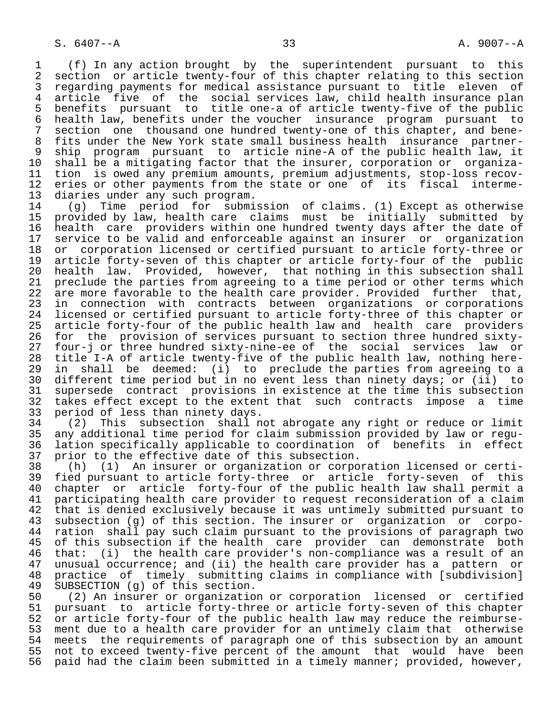1 (f) In any action brought by the superintendent pursuant to this 2 section or article twenty-four of this chapter relating to this section<br>3 regarding payments for medical assistance pursuant to title eleven of 3 regarding payments for medical assistance pursuant to title eleven of<br>4 article five of the social services law, child health insurance plan 4 article five of the social services law, child health insurance plan<br>5 benefits pursuant to title one-a of article twenty-five of the public 5 benefits pursuant to title one-a of article twenty-five of the public<br>6 health law, benefits under the voucher insurance program pursuant to 6 health law, benefits under the voucher insurance program pursuant to<br>7 section one thousand one hundred twenty-one of this chapter, and bene-7 section one thousand one hundred twenty-one of this chapter, and bene-<br>8 fits under the New York state small business health insurance partner-8 fits under the New York state small business health insurance partner-<br>9 ship program pursuant to article nine-A of the public health law, it 9 ship program pursuant to article nine-A of the public health law, it<br>10 shall be a mitigating factor that the insurer, corporation or organiza-10 shall be a mitigating factor that the insurer, corporation or organiza-<br>11 tion is owed any premium amounts, premium adjustments, stop-loss recov-11 tion is owed any premium amounts, premium adjustments, stop-loss recov-<br>12 eries or other payments from the state or one of its fiscal interme-12 eries or other payments from the state or one of its fiscal  $13$  diaries under any such program. 13 diaries under any such program.<br>14 (g) Time period for submi

 14 (g) Time period for submission of claims. (1) Except as otherwise 15 provided by law, health care claims must be initially submitted by<br>16 health care providers within one hundred twenty days after the date of 16 health care providers within one hundred twenty days after the date of<br>17 service to be valid and enforceable against an insurer or organization 17 service to be valid and enforceable against an insurer or organization<br>18 or corporation licensed or certified pursuant to article forty-three or 18 or corporation licensed or certified pursuant to article forty-three or<br>19 article forty-seven of this chapter or article forty-four of the public 19 article forty-seven of this chapter or article forty-four of the public<br>20 health law. Provided, however, that nothing in this subsection shall 20 health law. Provided, however, that nothing in this subsection shall<br>21 preclude the parties from agreeing to a time period or other terms which 21 preclude the parties from agreeing to a time period or other terms which<br>22 are more favorable to the health care provider. Provided further that, 22 are more favorable to the health care provider. Provided further that,<br>23 in connection with contracts between organizations or corporations 23 in connection with contracts between organizations or corporations<br>24 licensed or certified pursuant to article forty-three of this chapter or 24 licensed or certified pursuant to article forty-three of this chapter or<br>25 article forty-four of the public health law and health care providers article forty-four of the public health law and health care providers 26 for the provision of services pursuant to section three hundred sixty-<br>27 four-j or three hundred sixty-nine-ee of the social services law or 27 four-j or three hundred sixty-nine-ee of the social services law or<br>28 title I-A of article twenty-five of the public health law, nothing here-28 title I-A of article twenty-five of the public health law, nothing here-<br>29 in shall be deemed: (i) to preclude the parties from agreeing to a 29 in shall be deemed: (i) to preclude the parties from agreeing to a<br>30 different time period but in no event less than ninety days; or (ii) to 30 different time period but in no event less than ninety days; or (ii) to<br>31 supersede contract provisions in existence at the time this subsection 31 supersede contract provisions in existence at the time this subsection<br>32 takes effect except to the extent that such contracts impose a time 32 takes effect except to the extent that such contracts impose a time<br>33 period of less than ninety days. 33 period of less than ninety days.<br>34 (2) This subsection shall n

 34 (2) This subsection shall not abrogate any right or reduce or limit 35 any additional time period for claim submission provided by law or regu lation specifically applicable to coordination of benefits in effect 37 prior to the effective date of this subsection.<br>38 (h) (1) An insurer or organization or corpo

 38 (h) (1) An insurer or organization or corporation licensed or certi- 39 fied pursuant to article forty-three or article forty-seven of this<br>40 chapter or article forty-four of the public health law shall permit a 40 chapter or article forty-four of the public health law shall permit a<br>41 participating health care provider to request reconsideration of a claim 41 participating health care provider to request reconsideration of a claim<br>42 that is denied exclusively because it was untimely submitted pursuant to that is denied exclusively because it was untimely submitted pursuant to<br>43 subsection (q) of this section. The insurer or organization or corpo-43 subsection (g) of this section. The insurer or organization or corpo-<br>44 ration shall pay such claim pursuant to the provisions of paragraph two 44 ration shall pay such claim pursuant to the provisions of paragraph two<br>45 of this subsection if the health care provider can demonstrate both 45 of this subsection if the health care provider can demonstrate both<br>46 that: (i) the health care provider's non-compliance was a result of an 46 that: (i) the health care provider's non-compliance was a result of an<br>47 unusual occurrence; and (ii) the health care provider has a pattern or 47 unusual occurrence; and (ii) the health care provider has a pattern or<br>48 practice of timely submitting claims in compliance with [subdivision] 48 practice of timely submitting claims in compliance with [subdivision]<br>49 SUBSECTION (q) of this section. 49 SUBSECTION (g) of this section.<br>50 (2) An insurer or organizatio

 50 (2) An insurer or organization or corporation licensed or certified 51 pursuant to article forty-three or article forty-seven of this chapter<br>52 or article forty-four of the public health law may reduce the reimburse-52 or article forty-four of the public health law may reduce the reimburse-<br>53 ment due to a health care provider for an untimely claim that otherwise 53 ment due to a health care provider for an untimely claim that otherwise<br>54 meets the requirements of paragraph one of this subsection by an amount 54 meets the requirements of paragraph one of this subsection by an amount<br>55 not to exceed twenty-five percent of the amount that would have been 55 not to exceed twenty-five percent of the amount that would have been<br>56 paid had the claim been submitted in a timely manner; provided, however, paid had the claim been submitted in a timely manner; provided, however,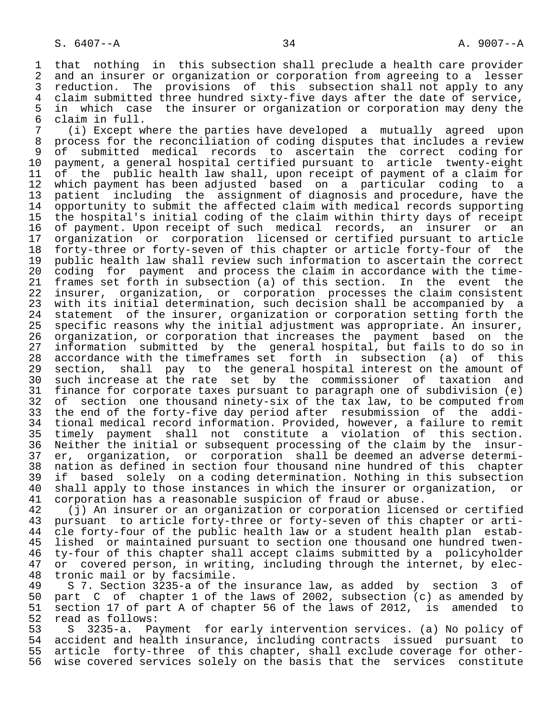1 that nothing in this subsection shall preclude a health care provider<br>2 and an insurer or organization or corporation from agreeing to a lesser 2 and an insurer or organization or corporation from agreeing to a lesser<br>3 reduction. The provisions of this subsection shall not apply to any 3 reduction. The provisions of this subsection shall not apply to any<br>4 claim submitted three hundred sixty-five davs after the date of service. 4 claim submitted three hundred sixty-five days after the date of service,<br>5 in which case the insurer or organization or corporation may deny the 5 in which case the insurer or organization or corporation may deny the<br>6 claim in full. 6 claim in full.<br>7 (i) Except w

 7 (i) Except where the parties have developed a mutually agreed upon 8 process for the reconciliation of coding disputes that includes a review<br>9 of submitted medical records to ascertain the correct coding for 9 of submitted medical records to ascertain the correct coding for<br>10 payment, a general hospital certified pursuant to article twenty-eight 10 payment, a general hospital certified pursuant to article twenty-eight<br>11 of the public health law shall, upon receipt of payment of a claim for 11 of the public health law shall, upon receipt of payment of a claim for<br>12 which payment has been adjusted based on a particular coding to a 12 which payment has been adjusted based on a particular coding to a<br>13 patient including the assignment of diagnosis and procedure, have the 13 patient including the assignment of diagnosis and procedure, have the<br>14 opportunity to submit the affected claim with medical records supporting 14 opportunity to submit the affected claim with medical records supporting 15 the hospital's initial coding of the claim within thirty days of receipt<br>16 of payment. Upon receipt of such medical records, an insurer or an 16 of payment. Upon receipt of such medical records, an insurer or an<br>17 organization or corporation licensed or certified pursuant to article 17 organization or corporation licensed or certified pursuant to article<br>18 forty-three or forty-seven of this chapter or article forty-four of the 18 forty-three or forty-seven of this chapter or article forty-four of the<br>19 public health law shall review such information to ascertain the correct 19 public health law shall review such information to ascertain the correct<br>20 coding for payment and process the claim in accordance with the time-20 coding for payment and process the claim in accordance with the time-<br>21 frames set forth in subsection (a) of this section. In the event the 21 frames set forth in subsection (a) of this section.<br>22 insurer, organization, or corporation processes t 22 insurer, organization, or corporation processes the claim consistent<br>23 with its initial determination, such decision shall be accompanied by a 23 with its initial determination, such decision shall be accompanied by a<br>24 statement of the insurer, organization or corporation setting forth the 24 statement of the insurer, organization or corporation setting forth the<br>25 specific reasons why the initial adjustment was appropriate. An insurer, specific reasons why the initial adjustment was appropriate. An insurer, 26 organization, or corporation that increases the payment based on the 27 information submitted by the general-hospital, but fails to do so in<br>28 accordance with the timeframes set forth in subsection (a) of this 28 accordance with the timeframes set forth in subsection (a) of this<br>29 section, shall pay to the general hospital interest on the amount of 29 section, shall pay to the general hospital interest on the amount of 2008 and the rate set by the commissioner of taxation and 30 such increase at the rate set by the commissioner of taxation and<br>31 finance for corporate taxes pursuant to paragraph one of subdivision (e) 31 finance for corporate taxes pursuant to paragraph one of subdivision (e)<br>32 of section one thousand ninety-six of the tax law, to be computed from 32 of section one thousand ninety-six of the tax law, to be computed from<br>33 the end of the forty-five day period after resubmission of the addi-33 the end of the forty-five day period after resubmission of the addi-<br>34 tional medical record information. Provided, however, a failure to remit 34 tional medical record information. Provided, however, a failure to remit<br>35 timely payment shall not constitute a violation of this section. 35 timely payment shall not constitute a violation of this section.<br>36 Neither the initial or subsequent processing of the claim by the insur-Neither the initial or subsequent processing of the claim by the insur- 37 er, organization, or corporation shall be deemed an adverse determi- 38 nation as defined in section four thousand nine hundred of this chapter 39 if based solely on a coding determination. Nothing in this subsection<br>40 shall apply to those instances in which the insurer or organization, or 40 shall apply to those instances in which the insurer or organization, or<br>41 corporation has a reasonable suspicion of fraud or abuse.

41 corporation has a reasonable suspicion of fraud or abuse.<br>42 (j) An insurer or an organization or corporation licens 42 (j) An insurer or an organization or corporation licensed or certified<br>43 pursuant to article forty-three or forty-seven of this chapter or arti-43 pursuant to article forty-three or forty-seven of this chapter or arti-<br>44 cle forty-four of the public health law or a student health plan estab-44 cle forty-four of the public health law or a student health plan estab-<br>45 lished or maintained pursuant to section one thousand one hundred twenlished or maintained pursuant to section one thousand one hundred twen-46 ty-four of this chapter shall accept claims submitted by a policyholder<br>47 or covered person, in writing, including through the internet, by elec-47 or covered person, in writing, including through the internet, by elec-<br>48 tronic mail or by facsimile.

48 tronic mail or by facsimile.<br>49 S 7. Section 3235-a of the 49 S 7. Section 3235-a of the insurance law, as added by section 3 of 50 part C of chapter 1 of the laws of 2002, subsection (c) as amended by<br>51 section 17 of part A of chapter 56 of the laws of 2012, is amended to 51 section 17 of part A of chapter 56 of the laws of 2012, is amended to 52 read as follows: 52 read as follows:<br>53 S 3235-a. Pa

 53 S 3235-a. Payment for early intervention services. (a) No policy of 54 accident and health insurance, including contracts issued pursuant to<br>55 article forty-three of this chapter, shall exclude coverage for other-55 article forty-three of this chapter, shall exclude coverage for other-<br>56 wise covered services solely on the basis that the services constitute wise covered services solely on the basis that the services constitute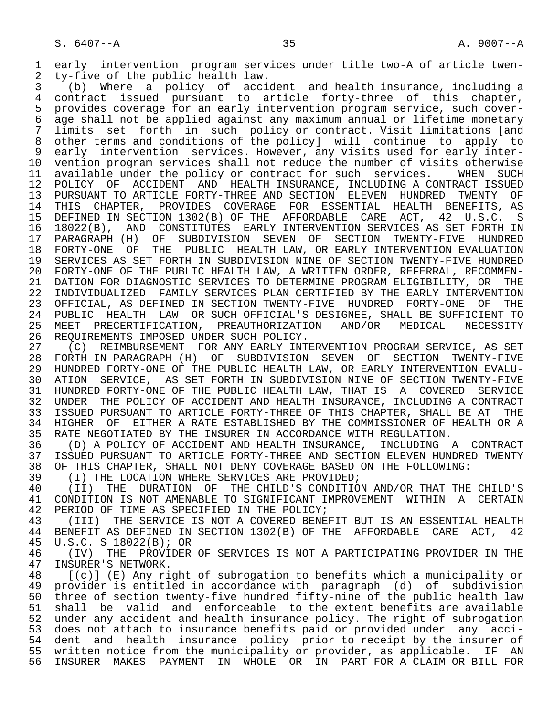1 early intervention program services under title two-A of article twen-<br>2 tv-five of the public health law.

2 ty-five of the public health law.<br>3 (b) Where a policy of acci 3 (b) Where a policy of accident and health insurance, including a 4 contract issued pursuant to article forty-three of this chapter,<br>5 provides coverage for an early intervention-program-service, such-cover-5 provides coverage for an early intervention program service, such cover-<br>6 age shall not be applied against any maximum annual or lifetime monetary 6 age shall not be applied against any maximum annual or lifetime monetary<br>7 limits set forth in such policy or contract. Visit limitations [and limits set forth in such policy or contract. Visit limitations [and 8 other terms and conditions of the policy] will continue to apply to<br>9 early intervention services. However, any visits used for early inter-9 early intervention services. However, any visits used for early inter-<br>10 vention program services shall not reduce the number of visits otherwise 10 vention program services shall not reduce the number of visits otherwise<br>11 available under the policy or contract for such services. WHEN SUCH 11 available under the policy or contract for such services.<br>12 POLICY OF ACCIDENT AND HEALTH INSURANCE, INCLUDING A CO 12 POLICY OF ACCIDENT AND HEALTH INSURANCE, INCLUDING A CONTRACT ISSUED<br>13 PURSUANT TO ARTICLE FORTY-THREE AND SECTION ELEVEN HUNDRED TWENTY OF 13 PURSUANT TO ARTICLE FORTY-THREE AND SECTION ELEVEN HUNDRED TWENTY OF<br>14 THIS CHAPTER, PROVIDES COVERAGE FOR ESSENTIAL HEALTH BENEFITS, AS 14 THIS CHAPTER, PROVIDES COVERAGE FOR ESSENTIAL HEALTH BENEFITS, AS 15 DEFINED IN SECTION 1302(B) OF THE AFFORDABLE CARE ACT, 42 U.S.C. S<br>16 18022(B), AND CONSTITUTES EARLY INTERVENTION SERVICES AS SET FORTH IN 16 18022(B), AND CONSTITUTES EARLY INTERVENTION SERVICES AS SET FORTH IN<br>17 PARAGRAPH (H) OF SUBDIVISION SEVEN OF SECTION TWENTY-FIVE HUNDRED 17 PARAGRAPH (H) OF SUBDIVISION SEVEN OF SECTION TWENTY-FIVE HUNDRED<br>18 FORTY-ONE OF THE PUBLIC HEALTH LAW, OR EARLY INTERVENTION EVALUATION 18 FORTY-ONE OF THE PUBLIC HEALTH LAW, OR EARLY INTERVENTION EVALUATION<br>19 SERVICES AS SET FORTH IN SUBDIVISION NINE OF SECTION TWENTY-FIVE HUNDRED 19 SERVICES AS SET FORTH IN SUBDIVISION NINE OF SECTION TWENTY-FIVE HUNDRED<br>20 FORTY-ONE OF THE PUBLIC HEALTH LAW, A WRITTEN ORDER, REFERRAL, RECOMMEN-20 FORTY-ONE OF THE PUBLIC HEALTH LAW, A WRITTEN ORDER, REFERRAL, RECOMMEN-<br>21 DATION FOR DIAGNOSTIC SERVICES TO DETERMINE PROGRAM ELIGIBILITY, OR THE 21 DATION FOR DIAGNOSTIC SERVICES TO DETERMINE PROGRAM ELIGIBILITY, OR THE<br>22 INDIVIDUALIZED FAMILY SERVICES PLAN CERTIFIED BY THE EARLY INTERVENTION 22 INDIVIDUALIZED FAMILY SERVICES PLAN CERTIFIED BY THE EARLY INTERVENTION 23 OFFICIAL, AS DEFINED IN SECTION TWENTY-FIVE HUNDRED FORTY-ONE OF THE 24 PUBLIC HEALTH LAW OR SUCH OFFICIAL'S DESIGNEE, SHALL BE SUFFICIENT TO<br>25 MEET PRECERTIFICATION, PREAUTHORIZATION AND/OR MEDICAL NECESSITY 25 MEET PRECERTIFICATION, PREAUTHORIZATION AND/OR MEDICAL NECESSITY

26 REQUIREMENTS IMPOSED UNDER SUCH POLICY.<br>27 (C) REIMBURSEMENT FOR ANY EARLY INT 27 (C) REIMBURSEMENT FOR ANY EARLY INTERVENTION PROGRAM SERVICE, AS SET<br>28 FORTH IN PARAGRAPH (H) OF SUBDIVISION SEVEN OF SECTION TWENTY-FIVE 28 FORTH IN PARAGRAPH (H) OF SUBDIVISION SEVEN OF SECTION TWENTY-FIVE 29 HUNDRED FORTY-ONE OF THE PUBLIC HEALTH LAW, OR EARLY INTERVENTION EVALU-<br>30 ATION SERVICE, AS SET FORTH IN SUBDIVISION NINE OF SECTION TWENTY-FIVE 30 ATION SERVICE, AS SET FORTH IN SUBDIVISION NINE OF SECTION TWENTY-FIVE<br>31 HUNDRED FORTY-ONE OF THE PUBLIC HEALTH LAW, THAT IS A COVERED SERVICE 31 HUNDRED FORTY-ONE OF THE PUBLIC HEALTH LAW, THAT IS A COVERED SERVICE 32 UNDER THE POLICY OF ACCIDENT AND HEALTH INSURANCE, INCLUDING A CONTRACT 33 ISSUED PURSUANT TO ARTICLE FORTY-THREE OF THIS CHAPTER, SHALL BE AT THE 34 HIGHER OF EITHER A RATE ESTABLISHED BY THE COMMISSIONER OF HEALTH OR A 34 HIGHER OF EITHER A RATE ESTABLISHED BY THE COMMISSIONER OF HEALTH OR A 35 RATE NEGOTIATED BY THE INSURER IN ACCORDANCE WITH REGULATION. 35 RATE NEGOTIATED BY THE INSURER IN ACCORDANCE WITH REGULATION.<br>36 (D) A POLICY OF ACCIDENT AND HEALTH INSURANCE, INCLUDING

 36 (D) A POLICY OF ACCIDENT AND HEALTH INSURANCE, INCLUDING A CONTRACT 37 ISSUED PURSUANT TO ARTICLE FORTY-THREE AND SECTION ELEVEN HUNDRED TWENTY<br>38 OF THIS CHAPTER, SHALL NOT DENY COVERAGE BASED ON THE FOLLOWING: 38 OF THIS CHAPTER, SHALL NOT DENY COVERAGE BASED ON THE FOLLOWING:<br>39 (I) THE LOCATION WHERE SERVICES ARE PROVIDED;

39 (I) THE LOCATION WHERE SERVICES ARE PROVIDED;<br>40 (II) THE DURATION OF THE CHILD'S CONDITIO

40 (II) THE DURATION OF THE CHILD'S CONDITION AND/OR THAT THE CHILD'S<br>41 CONDITION IS NOT AMENABLE TO SIGNIFICANT IMPROVEMENT WITHIN A CERTAIN 41 CONDITION IS NOT AMENABLE TO SIGNIFICANT IMPROVEMENT WITHIN A CERTAIN<br>42 PERIOD OF TIME AS SPECIFIED IN THE POLICY; 42 PERIOD OF TIME AS SPECIFIED IN THE POLICY;<br>43 (III) THE SERVICE IS NOT A COVERED BENE

43 (III) THE SERVICE IS NOT A COVERED BENEFIT BUT IS AN ESSENTIAL HEALTH<br>44 BENEFIT AS DEFINED IN SECTION 1302(B) OF THE AFFORDABLE CARE ACT, 42 44 BENEFIT AS DEFINED IN SECTION 1302(B) OF THE AFFORDABLE CARE ACT, 42<br>45 U.S.C. S 18022(B); OR 45 U.S.C. S 18022(B); OR<br>46 (IV) THE PROVIDER

46 (IV) THE PROVIDER OF SERVICES IS NOT A PARTICIPATING PROVIDER IN THE 47 INSURER'S NETWORK. 47 INSURER'S NETWORK.<br>48 [(c)] (E) Any ri

48 [(c)] (E) Any right of subrogation to benefits which a municipality or<br>49 provider is entitled in accordance with paragraph (d) of subdivision 49 provider is entitled in accordance with paragraph (d) of subdivision<br>50 three of section twenty-five hundred fifty-nine of the public health law 50 three of section twenty-five hundred fifty-nine of the public health law<br>51 shall be valid and enforceable to the extent benefits are available 51 shall be valid and enforceable to the extent benefits are available<br>52 under any accident and health insurance policy. The right of subrogation 52 under any accident and health insurance policy. The right of subrogation<br>53 does not attach to insurance benefits paid or provided under any acci-53 does not attach to insurance benefits paid or provided under any acci-<br>54 dent and health insurance policy prior to receipt by the insurer of 54 dent and health insurance policy prior to receipt by the insurer of<br>55 written notice from the municipality or provider, as applicable. IF AN 55 written notice from the municipality or provider, as applicable. IF AN<br>56 INSURER MAKES PAYMENT IN WHOLE OR IN PART FOR A CLAIM OR BILL FOR 56 INSURER MAKES PAYMENT IN WHOLE OR IN PART FOR A CLAIM OR BILL FOR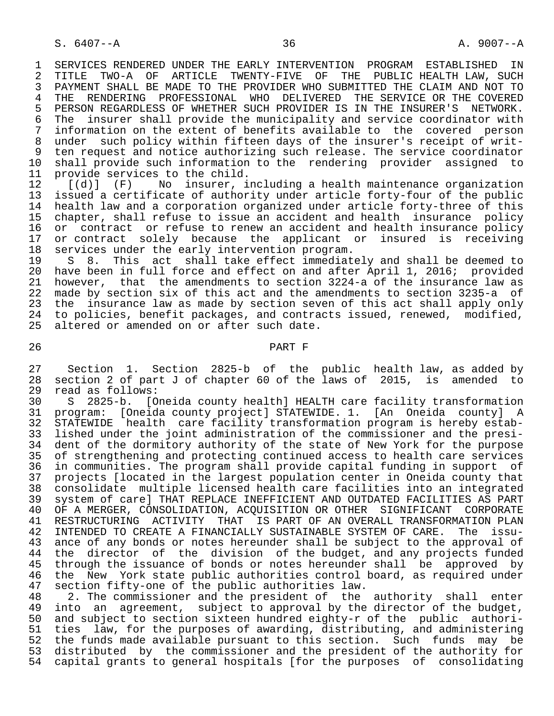1 SERVICES RENDERED UNDER THE EARLY INTERVENTION PROGRAM ESTABLISHED IN<br>2 TITLE TWO-A OF ARTICLE TWENTY-FIVE OF THE PUBLIC HEALTH LAW, SUCH 2 TITLE TWO-A OF ARTICLE TWENTY-FIVE OF THE PUBLIC HEALTH LAW, SUCH<br>3 PAYMENT SHALL BE MADE TO THE PROVIDER WHO SUBMITTED THE CLAIM AND NOT TO 3 PAYMENT SHALL BE MADE TO THE PROVIDER WHO SUBMITTED THE CLAIM AND NOT TO 30 PAYMENT PROFESSIONAL WHO DELIVERED THE SERVICE OR THE COVERED 4 THE RENDERING PROFESSIONAL WHO DELIVERED THE SERVICE OR THE COVERED<br>5 PERSON REGARDLESS OF WHETHER SUCH PROVIDER IS IN THE INSURER'S NETWORK. 5 PERSON REGARDLESS OF WHETHER SUCH PROVIDER IS IN THE INSURER'S NETWORK.<br>6 The insurer shall provide the municipality and service coordinator with 6 The insurer shall provide the municipality and service coordinator with<br>7 information on the extent of benefits available to the covered person 7 information on the extent of benefits available to the covered person<br>8 under such policy within fifteen days of the insurer's receipt of writ-8 under such policy within fifteen days of the insurer's receipt of writ-<br>8 ten request and notice authorizing such release. The service coordinator 9 ten request and notice authorizing such release. The service coordinator<br>10 shall provide such information to the rendering provider assigned to 10 shall provide such information to the rendering provider assigned to<br>11 provide services to the child. 11 provide services to the child.<br>12  $[(d)]$  (F) No insurer, i

12 [(d)] (F) No insurer, including a health maintenance organization<br>13 issued a certificate of authority under article forty-four of the public 13 issued a certificate of authority under article forty-four of the public<br>14 health law and a corporation organized under article forty-three of this 14 health law and a corporation organized under article forty-three of this<br>15 chapter, shall refuse to issue an accident and health insurance policy 15 chapter, shall refuse to issue an accident and health insurance policy<br>16 or contract or refuse to renew an accident and health insurance policy 16 or contract or refuse to renew an accident and health insurance policy<br>17 or contract solely because the applicant or insured is receiving 17 or contract solely because the applicant or insured is receiving<br>18 services under the early intervention program. 18 services under the early intervention program.<br>19 S 8. This act shall take effect immediat

19 S 8. This act shall take effect immediately and shall be deemed to<br>20 have been in full force and effect on and after April 1, 2016; provided 20 have been in full force and effect on and after April 1, 2016; provided<br>21 however, that the amendments to section 3224-a of the insurance law as 21 however, that the amendments to section 3224-a of the insurance law as<br>22 made by section six of this act and the amendments to section 3235-a of 22 made by section six of this act and the amendments to section 3235-a of<br>23 the insurance law as made by section seven of this act shall apply only 23 the insurance law as made by section seven of this act shall apply only<br>24 to policies, benefit packages, and contracts issued, renewed, modified, 24 to policies, benefit packages, and contracts issued, renewed, modified,<br>25 altered or amended on or after such date. altered or amended on or after such date.

### 26 PART F

27 Section 1. Section 2825-b of the public health law, as added by<br>28 section 2 of part J of chapter 60 of the laws of 2015, is amended to 28 section 2 of part J of chapter 60 of the laws of 2015, is amended to 29 read as follows:<br>30 S 2825-b. [O

 30 S 2825-b. [Oneida county health] HEALTH care facility transformation 31 program: [Oneida county project] STATEWIDE. 1. [An Oneida county] A 32 STATEWIDE health care facility transformation program is hereby estab-<br>33 lished under the joint administration of the commissioner and the presilished under the joint administration of the commissioner and the presi- 34 dent of the dormitory authority of the state of New York for the purpose 35 of strengthening and protecting continued access to health care services<br>36 in communities. The program shall provide capital funding in support of 36 in communities. The program shall provide capital funding in support of 37 projects [located in the largest population center in Oneida county that 38 consolidate multiple licensed health care facilities into an integrated 39 system of care] THAT REPLACE INEFFICIENT AND OUTDATED FACILITIES AS PART 40 OF A MERGER, CONSOLIDATION, ACQUISITION OR OTHER SIGNIFICANT CORPORATE<br>41 RESTRUCTURING ACTIVITY THAT IS PART OF AN OVERALL TRANSFORMATION PLAN 41 RESTRUCTURING ACTIVITY THAT IS PART OF AN OVERALL TRANSFORMATION PLAN<br>42 INTENDED TO CREATE A FINANCIALLY SUSTAINABLE SYSTEM OF CARE. The issu-42 INTENDED TO CREATE A FINANCIALLY SUSTAINABLE SYSTEM OF CARE. The issu-<br>43 ance of any bonds or notes hereunder shall be subject to the approval of 43 ance of any bonds or notes hereunder shall be subject to the approval of 44 the director of the division of the budget, and any projects funded 44 the director of the division of the budget, and any projects funded<br>45 through the issuance of bonds or notes hereunder shall be approved by through the issuance of bonds or notes hereunder shall be approved by 46 the New York state public authorities control board, as required under<br>47 section fifty-one of the public authorities law. 47 section fifty-one of the public authorities law.<br>48 2. The commissioner and the president of the

48 2. The commissioner and the president of the authority shall enter<br>49 into an agreement, subject to approval by the director of the budget, 49 into an agreement, subject to approval by the director of the budget,<br>50 and subject to section sixteen hundred eighty-r of the public authori-50 and subject to section sixteen hundred eighty-r of the public authori-<br>51 ties law, for the purposes of awarding, distributing, and administering 51 ties law, for the purposes of awarding, distributing, and administering<br>52 the funds made available pursuant to this section. Such funds may be the funds made available pursuant to this section. Such funds may be 53 distributed by the commissioner and the president of the authority for 54 capital grants to general hospitals [for the purposes of consolidating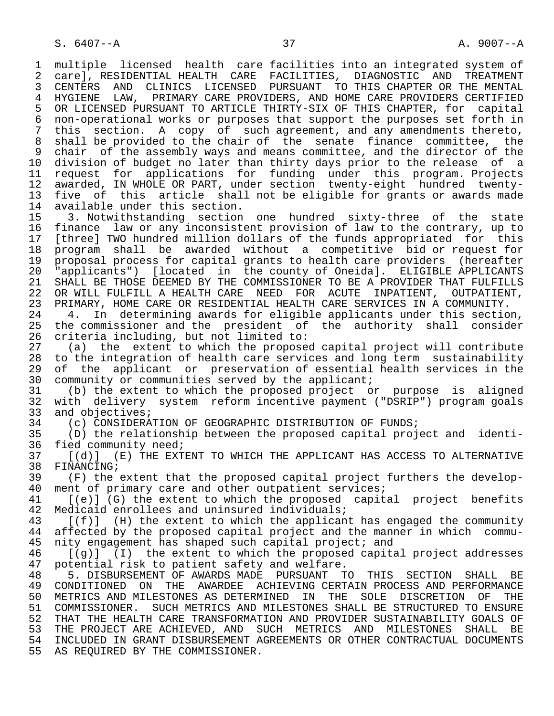1 multiple licensed health care facilities into an integrated system of<br>2 carel, RESIDENTIAL HEALTH CARE FACILITIES, DIAGNOSTIC AND TREATMENT 2 care], RESIDENTIAL HEALTH CARE FACILITIES, DIAGNOSTIC AND TREATMENT<br>3 CENTERS AND CLINICS LICENSED PURSUANT TO THIS CHAPTER OR THE MENTAL 3 CENTERS AND CLINICS LICENSED PURSUANT TO THIS CHAPTER OR THE MENTAL<br>4 HYGIENE LAW, PRIMARY CARE PROVIDERS, AND HOME CARE PROVIDERS CERTIFIED 4 HYGIENE LAW, PRIMARY CARE PROVIDERS, AND HOME CARE PROVIDERS CERTIFIED<br>5 OR LICENSED PURSUANT TO ARTICLE THIRTY-SIX OF THIS CHAPTER, for capital 5 OR LICENSED PURSUANT TO ARTICLE THIRTY-SIX OF THIS CHAPTER, for capital<br>6 non-operational works or purposes that support the purposes set forth in 6 non-operational works or purposes that support the purposes set forth in<br>7 this section. A copy of such agreement, and any amendments thereto, this section. A copy of such agreement, and any amendments thereto, 8 shall be provided to the chair of the senate finance committee, the 9 chair of the assembly ways and means committee, and the director of the<br>10 division of budget no later than thirty days prior to the release of a 10 division of budget no later than thirty days prior to the release of a<br>11 request for applications for funding under this program. Projects 11 request for applications for funding under this program. Projects<br>12 awarded, IN WHOLE OR PART, under section twenty-eight hundred twenty-12 awarded, IN WHOLE OR PART, under section twenty-eight hundred twenty-<br>13 five of this article shall not be eligible for grants or awards made 13 five of this article shall not be eligible for grants or awards made<br>14 available under this section. 14 available under this section.<br>15 3. Notwithstanding section

 15 3. Notwithstanding section one hundred sixty-three of the state 16 finance law or any inconsistent provision of law to the contrary, up to<br>17 [three] TWO hundred million dollars of the funds appropriated for this 17 [three] TWO hundred million dollars of the funds appropriated for this<br>18 program shall be awarded without a competitive bid or request for 18 program shall be awarded without a competitive bid or request for 19 proposal process for capital grants to health care providers (hereafter<br>20 "applicants") [located in the county of Oneida]. ELIGIBLE APPLICANTS 20 "applicants") [located in the county of Oneida]. ELIGIBLE APPLICANTS 21 SHALL BE THOSE DEEMED BY THE COMMISSIONER TO BE A PROVIDER THAT FULFILLS<br>22 OR WILL FULFILL A HEALTH CARE NEED FOR ACUTE INPATIENT, OUTPATIENT, 22 OR WILL FULFILL A HEALTH CARE NEED FOR ACUTE INPATIENT, OUTPATIENT, 23 PRIMARY, HOME CARE OR RESIDENTIAL HEALTH CARE SERVICES IN A COMMUNITY. 23 PRIMARY, HOME CARE OR RESIDENTIAL HEALTH CARE SERVICES IN A COMMUNITY.

24 4. In determining awards for eligible applicants under this section,<br>25 the commissioner and the president of the authority shall consider the commissioner and the president of the authority shall consider 26 criteria including, but not limited to:<br>27 (a) the extent to which the propose

27 (a) the extent to which the proposed capital project will contribute<br>28 to the integration of health care services and long term sustainability 28 to the integration of health care services and long term sustainability<br>29 of the applicant or preservation of essential health services in the 29 of the applicant or preservation of essential health services in the<br>30 community or communities served by the applicant; 30 community or communities served by the applicant;<br>31 (b) the extent to which the proposed project of

 31 (b) the extent to which the proposed project or purpose is aligned 32 with delivery system reform incentive payment ("DSRIP") program goals 33 and objectives;<br>34 (c) CONSIDERA

34 (c) CONSIDERATION OF GEOGRAPHIC DISTRIBUTION OF FUNDS;<br>35 (D) the relationship between the proposed capital proj

 35 (D) the relationship between the proposed capital project and identi- 36 fied community need;<br>37 [(d)] (E) THE EXT

37 [(d)] (E) THE EXTENT TO WHICH THE APPLICANT HAS ACCESS TO ALTERNATIVE 38 FINANCING; 38 FINANCING;<br>39 (F) the

39 (F) the extent that the proposed capital project furthers the develop-<br>40 ment of primary care and other outpatient services; 40 ment of primary care and other outpatient services;<br>41 [(e)] (G) the extent to which the proposed capit.

41 [(e)] (G) the extent to which the proposed capital project benefits<br>42 Medicaid enrollees and uninsured individuals; 42 Medicaid enrollees and uninsured individuals;<br>43 [(f)] (H) the extent to which the applican

43 [(f)] (H) the extent to which the applicant has engaged the community<br>44 affected by the proposed capital project and the manner in which commu-44 affected by the proposed capital project and the manner in which commu-<br>45 nity engagement has shaped such capital project; and nity engagement has shaped such capital project; and

 $46$  [(g)] (I) the extent to which the proposed capital project addresses<br>47 potential risk to patient safety and welfare. 47 potential risk to patient safety and welfare.

 48 5. DISBURSEMENT OF AWARDS MADE PURSUANT TO THIS SECTION SHALL BE 49 CONDITIONED ON THE AWARDEE ACHIEVING CERTAIN PROCESS AND PERFORMANCE<br>50 METRICS AND MILESTONES AS DETERMINED IN THE SOLE DISCRETION OF THE 50 METRICS AND MILESTONES AS DETERMINED IN THE SOLE DISCRETION OF THE<br>51 COMMISSIONER. SUCH METRICS AND MILESTONES SHALL BE STRUCTURED TO ENSURE 51 COMMISSIONER. SUCH METRICS AND MILESTONES SHALL BE STRUCTURED TO ENSURE<br>52 THAT THE HEALTH CARE TRANSFORMATION AND PROVIDER SUSTAINABILITY GOALS OF THAT THE HEALTH CARE TRANSFORMATION AND PROVIDER SUSTAINABILITY GOALS OF 53 THE PROJECT ARE ACHIEVED, AND SUCH METRICS AND MILESTONES SHALL BE<br>54 INCLUDED IN GRANT DISBURSEMENT AGREEMENTS OR OTHER CONTRACTUAL DOCUMENTS 54 INCLUDED IN GRANT DISBURSEMENT AGREEMENTS OR OTHER CONTRACTUAL DOCUMENTS<br>55 AS REOUIRED BY THE COMMISSIONER. AS REQUIRED BY THE COMMISSIONER.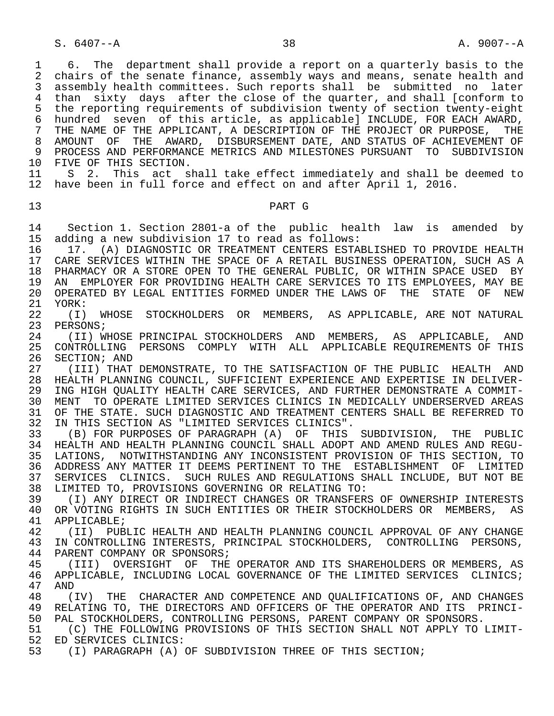S. 6407--A 38 38 A. 9007--A

1 6. The department shall provide a report on a quarterly basis to the<br>2 chairs of the senate finance, assembly ways and means, senate health and 2 chairs of the senate finance, assembly ways and means, senate health and<br>3 assembly health committees. Such reports shall be submitted no later assembly health committees. Such reports shall be submitted no later 4 than sixty days after the close of the quarter, and shall [conform to<br>5 the reporting requirements of subdivision twenty of section twenty-eight 5 the reporting requirements of subdivision twenty of section twenty-eight<br>6 hundred seven of this article, as applicablel INCLUDE, FOR EACH AWARD, 6 hundred seven of this article, as applicable] INCLUDE, FOR EACH AWARD,<br>7 THE NAME OF THE APPLICANT, A DESCRIPTION OF THE PROJECT OR PURPOSE, THE 7 THE NAME OF THE APPLICANT, A DESCRIPTION OF THE PROJECT OR PURPOSE, THE 8 AMOUNT OF THE AWARD, DISBURSEMENT DATE, AND STATUS OF ACHIEVEMENT OF<br>9 PROCESS AND PERFORMANCE METRICS AND MILESTONES PURSUANT TO SUBDIVISION 9 PROCESS AND PERFORMANCE METRICS AND MILESTONES PURSUANT TO SUBDIVISION<br>10 FIVE OF THIS SECTION. 10 FIVE OF THIS SECTION.<br>11 S 2. This act s 11 S 2. This act shall take effect immediately and shall be deemed to<br>12 have been in full force and effect on and after April 1, 2016. have been in full force and effect on and after April 1, 2016. 13 PART G 14 Section 1. Section 2801-a of the public health law is amended by 15 adding a new subdivision 17 to read as follows: 16 17. (A) DIAGNOSTIC OR TREATMENT CENTERS ESTABLISHED TO PROVIDE HEALTH<br>17 CARE SERVICES WITHIN THE SPACE OF A RETAIL BUSINESS OPERATION. SUCH AS A CARE SERVICES WITHIN THE SPACE OF A RETAIL BUSINESS OPERATION, SUCH AS A 18 PHARMACY OR A STORE OPEN TO THE GENERAL PUBLIC, OR WITHIN SPACE USED BY<br>19 AN EMPLOYER FOR PROVIDING HEALTH CARE SERVICES TO ITS EMPLOYEES, MAY BE 19 AN EMPLOYER FOR PROVIDING HEALTH CARE SERVICES TO ITS EMPLOYEES, MAY BE<br>20 OPERATED BY LEGAL ENTITIES FORMED UNDER THE LAWS OF THE STATE OF NEW 20 OPERATED BY LEGAL ENTITIES FORMED UNDER THE LAWS OF THE STATE OF NEW 21 YORK:<br>22 (I) 22 (I) WHOSE STOCKHOLDERS OR MEMBERS, AS APPLICABLE, ARE NOT NATURAL<br>23 PERSONS; PERSONS; 24 (II) WHOSE PRINCIPAL STOCKHOLDERS AND MEMBERS, AS APPLICABLE, AND 25 CONTROLLING PERSONS COMPLY WITH ALL APPLICABLE REQUIREMENTS OF THIS<br>26 SECTION; AND 26 SECTION; AND<br>27 (III) THAT 27 (III) THAT DEMONSTRATE, TO THE SATISFACTION OF THE PUBLIC HEALTH AND<br>28 HEALTH PLANNING COUNCIL, SUFFICIENT EXPERIENCE AND EXPERTISE IN DELIVER- 28 HEALTH PLANNING COUNCIL, SUFFICIENT EXPERIENCE AND EXPERTISE IN DELIVER- 29 ING HIGH QUALITY HEALTH CARE SERVICES, AND FURTHER DEMONSTRATE A COMMIT-<br>30 MENT TO OPERATE LIMITED SERVICES CLINICS IN MEDICALLY UNDERSERVED AREAS 30 MENT TO OPERATE LIMITED SERVICES CLINICS IN MEDICALLY UNDERSERVED AREAS<br>31 OF THE STATE, SUCH DIAGNOSTIC AND TREATMENT CENTERS SHALL BE REFERRED TO 31 OF THE STATE. SUCH DIAGNOSTIC AND TREATMENT CENTERS SHALL BE REFERRED TO 32 IN THIS SECTION AS "LIMITED SERVICES CLINICS". 32 IN THIS SECTION AS "LIMITED SERVICES CLINICS".<br>33 (B) FOR PURPOSES OF PARAGRAPH (A) OF THIS 33 (B) FOR PURPOSES OF PARAGRAPH (A) OF THIS SUBDIVISION, THE PUBLIC 34 HEALTH AND HEALTH PLANNING COUNCIL SHALL ADOPT AND AMEND RULES AND REGU- 35 LATIONS, NOTWITHSTANDING ANY INCONSISTENT PROVISION OF THIS SECTION, TO<br>36 ADDRESS ANY MATTER IT DEEMS PERTINENT TO THE ESTABLISHMENT OF LIMITED 36 ADDRESS ANY MATTER IT DEEMS PERTINENT TO THE ESTABLISHMENT OF LIMITED<br>37 SERVICES CLINICS. SUCH RULES AND REGULATIONS SHALL INCLUDE, BUT NOT BE 37 SERVICES CLINICS. SUCH RULES AND REGULATIONS SHALL INCLUDE, BUT NOT BE<br>38 LIMITED TO, PROVISIONS GOVERNING OR RELATING TO: 38 LIMITED TO, PROVISIONS GOVERNING OR RELATING TO: 39 (I) ANY DIRECT OR INDIRECT CHANGES OR TRANSFERS OF OWNERSHIP INTERESTS<br>40 OR VOTING RIGHTS IN SUCH ENTITIES OR THEIR STOCKHOLDERS OR MEMBERS, AS 40 OR VOTING RIGHTS IN SUCH ENTITIES OR THEIR STOCKHOLDERS OR MEMBERS, AS 41 APPLICABLE;<br>42 (II) PUB 42 (II) PUBLIC HEALTH AND HEALTH PLANNING COUNCIL APPROVAL OF ANY CHANGE<br>43 IN CONTROLLING INTERESTS, PRINCIPAL STOCKHOLDERS, CONTROLLING PERSONS, IN CONTROLLING INTERESTS, PRINCIPAL STOCKHOLDERS, CONTROLLING PERSONS, 44 PARENT COMPANY OR SPONSORS;<br>45 (III) OVERSIGHT OF THE (III) OVERSIGHT OF THE OPERATOR AND ITS SHAREHOLDERS OR MEMBERS, AS 46 APPLICABLE, INCLUDING LOCAL GOVERNANCE OF THE LIMITED SERVICES CLINICS;<br>47 AND 47 AND<br>48 ( 48 (IV) THE CHARACTER AND COMPETENCE AND QUALIFICATIONS OF, AND CHANGES<br>49 RELATING TO, THE DIRECTORS AND OFFICERS OF THE OPERATOR AND ITS PRINCI-RELATING TO, THE DIRECTORS AND OFFICERS OF THE OPERATOR AND ITS PRINCI-50 PAL STOCKHOLDERS, CONTROLLING PERSONS, PARENT COMPANY OR SPONSORS.<br>51 (C) THE FOLLOWING PROVISIONS OF THIS SECTION SHALL NOT APPLY TO 51 (C) THE FOLLOWING PROVISIONS OF THIS SECTION SHALL NOT APPLY TO LIMIT-<br>52 ED SERVICES CLINICS: 52 ED SERVICES CLINICS:<br>53 (I) PARAGRAPH (A) ( (I) PARAGRAPH (A) OF SUBDIVISION THREE OF THIS SECTION;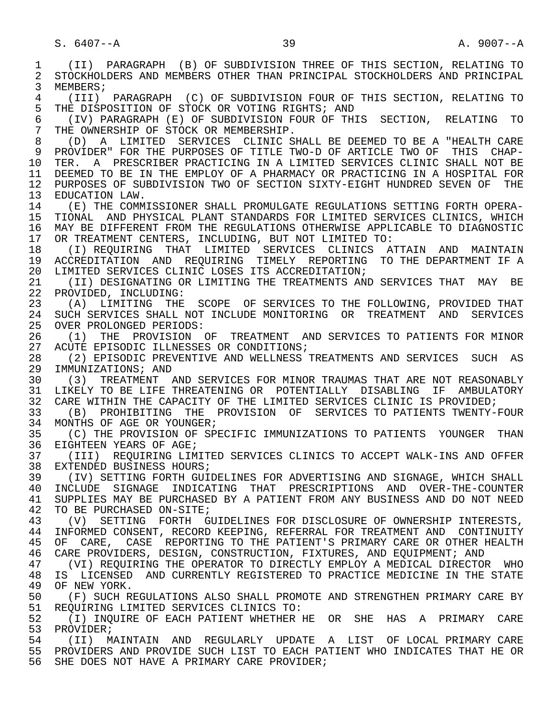1 (II) PARAGRAPH (B) OF SUBDIVISION THREE OF THIS SECTION, RELATING TO 2 STOCKHOLDERS AND MEMBERS OTHER THAN PRINCIPAL STOCKHOLDERS AND PRINCIPAL<br>3 MEMBERS; MEMBERS; 4 (III) PARAGRAPH (C) OF SUBDIVISION FOUR OF THIS SECTION, RELATING TO 5 THE DISPOSITION OF STOCK OR VOTING RIGHTS; AND<br>6 (IV) PARAGRAPH (E) OF SUBDIVISION FOUR OF THE 6 (IV) PARAGRAPH (E) OF SUBDIVISION FOUR OF THIS SECTION, RELATING TO THE OWNERSHIP OF STOCK OR MEMBERSHIP. 8 (D) A LIMITED SERVICES CLINIC SHALL BE DEEMED TO BE A "HEALTH CARE 9 PROVIDER" FOR THE PURPOSES OF TITLE TWO-D OF ARTICLE TWO OF THIS CHAP-<br>10 TER. A PRESCRIBER PRACTICING IN A LIMITED SERVICES CLINIC SHALL NOT BE 10 TER. A PRESCRIBER PRACTICING IN A LIMITED SERVICES CLINIC SHALL NOT BE<br>11 DEEMED TO BE IN THE EMPLOY OF A PHARMACY OR PRACTICING IN A HOSPITAL FOR 11 DEEMED TO BE IN THE EMPLOY OF A PHARMACY OR PRACTICING IN A HOSPITAL FOR<br>12 PURPOSES OF SUBDIVISION TWO OF SECTION SIXTY-EIGHT HUNDRED SEVEN OF THE 12 PURPOSES OF SUBDIVISION TWO OF SECTION SIXTY-EIGHT HUNDRED SEVEN OF THE 13 EDUCATION LAW.<br>14 (E) THE COMM 14 (E) THE COMMISSIONER SHALL PROMULGATE REGULATIONS SETTING FORTH OPERA- 15 TIONAL AND PHYSICAL PLANT STANDARDS FOR LIMITED SERVICES CLINICS, WHICH<br>16 MAY BE DIFFERENT FROM THE REGULATIONS OTHERWISE APPLICABLE TO DIAGNOSTIC 16 MAY BE DIFFERENT FROM THE REGULATIONS OTHERWISE APPLICABLE TO DIAGNOSTIC<br>17 OR TREATMENT CENTERS, INCLUDING, BUT NOT LIMITED TO: 17 OR TREATMENT CENTERS, INCLUDING, BUT NOT LIMITED TO:<br>18 (I) REOUIRING THAT LIMITED SERVICES CLINICS A 18 (I) REQUIRING THAT LIMITED SERVICES CLINICS ATTAIN AND MAINTAIN<br>19 ACCREDITATION AND REOUIRING TIMELY REPORTING TO THE DEPARTMENT IF A 19 ACCREDITATION AND REQUIRING TIMELY REPORTING TO THE DEPARTMENT IF A<br>20 LIMITED SERVICES CLINIC LOSES ITS ACCREDITATION; 20 LIMITED SERVICES CLINIC LOSES ITS ACCREDITATION;<br>21 (II) DESIGNATING OR LIMITING THE TREATMENTS AN 21 (II) DESIGNATING OR LIMITING THE TREATMENTS AND SERVICES THAT MAY BE 22 PROVIDED. INCLUDING: 22 PROVIDED, INCLUDING:<br>23 (A) LIMITING THE (A) LIMITING THE SCOPE OF SERVICES TO THE FOLLOWING, PROVIDED THAT 24 SUCH SERVICES SHALL NOT INCLUDE MONITORING OR TREATMENT AND SERVICES<br>25 OVER PROLONGED PERIODS: OVER PROLONGED PERIODS: 26 (1) THE PROVISION OF TREATMENT AND SERVICES TO PATIENTS FOR MINOR<br>27 ACUTE EPISODIC ILLNESSES OR CONDITIONS; 27 ACUTE EPISODIC ILLNESSES OR CONDITIONS;<br>28 (2) EPISODIC PREVENTIVE AND WELLNESS 28 (2) EPISODIC PREVENTIVE AND WELLNESS TREATMENTS AND SERVICES SUCH AS<br>29 IMMUNIZATIONS; AND 29 IMMUNIZATIONS; AND<br>30 (3) TREATMENT 2 30 (3) TREATMENT AND SERVICES FOR MINOR TRAUMAS THAT ARE NOT REASONABLY<br>31 LIKELY TO BE LIFE THREATENING OR POTENTIALLY DISABLING IF AMBULATORY 31 LIKELY TO BE LIFE THREATENING OR POTENTIALLY DISABLING IF AMBULATORY<br>32 CARE WITHIN THE CAPACITY OF THE LIMITED SERVICES CLINIC IS PROVIDED; 32 CARE WITHIN THE CAPACITY OF THE LIMITED SERVICES CLINIC IS PROVIDED;<br>33 (B) PROHIBITING THE PROVISION OF SERVICES TO PATIENTS TWENTY-33 (B) PROHIBITING THE PROVISION OF SERVICES TO PATIENTS TWENTY-FOUR<br>34 MONTHS OF AGE OR YOUNGER; 34 MONTHS OF AGE OR YOUNGER;<br>35 (C) THE PROVISION OF SP 35 (C) THE PROVISION OF SPECIFIC IMMUNIZATIONS TO PATIENTS YOUNGER THAN<br>36 EIGHTEEN YEARS OF AGE; EIGHTEEN YEARS OF AGE; 37 (III) REQUIRING LIMITED SERVICES CLINICS TO ACCEPT WALK-INS AND OFFER<br>38 EXTENDED BUSINESS HOURS; 38 EXTENDED BUSINESS HOURS;<br>39 (IV) SETTING FORTH GUI 39 (IV) SETTING FORTH GUIDELINES FOR ADVERTISING AND SIGNAGE, WHICH SHALL<br>40 INCLUDE SIGNAGE INDICATING THAT PRESCRIPTIONS AND OVER-THE-COUNTER 40 INCLUDE SIGNAGE INDICATING THAT PRESCRIPTIONS AND OVER-THE-COUNTER<br>41 SUPPLIES MAY BE PURCHASED BY A PATIENT FROM ANY BUSINESS AND DO NOT NEED 41 SUPPLIES MAY BE PURCHASED BY A PATIENT FROM ANY BUSINESS AND DO NOT NEED 42 TO BE PURCHASED ON-SITE; 42 TO BE PURCHASED ON-SITE;<br>43 (V) SETTING FORTH G 43 (V) SETTING FORTH GUIDELINES FOR DISCLOSURE OF OWNERSHIP INTERESTS,<br>44 INFORMED CONSENT, RECORD KEEPING, REFERRAL FOR TREATMENT AND CONTINUITY 44 INFORMED CONSENT, RECORD KEEPING, REFERRAL FOR TREATMENT AND CONTINUITY<br>45 OF CARE, CASE REPORTING TO THE PATIENT'S PRIMARY CARE OR OTHER HEALTH OF CARE, CASE REPORTING TO THE PATIENT'S PRIMARY CARE OR OTHER HEALTH 46 CARE PROVIDERS, DESIGN, CONSTRUCTION, FIXTURES, AND EQUIPMENT; AND<br>47 (VI) REOUIRING THE OPERATOR TO DIRECTLY EMPLOY A MEDICAL DIRECTOR 47 (VI) REQUIRING THE OPERATOR TO DIRECTLY EMPLOY A MEDICAL DIRECTOR WHO<br>48 IS LICENSED AND CURRENTLY REGISTERED TO PRACTICE MEDICINE IN THE STATE 48 IS LICENSED AND CURRENTLY REGISTERED TO PRACTICE MEDICINE IN THE STATE 49 OF NEW YORK. 49 OF NEW YORK.<br>50 (F) SUCH R 50 (F) SUCH REGULATIONS ALSO SHALL PROMOTE AND STRENGTHEN PRIMARY CARE BY<br>51 REOUIRING LIMITED SERVICES CLINICS TO: 51 REQUIRING LIMITED SERVICES CLINICS TO:<br>52 (I) INOUIRE OF EACH PATIENT WHETHER H 52 (I) INQUIRE OF EACH PATIENT WHETHER HE OR SHE HAS A PRIMARY CARE<br>53 PROVIDER; 53 PROVIDER;<br>54 (TT) M 54 (II) MAINTAIN AND REGULARLY UPDATE A LIST OF LOCAL PRIMARY CARE 55 PROVIDERS AND PROVIDE SUCH LIST TO EACH PATIENT WHO INDICATES THAT HE OR<br>56 SHE DOES NOT HAVE A PRIMARY CARE PROVIDER; SHE DOES NOT HAVE A PRIMARY CARE PROVIDER;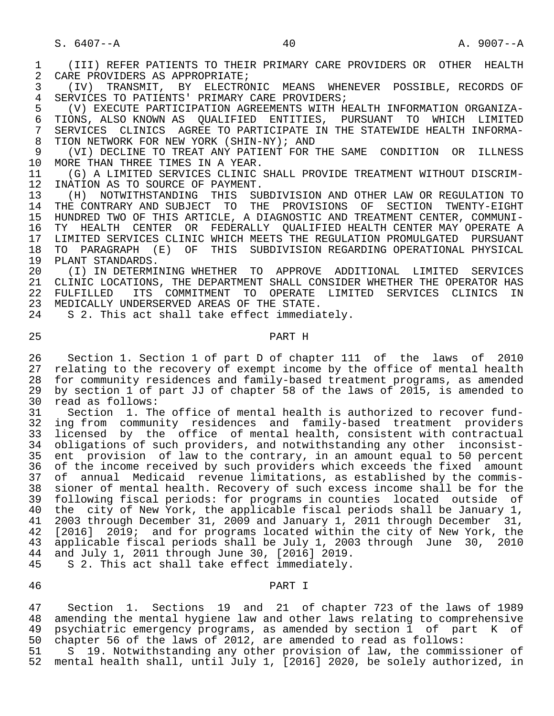1 (III) REFER PATIENTS TO THEIR PRIMARY CARE PROVIDERS OR OTHER HEALTH<br>2 CARE PROVIDERS AS APPROPRIATE; 2 CARE PROVIDERS AS APPROPRIATE;<br>3 (IV) TRANSMIT, BY ELECTRO

3 (IV) TRANSMIT, BY ELECTRONIC MEANS WHENEVER POSSIBLE, RECORDS OF<br>4 SERVICES TO PATIENTS' PRIMARY CARE PROVIDERS; 4 SERVICES TO PATIENTS' PRIMARY CARE PROVIDERS;<br>5 (V) EXECUTE PARTICIPATION AGREEMENTS WITH H

5 (V) EXECUTE PARTICIPATION AGREEMENTS WITH HEALTH INFORMATION ORGANIZA-<br>6 TIONS, ALSO KNOWN AS OUALIFIED ENTITIES, PURSUANT TO WHICH LIMITED 6 TIONS, ALSO KNOWN AS QUALIFIED ENTITIES, PURSUANT TO WHICH LIMITED<br>7 SERVICES CLINICS AGREE TO PARTICIPATE IN THE STATEWIDE HEALTH INFORMA-7 SERVICES CLINICS AGREE TO PARTICIPATE IN THE STATEWIDE HEALTH INFORMA-<br>8 TION NETWORK FOR NEW YORK (SHIN-NY); AND 8 TION NETWORK FOR NEW YORK (SHIN-NY); AND<br>9 (VI) DECLINE TO TREAT ANY PATIENT FOR

9 (VI) DECLINE TO TREAT ANY PATIENT FOR THE SAME CONDITION OR ILLNESS<br>10 MORE THAN THREE TIMES IN A YEAR. 10 MORE THAN THREE TIMES IN A YEAR.<br>11 (G) A LIMITED SERVICES CLINIC

11 (G) A LIMITED SERVICES CLINIC SHALL PROVIDE TREATMENT WITHOUT DISCRIM-<br>12 INATION AS TO SOURCE OF PAYMENT. 12 INATION AS TO SOURCE OF PAYMENT.<br>13 (H) NOTWITHSTANDING THIS SU

 13 (H) NOTWITHSTANDING THIS SUBDIVISION AND OTHER LAW OR REGULATION TO THE CONTRARY AND SUBJECT TO THE PROVISIONS OF SECTION TWENTY-EIGHT 15 HUNDRED TWO OF THIS ARTICLE, A DIAGNOSTIC AND TREATMENT CENTER, COMMUNI-<br>16 TY HEALTH CENTER OR FEDERALLY OUALIFIED HEALTH CENTER MAY OPERATE A 16 TY HEALTH CENTER OR FEDERALLY QUALIFIED HEALTH-CENTER MAY-OPERATE A 17 LIMITED SERVICES CLINIC WHICH MEETS THE REGULATION PROMULGATED PURSUANT 17 LIMITED SERVICES CLINIC WHICH MEETS THE REGULATION PROMULGATED PURSUANT<br>18 TO PARAGRAPH (E) OF THIS SUBDIVISION REGARDING OPERATIONAL PHYSICAL 18 TO PARAGRAPH (E) OF THIS SUBDIVISION REGARDING OPERATIONAL PHYSICAL<br>19 PLANT STANDARDS. 19 PLANT STANDARDS.<br>20 (I) IN DETERMI

20 (I) IN DETERMINING WHETHER TO APPROVE ADDITIONAL LIMITED SERVICES<br>21 CLINIC LOCATIONS, THE DEPARTMENT SHALL CONSIDER WHETHER THE OPERATOR HAS 21 CLINIC LOCATIONS, THE DEPARTMENT SHALL CONSIDER WHETHER THE OPERATOR HAS<br>22 FULFILLED ITS COMMITMENT TO OPERATE LIMITED SERVICES CLINICS IN 22 FULFILLED ITS COMMITMENT TO OPERATE LIMITED SERVICES CLINICS IN 23 MEDICALLY UNDERSERVED AREAS OF THE STATE.<br>24 S 2. This act shall take effect immedia

S 2. This act shall take effect immediately.

# 25 PART H

26 Section 1. Section 1 of part D of chapter 111 of the laws of 2010<br>27 relating to the recovery of exempt income by the office of mental health 27 relating to the recovery of exempt income by the office of mental health 28 for community residences and family-based treatment programs, as amended 29 by section 1 of part JJ of chapter 58 of the laws of 2015, is amended to 2015 30 read as follows:<br>31 Section 1. Th

31 Section 1. The office of mental health is authorized to recover fund-<br>32 ing from community residences and family-based treatment providers 32 ing from community residences and family-based treatment providers<br>33 licensed by the office of mental-health, consistent with contractual 33 licensed by the office of mental health, consistent with contractual<br>34 obligations of such providers, and notwithstanding any other inconsist- 34 obligations of such providers, and notwithstanding any other inconsist- 35 ent provision of law to the contrary, in an amount equal to 50 percent 36 of the income received by such providers which exceeds the fixed amount<br>37 of annual Medicaid revenue limitations, as established by the commis-37 of annual Medicaid revenue limitations, as established by the commis-<br>38 sioner of mental health. Recovery of such excess income shall be for the sioner of mental health. Recovery of such excess income shall be for the 39 following fiscal periods: for programs in counties located outside of<br>30 the city of New York, the applicable fiscal periods shall be January 1, 40 the city of New York, the applicable fiscal periods shall be January 1,<br>41 2003 through December 31, 2009 and January 1, 2011 through December 31, 41 2003 through December 31, 2009 and January 1, 2011 through December 31,<br>42 [2016] 2019; and for programs located within the city of New York, the 42 [2016] 2019; and for programs located within the city of New York, the<br>43 applicable fiscal periods shall be July 1, 2003 through June 30, 2010 applicable fiscal periods shall be July 1, 2003 through June 30, 2010 44 and July 1, 2011 through June 30, [2016] 2019.<br>45 S 2. This act shall take effect immediately. 45 S 2. This act shall take effect immediately.

#### 46 PART I

 47 Section 1. Sections 19 and 21 of chapter 723 of the laws of 1989 48 amending the mental hygiene law and other laws relating to comprehensive 49 psychiatric emergency programs, as amended by section 1 of part K of<br>50 chapter 56 of the laws of 2012, are amended to read as follows: 50 chapter 56 of the laws of 2012, are amended to read as follows:<br>51 S 19. Notwithstanding any other provision of law, the commis

51 S 19. Notwithstanding any other provision of law, the commissioner of<br>52 mental health shall, until July 1, [2016] 2020, be solely authorized, in mental health shall, until July 1, [2016] 2020, be solely authorized, in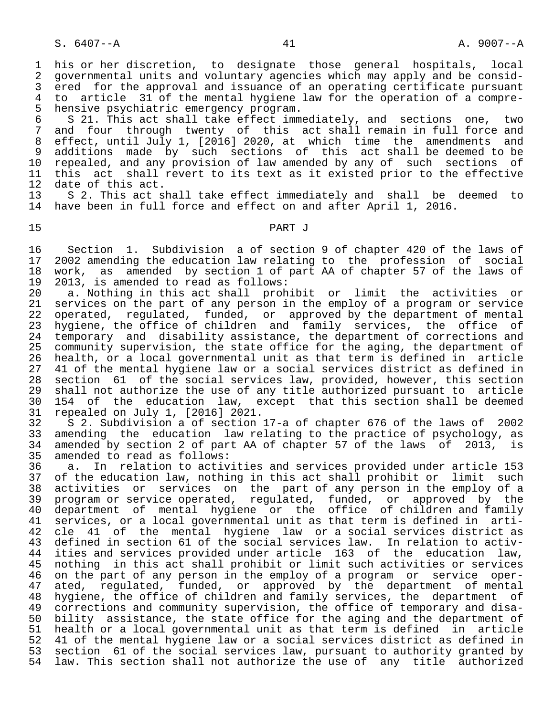6 S 21. This act shall take effect immediately, and sections one, two<br>7 and four through twenty of this act shall remain in full force and 7 and four through twenty of this act shall remain in full force and<br>8 effect, until July 1, [2016] 2020, at which time the amendments and 8 effect, until July 1, [2016] 2020, at which time the amendments and<br>9 additions made by such sections of this act shall be-deemed to-be 9 additions made by such sections of this act shall be deemed to be<br>10 repealed, and any provision of law amended by any of such sections of 10 repealed, and any provision of law amended by any of such sections of<br>11 this act shall revert to its text as it existed prior to the effective 11 this act shall revert to its text as it existed prior to the effective<br>12 date of this act. 12 date of this act.<br>13 S 2. This act sh

13 S 2. This act shall take effect immediately and shall be deemed to<br>14 have been in full force and effect on and after April 1, 2016. have been in full force and effect on and after April 1, 2016.

# 15 PART J

16 Section 1. Subdivision a of section 9 of chapter 420 of the laws of<br>17 2002 amending the education law relating to the profession of social 17 2002 amending the education law relating to the profession of social<br>18 work, as amended by section 1 of part AA of chapter 57 of the laws of 18 work, as amended by section 1 of part AA of chapter 57 of the laws of 19 2013, is amended to read as follows: 19 2013, is amended to read as follows:<br>20 a. Nothing in this act shall proh

20 a. Nothing in this act shall prohibit or limit the activities or<br>21 services on the part of any person in the employ of a program or service 21 services on the part of any person in the employ of a program or service<br>22 operated, regulated, funded, or approved by the department of mental 22 operated, regulated, funded, or approved by the department of mental<br>23 hygiene, the office of children and family services, the office of 23 hygiene, the office of children and family services, the office of<br>24 temporary and disability assistance, the department of corrections and 24 temporary and disability assistance, the department of corrections and<br>25 community supervision, the state office for the aging, the department of 25 community supervision, the state office for the aging, the department of<br>26 health, or a local governmental unit as that term is defined in article 26 health, or a local governmental unit as that term is defined in article<br>27 41 of the mental hygiene law or a social services district as defined in 27 41 of the mental hygiene law or a social services district as defined in<br>28 section 61 of the social services law, provided, however, this section 28 section 61 of the social services law, provided, however, this section<br>29 shall not authorize the use of any title authorized pursuant to article 29 shall not authorize the use of any title authorized pursuant to article<br>20 154 of the education law, except that this section shall be deemed 30 154 of the education law, except that this section shall be deemed<br>31 repealed on July 1, [2016] 2021. 31 repealed on July 1, [2016] 2021.<br>32 S 2. Subdivision a of section

32 S 2. Subdivision a of section 17-a of chapter 676 of the laws of 2002<br>33 amending the education law relating to the practice of psychology, as 33 amending the education law relating to the practice of psychology, as<br>34 amended by section 2 of part AA of chapter 57 of the laws of 2013, is 34 amended by section 2 of part AA of chapter 57 of the laws of 2013, is<br>35 amended to read as follows:

 35 amended to read as follows: 36 a. In relation to activities and services provided under article 153 37 of the education law, nothing in this act shall prohibit or limit such<br>38 activities or services on the part of any person in the employ of a 38 activities or services on the part of any person in the employ of a<br>39 program or service operated, regulated, funded, or approved by the 39 program or service operated, regulated, funded, or approved by the<br>40 department of mental hygiene or the office of children and family department of mental hygiene or the office of children and family<br>41 services, or a local governmental unit as that term is defined in arti-41 services, or a local governmental unit as that term is defined in arti-<br>42 cle 41 of the mental hygiene law or a social services district as 42 cle 41 of the mental hygiene law or a social services district as<br>43 defined in section 61 of the social services law. In relation to activ- 43 defined in section 61 of the social services law. In relation to activ- 44 ities and services provided under article 163 of the education law, 45 nothing in this act shall prohibit or limit such activities or services 46 on the part of any person in the employ of a program or service oper-<br>47 ated, requlated, funded, or approved by the department of mental 47 ated, regulated, funded, or approved by the department of mental<br>48 hygiene, the office of children and family services, the department of 48 hygiene, the office of children and family services, the department of<br>49 corrections and community supervision, the office of temporary and disa-49 corrections and community supervision, the office of temporary and disa-<br>50 bility assistance, the state office for the aging and the department of bility assistance, the state office for the aging and the department of 51 health or a local governmental unit as that term is defined in article<br>52 41 of the mental hygiene law or a social services district as defined in 52 41 of the mental hygiene law or a social services district as defined in<br>53 section 61 of the social services law, pursuant to authority granted by 53 section 61 of the social services law, pursuant to authority granted by<br>54 law, This section shall not authorize the use of any title authorized law. This section shall not authorize the use of any title authorized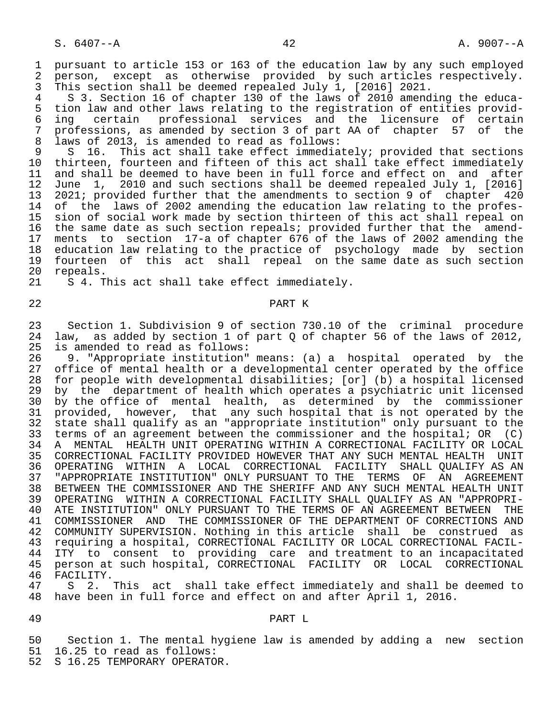1 pursuant to article 153 or 163 of the education law by any such employed<br>2 person, except as otherwise provided by such articles respectively. 2 person, except as otherwise provided by such articles respectively.<br>3 This section shall be deemed repealed July 1, [2016] 2021. This section shall be deemed repealed July 1, [2016] 2021.

4 S 3. Section 16 of chapter 130 of the laws of 2010 amending the educa-<br>5 tion law and other laws relating to the registration of entities provid-5 tion law and other laws relating to the registration of entities provid-<br>6 ing certain professional services and the licensure of certain 6 ing certain professional services and the licensure of certain<br>7 professions, as amended by section 3 of part AA of chapter 57 of the 7 professions, as amended by section 3 of part AA of chapter 57 of the<br>8 laws of 2013, is amended to read as follows: 8 laws of 2013, is amended to read as follows:<br>9 S 16. This act shall take effect immedia

9 S 16. This act shall take effect immediately; provided that sections<br>10 thirteen, fourteen and fifteen of this act shall take effect immediately 10 thirteen, fourteen and fifteen of this act shall take effect immediately<br>11 and shall be deemed to have been in full force and effect on and after 11 and shall be deemed to have been in full force and effect on and after<br>12 June 1, 2010 and such sections shall be deemed repealed July 1, [2016] 12 June 1, 2010 and such sections shall be deemed repealed July 1, [2016]<br>13 2021; provided further that the amendments to section 9 of chapter 420 13 2021; provided further that the amendments to section 9 of chapter 420<br>14 of the laws of 2002 amending the education law relating to the profesof the laws of 2002 amending the education law relating to the profes-15 sion of social work made by section thirteen of this act shall repeal on<br>16 the same date as such section repeals; provided further that the amendthe same date as such section repeals; provided further that the amend-17 ments to section 17-a of chapter 676 of the laws of 2002 amending the<br>18 education law relating to the practice of psychology made by section 18 education law relating to the practice of psychology made by section<br>19 fourteen of this act shall repeal on the same date as such section 19 fourteen of this act shall repeal on the same date as such section<br>20 repeals. 20 repeals.<br>21 S 4. T

S 4. This act shall take effect immediately.

# 22 PART K

 23 Section 1. Subdivision 9 of section 730.10 of the criminal procedure 24 law, as added by section 1 of part Q of chapter 56 of the laws of 2012,<br>25 is amended to read as follows: 25 is amended to read as follows:<br>26 9. "Appropriate institution"

26 9. "Appropriate institution" means: (a) a hospital operated by the<br>27 office of mental health or a developmental center operated by the office office of mental health or a developmental center operated by the office 28 for people with developmental disabilities; [or] (b) a hospital licensed 29 by the department of health which operates a psychiatric unit licensed<br>20 by the office of mental health, as determined by the commissioner 30 by the office of mental health, as determined by the commissioner<br>31 provided, however, that any such hospital that is not operated by the 31 provided, however, that any such hospital that is not operated by the<br>32 state shall qualify as an "appropriate institution" only pursuant to the 32 state shall qualify as an "appropriate institution" only pursuant to the<br>33 terms of an agreement between the commissioner and the hospital; OR (C) 33 terms of an agreement between the commissioner and the hospital; OR (C) 34 A MENTAL HEALTH UNIT OPERATING WITHIN A CORRECTIONAL FACILITY OR LOCAL 35 CORRECTIONAL FACILITY PROVIDED HOWEVER THAT ANY SUCH MENTAL HEALTH UNIT<br>36 OPERATING WITHIN A LOCAL CORRECTIONAL FACILITY SHALL OUALIFY AS AN 36 OPERATING WITHIN A LOCAL CORRECTIONAL FACILITY SHALL QUALIFYAS AN AGREEMENT 37 "APPROPRIATE INSTITUTION" ONLY PURSUANT TO THE TERMS OF AN AGREEMENT 38 BETWEEN THE COMMISSIONER AND THE SHERIFF AND ANY SUCH MENTAL HEALTH UNIT<br>39 OPERATING WITHIN A CORRECTIONAL FACILITY SHALL OUALIFY AS AN "APPROPRI-39 OPERATING WITHIN A CORRECTIONAL FACILITY SHALL QUALIFY AS AN "APPROPRI-<br>40 ATE INSTITUTION" ONLY PURSUANT TO THE TERMS OF AN AGREEMENT BETWEEN THE 40 ATE INSTITUTION" ONLY PURSUANT TO THE TERMS OF AN AGREEMENT BETWEEN THE 41 COMMISSIONER AND THE COMMISSIONER 41 COMMISSIONER AND THE COMMISSIONER OF THE DEPARTMENT OF CORRECTIONS AND<br>42 COMMUNITY SUPERVISION. Nothing in this article shall be construed as 42 COMMUNITY SUPERVISION. Nothing in this article shall be construed as<br>43 requiring a hospital, CORRECTIONAL FACILITY OR LOCAL CORRECTIONAL FACIL- 43 requiring a hospital, CORRECTIONAL FACILITY OR LOCAL CORRECTIONAL FACIL- 44 ITY to consent to providing care and treatment to an incapacitated 45 person at such hospital, CORRECTIONAL FACILITY OR LOCAL CORRECTIONAL

46 FACILITY.<br>47 S 2. 47 S 2. This act shall take effect immediately and shall be deemed to<br>48 have been in full force and effect on and after April 1, 2016. have been in full force and effect on and after April 1, 2016.

# 49 PART L

50 Section 1. The mental hygiene law is amended by adding a new section<br>51 16.25 to read as follows: 51 16.25 to read as follows:<br>52 S 16.25 TEMPORARY OPERATO

S 16.25 TEMPORARY OPERATOR.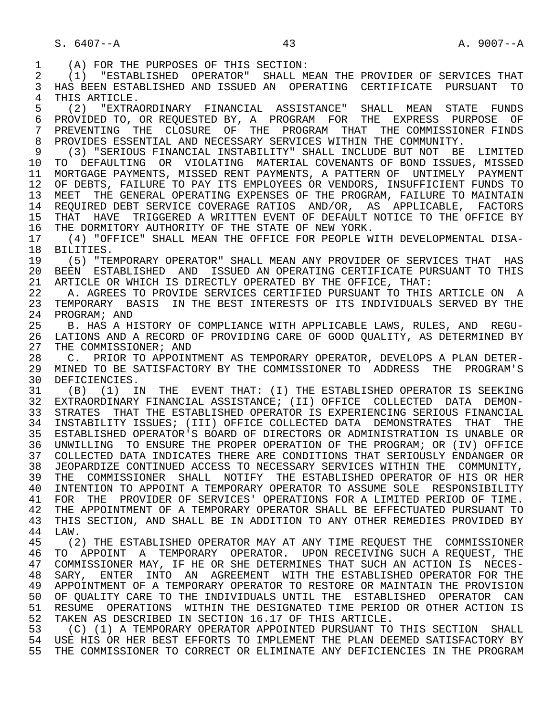1 (A) FOR THE PURPOSES OF THIS SECTION:<br>2 (1) "ESTABLISHED OPERATOR" SHALL MI 2 (1) "ESTABLISHED OPERATOR" SHALL MEAN THE PROVIDER OF SERVICES THAT<br>3 HAS BEEN ESTABLISHED AND ISSUED AN OPERATING CERTIFICATE PURSUANT TO 3 HAS BEEN ESTABLISHED AND ISSUED AN OPERATING CERTIFICATE PURSUANT TO 4 THIS ARTICLE.<br>5 (2) "EXTRA 5 (2) "EXTRAORDINARY FINANCIAL ASSISTANCE" SHALL MEAN STATE FUNDS 6 PROVIDED TO, OR REQUESTED BY, A PROGRAM FOR THE EXPRESS PURPOSE OF 7 PREVENTING THE CLOSURE OF THE PROGRAM THAT THE COMMISSIONER FINDS<br>8 PROVIDES ESSENTIAL AND NECESSARY SERVICES WITHIN THE COMMUNITY 8 PROVIDES ESSENTIAL AND NECESSARY SERVICES WITHIN THE COMMUNITY.<br>9 (3) "SERIOUS FINANCIAL INSTABILITY" SHALL INCLUDE BUT NOT BE 9 (3) "SERIOUS FINANCIAL INSTABILITY" SHALL INCLUDE BUT NOT BE LIMITED 10 TO DEFAULTING OR VIOLATING MATERIAL COVENANTS OF BOND ISSUES, MISSED<br>11 MORTGAGE PAYMENTS, MISSED RENT PAYMENTS, A PATTERN OF UNTIMELY PAYMENT 11 MORTGAGE PAYMENTS, MISSED RENT PAYMENTS, A PATTERN OF UNTIMELY PAYMENT<br>12 OF DEBTS, FAILURE TO PAY ITS EMPLOYEES OR VENDORS, INSUFFICIENT FUNDS TO OF DEBTS, FAILURE TO PAY ITS EMPLOYEES OR VENDORS, INSUFFICIENT FUNDS TO 13 MEET THE GENERAL OPERATING EXPENSES OF THE PROGRAM, FAILURE TO MAINTAIN<br>14 REQUIRED DEBT SERVICE COVERAGE RATIOS AND/OR, AS APPLICABLE, FACTORS REQUIRED DEBT SERVICE COVERAGE RATIOS AND/OR, AS APPLICABLE, FACTORS 15 THAT HAVE TRIGGERED A WRITTEN EVENT OF DEFAULT NOTICE TO THE OFFICE BY<br>16 THE DORMITORY AUTHORITY OF THE STATE OF NEW YORK. 16 THE DORMITORY AUTHORITY OF THE STATE OF NEW YORK.<br>17 (4) "OFFICE" SHALL MEAN THE OFFICE FOR PEOPLE W 17 (4) "OFFICE" SHALL MEAN THE OFFICE FOR PEOPLE WITH DEVELOPMENTAL DISA- 18 BILITIES.<br>19 (5) "TE 19 (5) "TEMPORARY OPERATOR" SHALL MEAN ANY PROVIDER OF SERVICES THAT HAS<br>20 BEEN ESTABLISHED AND ISSUED AN OPERATING CERTIFICATE PURSUANT TO THIS 20 BEEN ESTABLISHED AND ISSUED AN OPERATING CERTIFICATE PURSUANT TO THIS<br>21 ARTICLE OR WHICH IS DIRECTLY OPERATED BY THE OFFICE, THAT: 21 ARTICLE OR WHICH IS DIRECTLY OPERATED BY THE OFFICE, THAT:<br>22 A. AGREES TO PROVIDE SERVICES CERTIFIED PURSUANT TO THIS 22 A. AGREES TO PROVIDE SERVICES CERTIFIED PURSUANT TO THIS ARTICLE ON A<br>23 TEMPORARY BASIS IN THE BEST INTERESTS OF ITS INDIVIDUALS SERVED BY THE TEMPORARY BASIS IN THE BEST INTERESTS OF ITS INDIVIDUALS SERVED BY THE 24 PROGRAM; AND<br>25 B. HAS A HI 25 B. HAS A HISTORY OF COMPLIANCE WITH APPLICABLE LAWS, RULES, AND REGU- 26 LATIONS AND A RECORD OF PROVIDING CARE OF GOOD QUALITY, AS DETERMINED BY<br>27 THE COMMISSIONER; AND 27 THE COMMISSIONER; AND<br>28 C. PRIOR TO APPOINT 28 C. PRIOR TO APPOINTMENT AS TEMPORARY OPERATOR, DEVELOPS A PLAN DETER- 29 MINED TO BE SATISFACTORY BY THE COMMISSIONER TO ADDRESS THE PROGRAM'S<br>30 DEFICIENCIES 30 DEFICIENCIES.<br>31 (B) (1) IN 31 (B) (1) IN THE EVENT THAT: (I) THE ESTABLISHED OPERATOR IS SEEKING 32 EXTRAORDINARY FINANCIAL ASSISTANCE; (II) OFFICE COLLECTED DATA DEMON- STRATES THAT THE ESTABLISHED OPERATOR IS EXPERIENCING SERIOUS FINANCIAL 34 INSTABILITY ISSUES; (III) OFFICE COLLECTED DATA DEMONSTRATES THAT THE 35 ESTABLISHED OPERATOR'S BOARD OF DIRECTORS OR ADMINISTRATION IS UNABLE OR 36 UNWILLING TO ENSURE THE PROPER OPERATION OF THE PROGRAM; OR (IV) OFFICE 37 COLLECTED DATA INDICATES THERE ARE CONDITIONS THAT SERIOUSLY ENDANGER OR 38 JEOPARDIZE CONTINUED ACCESS TO NECESSARY SERVICES WITHIN THE COMMUNITY,<br>39 THE COMMISSIONER SHALL NOTIFY THE ESTABLISHED OPERATOR OF HIS OR HER 39 THE COMMISSIONER SHALL NOTIFY THE ESTABLISHED OPERATOR OF HIS OR HER<br>40 INTENTION TO APPOINT A TEMPORARY OPERATOR TO ASSUME SOLE RESPONSIBILITY 40 INTENTION TO APPOINT A TEMPORARY OPERATOR TO ASSUME SOLE RESPONSIBILITY 41 FOR THE PROVIDER OF SERVICES' OPERATIONS FOR A LIMITED PERIOD OF TIME.<br>42 THE APPOINTMENT OF A TEMPORARY OPERATOR SHALL BE EFFECTUATED PURSUANT TO 42 THE APPOINTMENT OF A TEMPORARY OPERATOR SHALL BE EFFECTUATED PURSUANT TO 43 THIS SECTION. AND SHALL BE IN ADDITION TO ANY OTHER REMEDIES PROVIDED BY 43 THIS SECTION, AND SHALL BE IN ADDITION TO ANY OTHER REMEDIES PROVIDED BY<br>44 LAW. 44 LAW.<br>45 (2 (2) THE ESTABLISHED OPERATOR MAY AT ANY TIME REOUEST THE COMMISSIONER 46 TO APPOINT A TEMPORARY OPERATOR. UPON RECEIVING SUCH A REQUEST, THE 47 COMMISSIONER MAY, IF HE OR SHE DETERMINES THAT SUCH AN ACTION IS NECES-47 COMMISSIONER MAY, IF HE OR SHE DETERMINES THAT SUCH AN ACTION IS NECES-<br>48 SARY, ENTER INTO AN AGREEMENT WITH THE ESTABLISHED OPERATOR FOR THE 48 SARY, ENTER INTO AN AGREEMENT WITH THE ESTABLISHED OPERATOR FOR THE 49 APPOINTMENT OF A TEMPORARY OPERATOR TO RESTORE OR MAINTAIN THE PROVISION 49 APPOINTMENT OF A TEMPORARY OPERATOR TO RESTORE OR MAINTAIN THE PROVISION<br>50 OF OUALITY CARE TO THE INDIVIDUALS UNTIL THE ESTABLISHED OPERATOR CAN 50 OF QUALITY CARE TO THE INDIVIDUALS UNTIL THE ESTABLISHED OPERATOR CAN<br>51 RESUME OPERATIONS WITHIN THE DESIGNATED TIME PERIOD OR OTHER ACTION IS 51 RESUME OPERATIONS WITHIN THE DESIGNATED TIME PERIOD OR OTHER ACTION IS<br>52 TAKEN AS DESCRIBED IN SECTION 16.17 OF THIS ARTICLE. 52 TAKEN AS DESCRIBED IN SECTION 16.17 OF THIS ARTICLE.<br>53 (C) (1) A TEMPORARY OPERATOR APPOINTED PURSUANT TO 53 (C) (1) A TEMPORARY OPERATOR APPOINTED PURSUANT TO THIS SECTION SHALL 54 USE HIS OR HER BEST EFFORTS TO IMPLEMENT THE PLAN DEEMED SATISFACTORY BY 55 THE COMMISSIONER TO CORRECT OR ELIMINATE ANY DEFICIENCIES IN THE PROGRAM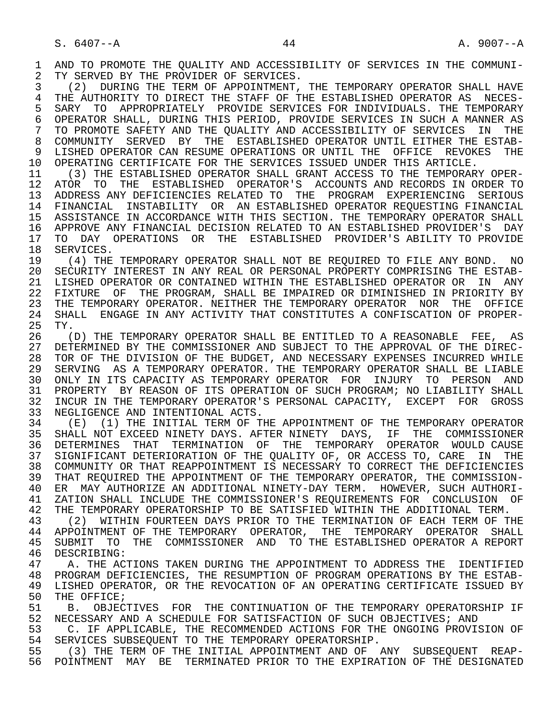1 AND TO PROMOTE THE QUALITY AND ACCESSIBILITY OF SERVICES IN THE COMMUNI-<br>2 TY SERVED BY THE PROVIDER OF SERVICES. 2 TY SERVED BY THE PROVIDER OF SERVICES.<br>3 (2) DURING THE TERM OF APPOINTMENT.

(2) DURING THE TERM OF APPOINTMENT, THE TEMPORARY OPERATOR SHALL HAVE 4 THE AUTHORITY TO DIRECT THE STAFF OF THE ESTABLISHED OPERATOR AS NECES-<br>5 SARY TO APPROPRIATELY PROVIDE SERVICES FOR INDIVIDUALS. THE TEMPORARY 5 SARY TO APPROPRIATELY PROVIDE SERVICES FOR INDIVIDUALS. THE TEMPORARY<br>6 OPERATOR SHALL, DURING THIS PERIOD, PROVIDE SERVICES IN SUCH A MANNER AS 6 OPERATOR SHALL, DURING THIS PERIOD, PROVIDE SERVICES IN SUCH A MANNER AS<br>7 TO PROMOTE SAFETY AND THE OUALITY AND ACCESSIBILITY OF SERVICES IN THE 7 TO PROMOTE SAFETY AND THE QUALITY AND ACCESSIBILITY OF SERVICES IN THE 8 COMMUNITY SERVED BY THE ESTABLISHED OPERATOR UNTIL EITHER THE ESTAB-<br>9 LISHED OPERATOR CAN RESUME OPERATIONS OR UNTIL THE OFFICE REVOKES THE 9 LISHED OPERATOR CAN RESUME OPERATIONS OR UNTIL THE OFFICE REVOKES THE 10 OPERATING CERTIFICATE FOR THE SERVICES ISSUED UNDER THIS ARTICLE.<br>11 (3) THE ESTABLISHED OPERATOR SHALL GRANT ACCESS TO THE TEMPORAR

 11 (3) THE ESTABLISHED OPERATOR SHALL GRANT ACCESS TO THE TEMPORARY OPER- 12 ATOR TO THE ESTABLISHED OPERATOR'S ACCOUNTS AND RECORDS IN ORDER TO<br>13 ADDRESS ANY DEFICIENCIES RELATED TO THE PROGRAM EXPERIENCING SERIOUS 13 ADDRESS ANY DEFICIENCIES RELATED TO THE PROGRAM EXPERIENCING SERIOUS 14 FINANCIAL INSTABILITY OR AN ESTABLISHED OPERATOR REQUESTING FINANCIAL 15 ASSISTANCE IN ACCORDANCE WITH THIS SECTION. THE TEMPORARY OPERATOR SHALL 16 APPROVE ANY FINANCIAL DECISION RELATED TO AN ESTABLISHED PROVIDER'S DAY<br>17 TO DAY OPERATIONS OR THE ESTABLISHED PROVIDER'S ABILITY TO PROVIDE 17 TO DAY OPERATIONS OR THE ESTABLISHED PROVIDER'S ABILITY TO PROVIDE 18 SERVICES. 18 SERVICES.<br>19 (4) THE

 19 (4) THE TEMPORARY OPERATOR SHALL NOT BE REQUIRED TO FILE ANY BOND. NO 20 SECURITY INTEREST IN ANY REAL OR PERSONAL PROPERTY COMPRISING THE ESTAB- 21 LISHED OPERATOR OR CONTAINED WITHIN THE ESTABLISHED OPERATOR OR IN ANY 22 FIXTURE OF THE PROGRAM, SHALL BE IMPAIRED OR DIMINISHED IN PRIORITY BY 23 THE TEMPORARY OPERATOR. NEITHER THE TEMPORARY OPERATOR NOR THE OFFICE<br>24 SHALL ENGAGE IN ANY ACTIVITY THAT CONSTITUTES A CONFISCATION OF PROPER-24 SHALL ENGAGE IN ANY ACTIVITY THAT CONSTITUTES A CONFISCATION OF PROPER-<br>25 TY. 25 TY.

26 (D) THE TEMPORARY OPERATOR SHALL BE ENTITLED TO A REASONABLE FEE, AS<br>27 DETERMINED BY THE COMMISSIONER AND SUBJECT TO THE APPROVAL OF THE DIREC-27 DETERMINED BY THE COMMISSIONER AND SUBJECT TO THE APPROVAL OF THE DIREC-<br>28 TOR OF THE DIVISION OF THE BUDGET. AND NECESSARY EXPENSES INCURRED WHILE 28 TOR OF THE DIVISION OF THE BUDGET, AND NECESSARY EXPENSES INCURRED WHILE<br>29 SERVING AS A TEMPORARY OPERATOR. THE TEMPORARY OPERATOR SHALL BE LIABLE SERVING AS A TEMPORARY OPERATOR. THE TEMPORARY OPERATOR SHALL BE LIABLE 30 ONLY IN ITS CAPACITY AS TEMPORARY OPERATOR FOR INJURY TO PERSON AND 31 PROPERTY BY REASON OF ITS OPERATION OF SUCH PROGRAM; NO LIABILITY SHALL<br>32 INCUR IN THE TEMPORARY OPERATOR'S PERSONAL CAPACITY, EXCEPT FOR GROSS 32 INCUR IN THE TEMPORARY OPERATOR'S PERSONAL CAPACITY, EXCEPT FOR GROSS<br>33 NEGLIGENCE AND INTENTIONAL ACTS. 33 NEGLIGENCE AND INTENTIONAL ACTS.<br>34 (E) (1) THE INITIAL TERM OF TH

34 (E) (1) THE INITIAL TERM OF THE APPOINTMENT OF THE TEMPORARY OPERATOR<br>35 SHALL NOT EXCEED NINETY DAYS. AFTER NINETY DAYS. IF THE COMMISSIONER 35 SHALL NOT EXCEED NINETY DAYS. AFTER NINETY DAYS, IF THE COMMISSIONER 36 DETERMINES THAT TERMINATION OF THE TEMPORARY OPERATOR WOULD CAUSE 37 SIGNIFICANT DETERIORATION OF THE QUALITY OF, OR ACCESS TO, CARE IN THE 38 COMMUNITY OR THAT REAPPOINTMENT IS NECESSARY TO CORRECT THE DEFICIENCIES 39 THAT REQUIRED THE APPOINTMENT OF THE TEMPORARY OPERATOR, THE COMMISSION- 40 ER MAY AUTHORIZE AN ADDITIONAL NINETY-DAY TERM. HOWEVER, SUCH AUTHORI-<br>41 ZATION SHALL INCLUDE THE COMMISSIONER'S REQUIREMENTS FOR CONCLUSION OF 41 ZATION SHALL INCLUDE THE COMMISSIONER'S REQUIREMENTS FOR CONCLUSION OF<br>42 THE TEMPORARY OPERATORSHIP TO BE SATISFIED WITHIN THE ADDITIONAL TERM. 42 THE TEMPORARY OPERATORSHIP TO BE SATISFIED WITHIN THE ADDITIONAL TERM.<br>43 (2) WITHIN FOURTEEN DAYS PRIOR TO THE TERMINATION OF EACH TERM OF T

43 (2) WITHIN FOURTEEN DAYS PRIOR TO THE TERMINATION OF EACH TERM OF THE THE TEMPORARY OPERATOR SHALL 44 APPOINTMENT OF THE TEMPORARY OPERATOR, THE TEMPORARY OPERATOR SHALL<br>45 SUBMIT TO THE COMMISSIONER AND TO THE ESTABLISHED OPERATOR A REPORT 45 SUBMIT TO THE COMMISSIONER AND TO THE ESTABLISHED OPERATOR A REPORT 46 DESCRIBING:<br>47 A THE ACT

A. THE ACTIONS TAKEN DURING THE APPOINTMENT TO ADDRESS THE IDENTIFIED 48 PROGRAM DEFICIENCIES, THE RESUMPTION OF PROGRAM OPERATIONS BY THE ESTAB-<br>49 LISHED OPERATOR, OR THE REVOCATION OF AN OPERATING CERTIFICATE ISSUED BY 49 LISHED OPERATOR, OR THE REVOCATION OF AN OPERATING CERTIFICATE ISSUED BY<br>50 THE OFFICE; 50 THE OFFICE;<br>51 B. OBJEC

 51 B. OBJECTIVES FOR THE CONTINUATION OF THE TEMPORARY OPERATORSHIP IF 52 NECESSARY AND A SCHEDULE FOR SATISFACTION OF SUCH OBJECTIVES; AND<br>53 C. IF APPLICABLE, THE RECOMMENDED ACTIONS FOR THE ONGOING PROVIS

53 C. IF APPLICABLE, THE RECOMMENDED ACTIONS FOR THE ONGOING PROVISION OF 54 SERVICES SUBSEQUENT TO THE TEMPORARY OPERATORSHIP 54 SERVICES SUBSEQUENT TO THE TEMPORARY OPERATORSHIP.<br>55 (3) THE TERM OF THE INITIAL APPOINTMENT AND OF 1

 55 (3) THE TERM OF THE INITIAL APPOINTMENT AND OF ANY SUBSEQUENT REAP- 56 POINTMENT MAY BE TERMINATED PRIOR TO THE EXPIRATION OF THE DESIGNATED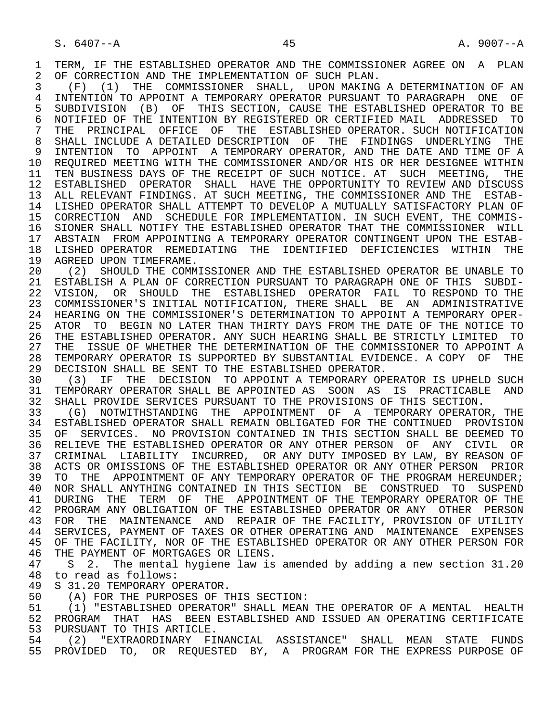1 TERM, IF THE ESTABLISHED OPERATOR AND THE COMMISSIONER AGREE ON A PLAN<br>2 OF CORRECTION AND THE IMPLEMENTATION OF SUCH PLAN. 2 OF CORRECTION AND THE IMPLEMENTATION OF SUCH PLAN.<br>3 (F) (1) THE COMMISSIONER SHALL, UPON MAKING

 3 (F) (1) THE COMMISSIONER SHALL, UPON MAKING A DETERMINATION OF AN 4 INTENTION TO APPOINT A TEMPORARY OPERATOR PURSUANT TO PARAGRAPH ONE OF<br>5 SUBDIVISION (B) OF THIS SECTION, CAUSE THE ESTABLISHED OPERATOR TO BE 5 SUBDIVISION (B) OF THIS SECTION, CAUSE THE ESTABLISHED OPERATOR TO BE<br>6 NOTIFIED OF THE INTENTION BY REGISTERED OR CERTIFIED MAIL ADDRESSED TO 6 NOTIFIED OF THE INTENTION BY REGISTERED OR CERTIFIED MAIL ADDRESSED TO<br>7 THE PRINCIPAL OFFICE OF THE ESTABLISHED OPERATOR. SUCH NOTIFICATION 7 THE PRINCIPAL OFFICE OF THE ESTABLISHED OPERATOR. SUCH NOTIFICATION 8 SHALL INCLUDE A DETAILED DESCRIPTION OF THE FINDINGS UNDERLYING THE<br>9 INTENTION TO APPOINT A TEMPORARY OPERATOR, AND THE DATE AND TIME OF A 9 INTENTION TO APPOINT A TEMPORARY OPERATOR, AND THE DATE AND TIME OF A 10 REQUIRED MEETING WITH THE COMMISSIONER AND/OR HIS OR HER DESIGNEE WITHIN 11 TEN BUSINESS DAYS OF THE RECEIPT OF SUCH NOTICE. AT SUCH MEETING, THE 12 ESTABLISHED OPERATOR SHALL HAVE THE OPPORTUNITY TO REVIEW AND DISCUSS 13 ALL RELEVANT FINDINGS. AT SUCH MEETING, THE COMMISSIONER AND THE ESTAB- 14 LISHED OPERATOR SHALL ATTEMPT TO DEVELOP A MUTUALLY SATISFACTORY PLAN OF 15 CORRECTION AND SCHEDULE FOR IMPLEMENTATION. IN SUCH EVENT, THE COMMIS- 16 SIONER SHALL NOTIFY THE ESTABLISHED OPERATOR THAT THE COMMISSIONER WILL 17 ABSTAIN FROM APPOINTING A TEMPORARY OPERATOR CONTINGENT UPON THE ESTAB- 18 LISHED OPERATOR REMEDIATING THE IDENTIFIED DEFICIENCIES WITHIN THE 19 AGREED UPON TIMEFRAME

19 AGREED UPON TIMEFRAME.<br>20 (2) SHOULD THE COMMI 20 (2) SHOULD THE COMMISSIONER AND THE ESTABLISHED OPERATOR BE UNABLE TO<br>21 ESTABLISH A PLAN OF CORRECTION PURSUANT TO PARAGRAPH ONE OF THIS SUBDI-21 ESTABLISH A PLAN OF CORRECTION PURSUANT TO PARAGRAPH ONE OF THIS SUBDI-<br>22 VISION, OR SHOULD THE ESTABLISHED OPERATOR FAIL TO RESPOND TO THE VISION, OR SHOULD THE ESTABLISHED OPERATOR FAIL TO RESPOND TO THE 23 COMMISSIONER'S INITIAL NOTIFICATION, THERE SHALL BE AN ADMINISTRATIVE 24 HEARING ON THE COMMISSIONER'S DETERMINATION TO APPOINT A TEMPORARY OPER-<br>25 ATOR TO BEGIN NO LATER THAN THIRTY DAYS FROM THE DATE OF THE NOTICE TO 25 ATOR TO BEGIN NO LATER THAN THIRTY DAYS FROM THE DATE OF THE NOTICE TO 26 THE ESTABLISHED OPERATOR. ANY SUCH HEARING SHALL BE STRICTLY LIMITED TO<br>27 THE ISSUE OF WHETHER THE DETERMINATION OF THE COMMISSIONER TO APPOINT A 27 THE ISSUE OF WHETHER THE DETERMINATION OF THE COMMISSIONER TO APPOINT A<br>28 TEMPORARY OPERATOR IS SUPPORTED BY SUBSTANTIAL EVIDENCE. A COPY OF THE 28 TEMPORARY OPERATOR IS SUPPORTED BY SUBSTANTIAL EVIDENCE. A COPY OF THE 29 DECISION SHALL BE SENT TO THE ESTABLISHED OPERATOR. 29 DECISION SHALL BE SENT TO THE ESTABLISHED OPERATOR.<br>30 (3) IF THE DECISION TO APPOINT A TEMPORARY OP

 30 (3) IF THE DECISION TO APPOINT A TEMPORARY OPERATOR IS UPHELD SUCH 31 TEMPORARY OPERATOR SHALL BE APPOINTED AS SOON AS IS PRACTICABLE AND<br>32 SHALL PROVIDE SERVICES PURSUANT TO THE PROVISIONS OF THIS SECTION.

32 SHALL PROVIDE SERVICES PURSUANT TO THE PROVISIONS OF THIS SECTION.<br>33 (G) NOTWITHSTANDING THE APPOINTMENT OF A TEMPORARY OPERATOR 33 (G) NOTWITHSTANDING THE APPOINTMENT OF A TEMPORARY OPERATOR, THE 34 ESTABLISHED OPERATOR SHALL REMAIN OBLIGATED FOR THE CONTINUED PROVISION<br>35 OF SERVICES. NO PROVISION CONTAINED IN THIS SECTION SHALL BE DEEMED TO 35 OF SERVICES. NO PROVISION CONTAINED IN THIS SECTION SHALL BE DEEMED TO<br>36 RELIEVE THE ESTABLISHED OPERATOR OR ANY OTHER PERSON OF ANY CIVIL OR 36 RELIEVE THE ESTABLISHED OPERATOR OR ANY OTHER PERSON OF ANY CIVIL OR 37 CRIMINAL LIABILITY INCURRED, OR ANY DUTY IMPOSED BY LAW, BY REASON OF<br>38 ACTS OR OMISSIONS OF THE ESTABLISHED OPERATOR OR ANY OTHER PERSON PRIOR 38 ACTS OR OMISSIONS OF THE ESTABLISHED OPERATOR OR ANY OTHER PERSON PRIOR<br>39 TO THE APPOINTMENT OF ANY TEMPORARY OPERATOR OF THE PROGRAM HEREUNDER; TO THE APPOINTMENT OF ANY TEMPORARY OPERATOR OF THE PROGRAM HEREUNDER; 40 NOR SHALL ANYTHING CONTAINED IN THIS SECTION BE CONSTRUED TO SUSPEND<br>41 DURING THE TERM OF THE APPOINTMENT OF THE TEMPORARY OPERATOR OF THE 41 DURING THE TERM OF THE APPOINTMENT OF THE TEMPORARY OPERATOR OF THE 42 PROGRAM ANY OBLIGATION OF THE ESTABLISHED OPERATOR OR ANY OTHER PERSON 42 PROGRAM ANY OBLIGATION OF THE ESTABLISHED OPERATOR OR ANY OTHER PERSON<br>43 FOR THE MAINTENANCE AND REPAIR OF THE FACILITY, PROVISION OF UTILITY 43 FOR THE MAINTENANCE AND REPAIR OF THE FACILITY, PROVISION OF UTILITY<br>44 SERVICES, PAYMENT OF TAXES OR OTHER OPERATING AND MAINTENANCE EXPENSES 44 SERVICES, PAYMENT OF TAXES OR OTHER OPERATING AND MAINTENANCE EXPENSES<br>45 OF THE FACILITY, NOR OF THE ESTABLISHED OPERATOR OR ANY OTHER PERSON FOR OF THE FACILITY, NOR OF THE ESTABLISHED OPERATOR OR ANY OTHER PERSON FOR 46 THE PAYMENT OF MORTGAGES OR LIENS.<br>47 S 2. The mental hygiene law is

47 S 2. The mental hygiene law is amended by adding a new section 31.20<br>48 to read as follows: 48 to read as follows:<br>49 S 31.20 TEMPORARY O

49 S 31.20 TEMPORARY OPERATOR.<br>50 (A) FOR THE PURPOSES OF T

50 (A) FOR THE PURPOSES OF THIS SECTION:<br>51 (1) "ESTABLISHED OPERATOR" SHALL MEAN 51 (1) "ESTABLISHED OPERATOR" SHALL MEAN THE OPERATOR OF A MENTAL HEALTH<br>52 PROGRAM THAT HAS BEEN ESTABLISHED AND ISSUED AN OPERATING CERTIFICATE 52 PROGRAM THAT HAS BEEN ESTABLISHED AND ISSUED AN OPERATING CERTIFICATE<br>53 PURSUANT TO THIS ARTICLE. 53 PURSUANT TO THIS ARTICLE.<br>54 (2) "EXTRAORDINARY FIL

 54 (2) "EXTRAORDINARY FINANCIAL ASSISTANCE" SHALL MEAN STATE FUNDS 55 PROVIDED TO, OR REQUESTED BY, A PROGRAM FOR THE EXPRESS PURPOSE OF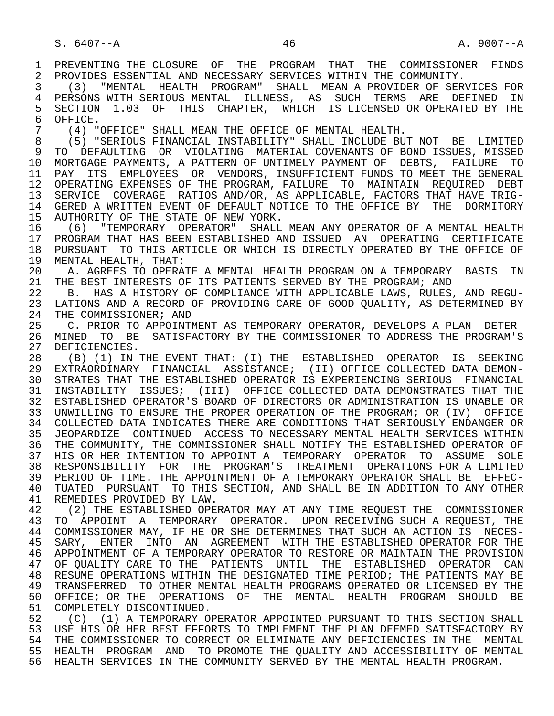1 PREVENTING THE CLOSURE OF THE PROGRAM THAT THE COMMISSIONER FINDS<br>2 PROVIDES ESSENTIAL AND NECESSARY SERVICES WITHIN THE COMMUNITY. 2 PROVIDES ESSENTIAL AND NECESSARY SERVICES WITHIN THE COMMUNITY.<br>3 (3) "MENTAL HEALTH PROGRAM" SHALL MEAN A PROVIDER OF SERV

 3 (3) "MENTAL HEALTH PROGRAM" SHALL MEAN A PROVIDER OF SERVICES FOR 4 PERSONS WITH SERIOUS MENTAL ILLNESS, AS SUCH TERMS ARE DEFINED IN<br>5 SECTION 1.03 OF THIS CHAPTER, WHICH IS LICENSED OR OPERATED BY THE 5 SECTION 1.03 OF THIS CHAPTER, WHICH IS LICENSED OR OPERATED BY THE 6 OFFICE. 6 OFFICE.<br>7 (4) "

7 (4) "OFFICE" SHALL MEAN THE OFFICE OF MENTAL HEALTH.

 8 (5) "SERIOUS FINANCIAL INSTABILITY" SHALL INCLUDE BUT NOT BE LIMITED 9 TO DEFAULTING OR VIOLATING MATERIAL COVENANTS OF BOND ISSUES, MISSED<br>10 MORTGAGE PAYMENTS, A PATTERN OF UNTIMELY PAYMENT OF DEBTS, FAILURE TO 10 MORTGAGE PAYMENTS, A PATTERN OF UNTIMELY PAYMENT OF DEBTS, FAILURE TO<br>11 PAY ITS EMPLOYEES OR VENDORS, INSUFFICIENT FUNDS TO MEET THE GENERAL PAY ITS EMPLOYEES OR VENDORS, INSUFFICIENT FUNDS TO MEET THE GENERAL 12 OPERATING EXPENSES OF THE PROGRAM, FAILURE TO MAINTAIN REQUIRED DEBT<br>13 SERVICE COVERAGE RATIOS AND/OR, AS APPLICABLE, FACTORS THAT HAVE TRIG-13 SERVICE COVERAGE RATIOS AND/OR, AS APPLICABLE, FACTORS THAT HAVE TRIG-<br>14 GERED A WRITTEN EVENT OF DEFAULT NOTICE TO THE OFFICE BY THE DORMITORY 14 GERED A WRITTEN EVENT OF DEFAULT NOTICE TO THE OFFICE BY THE DORMITORY<br>15 AUTHORITY OF THE STATE OF NEW YORK. 15 AUTHORITY OF THE STATE OF NEW YORK.<br>16 (6) "TEMPORARY OPERATOR" SHALL

 16 (6) "TEMPORARY OPERATOR" SHALL MEAN ANY OPERATOR OF A MENTAL HEALTH 17 PROGRAM THAT HAS BEEN ESTABLISHED AND ISSUED AN OPERATING CERTIFICATE<br>18 PURSUANT TO THIS ARTICLE OR WHICH IS DIRECTLY OPERATED BY THE OFFICE OF 18 PURSUANT TO THIS ARTICLE OR WHICH IS DIRECTLY OPERATED BY THE OFFICE OF 19 MENTAL HEALTH. THAT: 19 MENTAL HEALTH, THAT:<br>20 A. AGREES TO OPERAT

20 A. AGREES TO OPERATE A MENTAL HEALTH PROGRAM ON A TEMPORARY BASIS IN<br>21 THE BEST INTERESTS OF ITS PATIENTS SERVED BY THE PROGRAM; AND 21 THE BEST INTERESTS OF ITS PATIENTS SERVED BY THE PROGRAM; AND 22 B. HAS A HISTORY OF COMPLIANCE WITH APPLICABLE LAWS, RULES

22 B. HAS A HISTORY OF COMPLIANCE WITH APPLICABLE LAWS, RULES, AND REGU-<br>23 LATIONS AND A RECORD OF PROVIDING CARE OF GOOD OUALITY, AS DETERMINED BY LATIONS AND A RECORD OF PROVIDING CARE OF GOOD OUALITY, AS DETERMINED BY 24 THE COMMISSIONER; AND<br>25 C. PRIOR TO APPOINT

 25 C. PRIOR TO APPOINTMENT AS TEMPORARY OPERATOR, DEVELOPS A PLAN DETER- 26 MINED TO BE SATISFACTORY BY THE COMMISSIONER TO ADDRESS THE PROGRAM'S 27 DEFICIENCIES.<br>28 (B) (1) IN '

 28 (B) (1) IN THE EVENT THAT: (I) THE ESTABLISHED OPERATOR IS SEEKING 29 EXTRAORDINARY FINANCIAL ASSISTANCE; (II) OFFICE COLLECTED DATA DEMON- 30 STRATES THAT THE ESTABLISHED OPERATOR IS EXPERIENCING SERIOUS FINANCIAL<br>31 INSTABILITY ISSUES; (III) OFFICE COLLECTED DATA DEMONSTRATES THAT THE 31 INSTABILITY ISSUES; (III) OFFICE COLLECTED DATA DEMONSTRATES THAT THE 32 ESTABLISHED OPERATOR'S BOARD OF DIRECTORS OR ADMINISTRATION IS UNABLE OR 33 UNWILLING TO ENSURE THE PROPER OPERATION OF THE PROGRAM; OR (IV) OFFICE 34 COLLECTED DATA INDICATES THERE ARE CONDITIONS THAT SERIOUSLY ENDANGER OR 35 JEOPARDIZE CONTINUED ACCESS TO NECESSARY MENTAL HEALTH SERVICES WITHIN 36 THE COMMUNITY, THE COMMISSIONER SHALL NOTIFY THE ESTABLISHED OPERATOR OF 37 HIS OR HER INTENTION TO APPOINT A TEMPORARY OPERATOR TO ASSUME SOLE 38 RESPONSIBILITY FOR THE PROGRAM'S TREATMENT OPERATIONS FOR A LIMITED<br>39 PERIOD OF TIME. THE APPOINTMENT OF A TEMPORARY OPERATOR SHALL BE EFFEC-PERIOD OF TIME. THE APPOINTMENT OF A TEMPORARY OPERATOR SHALL BE EFFEC- 40 TUATED PURSUANT TO THIS SECTION, AND SHALL BE IN ADDITION TO ANY OTHER 41 REMEDIES PROVIDED BY LAW.<br>42 (2) THE ESTABLISHED OPEI

42 (2) THE ESTABLISHED OPERATOR MAY AT ANY TIME REQUEST THE COMMISSIONER<br>43 TO APPOINT A TEMPORARY OPERATOR, UPON RECEIVING SUCH A REQUEST, THE 43 TO APPOINT A TEMPORARY OPERATOR. UPON RECEIVING SUCH A REQUEST, THE 44 COMMISSIONER MAY, IF HE OR SHE DETERMINES THAT SUCH AN ACTION IS NECES-44 COMMISSIONER MAY, IF HE OR SHE DETERMINES THAT SUCH AN ACTION IS NECES-<br>45 SARY, ENTER INTO AN AGREEMENT WITH THE ESTABLISHED OPERATOR FOR THE SARY, ENTER INTO AN AGREEMENT WITH THE ESTABLISHED OPERATOR FOR THE 46 APPOINTMENT OF A TEMPORARY OPERATOR TO RESTORE OR MAINTAIN THE PROVISION<br>47 OF OUALITY CARE TO THE PATIENTS UNTIL THE ESTABLISHED OPERATOR CAN 47 OF QUALITY CARE TO THE PATIENTS UNTIL THE ESTABLISHED OPERATOR CAN<br>48 RESUME OPERATIONS WITHIN THE DESIGNATED TIME PERIOD; THE PATIENTS MAY BE 48 RESUME OPERATIONS WITHIN THE DESIGNATED TIME PERIOD; THE PATIENTS MAY BE<br>49 TRANSFERRED TO OTHER MENTAL HEALTH PROGRAMS OPERATED OR LICENSED BY THE 49 TRANSFERRED TO OTHER MENTAL HEALTH PROGRAMS OPERATED OR LICENSED BY THE 1999 OF THE SOFTALL HEALTH PROGRAM SHOULD BE 50 OFFICE; OR THE OPERATIONS OF THE MENTAL HEALTH PROGRAM SHOULD BE 51 COMPLETELY DISCONTINUED. 51 COMPLETELY DISCONTINUED.<br>52 (C) (1) A TEMPORARY O

52 (C) (1) A TEMPORARY OPERATOR APPOINTED PURSUANT TO THIS SECTION SHALL<br>53 USE HIS OR HER BEST EFFORTS TO IMPLEMENT THE PLAN DEEMED SATISFACTORY BY 53 USE HIS OR HER BEST EFFORTS TO IMPLEMENT THE PLAN DEEMED SATISFACTORY BY<br>54 THE COMMISSIONER TO CORRECT OR ELIMINATE ANY DEFICIENCIES IN THE MENTAL 54 THE COMMISSIONER TO CORRECT OR ELIMINATE ANY DEFICIENCIES IN THE MENTAL<br>55 HEALTH PROGRAM AND TO PROMOTE THE OUALITY AND ACCESSIBILITY OF MENTAL 55 HEALTH PROGRAM AND TO PROMOTE THE QUALITY AND ACCESSIBILITY OF MENTAL 56 HEALTH SERVICES IN THE COMMUNITY SERVED BY THE MENTAL HEALTH PROGRAM.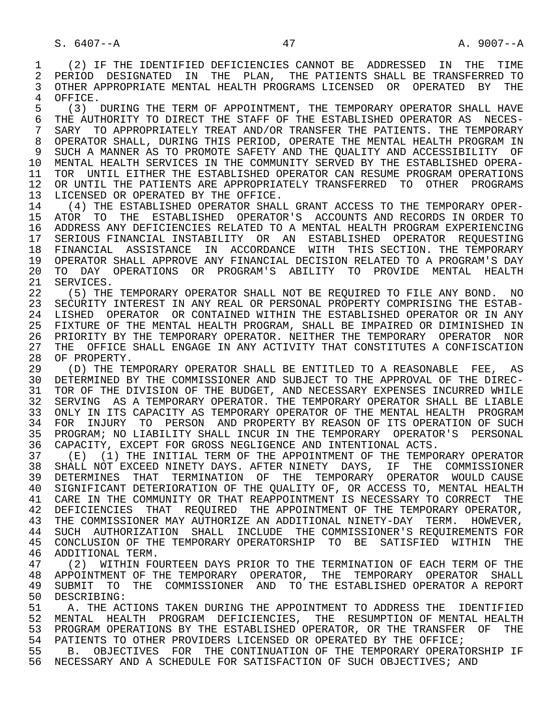1 (2) IF THE IDENTIFIED DEFICIENCIES CANNOT BE ADDRESSED IN THE TIME 2 PERIOD DESIGNATED IN THE PLAN, THE PATIENTS SHALL BE TRANSFERRED TO<br>3 OTHER APPROPRIATE MENTAL HEALTH PROGRAMS LICENSED OR OPERATED BY THE 3 OTHER APPROPRIATE MENTAL HEALTH PROGRAMS LICENSED OR OPERATED BY THE 4 OFFICE.<br>5 (3) I

5 (3) DURING THE TERM OF APPOINTMENT, THE TEMPORARY OPERATOR SHALL HAVE<br>6 THE AUTHORITY TO DIRECT THE STAFF OF THE ESTABLISHED OPERATOR AS NECES-6 THE AUTHORITY TO DIRECT THE STAFF OF THE ESTABLISHED OPERATOR AS NECES-<br>7 SARY TO APPROPRIATELY TREAT AND/OR TRANSFER THE PATIENTS. THE TEMPORARY SARY TO APPROPRIATELY TREAT AND/OR TRANSFER THE PATIENTS. THE TEMPORARY 8 OPERATOR SHALL, DURING THIS PERIOD, OPERATE THE MENTAL HEALTH PROGRAM IN<br>9 SUCH A MANNER AS TO PROMOTE SAFETY AND THE OUALITY AND ACCESSIBILITY OF SUCH A MANNER AS TO PROMOTE SAFETY AND THE OUALITY AND ACCESSIBILITY OF 10 MENTAL HEALTH SERVICES IN THE COMMUNITY SERVED BY THE ESTABLISHED OPERA-<br>11 TOR UNTIL EITHER THE ESTABLISHED OPERATOR CAN RESUME PROGRAM OPERATIONS 11 TOR UNTIL EITHER THE ESTABLISHED OPERATOR CAN RESUME PROGRAM OPERATIONS 12 OR UNTIL THE PATIENTS ARE APPROPRIATELY TRANSFERRED TO OTHER PROGRAMS<br>13 LICENSED OR OPERATED BY THE OFFICE. 13 LICENSED OR OPERATED BY THE OFFICE.<br>14 (4) THE ESTABLISHED OPERATOR SHAL

 14 (4) THE ESTABLISHED OPERATOR SHALL GRANT ACCESS TO THE TEMPORARY OPER- 15 ATOR TO THE ESTABLISHED OPERATOR'S ACCOUNTS AND RECORDS IN ORDER TO<br>16 ADDRESS ANY DEFICIENCIES RELATED TO A MENTAL HEALTH PROGRAM EXPERIENCING 16 ADDRESS ANY DEFICIENCIES RELATED TO A MENTAL HEALTH PROGRAM EXPERIENCING<br>17 SERIOUS FINANCIAL INSTABILITY OR AN ESTABLISHED OPERATOR REOUESTING 17 SERIOUS FINANCIAL INSTABILITY OR AN ESTABLISHED OPERATOR REQUESTING<br>18 FINANCIAL ASSISTANCE IN ACCORDANCE WITH THIS SECTION. THE TEMPORARY 18 FINANCIAL ASSISTANCE IN ACCORDANCE WITH THIS SECTION. THE TEMPORARY<br>19 OPERATOR SHALL APPROVE ANY FINANCIAL DECISION RELATED TO A PROGRAM'S DAY 19 OPERATOR SHALL APPROVE ANY FINANCIAL DECISION RELATED TO A PROGRAM'S DAY<br>20 TO DAY OPERATIONS OR PROGRAM'S ABILITY TO PROVIDE MENTAL HEALTH 20 TO DAY OPERATIONS OR PROGRAM'S ABILITY TO PROVIDE MENTAL HEALTH 21 SERVICES. 21 SERVICES.<br>22 (5) THE

22 (5) THE TEMPORARY OPERATOR SHALL NOT BE REQUIRED TO FILE ANY BOND. NO<br>23 SECURITY INTEREST IN ANY REAL OR PERSONAL PROPERTY COMPRISING THE ESTAB- 23 SECURITY INTEREST IN ANY REAL OR PERSONAL PROPERTY COMPRISING THE ESTAB- 24 LISHED OPERATOR OR CONTAINED WITHIN THE ESTABLISHED OPERATOR OR IN ANY<br>25 FIXTURE OF THE MENTAL HEALTH PROGRAM, SHALL BE IMPAIRED OR DIMINISHED IN 25 FIXTURE OF THE MENTAL HEALTH PROGRAM, SHALL BE IMPAIRED OR DIMINISHED IN 26 PRIORITY BY THE TEMPORARY OPERATOR. NEITHER THE TEMPORARY OPERATOR NOR<br>27 THE OFFICE SHALL ENGAGE IN ANY ACTIVITY THAT CONSTITUTES A CONFISCATION 27 THE OFFICE SHALL ENGAGE IN ANY ACTIVITY THAT CONSTITUTES A CONFISCATION 28 OF PROPERTY. 28 OF PROPERTY.<br>29 (D) THE TE

29 (D) THE TEMPORARY OPERATOR SHALL BE ENTITLED TO A REASONABLE FEE, AS<br>30 DETERMINED BY THE COMMISSIONER AND SUBJECT TO THE APPROVAL OF THE DIREC-30 DETERMINED BY THE COMMISSIONER AND SUBJECT TO THE APPROVAL OF THE DIREC-<br>31 TOR OF THE DIVISION OF THE BUDGET, AND NECESSARY EXPENSES INCURRED WHILE 31 TOR OF THE DIVISION OF THE BUDGET, AND NECESSARY EXPENSES INCURRED WHILE<br>32 SERVING AS A TEMPORARY OPERATOR. THE TEMPORARY OPERATOR SHALL BE LIABLE SERVING AS A TEMPORARY OPERATOR. THE TEMPORARY OPERATOR SHALL BE LIABLE 33 ONLY IN ITS CAPACITY AS TEMPORARY OPERATOR OF THE MENTAL HEALTH PROGRAM 34 FOR INJURY TO PERSON AND PROPERTY BY REASON OF ITS OPERATION OF SUCH 35 PROGRAM; NO LIABILITY SHALL INCUR IN THE TEMPORARY OPERATOR'S PERSONAL<br>36 CAPACITY, EXCEPT FOR GROSS NEGLIGENCE AND INTENTIONAL ACTS. CAPACITY, EXCEPT FOR GROSS NEGLIGENCE AND INTENTIONAL ACTS.

37 (E) (1) THE INITIAL TERM OF THE APPOINTMENT OF THE TEMPORARY OPERATOR<br>38 SHALL NOT EXCEED NINETY DAYS. AFTER NINETY DAYS, IF THE COMMISSIONER 38 SHALL NOT EXCEED NINETY DAYS. AFTER NINETY DAYS, IF THE COMMISSIONER<br>39 DETERMINES THAT TERMINATION OF THE TEMPORARY OPERATOR WOULD CAUSE 39 DETERMINES THAT TERMINATION OF THE TEMPORARY OPERATOR WOULD CAUSE<br>40 SIGNIFICANT DETERIORATION OF THE OUALITY OF, OR ACCESS TO, MENTAL HEALTH SIGNIFICANT DETERIORATION OF THE OUALITY OF, OR ACCESS TO, MENTAL HEALTH 41 CARE IN THE COMMUNITY OR THAT REAPPOINTMENT IS NECESSARY TO CORRECT THE 42 DEFICIENCIES THAT REQUIRED THE APPOINTMENT OF THE TEMPORARY OPERATOR, 43 THE COMMISSIONER MAY AUTHORIZE AN ADDITIONAL NINETY-DAY TERM. HOWEVER, 44 SUCH AUTHORIZATION SHALL INCLUDE THE COMMISSIONER'S REQUIREMENTS FOR 45 CONCLUSION OF THE TEMPORARY OPERATORSHIP TO BE SATISFIED WITHIN THE 46 ADDITIONAL TERM.<br>47 (2) WITHIN FO

47 (2) WITHIN FOURTEEN DAYS PRIOR TO THE TERMINATION OF EACH TERM OF THE 1880 APPOINTMENT OF THE TEMPORARY OPERATOR SHALL 48 APPOINTMENT OF THE TEMPORARY OPERATOR, THE TEMPORARY OPERATOR SHALL<br>49 SUBMIT TO THE COMMISSIONER AND TO THE ESTABLISHED OPERATOR A REPORT 49 SUBMIT TO THE COMMISSIONER AND TO THE ESTABLISHED OPERATOR A REPORT<br>50 DESCRIBING: 50 DESCRIBING:<br>51 A. THE AC

A. THE ACTIONS TAKEN DURING THE APPOINTMENT TO ADDRESS THE IDENTIFIED 52 MENTAL HEALTH PROGRAM DEFICIENCIES, THE RESUMPTION OF MENTAL HEALTH 53 PROGRAM OPERATIONS BY THE ESTABLISHED OPERATOR, OR THE TRANSFER OF THE 54 PATTENTS TO OTHER PROVIDERS LICENSED OR OPERATED BY THE OFFICE: PATIENTS TO OTHER PROVIDERS LICENSED OR OPERATED BY THE OFFICE;

 55 B. OBJECTIVES FOR THE CONTINUATION OF THE TEMPORARY OPERATORSHIP IF 56 NECESSARY AND A SCHEDULE FOR SATISFACTION OF SUCH OBJECTIVES; AND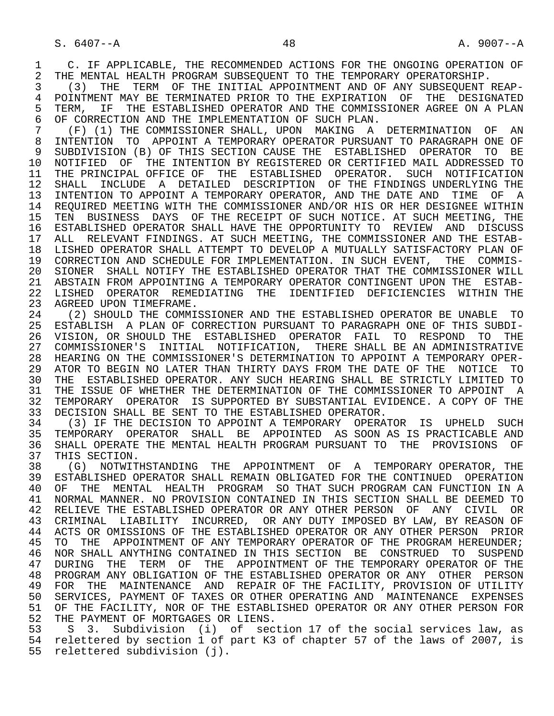1 C. IF APPLICABLE, THE RECOMMENDED ACTIONS FOR THE ONGOING OPERATION OF<br>2 THE MENTAL HEALTH PROGRAM SUBSEOUENT TO THE TEMPORARY OPERATORSHIP. 2 THE MENTAL HEALTH PROGRAM SUBSEQUENT TO THE TEMPORARY OPERATORSHIP.<br>3 (3) THE TERM OF THE INITIAL APPOINTMENT AND OF ANY SUBSEOUENT F

 3 (3) THE TERM OF THE INITIAL APPOINTMENT AND OF ANY SUBSEQUENT REAP- 4 POINTMENT MAY BE TERMINATED PRIOR TO THE EXPIRATION OF THE DESIGNATED<br>5 TERM, IF THE ESTABLISHED OPERATOR AND THE COMMISSIONER AGREE ON A PLAN 5 TERM, IF THE ESTABLISHED OPERATOR AND THE COMMISSIONER AGREE ON A PLAN<br>6 OF CORRECTION AND THE IMPLEMENTATION OF SUCH PLAN. 6 OF CORRECTION AND THE IMPLEMENTATION OF SUCH PLAN.<br>7 (F) (1) THE COMMISSIONER SHALL, UPON MAKING A

 7 (F) (1) THE COMMISSIONER SHALL, UPON MAKING A DETERMINATION OF AN 8 INTENTION TO APPOINT A TEMPORARY OPERATOR PURSUANT TO PARAGRAPH ONE OF<br>9 SUBDIVISION (B) OF THIS SECTION CAUSE THE ESTABLISHED OPERATOR TO BE 9 SUBDIVISION (B) OF THIS SECTION CAUSE THE ESTABLISHED OPERATOR TO BE 10 NOTIFIED OF THE INTENTION BY REGISTERED OR CERTIFIED MAIL ADDRESSED TO<br>11 THE PRINCIPAL OFFICE OF THE ESTABLISHED OPERATOR. SUCH NOTIFICATION 11 THE PRINCIPAL OFFICE OF THE ESTABLISHED OPERATOR. SUCH NOTIFICATION<br>12 SHALL INCLUDE A DETAILED DESCRIPTION OF THE FINDINGS UNDERLYING THE 12 SHALL INCLUDE A DETAILED DESCRIPTION OF THE FINDINGS UNDERLYING THE 13 INTENTION TO APPOINT A TEMPORARY OPERATOR, AND THE DATE AND TIME OF A 13 INTENTION TO APPOINT A TEMPORARY OPERATOR, AND THE DATE AND TIME OF A<br>14 REOUIRED MEETING WITH THE COMMISSIONER AND/OR HIS OR HER DESIGNEE WITHIN REQUIRED MEETING WITH THE COMMISSIONER AND/OR HIS OR HER DESIGNEE WITHIN 15 TEN BUSINESS DAYS OF THE RECEIPT OF SUCH NOTICE. AT SUCH MEETING, THE 16 ESTABLISHED OPERATOR SHALL HAVE THE OPPORTUNITY TO REVIEW AND DISCUSS 17 ALL RELEVANT FINDINGS. AT SUCH MEETING, THE COMMISSIONER AND THE ESTAB- 18 LISHED OPERATOR SHALL ATTEMPT TO DEVELOP A MUTUALLY SATISFACTORY PLAN OF 19 CORRECTION AND SCHEDULE FOR IMPLEMENTATION. IN SUCH EVENT, THE COMMIS- 20 SIONER SHALL NOTIFY THE ESTABLISHED OPERATOR THAT THE COMMISSIONER WILL 21 ABSTAIN FROM APPOINTING A TEMPORARY OPERATOR CONTINGENT UPON THE ESTAB- 22 LISHED OPERATOR REMEDIATING THE IDENTIFIED DEFICIENCIES WITHIN THE 23 AGREED UPON TIMEFRAME.<br>24 (2) SHOULD THE COMMIS

24 (2) SHOULD THE COMMISSIONER AND THE ESTABLISHED OPERATOR BE UNABLE TO<br>25 ESTABLISH A PLAN OF CORRECTION PURSUANT TO PARAGRAPH ONE OF THIS SUBDI- 25 ESTABLISH A PLAN OF CORRECTION PURSUANT TO PARAGRAPH ONE OF THIS SUBDI- 26 VISION, OR SHOULD THE ESTABLISHED OPERATOR FAIL TO RESPOND TO THE 27 COMMISSIONER'S INITIAL NOTIFICATION, THERE SHALL BE AN ADMINISTRATIVE 28 HEARING ON THE COMMISSIONER'S DETERMINATION TO APPOINT A TEMPORARY OPER- 29 ATOR TO BEGIN NO LATER THAN THIRTY DAYS FROM THE DATE OF THE NOTICE TO 20 THE STRICTLY LIMITED TO 30 THE ESTABLISHED OPERATOR. ANY SUCH HEARING SHALL BE STRICTLY LIMITED TO<br>31 THE ISSUE OF WHETHER THE DETERMINATION OF THE COMMISSIONER TO APPOINT A 31 THE ISSUE OF WHETHER THE DETERMINATION OF THE COMMISSIONER TO APPOINT A<br>32 TEMPORARY OPERATOR IS SUPPORTED BY SUBSTANTIAL EVIDENCE. A COPY OF THE 32 TEMPORARY OPERATOR IS SUPPORTED BY SUBSTANTIAL EVIDENCE. A COPY OF THE 33 DECISION SHALL BE SENT TO THE ESTABLISHED OPERATOR. 33 DECISION SHALL BE SENT TO THE ESTABLISHED OPERATOR.<br>34 (3) IF THE DECISION TO APPOINT A TEMPORARY OPERAT

34 (3) IF THE DECISION TO APPOINT A TEMPORARY OPERATOR IS UPHELD SUCH<br>35 TEMPORARY OPERATOR SHALL BE APPOINTED AS SOON AS IS PRACTICABLE AND 35 TEMPORARY OPERATOR SHALL BE APPOINTED AS SOON AS IS PRACTICABLE AND<br>36 SHALL OPERATE THE MENTAL HEALTH PROGRAM PURSUANT TO THE PROVISIONS OF 36 SHALL OPERATE THE MENTAL HEALTH PROGRAM PURSUANT TO THE PROVISIONS OF 37 THIS SECTION.<br>38 (G) NOTWITI

 38 (G) NOTWITHSTANDING THE APPOINTMENT OF A TEMPORARY OPERATOR, THE 39 ESTABLISHED OPERATOR SHALL REMAIN OBLIGATED FOR THE CONTINUED OPERATION<br>40 OF THE MENTAL HEALTH PROGRAM SO THAT SUCH PROGRAM CAN FUNCTION IN A 40 OF THE MENTAL HEALTH PROGRAM SO THAT SUCH PROGRAM CAN FUNCTION IN A<br>41 NORMAL MANNER, NO PROVISION CONTAINED IN THIS SECTION SHALL BE DEEMED TO 41 NORMAL MANNER. NO PROVISION CONTAINED IN THIS SECTION SHALL BE DEEMED TO<br>42 RELIEVE THE ESTABLISHED OPERATOR OR ANY OTHER PERSON OF ANY CIVIL OR 42 RELIEVE THE ESTABLISHED OPERATOR OR ANY OTHER PERSON OF ANY CIVIL OR<br>43 CRIMINAL LIABILITY INCURRED, OR ANY DUTY IMPOSED BY LAW, BY REASON OF 43 CRIMINAL LIABILITY INCURRED, OR ANY DUTY IMPOSED BY LAW, BY REASON OF 44 ACTS OR OMISSIONS OF THE ESTABLISHED OPERATOR OR ANY OTHER PERSON PRIOR 44 ACTS OR OMISSIONS OF THE ESTABLISHED OPERATOR OR ANY OTHER PERSON PRIOR<br>45 TO THE APPOINTMENT OF ANY TEMPORARY OPERATOR OF THE PROGRAM HEREUNDER; TO THE APPOINTMENT OF ANY TEMPORARY OPERATOR OF THE PROGRAM HEREUNDER; 46 NOR SHALL ANYTHING CONTAINED IN THIS SECTION BE CONSTRUED TO SUSPEND<br>47 DURING THE TERM OF THE APPOINTMENT OF THE TEMPORARY OPERATOR OF THE 47 DURING THE TERM OF THE APPOINTMENT OF THE TEMPORARY OPERATOR OF THE 48 PROGRAM ANY OBLIGATION OF THE ESTABLISHED OPERATOR OR ANY OTHER PERSON 48 PROGRAM ANY OBLIGATION OF THE ESTABLISHED OPERATOR OR ANY OTHER PERSON 49 FOR THE MAINTENANCE AND REPAIR OF THE FACILITY, PROVISION OF UTILITY<br>50 SERVICES, PAYMENT OF TAXES OR OTHER OPERATING AND MAINTENANCE EXPENSES SERVICES, PAYMENT OF TAXES OR OTHER OPERATING AND MAINTENANCE EXPENSES 51 OF THE FACILITY, NOR OF THE ESTABLISHED OPERATOR OR ANY OTHER PERSON FOR 52 THE PAYMENT OF MORTGAGES OR LIENS.<br>53 S. 3. Subdivision (i) of sect

S 3. Subdivision (i) of section 17 of the social services law, as 54 relettered by section 1 of part K3 of chapter 57 of the laws of 2007, is 55 relettered subdivision (j).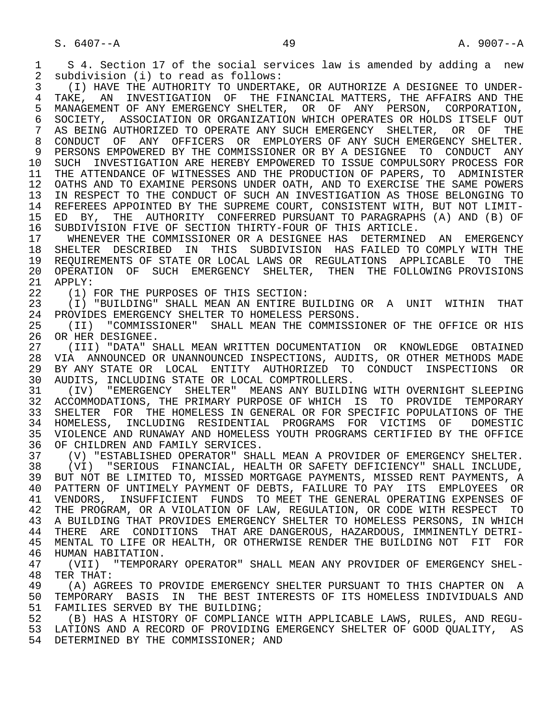1 S 4. Section 17 of the social services law is amended by adding a new<br>2 subdivision (i) to read as follows: 2 subdivision (i) to read as follows:<br>3 (I) HAVE THE AUTHORITY TO UNDERTAL 3 (I) HAVE THE AUTHORITY TO UNDERTAKE, OR AUTHORIZE A DESIGNEE TO UNDER- 4 TAKE, AN INVESTIGATION OF THE FINANCIAL MATTERS, THE AFFAIRS AND THE 5 MANAGEMENT OF ANY EMERGENCY SHELTER. OR OF ANY PERSON. CORPORATION. 5 MANAGEMENT OF ANY EMERGENCY SHELTER, OR OF ANY PERSON, CORPORATION,<br>6 SOCIETY, ASSOCIATION OR ORGANIZATION WHICH OPERATES OR HOLDS ITSELF OUT 6 SOCIETY, ASSOCIATION OR ORGANIZATION WHICH OPERATES OR HOLDS ITSELF OUT 7 AS BEING AUTHORIZED TO OPERATE ANY SUCH EMERGENCY SHELTER, OR OF THE AS BEING AUTHORIZED TO OPERATE ANY SUCH EMERGENCY SHELTER, OR OF THE 8 CONDUCT OF ANY OFFICERS OR EMPLOYERS OF ANY SUCH EMERGENCY SHELTER. 9 PERSONS EMPOWERED BY THE COMMISSIONER OR BY A DESIGNEE TO CONDUCT ANY<br>10 SUCH INVESTIGATION ARE HEREBY EMPOWERED TO ISSUE COMPULSORY PROCESS FOR 10 SUCH INVESTIGATION ARE HEREBY EMPOWERED TO ISSUE COMPULSORY PROCESS FOR<br>11 THE ATTENDANCE OF WITNESSES AND THE PRODUCTION OF PAPERS, TO ADMINISTER 11 THE ATTENDANCE OF WITNESSES AND THE PRODUCTION OF PAPERS, TO ADMINISTER<br>12 OATHS AND TO EXAMINE PERSONS UNDER OATH, AND TO EXERCISE THE SAME POWERS 12 OATHS AND TO EXAMINE PERSONS UNDER OATH, AND TO EXERCISE THE SAME POWERS<br>13 IN RESPECT TO THE CONDUCT OF SUCH AN INVESTIGATION AS THOSE BELONGING TO 13 IN RESPECT TO THE CONDUCT OF SUCH AN INVESTIGATION AS THOSE BELONGING TO 14 REFEREES APPOINTED BY THE SUPREME COURT. CONSISTENT WITH, BUT NOT LIMIT-REFEREES APPOINTED BY THE SUPREME COURT, CONSISTENT WITH, BUT NOT LIMIT-15 ED BY, THE AUTHORITY CONFERRED PURSUANT TO PARAGRAPHS (A) AND (B) OF<br>16 SUBDIVISION FIVE OF SECTION THIRTY-FOUR OF THIS ARTICLE. 16 SUBDIVISION FIVE OF SECTION THIRTY-FOUR OF THIS ARTICLE.<br>17 UHENEVER THE COMMISSIONER OR A DESIGNEE HAS DETERMINE 17 WHENEVER THE COMMISSIONER OR A DESIGNEE HAS DETERMINED AN EMERGENCY<br>18 SHELTER DESCRIBED IN THIS SUBDIVISION HAS FAILED TO COMPLY WITH THE 18 SHELTER DESCRIBED IN THIS SUBDIVISION HAS FAILED TO COMPLY WITH THE 19 REQUIREMENTS OF STATE OR LOCAL LAWS OR REGULATIONS APPLICABLE TO THE<br>20 OPERATION OF SUCH EMERGENCY SHELTER, THEN THE FOLLOWING PROVISIONS 20 OPERATION OF SUCH EMERGENCY SHELTER, THEN THE FOLLOWING PROVISIONS 21 APPLY:  $21$  APPLY:<br> $22$   $(1)$  1 22 (1) FOR THE PURPOSES OF THIS SECTION:<br>23 (I) "BUILDING" SHALL MEAN AN ENTIRE B 23 (I) "BUILDING" SHALL MEAN AN ENTIRE BUILDING OR A UNIT WITHIN THAT<br>24 PROVIDES EMERGENCY SHELTER TO HOMELESS PERSONS. 24 PROVIDES EMERGENCY SHELTER TO HOMELESS PERSONS.<br>25 (TT) "COMMISSIONER" SHALL MEAN THE COMMISSIO 25 (II) "COMMISSIONER" SHALL MEAN THE COMMISSIONER OF THE OFFICE OR HIS 26 OR HER DESIGNEE.<br>27 (III) "DATA" S 27 (III) "DATA" SHALL MEAN WRITTEN DOCUMENTATION OR KNOWLEDGE OBTAINED<br>28 VIA ANNOUNCED OR UNANNOUNCED INSPECTIONS, AUDITS, OR OTHER METHODS MADE 28 VIA ANNOUNCED OR UNANNOUNCED INSPECTIONS, AUDITS, OR OTHER METHODS MADE<br>29 BY ANY STATE OR LOCAL ENTITY AUTHORIZED TO CONDUCT INSPECTIONS OR 29 BY ANY STATE OR LOCAL ENTITY AUTHORIZED TO CONDUCT INSPECTIONS OR<br>30 AUDITS, INCLUDING STATE OR LOCAL COMPTROLLERS. 30 AUDITS, INCLUDING STATE OR LOCAL COMPTROLLERS.<br>31 (IV) "EMERGENCY SHELTER" MEANS ANY BUILDII 31 (IV) "EMERGENCY SHELTER" MEANS ANY BUILDING WITH OVERNIGHT SLEEPING<br>32 ACCOMMODATIONS, THE PRIMARY PURPOSE OF WHICH IS TO PROVIDE TEMPORARY 32 ACCOMMODATIONS, THE PRIMARY PURPOSE OF WHICH IS TO PROVIDE TEMPORARY<br>33 SHELTER FOR THE HOMELESS IN GENERAL OR FOR SPECIFIC POPULATIONS OF THE SHELTER FOR THE HOMELESS IN GENERAL OR FOR SPECIFIC POPULATIONS OF THE 34 HOMELESS, INCLUDING RESIDENTIAL PROGRAMS FOR VICTIMS OF DOMESTIC<br>35 VIOLENCEAND RUNAWAYAND HOMELESS YOUTH PROGRAMS CERTIFIED BY THE OFFICE 35 VIOLENCE AND RUNAWAY AND HOMELESS YOUTH PROGRAMS CERTIFIED BY THE OFFICE<br>36 OF CHILDREN AND FAMILY SERVICES. OF CHILDREN AND FAMILY SERVICES. 37 (V) "ESTABLISHED OPERATOR" SHALL MEAN A PROVIDER OF EMERGENCY SHELTER.<br>38 (VI) "SERIOUS FINANCIAL, HEALTH OR SAFETY DEFICIENCY" SHALL INCLUDE, 38 (VI) "SERIOUS FINANCIAL, HEALTH OR SAFETY DEFICIENCY" SHALL INCLUDE,<br>39 BUT NOT BE LIMITED TO, MISSED MORTGAGE PAYMENTS, MISSED RENT PAYMENTS, A 39 BUT NOT BE LIMITED TO, MISSED MORTGAGE PAYMENTS, MISSED RENT PAYMENTS, A<br>40 PATTERN OF UNTIMELY PAYMENT OF DEBTS, FAILURE TO PAY ITS EMPLOYEES OR 40 PATTERN OF UNTIMELY PAYMENT OF DEBTS, FAILURE TO PAY ITS EMPLOYEES OR<br>41 VENDORS, INSUFFICIENT FUNDS TO MEET THE GENERAL OPERATING EXPENSES OF 41 VENDORS, INSUFFICIENT FUNDS TO MEET THE GENERAL OPERATING EXPENSES OF<br>42 THE PROGRAM, OR A VIOLATION OF LAW, REGULATION, OR CODE WITH RESPECT TO 42 THE PROGRAM, OR A VIOLATION OF LAW, REGULATION, OR CODE WITH RESPECT TO 43 A BUILDING THAT PROVIDES EMERGENCY SHELTER TO HOMELESS PERSONS, IN WHICH 43 A BUILDING THAT PROVIDES EMERGENCY SHELTER TO HOMELESS PERSONS, IN WHICH<br>44 THERE ARE CONDITIONS THAT ARE DANGEROUS, HAZARDOUS, IMMINENTLY DETRI-44 THERE ARE CONDITIONS THAT ARE DANGEROUS, HAZARDOUS, IMMINENTLY DETRI-<br>45 MENTAL TO LIFE OR HEALTH, OR OTHERWISE RENDER THE BUILDING NOT FIT FOR 45 MENTAL TO LIFE OR HEALTH, OR OTHERWISE RENDER THE BUILDING NOT FIT FOR 46 HUMAN HABITATION.<br>47 (VII) "TEMPORA 47 (VII) "TEMPORARY OPERATOR" SHALL MEAN ANY PROVIDER OF EMERGENCY SHEL-<br>48 TER THAT: 48 TER THAT:<br>49 (A) AGR 49 THE SERVIDE EMERGENCY SHELTER PURSUANT TO THIS CHAPTER ON THE SERVIDE EMERGENCY SHELTER PURSUANT TO THIS CHAPTER ON A 50 TEMPORARY BASIS IN THE BEST INTERESTS OF ITS HOMELESS INDIVIDUALS AND<br>51 FAMILIES SERVED BY THE BUILDING; 51 FAMILIES SERVED BY THE BUILDING;<br>52 (B) HAS A HISTORY OF COMPLIANCE (B) HAS A HISTORY OF COMPLIANCE WITH APPLICABLE LAWS, RULES, AND REGU-53 LATIONS AND A RECORD OF PROVIDING EMERGENCY SHELTER OF GOOD QUALITY, AS

54 DETERMINED BY THE COMMISSIONER; AND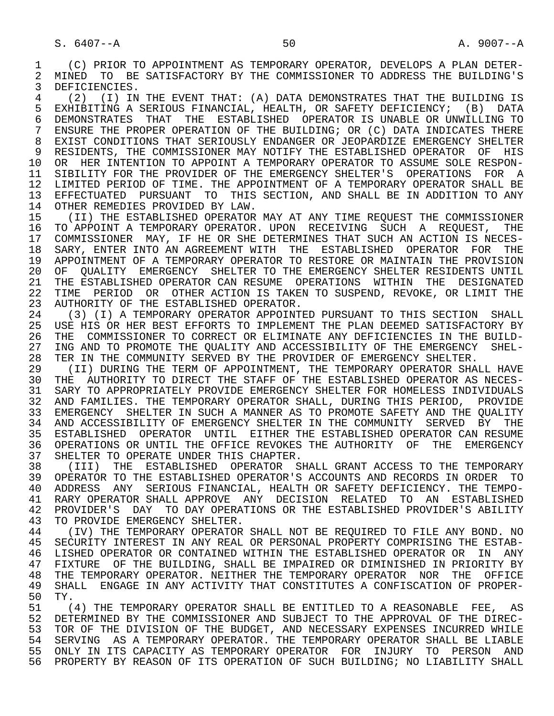1 (C) PRIOR TO APPOINTMENT AS TEMPORARY OPERATOR, DEVELOPS A PLAN DETER-<br>2 MINED TO BE SATISFACTORY BY THE COMMISSIONER TO ADDRESS THE BUILDING'S 2 MINED TO BE SATISFACTORY BY THE COMMISSIONER TO ADDRESS THE BUILDING'S<br>3 DEFICIENCIES DEFICIENCIES.

4 (2) (I) IN THE EVENT THAT: (A) DATA DEMONSTRATES THAT THE BUILDING IS<br>5 EXHIBITING A SERIOUS FINANCIAL, HEALTH, OR SAFETY DEFICIENCY; (B) DATA 5 EXHIBITING A SERIOUS FINANCIAL, HEALTH, OR SAFETY DEFICIENCY; (B) DATA<br>6 DEMONSTRATES THAT THE ESTABLISHED OPERATOR IS UNABLE OR UNWILLING TO 6 DEMONSTRATES THAT THE ESTABLISHED OPERATOR IS UNABLE OR UNWILLING TO<br>7 ENSURE THE PROPER OPERATION OF THE BUILDING; OR (C) DATA INDICATES THERE 7 ENSURE THE PROPER OPERATION OF THE BUILDING; OR (C) DATA INDICATES THERE 8 EXIST CONDITIONS THAT SERIOUSLY ENDANGER OR JEOPARDIZE EMERGENCY SHELTER<br>9 RESIDENTS, THE COMMISSIONER MAY NOTIFY THE ESTABLISHED OPERATOR OF HIS 9 RESIDENTS, THE COMMISSIONER MAY NOTIFY THE ESTABLISHED OPERATOR OF HIS<br>10 OR HER INTENTION TO APPOINT A TEMPORARY OPERATOR TO ASSUME SOLE RESPON-10 OR HER INTENTION TO APPOINT A TEMPORARY OPERATOR TO ASSUME SOLE RESPON-<br>11 SIBILITY FOR THE PROVIDER OF THE EMERGENCY SHELTER'S OPERATIONS FOR A SIBILITY FOR THE PROVIDER OF THE EMERGENCY SHELTER'S OPERATIONS FOR A 12 LIMITED PERIOD OF TIME. THE APPOINTMENT OF A TEMPORARY OPERATOR SHALL BE<br>13 EFFECTUATED PURSUANT TO THIS SECTION, AND SHALL BE IN ADDITION TO ANY 13 EFFECTUATED PURSUANT TO THIS SECTION, AND SHALL BE IN ADDITION TO ANY 14 OTHER REMEDIES PROVIDED BY LAW. OTHER REMEDIES PROVIDED BY LAW.

15 (II) THE ESTABLISHED OPERATOR MAY AT ANY TIME REQUEST THE COMMISSIONER<br>16 TO APPOINT A TEMPORARY OPERATOR. UPON RECEIVING SUCH A REOUEST, THE 16 TO APPOINT A TEMPORARY OPERATOR. UPON RECEIVING SUCH A REQUEST, THE 17 COMMISSIONER MAY, IF HE OR SHE DETERMINES THAT SUCH AN ACTION IS NECES-17 COMMISSIONER MAY, IF HE OR SHE DETERMINES THAT SUCH AN ACTION IS NECES-<br>18 SARY, ENTER INTO AN AGREEMENT WITH THE ESTABLISHED OPERATOR FOR THE 18 SARY, ENTER INTO AN AGREEMENT WITH THE ESTABLISHED OPERATOR FOR THE 19 APPOINTMENT OF A TEMPORARY OPERATOR TO RESTORE OR MAINTAIN THE PROVISION 20 OF QUALITY EMERGENCY SHELTER TO THE EMERGENCY SHELTER RESIDENTS UNTIL<br>21 THE ESTABLISHED OPERATOR CAN RESUME OPERATIONS WITHIN THE DESIGNATED 21 THE ESTABLISHED OPERATOR CAN RESUME OPERATIONS WITHIN THE DESIGNATED<br>22 TIME PERIOD OR OTHER ACTION IS TAKEN TO SUSPEND, REVOKE, OR LIMIT THE TIME PERIOD OR OTHER ACTION IS TAKEN TO SUSPEND, REVOKE, OR LIMIT THE 23 AUTHORITY OF THE ESTABLISHED OPERATOR.<br>24 (3) (I) A TEMPORARY OPERATOR APPOINT!

24 (3) (I) A TEMPORARY OPERATOR APPOINTED PURSUANT TO THIS SECTION SHALL<br>25 USE HIS OR HER BEST EFFORTS TO IMPLEMENT THE PLAN DEEMED SATISFACTORY BY 25 USE HIS OR HER BEST EFFORTS TO IMPLEMENT THE PLAN DEEMED SATISFACTORY BY 26 THE COMMISSIONER TO CORRECT OR ELIMINATE ANY DEFICIENCIES IN THE BUILD-<br>27 ING AND TO PROMOTE THE OUALITY AND ACCESSIBILITY OF THE EMERGENCY SHEL-27 ING AND TO PROMOTE THE QUALITY AND ACCESSIBILITY OF THE EMERGENCY SHEL-<br>28 TER IN THE COMMUNITY SERVED BY THE PROVIDER OF EMERGENCY SHELTER. 28 TER IN THE COMMUNITY SERVED BY THE PROVIDER OF EMERGENCY SHELTER.<br>29 (II) DURING THE TERM OF APPOINTMENT, THE TEMPORARY OPERATOR SHA

29 (II) DURING THE TERM OF APPOINTMENT, THE TEMPORARY OPERATOR SHALL HAVE<br>30 THE AUTHORITY TO DIRECT THE STAFF OF THE ESTABLISHED OPERATOR AS NECES-THE AUTHORITY TO DIRECT THE STAFF OF THE ESTABLISHED OPERATOR AS NECES-31 SARY TO APPROPRIATELY PROVIDE EMERGENCY SHELTER FOR HOMELESS INDIVIDUALS<br>32 AND FAMILIES. THE TEMPORARY OPERATOR SHALL, DURING THIS PERIOD, PROVIDE AND FAMILIES. THE TEMPORARY OPERATOR SHALL, DURING THIS PERIOD, PROVIDE 33 EMERGENCY SHELTER IN SUCH A MANNER AS TO PROMOTE SAFETY AND THE QUALITY 34 AND ACCESSIBILITY OF EMERGENCY SHELTER IN THE COMMUNITY SERVED BY THE 35 ESTABLISHED OPERATOR UNTIL EITHER THE ESTABLISHED OPERATOR CAN RESUME 36 OPERATIONS OR UNTIL THE OFFICE REVOKES THE AUTHORITY OF THE EMERGENCY

37 SHELTER TO OPERATE UNDER THIS CHAPTER.<br>38 (III) THE ESTABLISHED OPERATOR SI 38 (III) THE ESTABLISHED OPERATOR SHALL GRANT ACCESS TO THE TEMPORARY<br>39 OPERATOR TO THE ESTABLISHED OPERATOR'S ACCOUNTS AND RECORDS IN ORDER TO 39 OPERATOR TO THE ESTABLISHED OPERATOR'S ACCOUNTS AND RECORDS IN ORDER TO 30 ADDRESS ANY SERIOUS FINANCIAL, HEALTH OR SAFETY DEFICIENCY. THE TEMPO- 40 ADDRESS ANY SERIOUS FINANCIAL, HEALTH OR SAFETY DEFICIENCY. THE TEMPO- 41 RARY OPERATOR SHALL APPROVE ANY DECISION RELATED TO AN ESTABLISHED<br>42 PROVIDER'S DAY TO DAY OPERATIONS OR THE ESTABLISHED PROVIDER'S ABILITY 42 PROVIDER'S DAY TO DAY OPERATIONS OR THE ESTABLISHED PROVIDER'S ABILITY<br>43 TO PROVIDE EMERGENCY SHELTER 43 TO PROVIDE EMERGENCY SHELTER.<br>44 (IV) THE TEMPORARY OPERATOR

44 (IV) THE TEMPORARY OPERATOR SHALL NOT BE REQUIRED TO FILE ANY BOND. NO<br>45 SECURITY INTEREST IN ANY REAL OR PERSONAL PROPERTY COMPRISING THE ESTAB- 45 SECURITY INTEREST IN ANY REAL OR PERSONAL PROPERTY COMPRISING THE ESTAB- 46 LISHED OPERATOR OR CONTAINED WITHIN THE ESTABLISHED OPERATOR OR IN ANY<br>47 FIXTURE OF THE BUILDING, SHALL BE IMPAIRED OR DIMINISHED IN PRIORITY BY 47 FIXTURE OF THE BUILDING, SHALL BE IMPAIRED OR DIMINISHED IN PRIORITY BY<br>48 THE TEMPORARY OPERATOR. NEITHER THE TEMPORARY OPERATOR NOR THE OFFICE 48 THE TEMPORARY OPERATOR. NEITHER THE TEMPORARY OPERATOR NOR THE OFFICE<br>49 SHALL ENGAGE IN ANY ACTIVITY THAT CONSTITUTES A CONFISCATION OF PROPER-49 SHALL ENGAGE IN ANY ACTIVITY THAT CONSTITUTES A CONFISCATION OF PROPER-<br>50 TY. 50 TY.<br>51 (

51 (4) THE TEMPORARY OPERATOR SHALL BE ENTITLED TO A REASONABLE FEE, AS<br>52 DETERMINED BY THE COMMISSIONER AND SUBJECT TO THE APPROVAL OF THE DIREC-52 DETERMINED BY THE COMMISSIONER AND SUBJECT TO THE APPROVAL OF THE DIREC-<br>53 TOR OF THE DIVISION OF THE BUDGET, AND NECESSARY EXPENSES INCURRED WHILE 53 TOR OF THE DIVISION OF THE BUDGET, AND NECESSARY EXPENSES INCURRED WHILE<br>54 SERVING AS A TEMPORARY OPERATOR, THE TEMPORARY OPERATOR SHALL BE LIABLE 54 SERVING AS A TEMPORARY OPERATOR. THE TEMPORARY OPERATOR SHALL BE LIABLE<br>55 ONLY IN ITS CAPACITY AS TEMPORARY OPERATOR FOR INJURY TO PERSON AND 55 ONLY IN ITS CAPACITY AS TEMPORARY OPERATOR FOR INJURY TO PERSON AND 56 PROPERTY BY REASON OF ITS OPERATION OF SUCH BUILDING; NO LIABILITY SHALL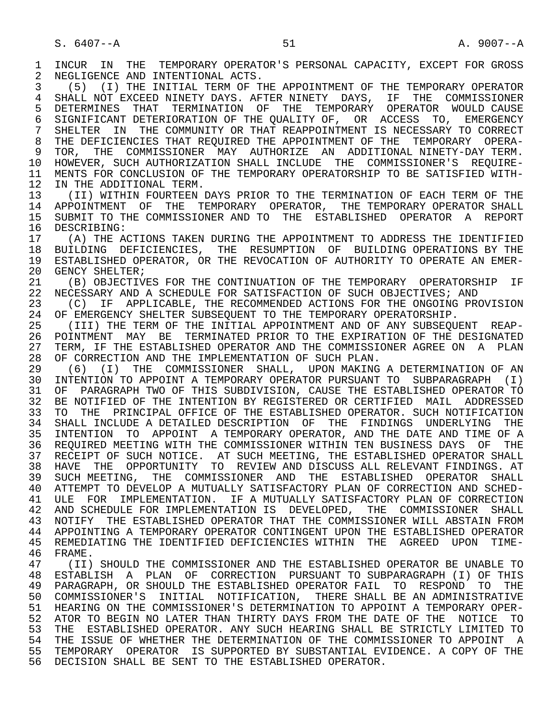1 INCUR IN THE TEMPORARY OPERATOR'S PERSONAL CAPACITY, EXCEPT FOR GROSS<br>2 NEGLIGENCE AND INTENTIONAL ACTS. 2 NEGLIGENCE AND INTENTIONAL ACTS.<br>3 (5) (I) THE INITIAL TERM OF TH 3 (5) (I) THE INITIAL TERM OF THE APPOINTMENT OF THE TEMPORARY OPERATOR 4 SHALL NOT EXCEED NINETY DAYS. AFTER NINETY DAYS, IF THE COMMISSIONER<br>5 DETERMINES THAT TERMINATION OF THE TEMPORARY OPERATOR WOULD CAUSE 5 DETERMINES THAT TERMINATION OF THE TEMPORARY OPERATOR WOULD CAUSE<br>6 SIGNIFICANT DETERIORATION OF THE OUALITY OF, OR ACCESS TO, EMERGENCY 6 SIGNIFICANT DETERIORATION OF THE QUALITY OF, OR ACCESS TO, EMERGENCY<br>7 SHELTER IN THE COMMUNITY OR THAT REAPPOINTMENT IS NECESSARY TO CORRECT 7 SHELTER IN THE COMMUNITY OR THAT REAPPOINTMENT IS NECESSARY TO CORRECT<br>8 THE DEFICIENCIES THAT REOUIRED THE APPOINTMENT OF THE TEMPORARY OPERA-8 THE DEFICIENCIES THAT REQUIRED THE APPOINTMENT OF THE TEMPORARY OPERA-<br>9 TOR, THE COMMISSIONER MAY AUTHORIZE AN ADDITIONAL. NINETY-DAY TERM. 9 TOR, THE COMMISSIONER MAY AUTHORIZE AN ADDITIONAL NINETY-DAY TERM. 10 HOWEVER, SUCH AUTHORIZATION SHALL INCLUDE THE COMMISSIONER'S REQUIRE-<br>11 MENTS FOR CONCLUSION OF THE TEMPORARY OPERATORSHIP TO BE SATISFIED WITH-11 MENTS FOR CONCLUSION OF THE TEMPORARY OPERATORSHIP TO BE SATISFIED WITH-<br>12 IN THE ADDITIONAL TERM. 12 IN THE ADDITIONAL TERM.<br>13 (II) WITHIN FOURTEEN I 13 (II) WITHIN FOURTEEN DAYS PRIOR TO THE TERMINATION OF EACH TERM OF THE 14 APPOINTMENT OF THE TEMPORARY OPERATOR SHALL 14 APPOINTMENT OF THE TEMPORARY OPERATOR, THE TEMPORARY OPERATOR SHALL 15 SUBMIT TO THE COMMISSIONER AND TO THE ESTABLISHED OPERATOR A REPORT<br>16 DESCRIBING: 16 DESCRIBING:<br>17 (A) THE A 17 (A) THE ACTIONS TAKEN DURING THE APPOINTMENT TO ADDRESS THE IDENTIFIED<br>18 BUILDING DEFICIENCIES, THE RESUMPTION OF BUILDING OPERATIONS BY THE 18 BUILDING DEFICIENCIES, THE RESUMPTION OF BUILDING-OPERATIONS BY THE 19 STABLISHED OPERATOR, OR THE REVOCATION OF AUTHORITY TO OPERATE AN EMER-19 ESTABLISHED OPERATOR, OR THE REVOCATION OF AUTHORITY TO OPERATE AN EMER-<br>20 GENCY SHELTER; 20 GENCY SHELTER;<br>21 (B) OBJECTIV 21 (B) OBJECTIVES FOR THE CONTINUATION OF THE TEMPORARY OPERATORSHIP IF 22 NECESSARY AND A SCHEDULE FOR SATISFACTION OF SUCH OBJECTIVES; AND 22 NECESSARY AND A SCHEDULE FOR SATISFACTION OF SUCH OBJECTIVES; AND<br>23 (C) IF APPLICABLE, THE RECOMMENDED ACTIONS FOR THE ONGOING PRO 23 (C) IF APPLICABLE, THE RECOMMENDED ACTIONS FOR THE ONGOING PROVISION<br>24 OF EMERGENCY SHELTER SUBSEOUENT TO THE TEMPORARY OPERATORSHIP. 24 OF EMERGENCY SHELTER SUBSEQUENT TO THE TEMPORARY OPERATORSHIP.<br>25 (III) THE TERM OF THE INITIAL APPOINTMENT AND OF ANY SUBSEOUI 25 (III) THE TERM OF THE INITIAL APPOINTMENT AND OF ANY SUBSEQUENT REAP- 26 POINTMENT MAY BE TERMINATED PRIOR TO THE EXPIRATION OF THE DESIGNATED<br>27 TERM, IF THE ESTABLISHED OPERATOR AND THE COMMISSIONER AGREE ON A PLAN 27 TERM, IF THE ESTABLISHED OPERATOR AND THE COMMISSIONER AGREE ON A PLAN<br>28 OF CORRECTION AND THE IMPLEMENTATION OF SUCH PLAN. 28 OF CORRECTION AND THE IMPLEMENTATION OF SUCH PLAN.<br>29 (6) (I) THE COMMISSIONER SHALL, UPON MAKING 29 (6) (I) THE COMMISSIONER SHALL, UPON MAKING A DETERMINATION OF AN<br>30 INTENTION TO APPOINT A TEMPORARY OPERATOR PURSUANT TO SUBPARAGRAPH (I) 30 INTENTION TO APPOINT A TEMPORARY OPERATOR PURSUANT TO SUBPARAGRAPH (I) 31 OF PARAGRAPH TWO OF THIS SUBDIVISION, CAUSE THE ESTABLISHED OPERATOR TO<br>32 BE NOTIFIED OF THE INTENTION BY REGISTERED OR CERTIFIED MAIL ADDRESSED 32 BE NOTIFIED OF THE INTENTION BY REGISTERED OR CERTIFIED MAIL ADDRESSED<br>33 TO THE PRINCIPAL OFFICE OF THE ESTABLISHED OPERATOR. SUCH NOTIFICATION 33 TO THE PRINCIPAL OFFICE OF THE ESTABLISHED OPERATOR. SUCH NOTIFICATION 34 SHALL INCLUDE A DETAILED DESCRIPTION OF THE FINDINGS UNDERLYING THE 35 INTENTION TO APPOINT A TEMPORARY OPERATOR, AND THE DATE AND TIME OF A 35 INTENTION TO APPOINT A TEMPORARY OPERATOR, AND THE DATE AND TIME OF A 36 REQUIRED MEETING WITH THE COMMISSIONER WITHIN TEN BUSINESS DAYS OF THE 37 RECEIPT OF SUCH NOTICE. AT SUCH MEETING, THE ESTABLISHED OPERATOR SHALL 38 HAVE THE OPPORTUNITY TO REVIEW AND DISCUSS ALL RELEVANT FINDINGS. AT<br>39 SUCH MEETING, THE COMMISSIONER AND THE ESTABLISHED OPERATOR SHALL SUCH MEETING, THE COMMISSIONER AND THE ESTABLISHED OPERATOR SHALL 40 ATTEMPT TO DEVELOP A MUTUALLY SATISFACTORY PLAN OF CORRECTION AND SCHED- 41 ULE FOR IMPLEMENTATION. IF A MUTUALLY SATISFACTORY PLAN OF CORRECTION 42 AND SCHEDULE FOR IMPLEMENTATION IS DEVELOPED, THE COMMISSIONER SHALL 43 NOTIFY THE ESTABLISHED OPERATOR THAT THE COMMISSIONER WILL ABSTAIN FROM 44 APPOINTING A TEMPORARY OPERATOR CONTINGENT UPON THE ESTABLISHED OPERATOR 45 REMEDIATING THE IDENTIFIED DEFICIENCIES WITHIN THE AGREED UPON TIME- 46 FRAME.<br>47 (II) 47 (II) SHOULD THE COMMISSIONER AND THE ESTABLISHED OPERATOR BE UNABLE TO 48 ESTABLISH A PLAN OF CORRECTION PURSUANT TO SUBPARAGRAPH (I) OF THIS 49 PARAGRAPH, OR SHOULD THE ESTABLISHED OPERATOR FAIL TO RESPOND TO THE 50 COMMISSIONER'S INITIAL NOTIFICATION, THERE SHALL BE AN ADMINISTRATIVE<br>51 HEARING ON THE COMMISSIONER'S DETERMINATION TO APPOINT A TEMPORARY OPER- 51 HEARING ON THE COMMISSIONER'S DETERMINATION TO APPOINT A TEMPORARY OPER- 52 ATOR TO BEGIN NO LATER THAN THIRTY DAYS FROM THE DATE OF THE NOTICE TO 53 THE ESTABLISHED OPERATOR. ANY SUCH HEARING SHALL BE STRICTLY LIMITED TO 53 THE ESTABLISHED OPERATOR. ANY SUCH HEARING SHALL BE STRICTLY LIMITED TO<br>54 THE ISSUE OF WHETHER THE DETERMINATION OF THE COMMISSIONER TO APPOINT. A 54 THE ISSUE OF WHETHER THE DETERMINATION OF THE COMMISSIONER TO APPOINT A<br>55 TEMPORARY OPERATOR IS SUPPORTED BY SUBSTANTIAL EVIDENCE. A COPY OF THE 55 TEMPORARY OPERATOR IS SUPPORTED BY SUBSTANTIAL EVIDENCE. A COPY OF THE 56 DECISION SHALL BE SENT TO THE ESTABLISHED OPERATOR.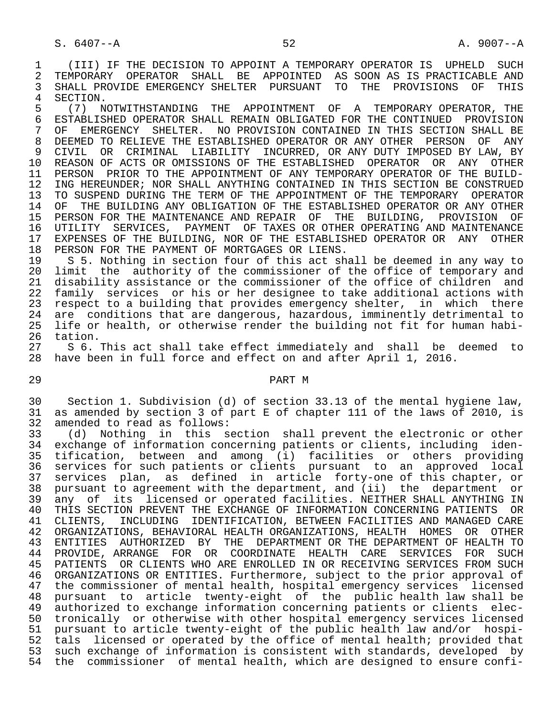1 (III) IF THE DECISION TO APPOINT A TEMPORARY OPERATOR IS UPHELD SUCH<br>2 TEMPORARY OPERATOR SHALL BE APPOINTED AS SOON AS IS PRACTICABLE AND 2 TEMPORARY OPERATOR SHALL BE APPOINTED AS SOON<sup>AS IS PRACTICABLE AND</sup><br>3 SHALL PROVIDE EMERGENCY SHELTER PURSUANT TO THE PROVISIONS OF THIS 3 SHALL PROVIDE EMERGENCY SHELTER PURSUANT TO THE PROVISIONS OF THIS<br>4 SECTION

4 SECTION.<br>5 (7) N 5 (7) NOTWITHSTANDING THE APPOINTMENT OF A TEMPORARY OPERATOR, THE 6 ESTABLISHED OPERATOR SHALL REMAIN OBLIGATED FOR THE CONTINUED PROVISION<br>7 OF EMERGENCY SHELTER. NO PROVISION CONTAINED IN THIS SECTION SHALL BE 7 OF EMERGENCY SHELTER. NO PROVISION CONTAINED IN THIS SECTION SHALL BE 7 OF THE STARIT SHALL ANY 8 DEEMED TO RELIEVE THE ESTABLISHED OPERATOR OR ANY OTHER PERSON OF ANY<br>9 CIVIL OR CRIMINAL LIABILITY INCURRED, OR ANY DUTY IMPOSED BY LAW, BY 9 CIVIL OR CRIMINAL LIABILITY INCURRED, ORANY DUTY IMPOSED BY LAW, BY<br>10 REASON OF ACTS OR OMISSIONS OF THE ESTABLISHED OPERATOR OR ANY OTHER 10 REASON OF ACTS OR OMISSIONS OF THE ESTABLISHED OPERATOR OR ANY OTHER<br>11 PERSON PRIOR TO THE APPOINTMENT OF ANY TEMPORARY OPERATOR OF THE BUILD-11 PERSON PRIOR TO THE APPOINTMENT OF ANY TEMPORARY OPERATOR OF THE BUILD-<br>12 ING HEREUNDER; NOR SHALL ANYTHING CONTAINED IN THIS SECTION BE CONSTRUED 12 ING HEREUNDER; NOR SHALL ANYTHING CONTAINED IN THIS SECTION BE CONSTRUED<br>13 TO SUSPEND DURING THE TERM OF THE APPOINTMENT OF THE TEMPORARY OPERATOR 13 TO SUSPEND DURING THE TERM OF THE APPOINTMENT OF THE TEMPORARY OPERATOR<br>14 OF THE BUILDING ANY OBLIGATION OF THE ESTABLISHED OPERATOR OR ANY OTHER OF THE BUILDING ANY OBLIGATION OF THE ESTABLISHED OPERATOR OR ANY OTHER 15 PERSON FOR THE MAINTENANCE AND REPAIR OF THE BUILDING, PROVISION OF<br>16 UTILITY SERVICES, PAYMENT OF TAXES OR OTHER OPERATING AND MAINTENANCE 16 UTILITY SERVICES, PAYMENT OF TAXES OR OTHER OPERATING AND MAINTENANCE<br>17 EXPENSES OF THE BUILDING, NOR OF THE ESTABLISHED OPERATOR OR ANY OTHER 17 EXPENSES OF THE BUILDING, NOR OF THE ESTABLISHED OPERATOR OR ANY OTHER<br>18 PERSON FOR THE PAYMENT OF MORTGAGES OR LIENS. 18 PERSON FOR THE PAYMENT OF MORTGAGES OR LIENS.<br>19 S 5. Nothing in section four of this act sh

 19 S 5. Nothing in section four of this act shall be deemed in any way to 20 limit the authority of the commissioner of the office of temporary and 21 disability assistance or the commissioner of the office of children and 22 family services or his or her designee to take additional actions with 23 respect to a building that provides emergency shelter, in which there<br>24 are conditions that are dangerous, hazardous, imminently detrimental to 24 are conditions that are dangerous, hazardous, imminently detrimental to<br>25 life or health, or otherwise render the building not fit for human habilife or health, or otherwise render the building not fit for human habi-26 tation.<br>27 S 6.

27 S 6. This act shall take effect immediately and shall be deemed to<br>28 have been in full force and effect on and after April 1, 2016. have been in full force and effect on and after April 1, 2016.

## 29 PART M

 30 Section 1. Subdivision (d) of section 33.13 of the mental hygiene law, 31 as amended by section 3 of part E of chapter 111 of the laws of 2010, is 32 amended to read as follows:<br>33 (d) Nothing in this s

 33 (d) Nothing in this section shall prevent the electronic or other 34 exchange of information concerning patients or clients, including iden-<br>35 tification, between and among (i) facilities or others providing 35 tification, between and among (i) facilities or others providing 36 services for such patients or clients pursuant to an approved local 37 services plan, as defined in article forty-one of this chapter, or 38 pursuant to agreement with the department, and (ii) the department or<br>39 any of its licensed or operated facilities. NEITHER SHALL ANYTHING IN 39 any of its licensed or operated facilities. NEITHER SHALL ANYTHING IN<br>30 THIS SECTION PREVENT THE EXCHANGE OF INFORMATION CONCERNING PATIENTS OR 40 THIS SECTION PREVENT THE EXCHANGE OF INFORMATION CONCERNING PATIENTS OR<br>41 CLIENTS, INCLUDING IDENTIFICATION, BETWEEN FACILITIES AND MANAGED CARE 41 CLIENTS, INCLUDING IDENTIFICATION, BETWEEN FACILITIES AND MANAGED CARE<br>42 ORGANIZATIONS, BEHAVIORAL HEALTH ORGANIZATIONS, HEALTH HOMES OR OTHER 42 ORGANIZATIONS, BEHAVIORAL HEALTH ORGANIZATIONS, HEALTH HOMES OR OTHER 43 ENTITIES AUTHORIZED BY THE DEPARTMENT OR THE DEPARTMENT OF HEALTH TO 44 PROVIDE, ARRANGE FOR OR COORDINATE HEALTH CARE SERVICES FOR SUCH 45 PATIENTS OR CLIENTS WHO ARE ENROLLED IN OR RECEIVING SERVICES FROM SUCH 46 ORGANIZATIONS OR ENTITIES. Furthermore, subject to the prior approval of 47 the commissioner of mental health, hospital emergency services licensed 48 pursuant to article twenty-eight of the public health law shall be 49 authorized to exchange information concerning patients or clients elec- 50 tronically or otherwise with other hospital emergency services licensed 51 pursuant to article twenty-eight of the public health law and/or hospi- 52 tals licensed or operated by the office of mental health; provided that 53 such exchange of information is consistent with standards, developed by 54 the commissioner of mental health, which are designed to ensure confi-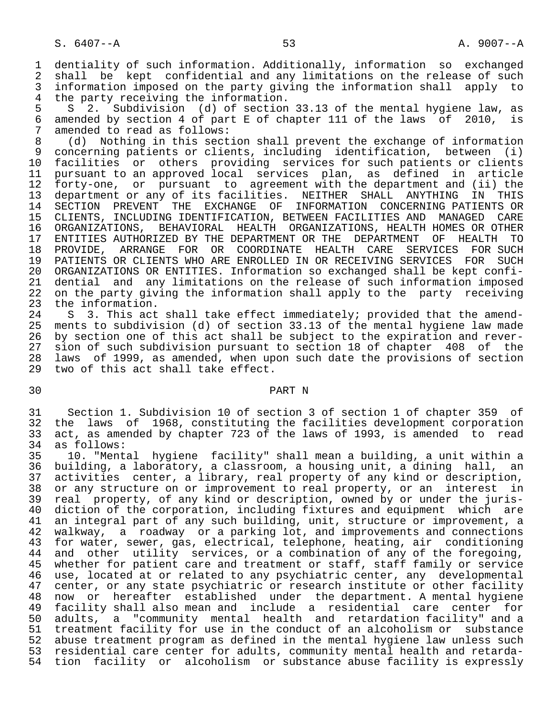1 dentiality of such information. Additionally, information so exchanged<br>2 shall be kept confidential and any limitations on the release of such 2 shall be kept confidential and any limitations on the release of such<br>3 information imposed on the party giving the information shall apply to 3 information imposed on the party giving the information shall apply to<br>4 the party receiving the information. 4 the party receiving the information.<br>5 S 2. Subdivision (d) of section

5 S 2. Subdivision (d) of section 33.13 of the mental hygiene law, as<br>6 amended by section 4 of part E of chapter 111 of the laws of 2010, is 6 amended by section 4 of part E of chapter 111 of the laws of 2010, is 7 amended to read as follows:<br>8 (d) Nothing in this sect.

8 (d) Nothing in this section shall prevent the exchange of information<br>9 concerning patients or clients, including identification, between (i) 9 concerning patients or clients, including identification, between (i)<br>10 facilities or others providing services for such patients or clients 10 facilities or others providing services for such patients or clients<br>11 pursuant to an approved local services plan, as defined in article 11 pursuant to an approved local services plan, as defined in article<br>12 forty-one, or pursuant to agreement with the department and (ii) the 12 forty-one, or pursuant to agreement with the department and (ii) the<br>13 department or any of its facilities. NEITHER SHALL ANYTHING IN THIS 13 department or any of its facilities. NEITHER SHALL ANYTHING IN THIS 14 SECTION PREVENT THE EXCHANGE OF INFORMATION CONCERNING PATIENTS OR 15 CLIENTS, INCLUDING IDENTIFICATION, BETWEEN FACILITIES AND MANAGED CARE 16 ORGANIZATIONS, BEHAVIORAL HEALTH ORGANIZATIONS, HEALTH HOMES OR OTHER 17 ENTITIES AUTHORIZED BY THE DEPARTMENT OR THE DEPARTMENT OF HEALTH TO<br>18 PROVIDE, ARRANGE FOR OR COORDINATE HEALTH CARE SERVICES FOR SUCH 18 PROVIDE, ARRANGE FOR OR COORDINATE HEALTH CARE SERVICES<br>19 PATIENTS OR CLIENTS WHO ARE ENROLLED IN OR RECEIVING SERVICES 19 PATIENTS OR CLIENTS WHO ARE ENROLLED IN OR RECEIVING SERVICES FOR SUCH 20 ORGANIZATIONS OR ENTITIES. Information so exchanged shall be kept confi-<br>21 dential and any limitations on the release of such information imposed 21 dential and any limitations on the release of such information imposed<br>22 on the party giving the information shall apply to the party receiving 22 on the party giving the information shall apply to the party receiving<br>23 the information. 23 the information.<br>24 S 3. This act

24 S 3. This act shall take effect immediately; provided that the amend-<br>25 ments to subdivision (d) of section 33.13 of the mental hygiene law made ments to subdivision (d) of section 33.13 of the mental hygiene law made 26 by section one of this act shall be subject to the expiration and rever-<br>27 sion of such subdivision pursuant to section 18 of chapter 408 of the 27 sion of such subdivision pursuant to section 18 of chapter 408 of the<br>28 laws of 1999, as amended, when upon such date the provisions of section 28 laws of 1999, as amended, when upon such date the provisions of section two of this act shall take effect.

# 30 PART N

 31 Section 1. Subdivision 10 of section 3 of section 1 of chapter 359 of 32 the laws of 1968, constituting the facilities development corporation<br>33 act, as amended by chapter 723 of the laws of 1993, is amended to read 33 act, as amended by chapter 723 of the laws of 1993, is amended to read  $34$  as follows:

34 as follows:<br>35 10. "Ment 35 10. "Mental hygiene facility" shall mean a building, a unit within a 36 building, a laboratory, a classroom, a housing unit, a dining hall, an<br>37 activities center, a library, real property of any kind or description, 37 activities center, a library, real property of any kind or description,<br>38 or any structure on or improvement to real property, or an interest in 38 or any structure on or improvement to real property, or an interest in<br>39 real property, of any kind or description, owned by or under the juris- 39 real property, of any kind or description, owned by or under the juris- 40 diction of the corporation, including fixtures and equipment which are<br>41 an integral part of any such building, unit, structure or improvement, a 41 an integral part of any such building, unit, structure or improvement, a<br>42 walkway, a roadway or a parking lot, and improvements and connections 42 walkway, a roadway or a parking lot, and improvements and connections<br>43 for water, sewer, gas, electrical, telephone, heating, air conditioning 43 for water, sewer, gas, electrical, telephone, heating, air conditioning<br>44 and other utility services, or a combination of any of the foregoing, 44 and other utility services, or a combination of any of the foregoing,<br>45 whether for patient care and treatment or staff, staff family or service whether for patient care and treatment or staff, staff family or service 46 use, located at or related to any psychiatric center, any developmental<br>47 center, or any state psychiatric or research institute or other facility 47 center, or any state psychiatric or research institute or other facility<br>48 now or hereafter established under the department. A mental hygiene 48 now or hereafter established under the department. A mental hygiene<br>49 facility shall also mean and include a residential care center for 49 facility shall also mean and include a residential care center for 50 adults, a "community mental health and retardation facility" and a 51 treatment facility for use in the conduct of an alcoholism or substance<br>52 abuse treatment program as defined in the mental hygiene law unless such 52 abuse treatment program as defined in the mental hygiene law unless such<br>53 residential care center for adults, community mental health and retardaresidential care center for adults, community mental health and retarda-54 tion facility or alcoholism or substance abuse facility is expressly